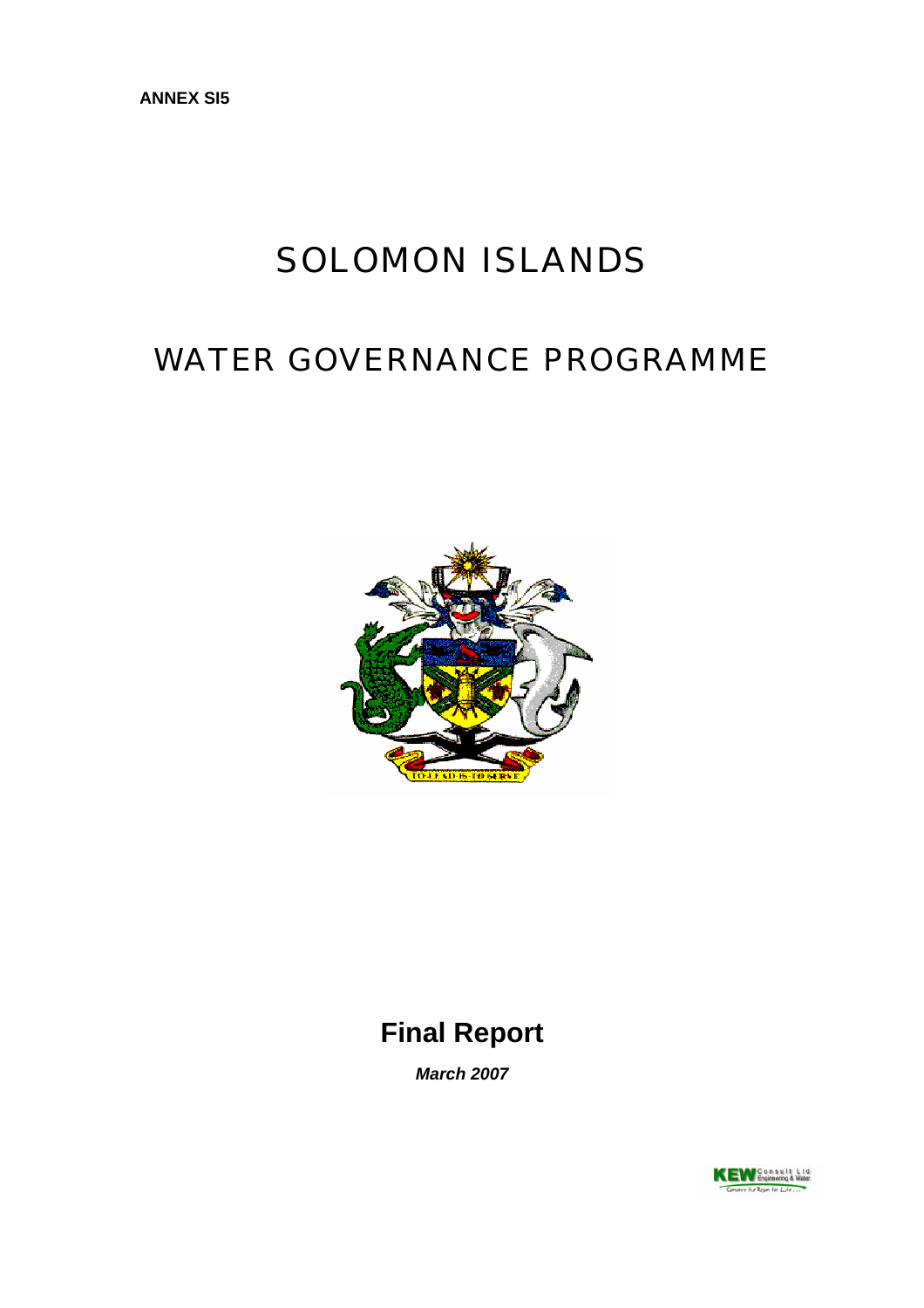# SOLOMON ISLANDS

# WATER GOVERNANCE PROGRAMME



## **Final Report**

*March 2007*

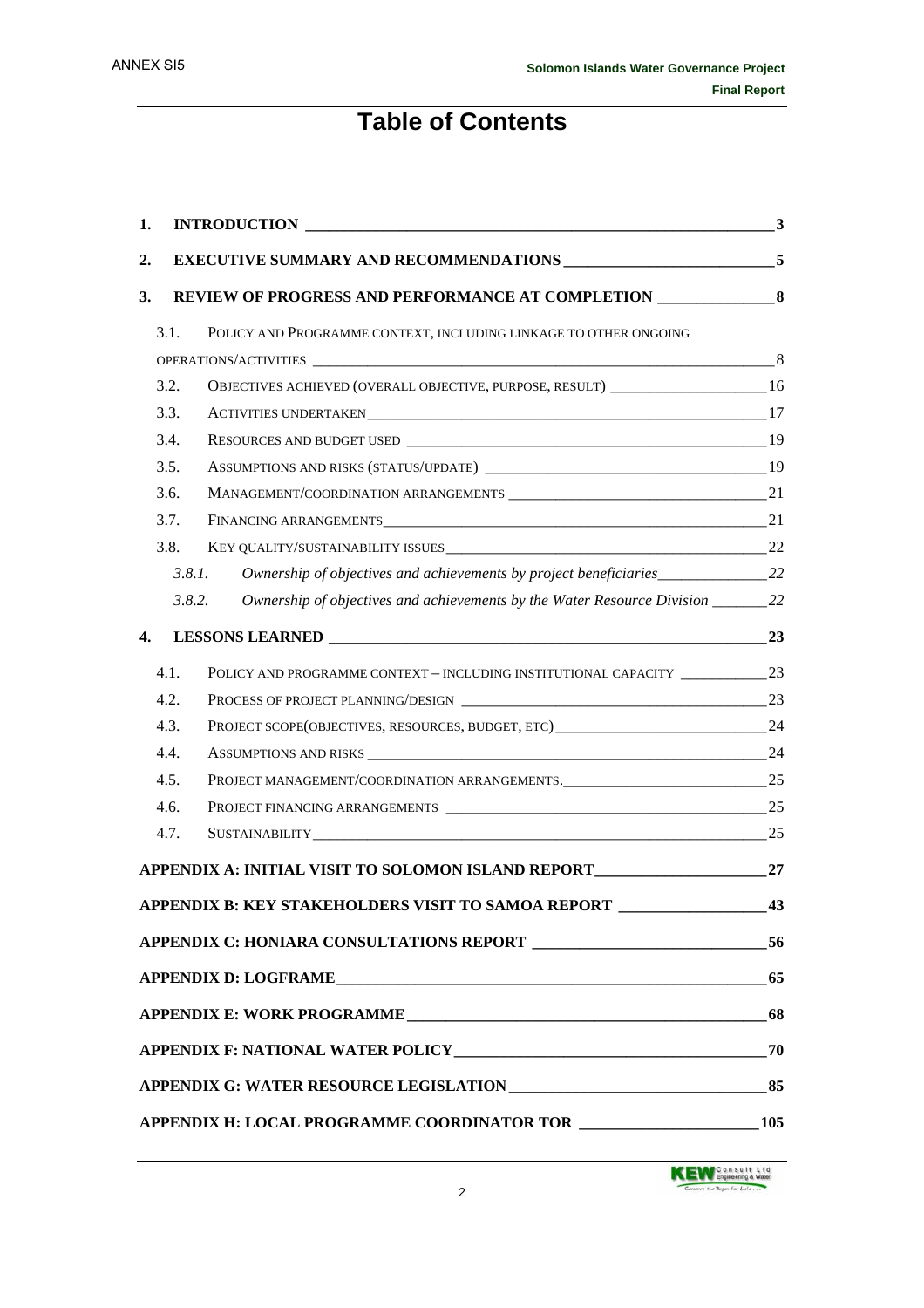## **Table of Contents**

| 1. |        | <b>INTRODUCTION</b> 3                                                                                                                                                                                                          |     |
|----|--------|--------------------------------------------------------------------------------------------------------------------------------------------------------------------------------------------------------------------------------|-----|
| 2. |        |                                                                                                                                                                                                                                |     |
| 3. |        | REVIEW OF PROGRESS AND PERFORMANCE AT COMPLETION ________________________________                                                                                                                                              |     |
|    | 3.1.   | POLICY AND PROGRAMME CONTEXT, INCLUDING LINKAGE TO OTHER ONGOING                                                                                                                                                               |     |
|    |        |                                                                                                                                                                                                                                |     |
|    | 3.2.   | OBJECTIVES ACHIEVED (OVERALL OBJECTIVE, PURPOSE, RESULT) _______________________16                                                                                                                                             |     |
|    | 3.3.   |                                                                                                                                                                                                                                |     |
|    | 3.4.   |                                                                                                                                                                                                                                |     |
|    | 3.5.   |                                                                                                                                                                                                                                |     |
|    | 3.6.   |                                                                                                                                                                                                                                |     |
|    | 3.7.   |                                                                                                                                                                                                                                |     |
|    | 3.8.   |                                                                                                                                                                                                                                |     |
|    | 3.8.1. | Ownership of objectives and achievements by project beneficiaries_______________22                                                                                                                                             |     |
|    | 3.8.2. | Ownership of objectives and achievements by the Water Resource Division ________22                                                                                                                                             |     |
| 4. |        |                                                                                                                                                                                                                                | 23  |
|    | 4.1.   | POLICY AND PROGRAMME CONTEXT - INCLUDING INSTITUTIONAL CAPACITY _________________23                                                                                                                                            |     |
|    | 4.2.   |                                                                                                                                                                                                                                |     |
|    | 4.3.   |                                                                                                                                                                                                                                |     |
|    | 4.4.   |                                                                                                                                                                                                                                |     |
|    | 4.5.   |                                                                                                                                                                                                                                |     |
|    | 4.6.   |                                                                                                                                                                                                                                |     |
|    | 4.7.   | SUSTAINABILITY CONTRACTED AND THE CONTRACTED AND THE CONTRACTED AND THE CONTRACTED AND THE CONTRACTED AND THE CONTRACTED AND THE CONTRACTED AND THE CONTRACTED AND THE CONTRACTED AND THE CONTRACTED AND THE CONTRACTED AND TH | 25  |
|    |        | APPENDIX A: INITIAL VISIT TO SOLOMON ISLAND REPORT                                                                                                                                                                             | 27  |
|    |        | APPENDIX B: KEY STAKEHOLDERS VISIT TO SAMOA REPORT                                                                                                                                                                             | 43  |
|    |        |                                                                                                                                                                                                                                |     |
|    |        |                                                                                                                                                                                                                                | 65  |
|    |        |                                                                                                                                                                                                                                | 68  |
|    |        |                                                                                                                                                                                                                                | 70  |
|    |        |                                                                                                                                                                                                                                |     |
|    |        |                                                                                                                                                                                                                                | 105 |

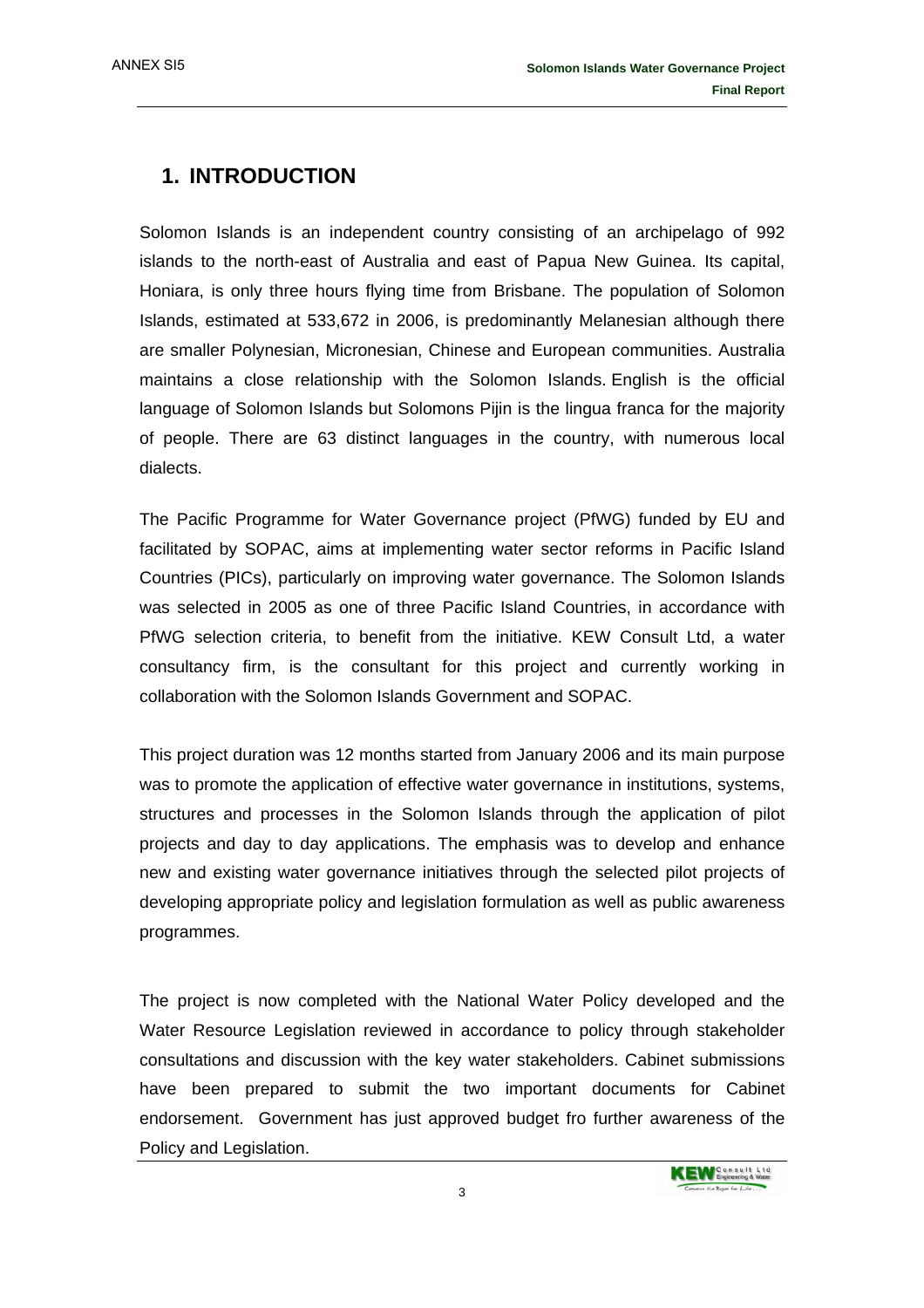ANNEX SI5

## **1. INTRODUCTION**

Solomon Islands is an independent country consisting of an archipelago of 992 islands to the north-east of Australia and east of Papua New Guinea. Its capital, Honiara, is only three hours flying time from Brisbane. The population of Solomon Islands, estimated at 533,672 in 2006, is predominantly Melanesian although there are smaller Polynesian, Micronesian, Chinese and European communities. Australia maintains a close relationship with the Solomon Islands. English is the official language of Solomon Islands but Solomons Pijin is the lingua franca for the majority of people. There are 63 distinct languages in the country, with numerous local dialects.

The Pacific Programme for Water Governance project (PfWG) funded by EU and facilitated by SOPAC, aims at implementing water sector reforms in Pacific Island Countries (PICs), particularly on improving water governance. The Solomon Islands was selected in 2005 as one of three Pacific Island Countries, in accordance with PfWG selection criteria, to benefit from the initiative. KEW Consult Ltd, a water consultancy firm, is the consultant for this project and currently working in collaboration with the Solomon Islands Government and SOPAC.

This project duration was 12 months started from January 2006 and its main purpose was to promote the application of effective water governance in institutions, systems, structures and processes in the Solomon Islands through the application of pilot projects and day to day applications. The emphasis was to develop and enhance new and existing water governance initiatives through the selected pilot projects of developing appropriate policy and legislation formulation as well as public awareness programmes.

The project is now completed with the National Water Policy developed and the Water Resource Legislation reviewed in accordance to policy through stakeholder consultations and discussion with the key water stakeholders. Cabinet submissions have been prepared to submit the two important documents for Cabinet endorsement. Government has just approved budget fro further awareness of the Policy and Legislation.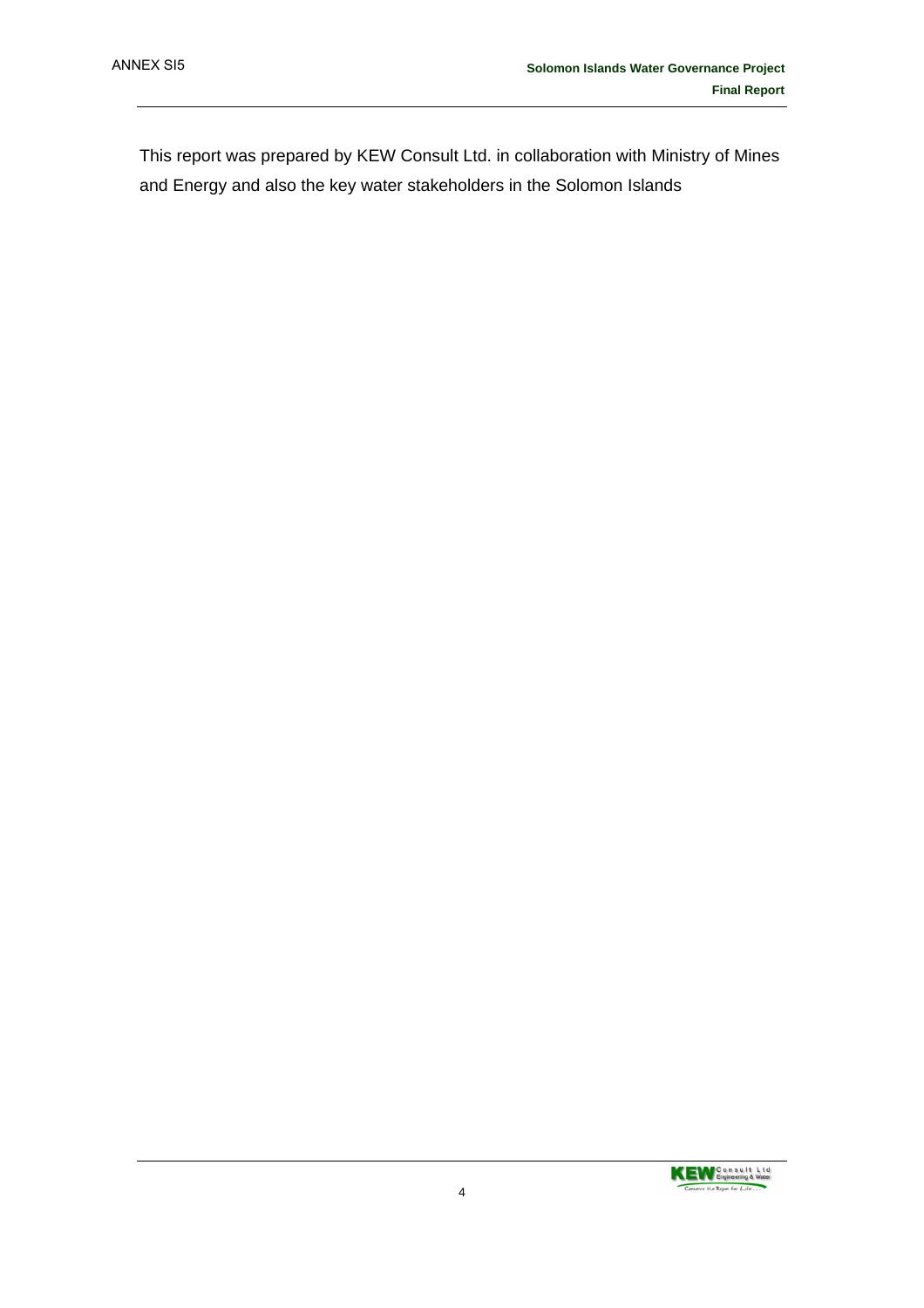This report was prepared by KEW Consult Ltd. in collaboration with Ministry of Mines and Energy and also the key water stakeholders in the Solomon Islands

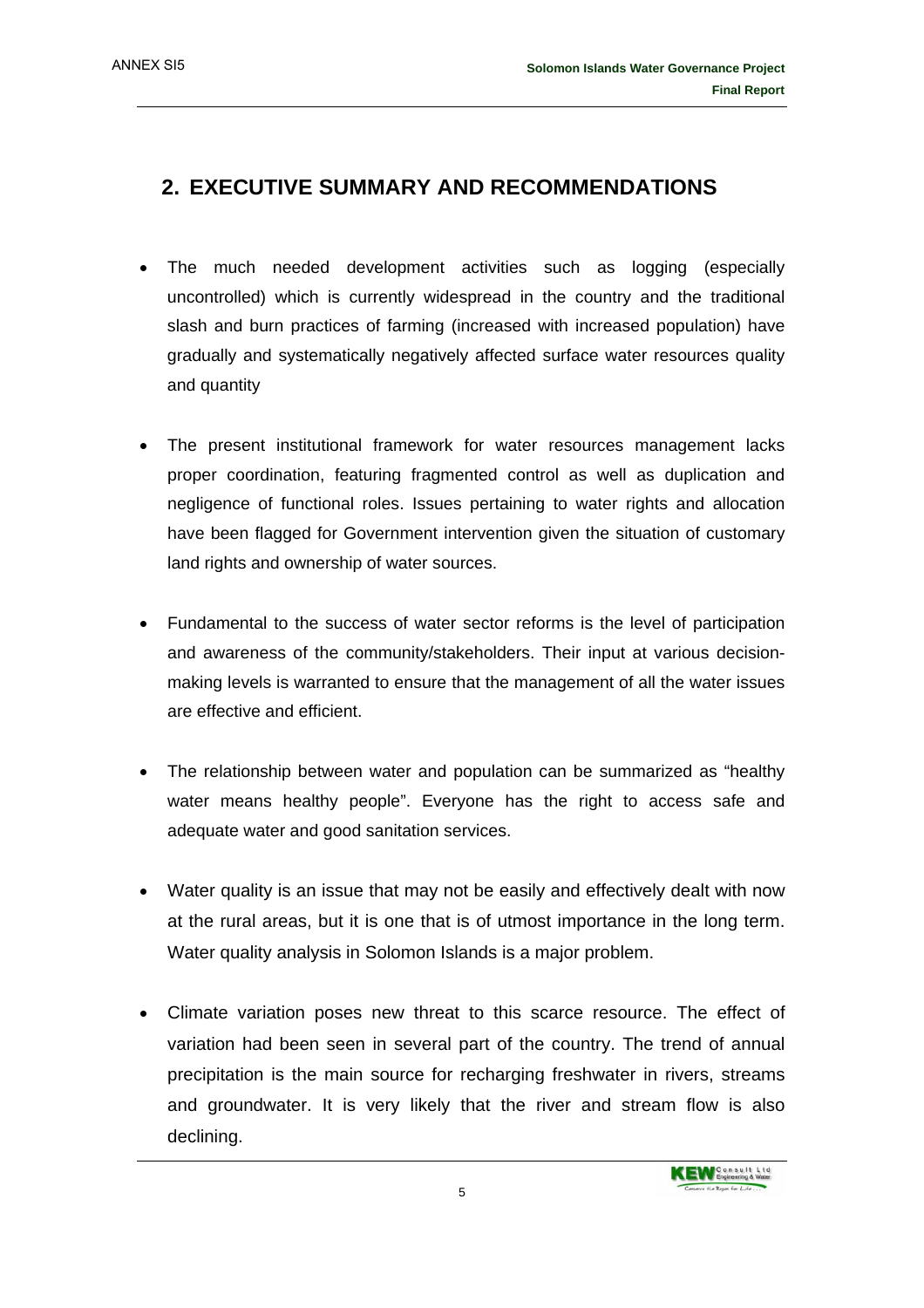## **2. EXECUTIVE SUMMARY AND RECOMMENDATIONS**

- The much needed development activities such as logging (especially uncontrolled) which is currently widespread in the country and the traditional slash and burn practices of farming (increased with increased population) have gradually and systematically negatively affected surface water resources quality and quantity
- The present institutional framework for water resources management lacks proper coordination, featuring fragmented control as well as duplication and negligence of functional roles. Issues pertaining to water rights and allocation have been flagged for Government intervention given the situation of customary land rights and ownership of water sources.
- Fundamental to the success of water sector reforms is the level of participation and awareness of the community/stakeholders. Their input at various decisionmaking levels is warranted to ensure that the management of all the water issues are effective and efficient.
- The relationship between water and population can be summarized as "healthy water means healthy people". Everyone has the right to access safe and adequate water and good sanitation services.
- Water quality is an issue that may not be easily and effectively dealt with now at the rural areas, but it is one that is of utmost importance in the long term. Water quality analysis in Solomon Islands is a major problem.
- Climate variation poses new threat to this scarce resource. The effect of variation had been seen in several part of the country. The trend of annual precipitation is the main source for recharging freshwater in rivers, streams and groundwater. It is very likely that the river and stream flow is also declining.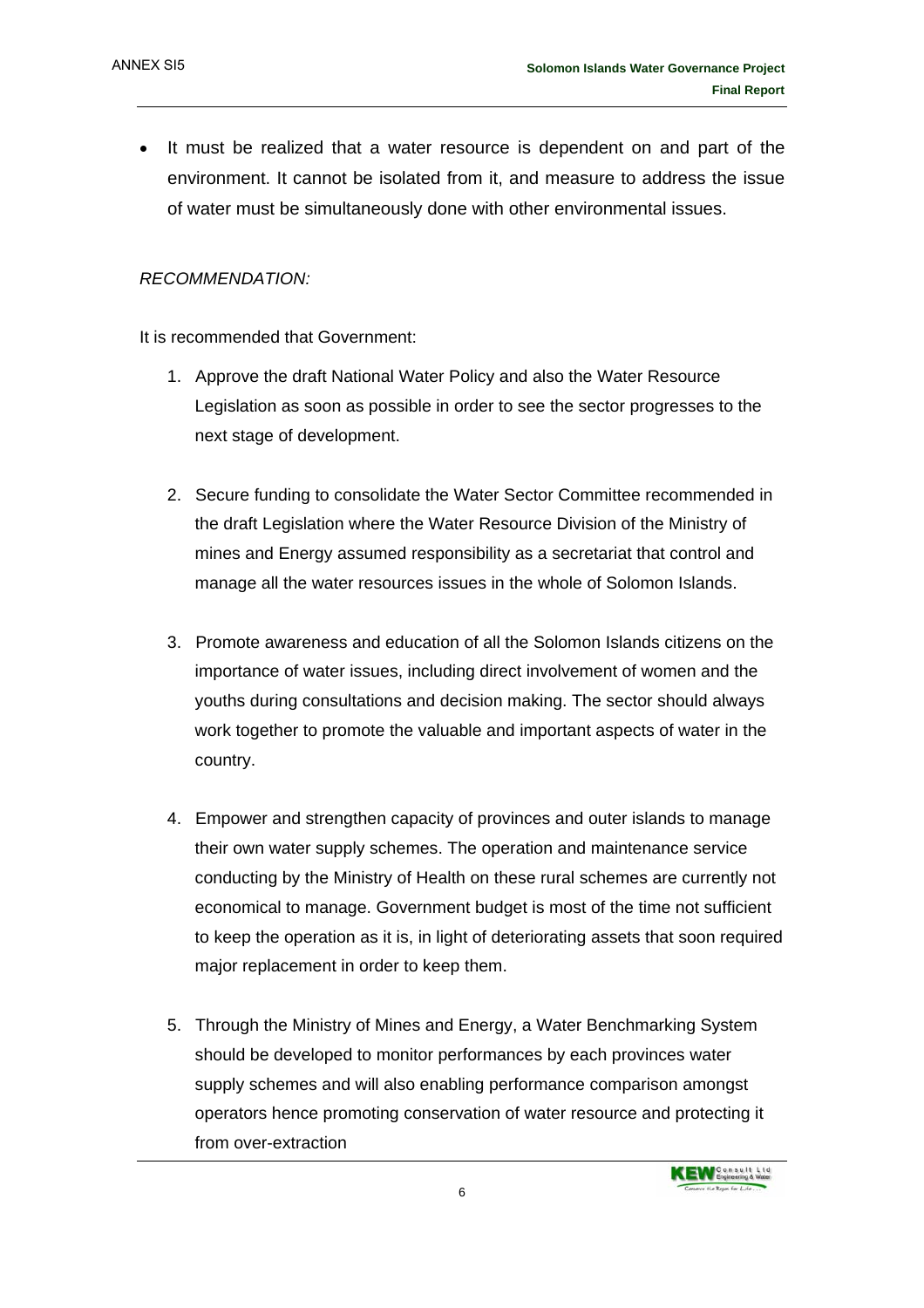• It must be realized that a water resource is dependent on and part of the environment. It cannot be isolated from it, and measure to address the issue of water must be simultaneously done with other environmental issues.

#### *RECOMMENDATION:*

It is recommended that Government:

- 1. Approve the draft National Water Policy and also the Water Resource Legislation as soon as possible in order to see the sector progresses to the next stage of development.
- 2. Secure funding to consolidate the Water Sector Committee recommended in the draft Legislation where the Water Resource Division of the Ministry of mines and Energy assumed responsibility as a secretariat that control and manage all the water resources issues in the whole of Solomon Islands.
- 3. Promote awareness and education of all the Solomon Islands citizens on the importance of water issues, including direct involvement of women and the youths during consultations and decision making. The sector should always work together to promote the valuable and important aspects of water in the country.
- 4. Empower and strengthen capacity of provinces and outer islands to manage their own water supply schemes. The operation and maintenance service conducting by the Ministry of Health on these rural schemes are currently not economical to manage. Government budget is most of the time not sufficient to keep the operation as it is, in light of deteriorating assets that soon required major replacement in order to keep them.
- 5. Through the Ministry of Mines and Energy, a Water Benchmarking System should be developed to monitor performances by each provinces water supply schemes and will also enabling performance comparison amongst operators hence promoting conservation of water resource and protecting it from over-extraction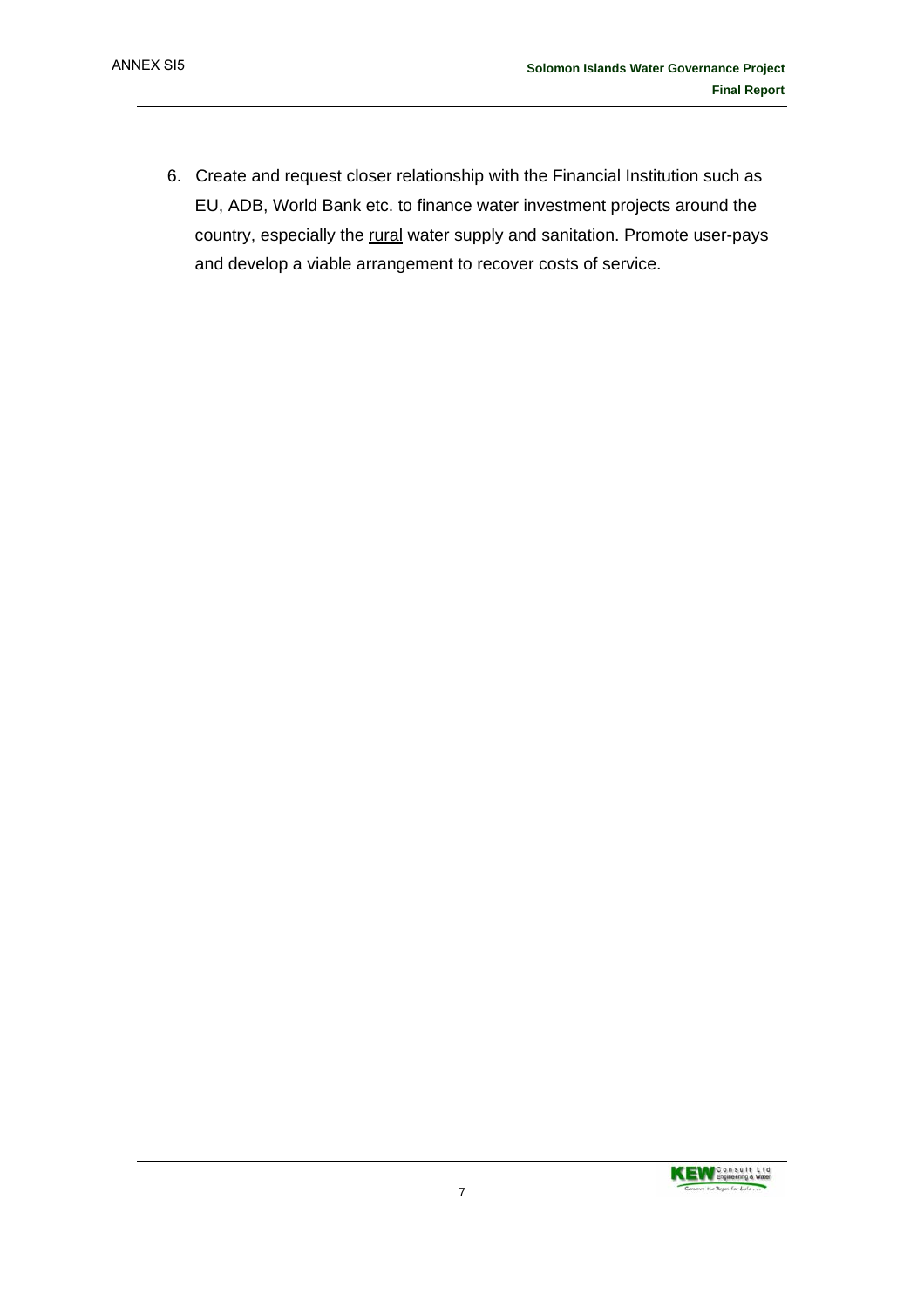6. Create and request closer relationship with the Financial Institution such as EU, ADB, World Bank etc. to finance water investment projects around the country, especially the rural water supply and sanitation. Promote user-pays and develop a viable arrangement to recover costs of service.

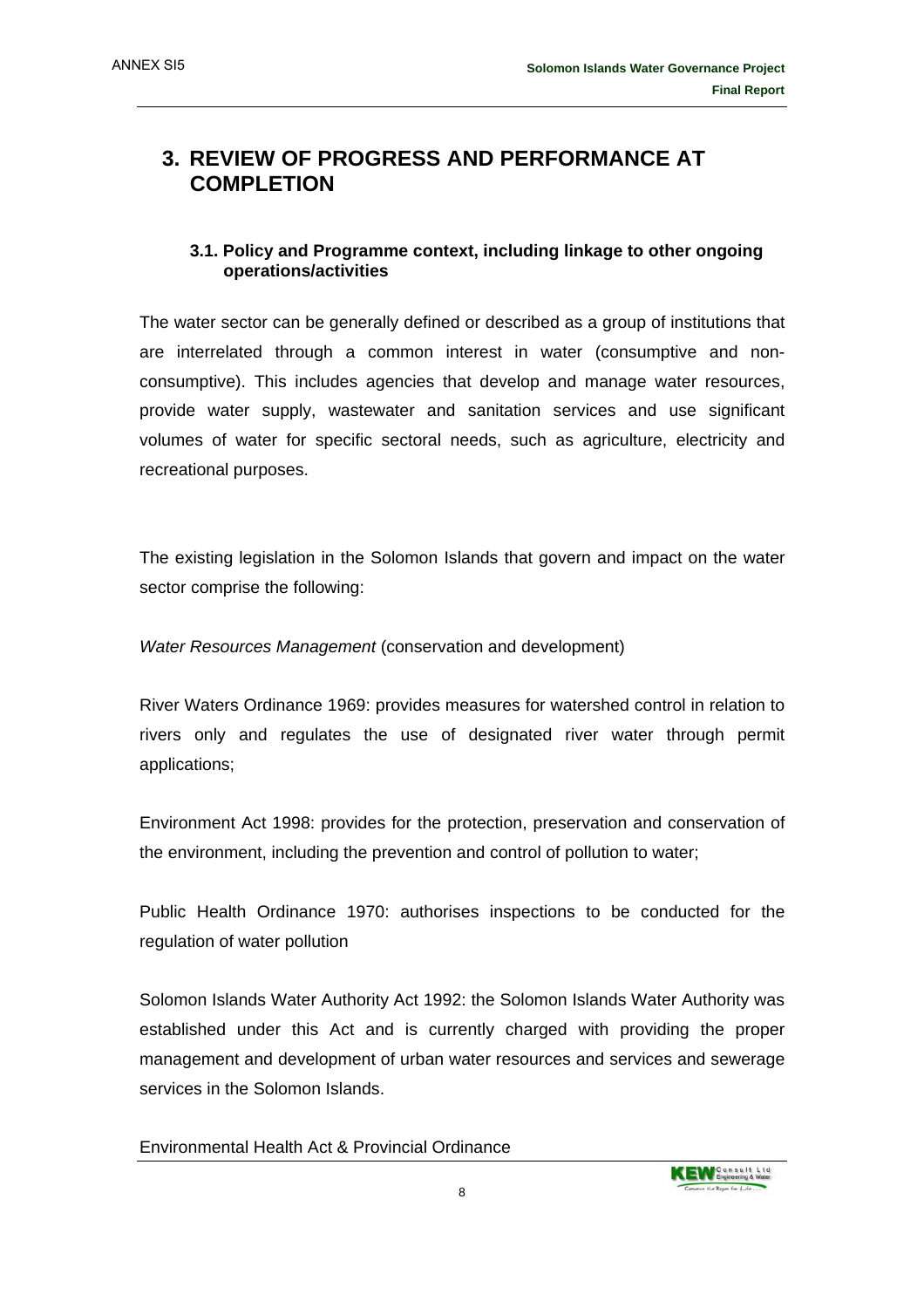## **3. REVIEW OF PROGRESS AND PERFORMANCE AT COMPLETION**

#### **3.1. Policy and Programme context, including linkage to other ongoing operations/activities**

The water sector can be generally defined or described as a group of institutions that are interrelated through a common interest in water (consumptive and nonconsumptive). This includes agencies that develop and manage water resources, provide water supply, wastewater and sanitation services and use significant volumes of water for specific sectoral needs, such as agriculture, electricity and recreational purposes.

The existing legislation in the Solomon Islands that govern and impact on the water sector comprise the following:

*Water Resources Management* (conservation and development)

River Waters Ordinance 1969: provides measures for watershed control in relation to rivers only and regulates the use of designated river water through permit applications;

Environment Act 1998: provides for the protection, preservation and conservation of the environment, including the prevention and control of pollution to water;

Public Health Ordinance 1970: authorises inspections to be conducted for the regulation of water pollution

Solomon Islands Water Authority Act 1992: the Solomon Islands Water Authority was established under this Act and is currently charged with providing the proper management and development of urban water resources and services and sewerage services in the Solomon Islands.

Environmental Health Act & Provincial Ordinance

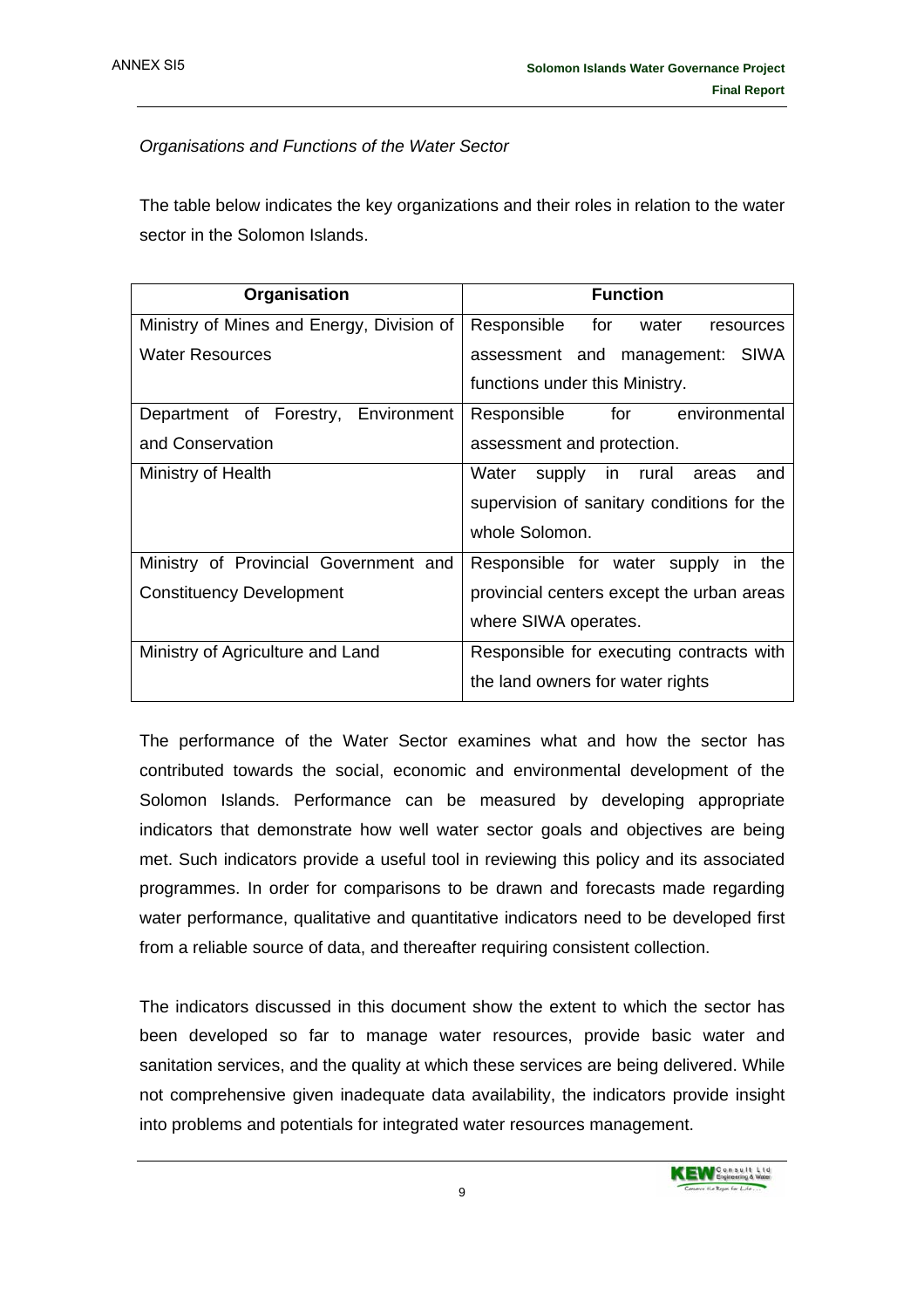#### *Organisations and Functions of the Water Sector*

The table below indicates the key organizations and their roles in relation to the water sector in the Solomon Islands.

| Organisation                              | <b>Function</b>                            |
|-------------------------------------------|--------------------------------------------|
| Ministry of Mines and Energy, Division of | Responsible for water resources            |
| Water Resources                           | assessment and management: SIWA            |
|                                           | functions under this Ministry.             |
| Department of Forestry, Environment       | for environmental<br>Responsible           |
| and Conservation                          | assessment and protection.                 |
| Ministry of Health                        | Water<br>supply in rural<br>and<br>areas   |
|                                           | supervision of sanitary conditions for the |
|                                           | whole Solomon.                             |
| Ministry of Provincial Government and     | Responsible for water supply in the        |
| <b>Constituency Development</b>           | provincial centers except the urban areas  |
|                                           | where SIWA operates.                       |
| Ministry of Agriculture and Land          | Responsible for executing contracts with   |
|                                           | the land owners for water rights           |

The performance of the Water Sector examines what and how the sector has contributed towards the social, economic and environmental development of the Solomon Islands. Performance can be measured by developing appropriate indicators that demonstrate how well water sector goals and objectives are being met. Such indicators provide a useful tool in reviewing this policy and its associated programmes. In order for comparisons to be drawn and forecasts made regarding water performance, qualitative and quantitative indicators need to be developed first from a reliable source of data, and thereafter requiring consistent collection.

The indicators discussed in this document show the extent to which the sector has been developed so far to manage water resources, provide basic water and sanitation services, and the quality at which these services are being delivered. While not comprehensive given inadequate data availability, the indicators provide insight into problems and potentials for integrated water resources management.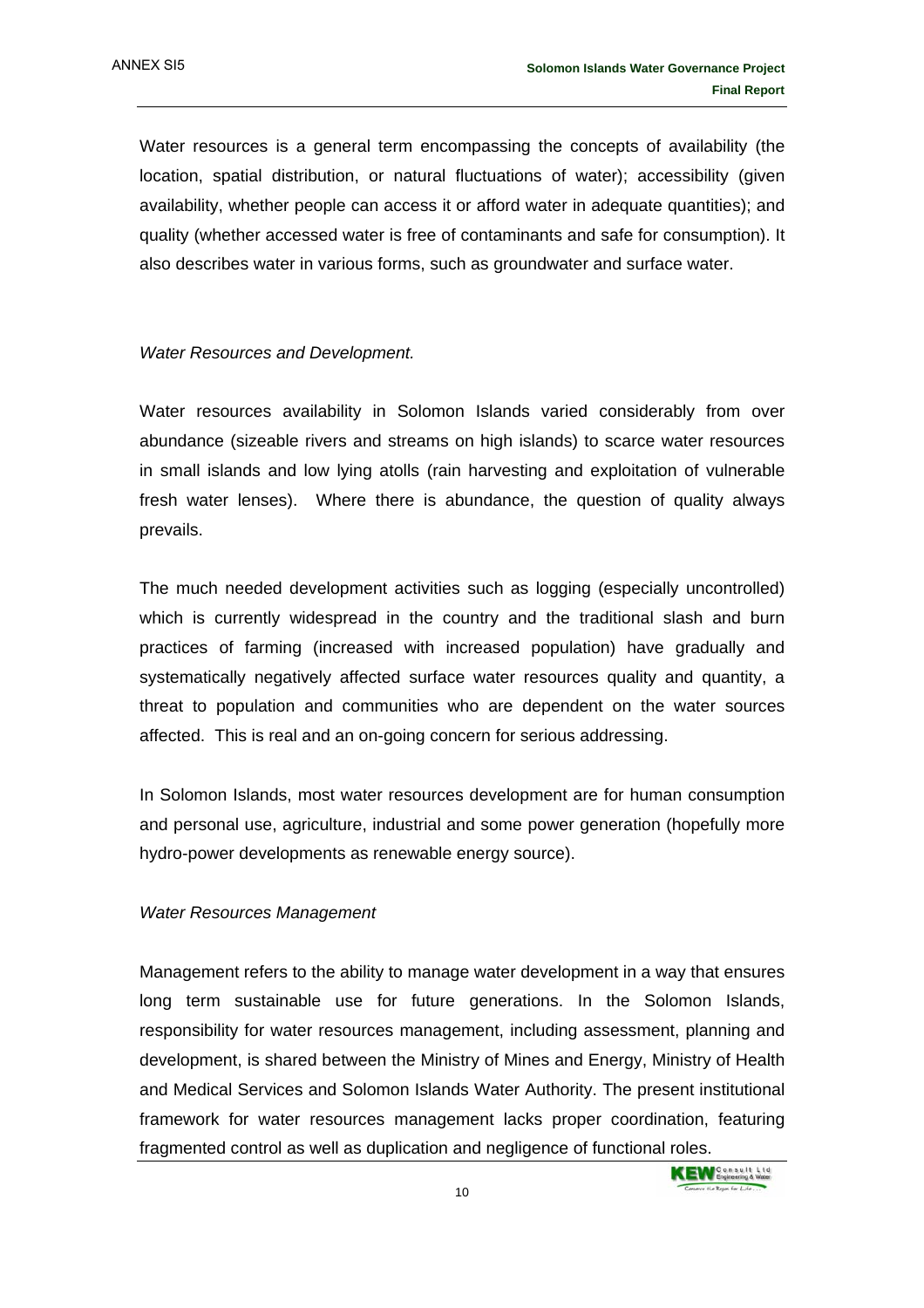Water resources is a general term encompassing the concepts of availability (the location, spatial distribution, or natural fluctuations of water); accessibility (given availability, whether people can access it or afford water in adequate quantities); and quality (whether accessed water is free of contaminants and safe for consumption). It also describes water in various forms, such as groundwater and surface water.

#### *Water Resources and Development.*

Water resources availability in Solomon Islands varied considerably from over abundance (sizeable rivers and streams on high islands) to scarce water resources in small islands and low lying atolls (rain harvesting and exploitation of vulnerable fresh water lenses). Where there is abundance, the question of quality always prevails.

The much needed development activities such as logging (especially uncontrolled) which is currently widespread in the country and the traditional slash and burn practices of farming (increased with increased population) have gradually and systematically negatively affected surface water resources quality and quantity, a threat to population and communities who are dependent on the water sources affected. This is real and an on-going concern for serious addressing.

In Solomon Islands, most water resources development are for human consumption and personal use, agriculture, industrial and some power generation (hopefully more hydro-power developments as renewable energy source).

#### *Water Resources Management*

Management refers to the ability to manage water development in a way that ensures long term sustainable use for future generations. In the Solomon Islands, responsibility for water resources management, including assessment, planning and development, is shared between the Ministry of Mines and Energy, Ministry of Health and Medical Services and Solomon Islands Water Authority. The present institutional framework for water resources management lacks proper coordination, featuring fragmented control as well as duplication and negligence of functional roles.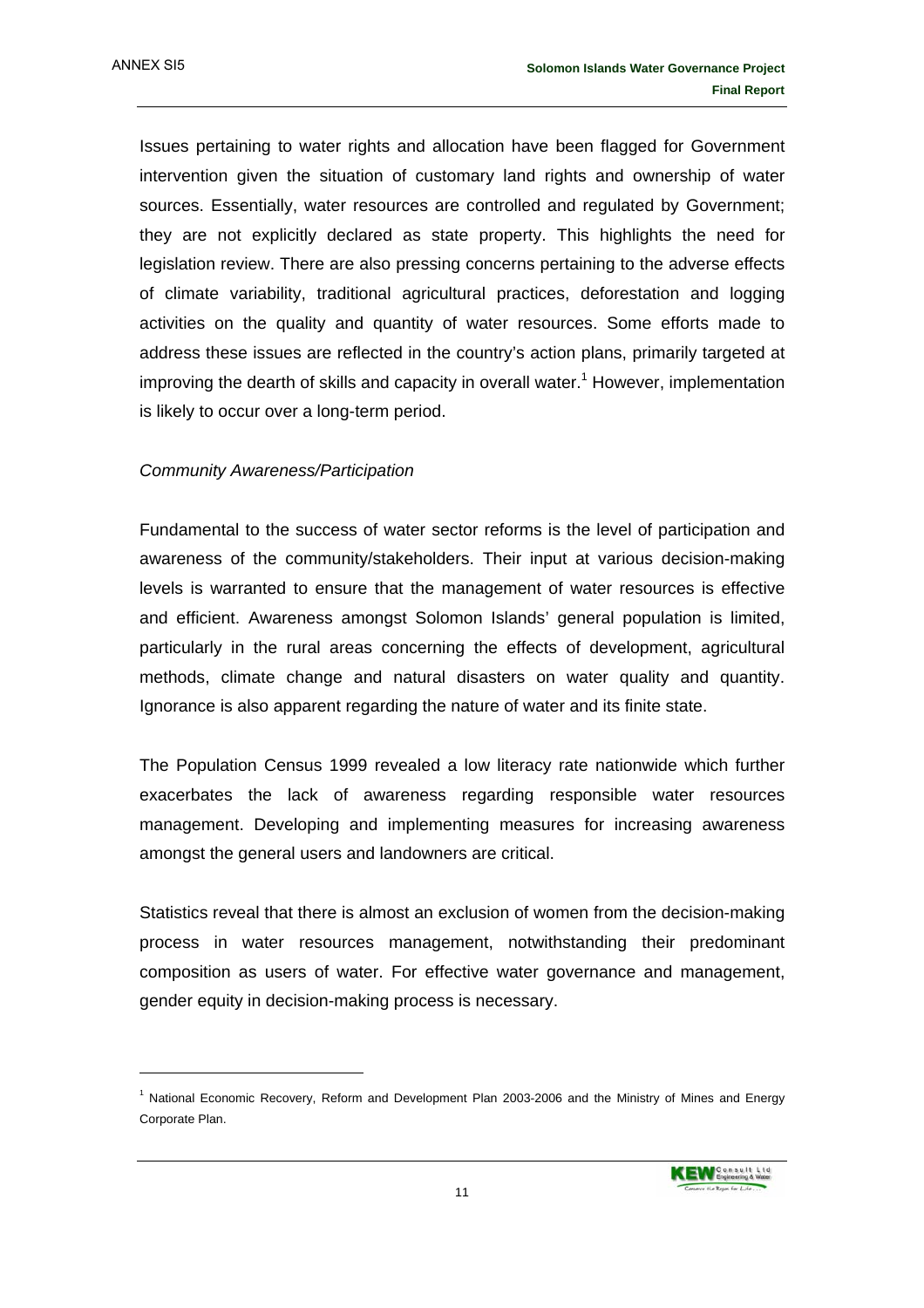Issues pertaining to water rights and allocation have been flagged for Government intervention given the situation of customary land rights and ownership of water sources. Essentially, water resources are controlled and regulated by Government; they are not explicitly declared as state property. This highlights the need for legislation review. There are also pressing concerns pertaining to the adverse effects of climate variability, traditional agricultural practices, deforestation and logging activities on the quality and quantity of water resources. Some efforts made to address these issues are reflected in the country's action plans, primarily targeted at improving the dearth of skills and capacity in overall water.<sup>1</sup> However, implementation is likely to occur over a long-term period.

#### *Community Awareness/Participation*

Fundamental to the success of water sector reforms is the level of participation and awareness of the community/stakeholders. Their input at various decision-making levels is warranted to ensure that the management of water resources is effective and efficient. Awareness amongst Solomon Islands' general population is limited, particularly in the rural areas concerning the effects of development, agricultural methods, climate change and natural disasters on water quality and quantity. Ignorance is also apparent regarding the nature of water and its finite state.

The Population Census 1999 revealed a low literacy rate nationwide which further exacerbates the lack of awareness regarding responsible water resources management. Developing and implementing measures for increasing awareness amongst the general users and landowners are critical.

Statistics reveal that there is almost an exclusion of women from the decision-making process in water resources management, notwithstanding their predominant composition as users of water. For effective water governance and management, gender equity in decision-making process is necessary.

<sup>&</sup>lt;sup>1</sup> National Economic Recovery, Reform and Development Plan 2003-2006 and the Ministry of Mines and Energy Corporate Plan.

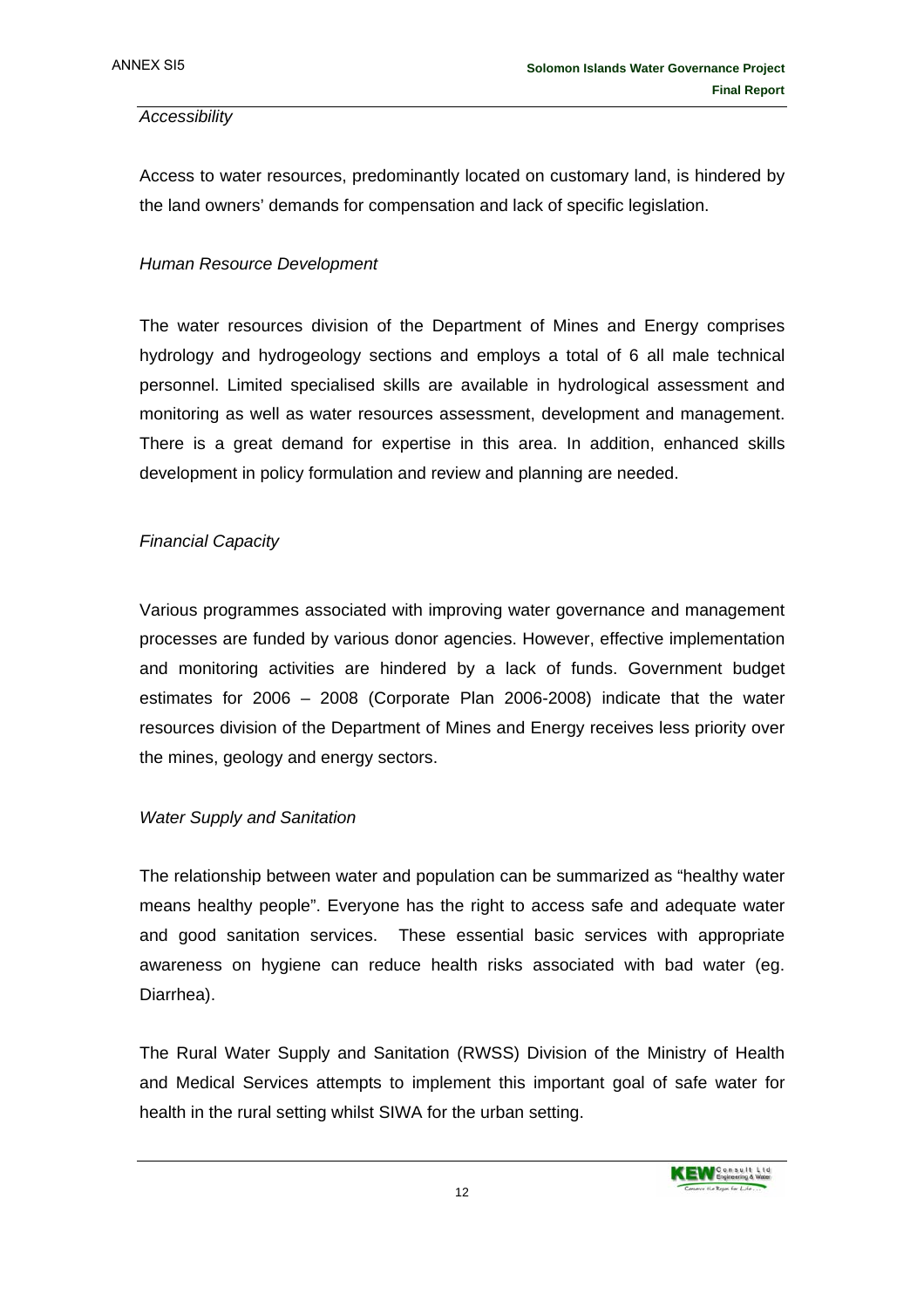#### *Accessibility*

Access to water resources, predominantly located on customary land, is hindered by the land owners' demands for compensation and lack of specific legislation.

#### *Human Resource Development*

The water resources division of the Department of Mines and Energy comprises hydrology and hydrogeology sections and employs a total of 6 all male technical personnel. Limited specialised skills are available in hydrological assessment and monitoring as well as water resources assessment, development and management. There is a great demand for expertise in this area. In addition, enhanced skills development in policy formulation and review and planning are needed.

#### *Financial Capacity*

Various programmes associated with improving water governance and management processes are funded by various donor agencies. However, effective implementation and monitoring activities are hindered by a lack of funds. Government budget estimates for 2006 – 2008 (Corporate Plan 2006-2008) indicate that the water resources division of the Department of Mines and Energy receives less priority over the mines, geology and energy sectors.

#### *Water Supply and Sanitation*

The relationship between water and population can be summarized as "healthy water means healthy people". Everyone has the right to access safe and adequate water and good sanitation services. These essential basic services with appropriate awareness on hygiene can reduce health risks associated with bad water (eg. Diarrhea).

The Rural Water Supply and Sanitation (RWSS) Division of the Ministry of Health and Medical Services attempts to implement this important goal of safe water for health in the rural setting whilst SIWA for the urban setting.

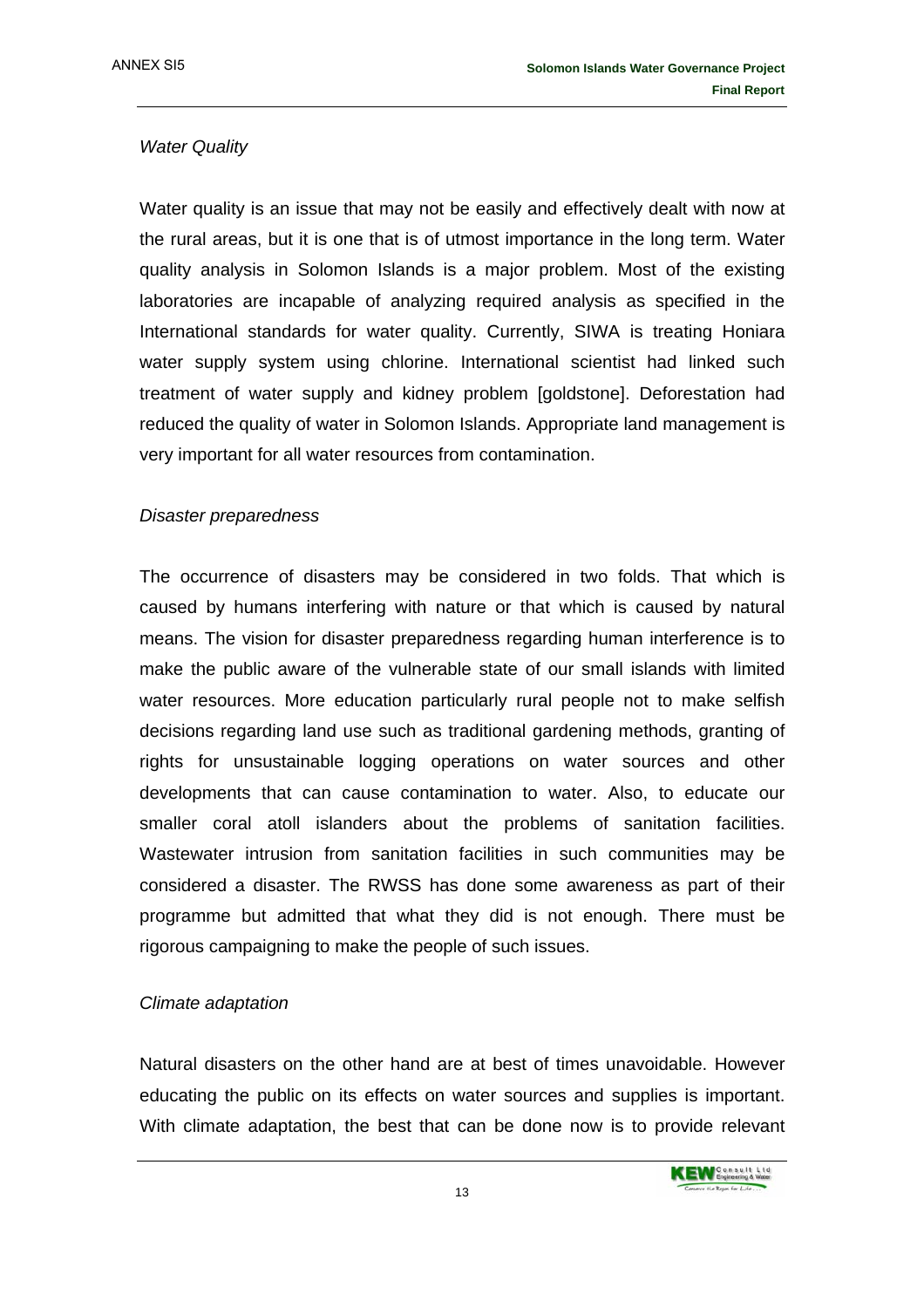#### *Water Quality*

Water quality is an issue that may not be easily and effectively dealt with now at the rural areas, but it is one that is of utmost importance in the long term. Water quality analysis in Solomon Islands is a major problem. Most of the existing laboratories are incapable of analyzing required analysis as specified in the International standards for water quality. Currently, SIWA is treating Honiara water supply system using chlorine. International scientist had linked such treatment of water supply and kidney problem [goldstone]. Deforestation had reduced the quality of water in Solomon Islands. Appropriate land management is very important for all water resources from contamination.

#### *Disaster preparedness*

The occurrence of disasters may be considered in two folds. That which is caused by humans interfering with nature or that which is caused by natural means. The vision for disaster preparedness regarding human interference is to make the public aware of the vulnerable state of our small islands with limited water resources. More education particularly rural people not to make selfish decisions regarding land use such as traditional gardening methods, granting of rights for unsustainable logging operations on water sources and other developments that can cause contamination to water. Also, to educate our smaller coral atoll islanders about the problems of sanitation facilities. Wastewater intrusion from sanitation facilities in such communities may be considered a disaster. The RWSS has done some awareness as part of their programme but admitted that what they did is not enough. There must be rigorous campaigning to make the people of such issues.

#### *Climate adaptation*

Natural disasters on the other hand are at best of times unavoidable. However educating the public on its effects on water sources and supplies is important. With climate adaptation, the best that can be done now is to provide relevant

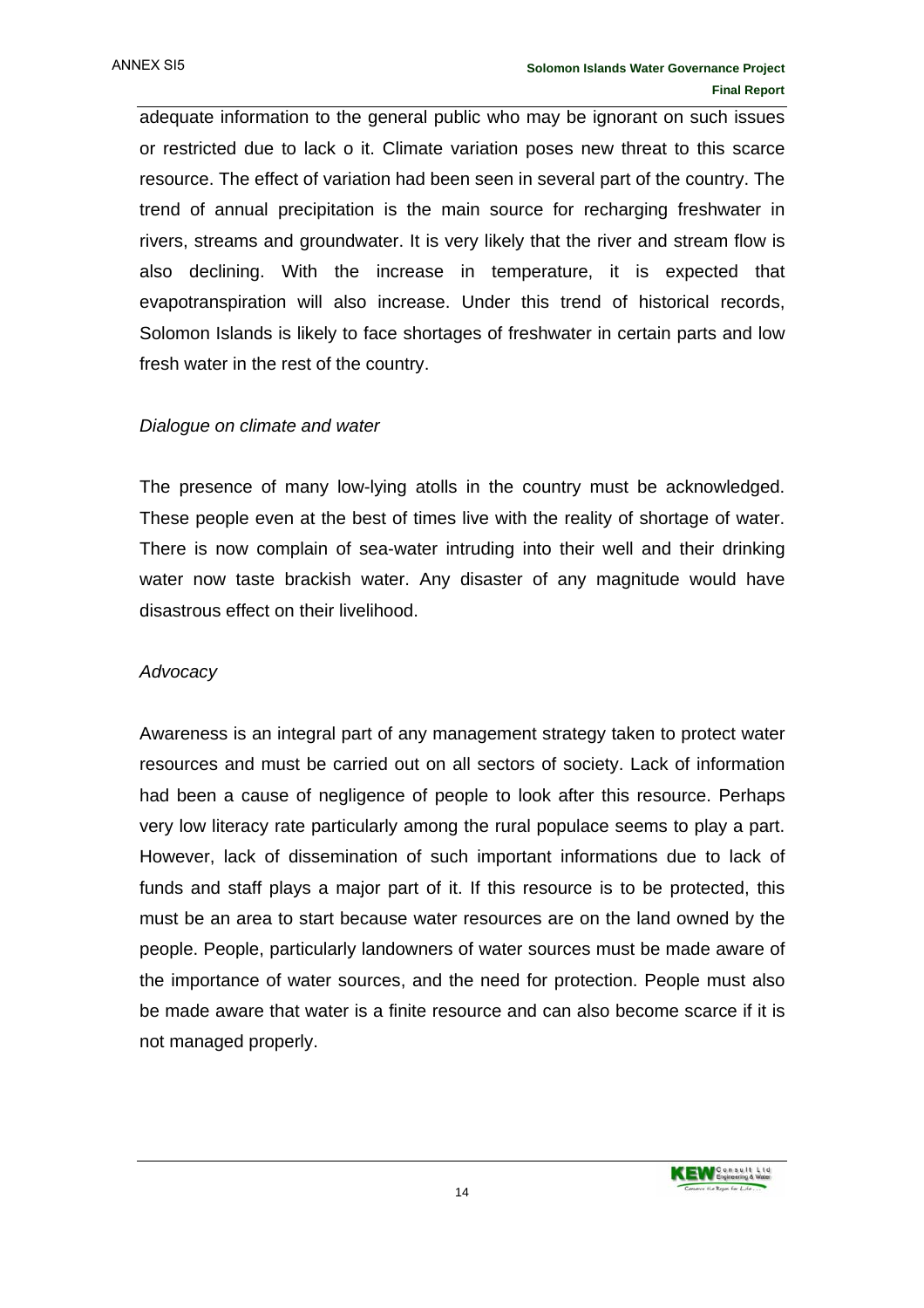adequate information to the general public who may be ignorant on such issues or restricted due to lack o it. Climate variation poses new threat to this scarce resource. The effect of variation had been seen in several part of the country. The trend of annual precipitation is the main source for recharging freshwater in rivers, streams and groundwater. It is very likely that the river and stream flow is also declining. With the increase in temperature, it is expected that evapotranspiration will also increase. Under this trend of historical records, Solomon Islands is likely to face shortages of freshwater in certain parts and low fresh water in the rest of the country.

#### *Dialogue on climate and water*

The presence of many low-lying atolls in the country must be acknowledged. These people even at the best of times live with the reality of shortage of water. There is now complain of sea-water intruding into their well and their drinking water now taste brackish water. Any disaster of any magnitude would have disastrous effect on their livelihood.

#### *Advocacy*

Awareness is an integral part of any management strategy taken to protect water resources and must be carried out on all sectors of society. Lack of information had been a cause of negligence of people to look after this resource. Perhaps very low literacy rate particularly among the rural populace seems to play a part. However, lack of dissemination of such important informations due to lack of funds and staff plays a major part of it. If this resource is to be protected, this must be an area to start because water resources are on the land owned by the people. People, particularly landowners of water sources must be made aware of the importance of water sources, and the need for protection. People must also be made aware that water is a finite resource and can also become scarce if it is not managed properly.

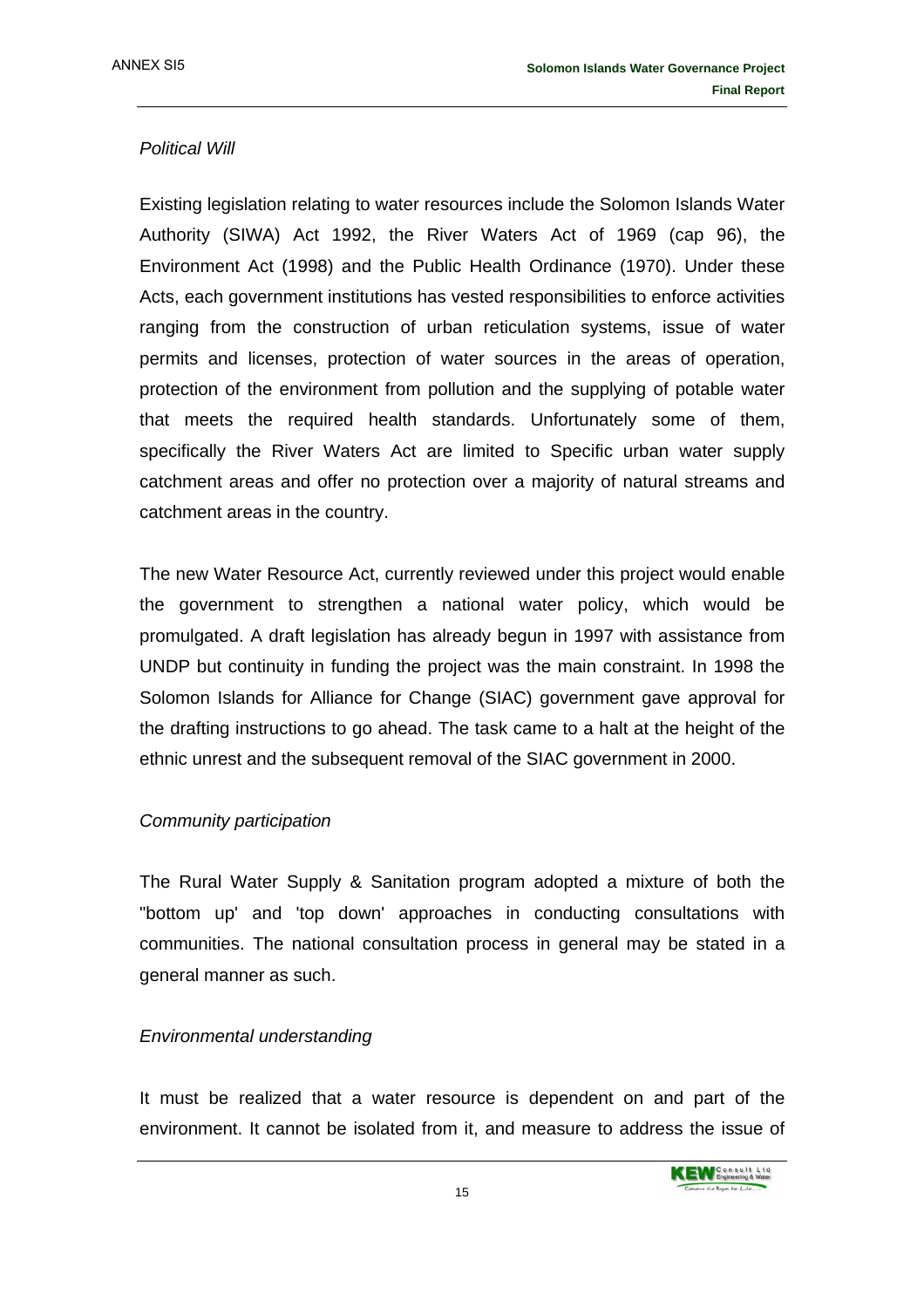#### *Political Will*

Existing legislation relating to water resources include the Solomon Islands Water Authority (SIWA) Act 1992, the River Waters Act of 1969 (cap 96), the Environment Act (1998) and the Public Health Ordinance (1970). Under these Acts, each government institutions has vested responsibilities to enforce activities ranging from the construction of urban reticulation systems, issue of water permits and licenses, protection of water sources in the areas of operation, protection of the environment from pollution and the supplying of potable water that meets the required health standards. Unfortunately some of them, specifically the River Waters Act are limited to Specific urban water supply catchment areas and offer no protection over a majority of natural streams and catchment areas in the country.

The new Water Resource Act, currently reviewed under this project would enable the government to strengthen a national water policy, which would be promulgated. A draft legislation has already begun in 1997 with assistance from UNDP but continuity in funding the project was the main constraint. In 1998 the Solomon Islands for Alliance for Change (SIAC) government gave approval for the drafting instructions to go ahead. The task came to a halt at the height of the ethnic unrest and the subsequent removal of the SIAC government in 2000.

#### *Community participation*

The Rural Water Supply & Sanitation program adopted a mixture of both the "bottom up' and 'top down' approaches in conducting consultations with communities. The national consultation process in general may be stated in a general manner as such.

#### *Environmental understanding*

It must be realized that a water resource is dependent on and part of the environment. It cannot be isolated from it, and measure to address the issue of

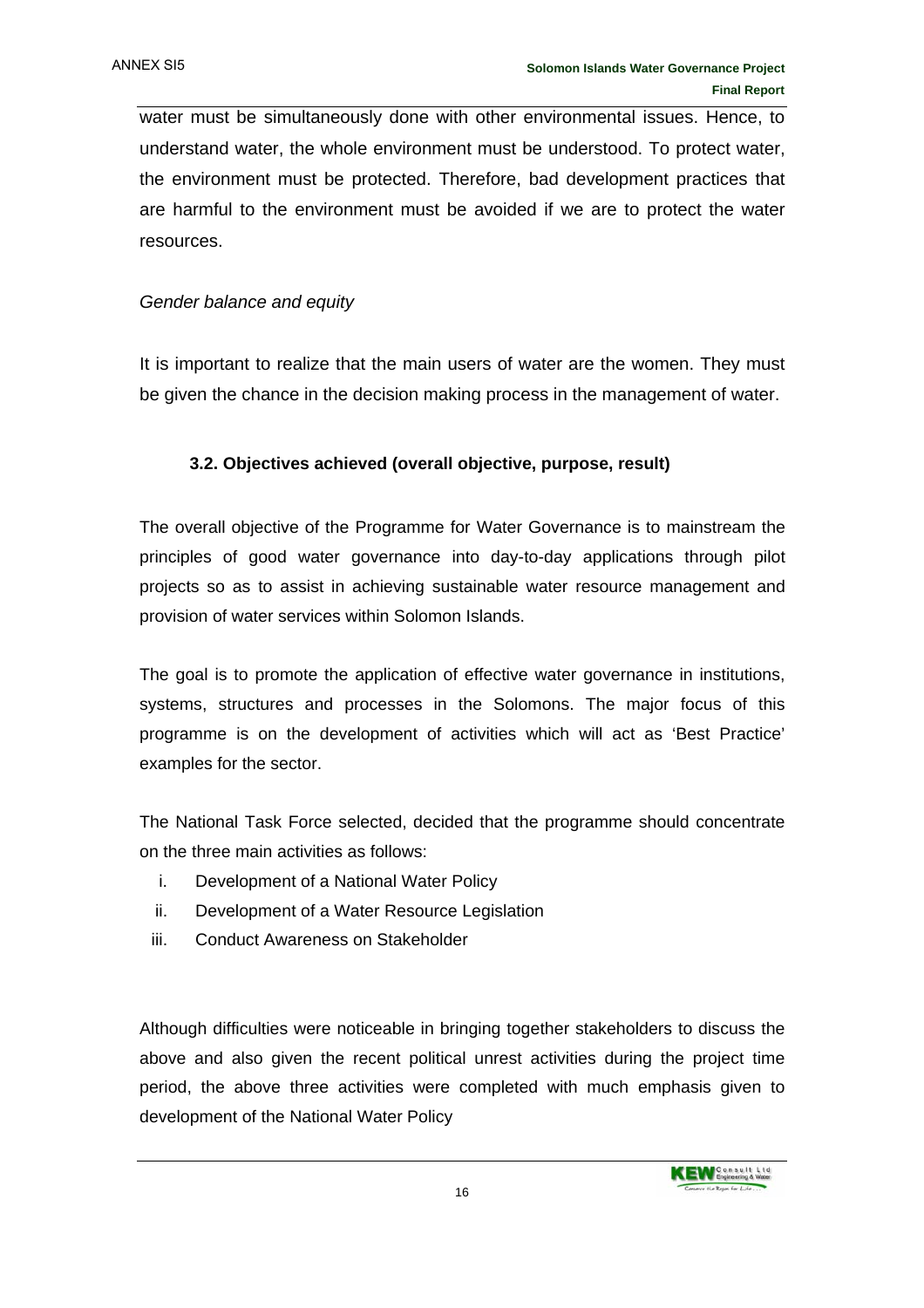water must be simultaneously done with other environmental issues. Hence, to understand water, the whole environment must be understood. To protect water, the environment must be protected. Therefore, bad development practices that are harmful to the environment must be avoided if we are to protect the water resources.

#### *Gender balance and equity*

It is important to realize that the main users of water are the women. They must be given the chance in the decision making process in the management of water.

#### **3.2. Objectives achieved (overall objective, purpose, result)**

The overall objective of the Programme for Water Governance is to mainstream the principles of good water governance into day-to-day applications through pilot projects so as to assist in achieving sustainable water resource management and provision of water services within Solomon Islands.

The goal is to promote the application of effective water governance in institutions, systems, structures and processes in the Solomons. The major focus of this programme is on the development of activities which will act as 'Best Practice' examples for the sector.

The National Task Force selected, decided that the programme should concentrate on the three main activities as follows:

- i. Development of a National Water Policy
- ii. Development of a Water Resource Legislation
- iii. Conduct Awareness on Stakeholder

Although difficulties were noticeable in bringing together stakeholders to discuss the above and also given the recent political unrest activities during the project time period, the above three activities were completed with much emphasis given to development of the National Water Policy

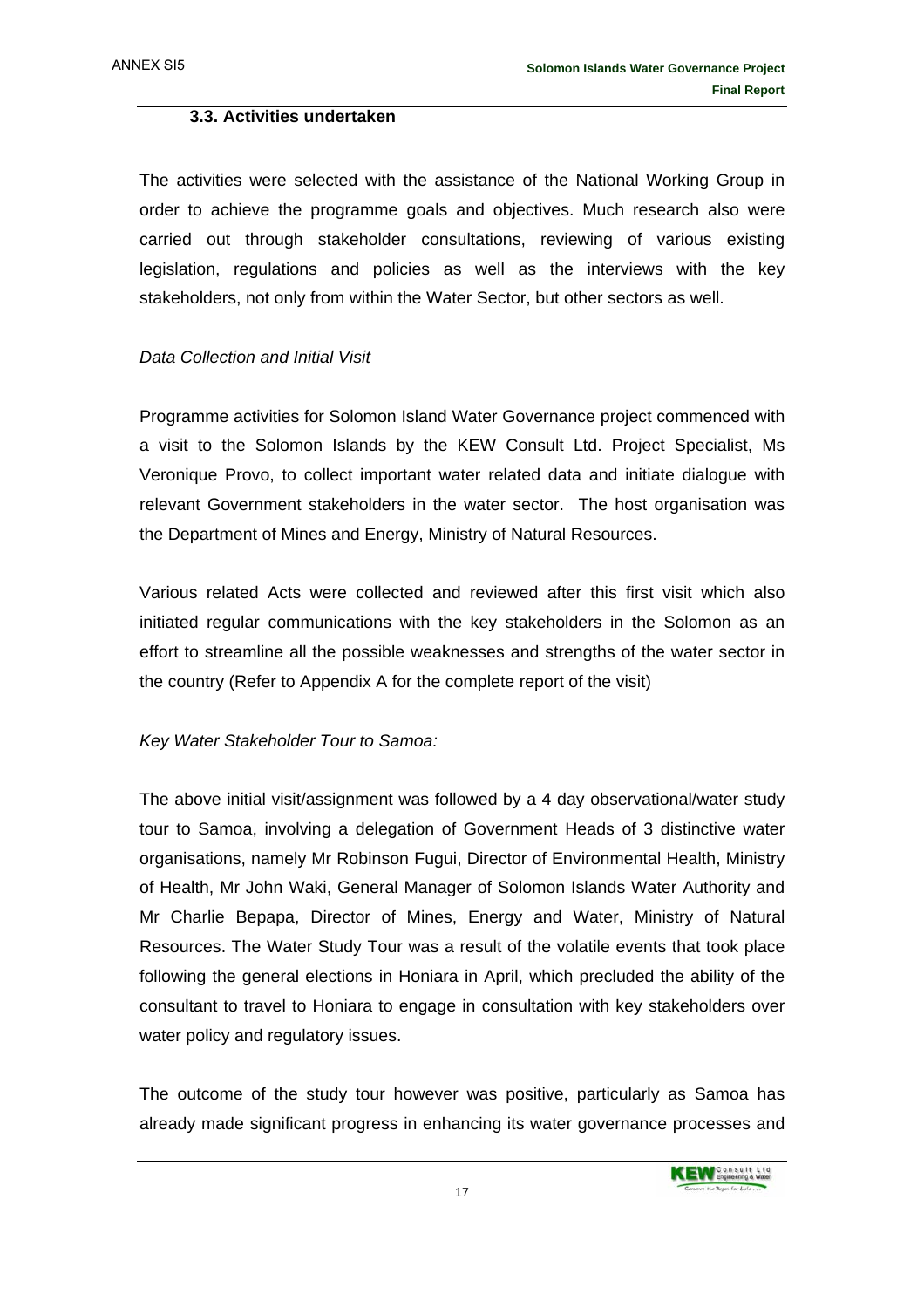#### **3.3. Activities undertaken**

The activities were selected with the assistance of the National Working Group in order to achieve the programme goals and objectives. Much research also were carried out through stakeholder consultations, reviewing of various existing legislation, regulations and policies as well as the interviews with the key stakeholders, not only from within the Water Sector, but other sectors as well.

#### *Data Collection and Initial Visit*

Programme activities for Solomon Island Water Governance project commenced with a visit to the Solomon Islands by the KEW Consult Ltd. Project Specialist, Ms Veronique Provo, to collect important water related data and initiate dialogue with relevant Government stakeholders in the water sector. The host organisation was the Department of Mines and Energy, Ministry of Natural Resources.

Various related Acts were collected and reviewed after this first visit which also initiated regular communications with the key stakeholders in the Solomon as an effort to streamline all the possible weaknesses and strengths of the water sector in the country (Refer to Appendix A for the complete report of the visit)

#### *Key Water Stakeholder Tour to Samoa:*

The above initial visit/assignment was followed by a 4 day observational/water study tour to Samoa, involving a delegation of Government Heads of 3 distinctive water organisations, namely Mr Robinson Fugui, Director of Environmental Health, Ministry of Health, Mr John Waki, General Manager of Solomon Islands Water Authority and Mr Charlie Bepapa, Director of Mines, Energy and Water, Ministry of Natural Resources. The Water Study Tour was a result of the volatile events that took place following the general elections in Honiara in April, which precluded the ability of the consultant to travel to Honiara to engage in consultation with key stakeholders over water policy and regulatory issues.

The outcome of the study tour however was positive, particularly as Samoa has already made significant progress in enhancing its water governance processes and

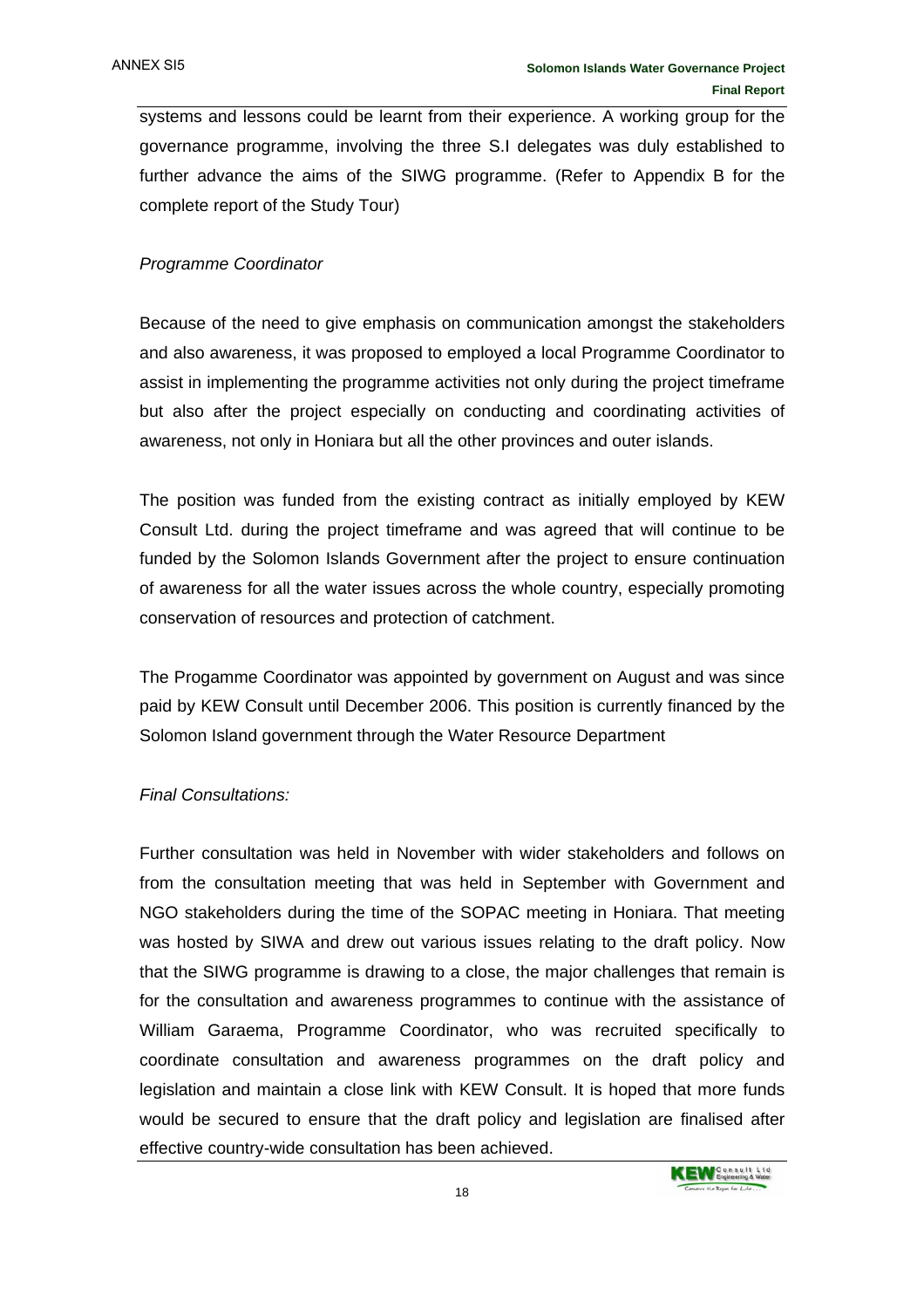systems and lessons could be learnt from their experience. A working group for the governance programme, involving the three S.I delegates was duly established to further advance the aims of the SIWG programme. (Refer to Appendix B for the complete report of the Study Tour)

#### *Programme Coordinator*

Because of the need to give emphasis on communication amongst the stakeholders and also awareness, it was proposed to employed a local Programme Coordinator to assist in implementing the programme activities not only during the project timeframe but also after the project especially on conducting and coordinating activities of awareness, not only in Honiara but all the other provinces and outer islands.

The position was funded from the existing contract as initially employed by KEW Consult Ltd. during the project timeframe and was agreed that will continue to be funded by the Solomon Islands Government after the project to ensure continuation of awareness for all the water issues across the whole country, especially promoting conservation of resources and protection of catchment.

The Progamme Coordinator was appointed by government on August and was since paid by KEW Consult until December 2006. This position is currently financed by the Solomon Island government through the Water Resource Department

#### *Final Consultations:*

Further consultation was held in November with wider stakeholders and follows on from the consultation meeting that was held in September with Government and NGO stakeholders during the time of the SOPAC meeting in Honiara. That meeting was hosted by SIWA and drew out various issues relating to the draft policy. Now that the SIWG programme is drawing to a close, the major challenges that remain is for the consultation and awareness programmes to continue with the assistance of William Garaema, Programme Coordinator, who was recruited specifically to coordinate consultation and awareness programmes on the draft policy and legislation and maintain a close link with KEW Consult. It is hoped that more funds would be secured to ensure that the draft policy and legislation are finalised after effective country-wide consultation has been achieved.

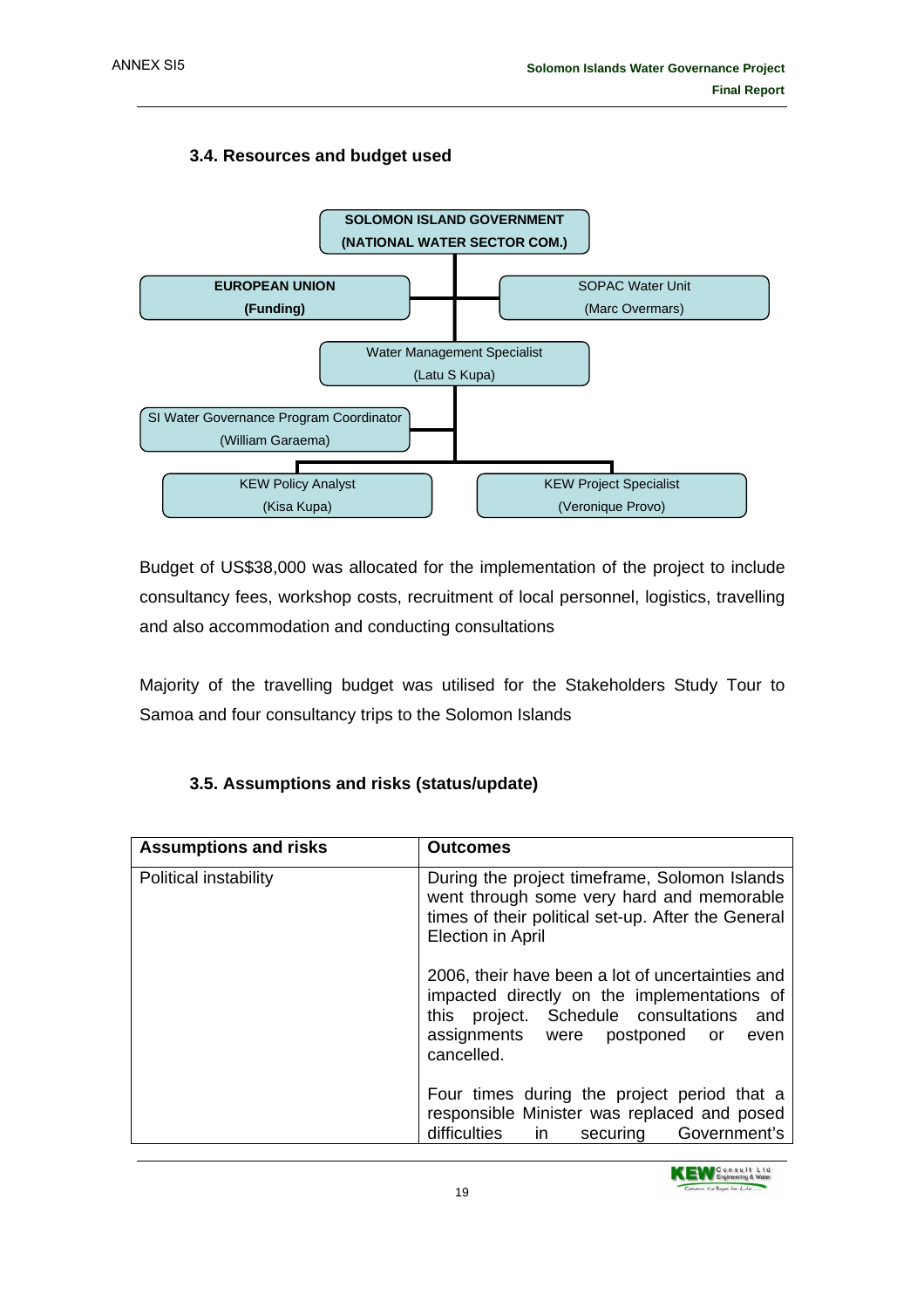#### **3.4. Resources and budget used**



Budget of US\$38,000 was allocated for the implementation of the project to include consultancy fees, workshop costs, recruitment of local personnel, logistics, travelling and also accommodation and conducting consultations

Majority of the travelling budget was utilised for the Stakeholders Study Tour to Samoa and four consultancy trips to the Solomon Islands

| <b>Assumptions and risks</b> | <b>Outcomes</b>                                                                                                                                                                                    |
|------------------------------|----------------------------------------------------------------------------------------------------------------------------------------------------------------------------------------------------|
| Political instability        | During the project timeframe, Solomon Islands<br>went through some very hard and memorable<br>times of their political set-up. After the General<br><b>Election in April</b>                       |
|                              | 2006, their have been a lot of uncertainties and<br>impacted directly on the implementations of<br>this project. Schedule consultations and<br>assignments were postponed or<br>even<br>cancelled. |
|                              | Four times during the project period that a<br>responsible Minister was replaced and posed<br>difficulties<br>Government's<br>in<br>securing                                                       |

#### **3.5. Assumptions and risks (status/update)**

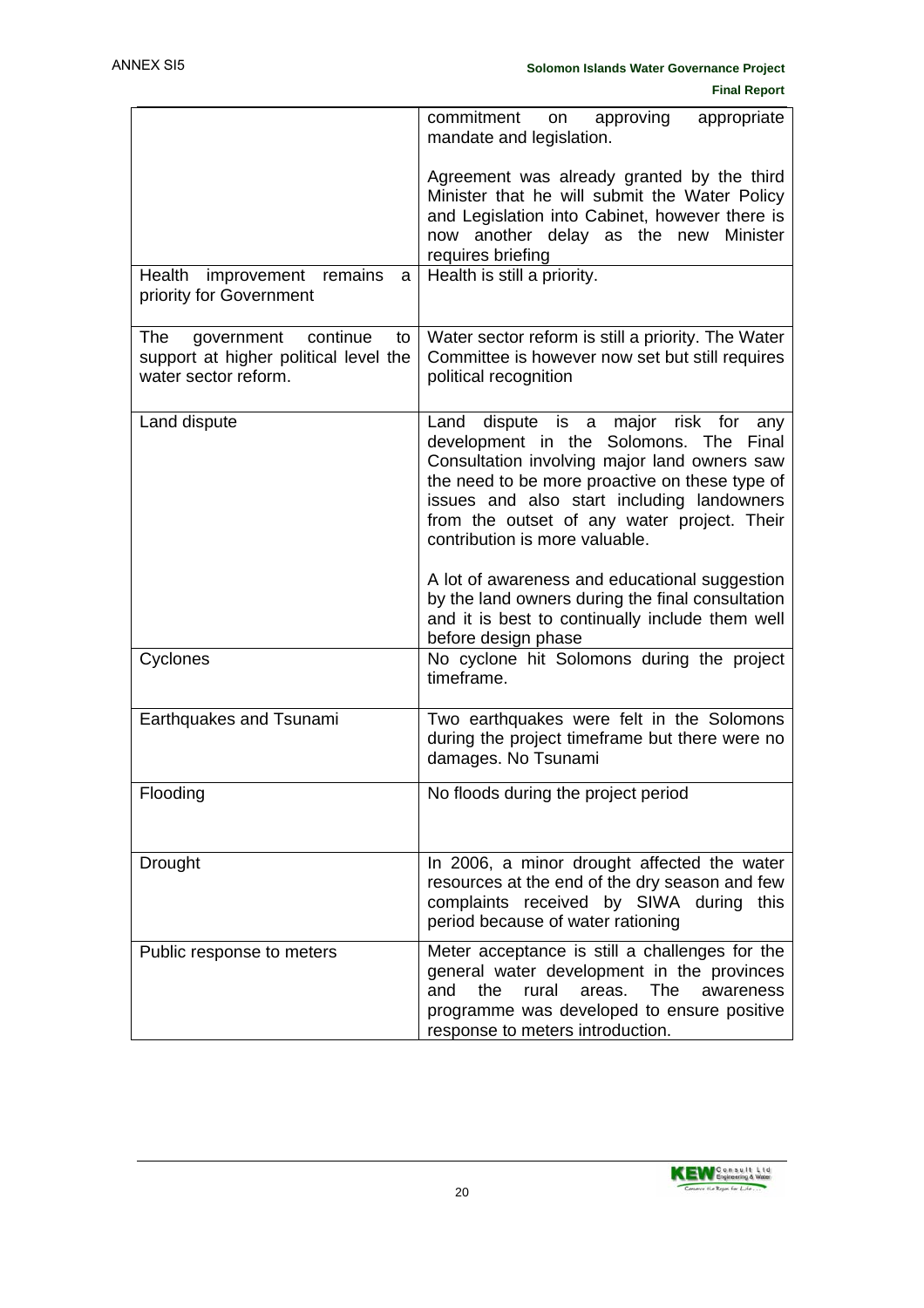|                                                                                                      | commitment<br>approving<br>appropriate<br>on<br>mandate and legislation.                                                                                                                                                                                                                                                 |
|------------------------------------------------------------------------------------------------------|--------------------------------------------------------------------------------------------------------------------------------------------------------------------------------------------------------------------------------------------------------------------------------------------------------------------------|
|                                                                                                      | Agreement was already granted by the third<br>Minister that he will submit the Water Policy<br>and Legislation into Cabinet, however there is<br>now another delay as the new<br>Minister<br>requires briefing                                                                                                           |
| Health improvement remains<br>a<br>priority for Government                                           | Health is still a priority.                                                                                                                                                                                                                                                                                              |
| continue<br>The<br>government<br>to<br>support at higher political level the<br>water sector reform. | Water sector reform is still a priority. The Water<br>Committee is however now set but still requires<br>political recognition                                                                                                                                                                                           |
| Land dispute                                                                                         | Land<br>dispute is a major risk for<br>any<br>development in the Solomons. The<br>Final<br>Consultation involving major land owners saw<br>the need to be more proactive on these type of<br>issues and also start including landowners<br>from the outset of any water project. Their<br>contribution is more valuable. |
|                                                                                                      | A lot of awareness and educational suggestion<br>by the land owners during the final consultation<br>and it is best to continually include them well<br>before design phase                                                                                                                                              |
| Cyclones                                                                                             | No cyclone hit Solomons during the project<br>timeframe.                                                                                                                                                                                                                                                                 |
| Earthquakes and Tsunami                                                                              | Two earthquakes were felt in the Solomons<br>during the project timeframe but there were no<br>damages. No Tsunami                                                                                                                                                                                                       |
| Flooding                                                                                             | No floods during the project period                                                                                                                                                                                                                                                                                      |
| Drought                                                                                              | In 2006, a minor drought affected the water<br>resources at the end of the dry season and few<br>complaints received by SIWA during this<br>period because of water rationing                                                                                                                                            |
| Public response to meters                                                                            | Meter acceptance is still a challenges for the<br>general water development in the provinces<br>and<br>the<br>rural<br>areas.<br>The<br>awareness<br>programme was developed to ensure positive<br>response to meters introduction.                                                                                      |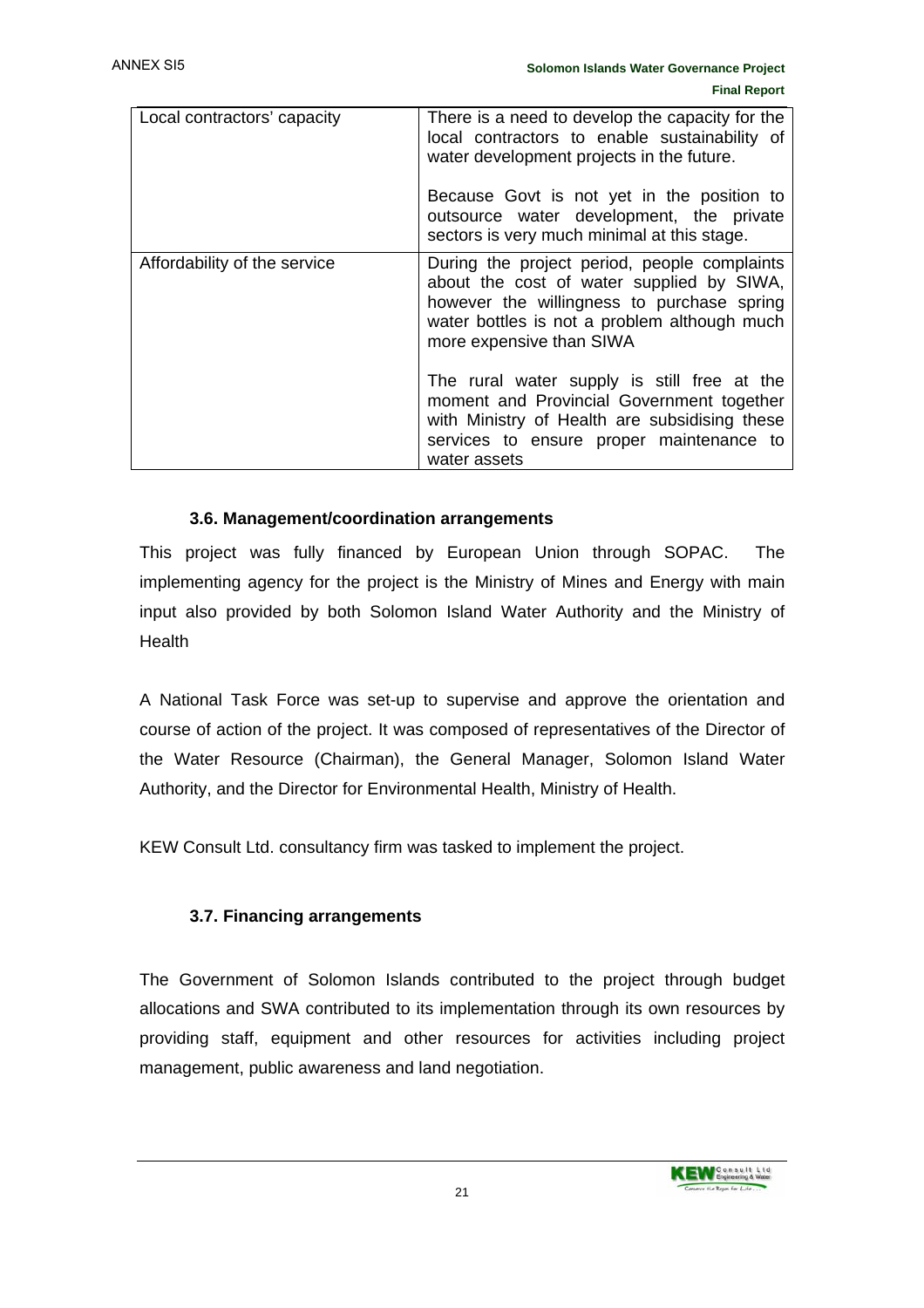| Local contractors' capacity  | There is a need to develop the capacity for the<br>local contractors to enable sustainability of<br>water development projects in the future.<br>Because Govt is not yet in the position to<br>outsource water development, the private<br>sectors is very much minimal at this stage. |
|------------------------------|----------------------------------------------------------------------------------------------------------------------------------------------------------------------------------------------------------------------------------------------------------------------------------------|
| Affordability of the service | During the project period, people complaints<br>about the cost of water supplied by SIWA,<br>however the willingness to purchase spring<br>water bottles is not a problem although much<br>more expensive than SIWA                                                                    |
|                              | The rural water supply is still free at the<br>moment and Provincial Government together<br>with Ministry of Health are subsidising these<br>services to ensure proper maintenance to<br>water assets                                                                                  |

#### **3.6. Management/coordination arrangements**

This project was fully financed by European Union through SOPAC. The implementing agency for the project is the Ministry of Mines and Energy with main input also provided by both Solomon Island Water Authority and the Ministry of **Health** 

A National Task Force was set-up to supervise and approve the orientation and course of action of the project. It was composed of representatives of the Director of the Water Resource (Chairman), the General Manager, Solomon Island Water Authority, and the Director for Environmental Health, Ministry of Health.

KEW Consult Ltd. consultancy firm was tasked to implement the project.

#### **3.7. Financing arrangements**

The Government of Solomon Islands contributed to the project through budget allocations and SWA contributed to its implementation through its own resources by providing staff, equipment and other resources for activities including project management, public awareness and land negotiation.

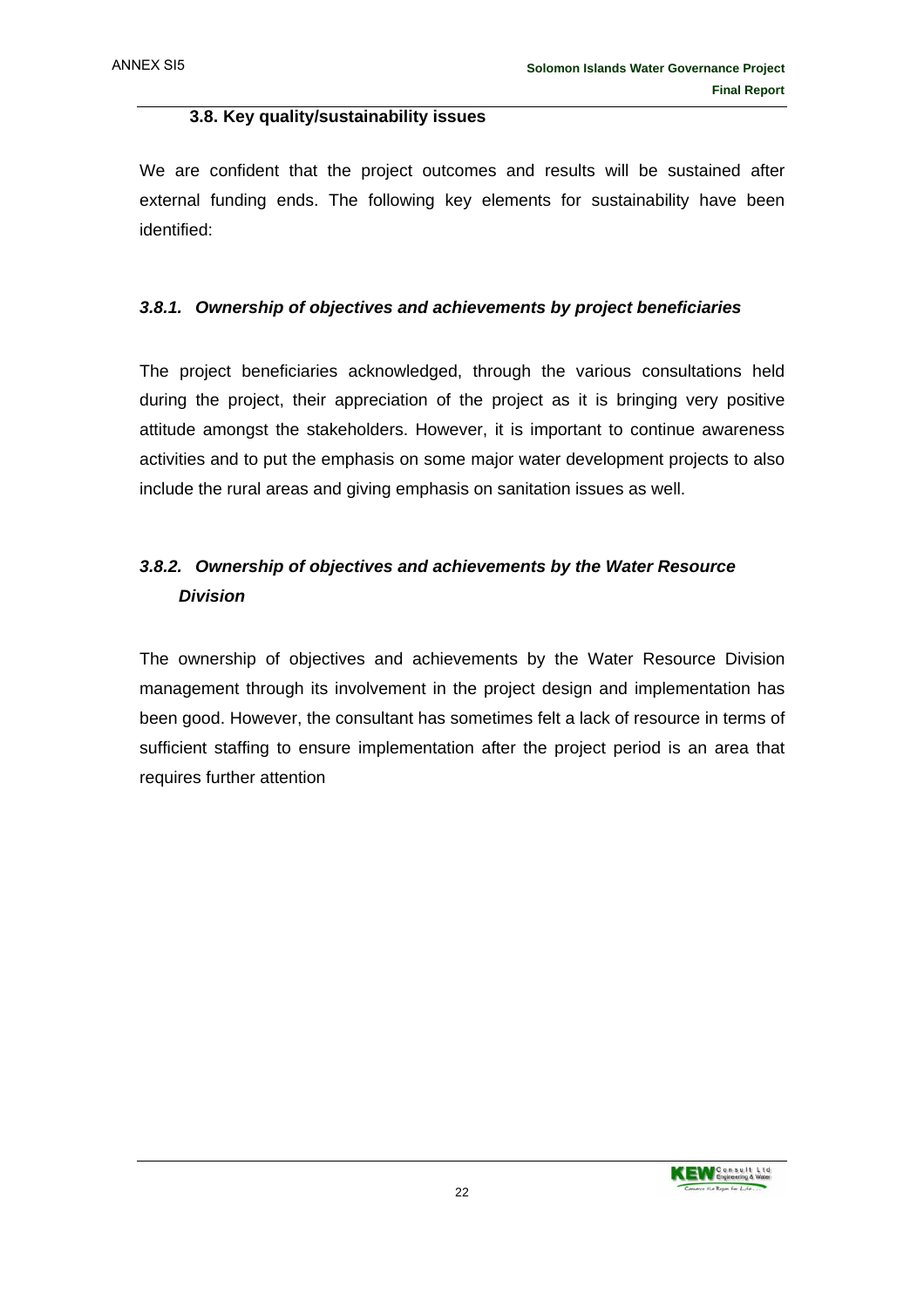#### **3.8. Key quality/sustainability issues**

We are confident that the project outcomes and results will be sustained after external funding ends. The following key elements for sustainability have been identified:

#### *3.8.1. Ownership of objectives and achievements by project beneficiaries*

The project beneficiaries acknowledged, through the various consultations held during the project, their appreciation of the project as it is bringing very positive attitude amongst the stakeholders. However, it is important to continue awareness activities and to put the emphasis on some major water development projects to also include the rural areas and giving emphasis on sanitation issues as well.

## *3.8.2. Ownership of objectives and achievements by the Water Resource Division*

The ownership of objectives and achievements by the Water Resource Division management through its involvement in the project design and implementation has been good. However, the consultant has sometimes felt a lack of resource in terms of sufficient staffing to ensure implementation after the project period is an area that requires further attention

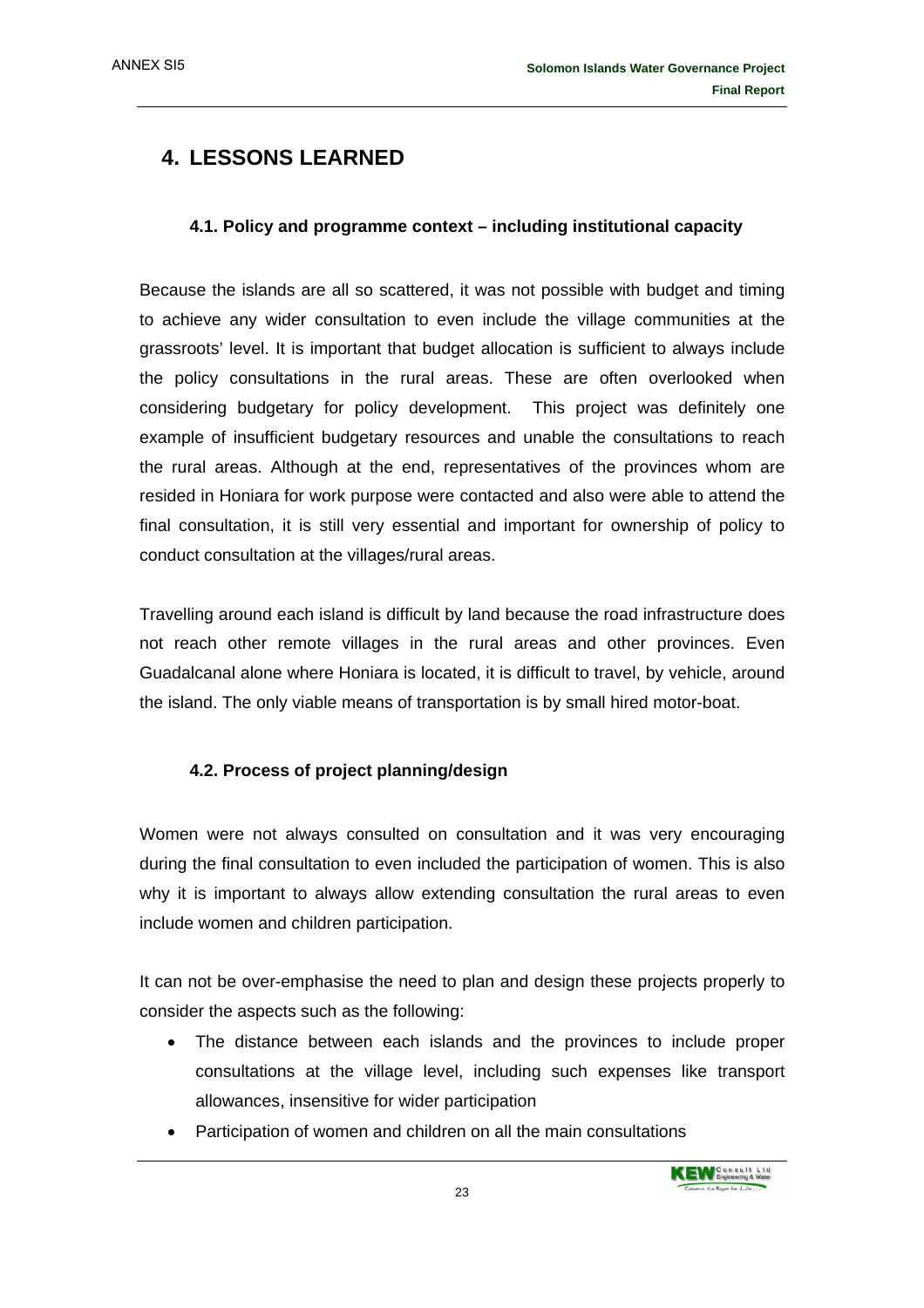## **4. LESSONS LEARNED**

#### **4.1. Policy and programme context – including institutional capacity**

Because the islands are all so scattered, it was not possible with budget and timing to achieve any wider consultation to even include the village communities at the grassroots' level. It is important that budget allocation is sufficient to always include the policy consultations in the rural areas. These are often overlooked when considering budgetary for policy development. This project was definitely one example of insufficient budgetary resources and unable the consultations to reach the rural areas. Although at the end, representatives of the provinces whom are resided in Honiara for work purpose were contacted and also were able to attend the final consultation, it is still very essential and important for ownership of policy to conduct consultation at the villages/rural areas.

Travelling around each island is difficult by land because the road infrastructure does not reach other remote villages in the rural areas and other provinces. Even Guadalcanal alone where Honiara is located, it is difficult to travel, by vehicle, around the island. The only viable means of transportation is by small hired motor-boat.

#### **4.2. Process of project planning/design**

Women were not always consulted on consultation and it was very encouraging during the final consultation to even included the participation of women. This is also why it is important to always allow extending consultation the rural areas to even include women and children participation.

It can not be over-emphasise the need to plan and design these projects properly to consider the aspects such as the following:

- The distance between each islands and the provinces to include proper consultations at the village level, including such expenses like transport allowances, insensitive for wider participation
- Participation of women and children on all the main consultations

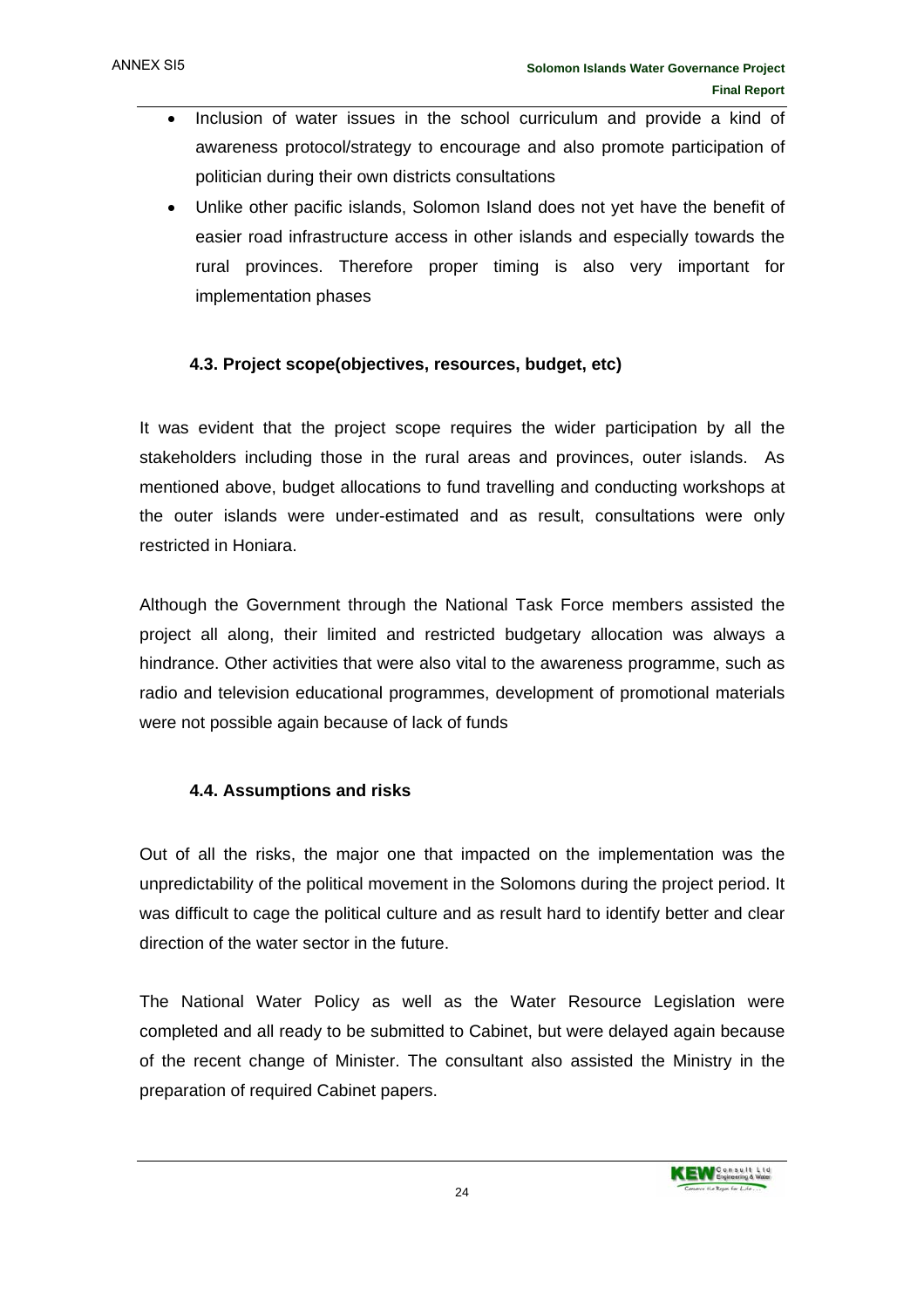- Inclusion of water issues in the school curriculum and provide a kind of awareness protocol/strategy to encourage and also promote participation of politician during their own districts consultations
- Unlike other pacific islands, Solomon Island does not yet have the benefit of easier road infrastructure access in other islands and especially towards the rural provinces. Therefore proper timing is also very important for implementation phases

#### **4.3. Project scope(objectives, resources, budget, etc)**

It was evident that the project scope requires the wider participation by all the stakeholders including those in the rural areas and provinces, outer islands. As mentioned above, budget allocations to fund travelling and conducting workshops at the outer islands were under-estimated and as result, consultations were only restricted in Honiara.

Although the Government through the National Task Force members assisted the project all along, their limited and restricted budgetary allocation was always a hindrance. Other activities that were also vital to the awareness programme, such as radio and television educational programmes, development of promotional materials were not possible again because of lack of funds

#### **4.4. Assumptions and risks**

Out of all the risks, the major one that impacted on the implementation was the unpredictability of the political movement in the Solomons during the project period. It was difficult to cage the political culture and as result hard to identify better and clear direction of the water sector in the future.

The National Water Policy as well as the Water Resource Legislation were completed and all ready to be submitted to Cabinet, but were delayed again because of the recent change of Minister. The consultant also assisted the Ministry in the preparation of required Cabinet papers.

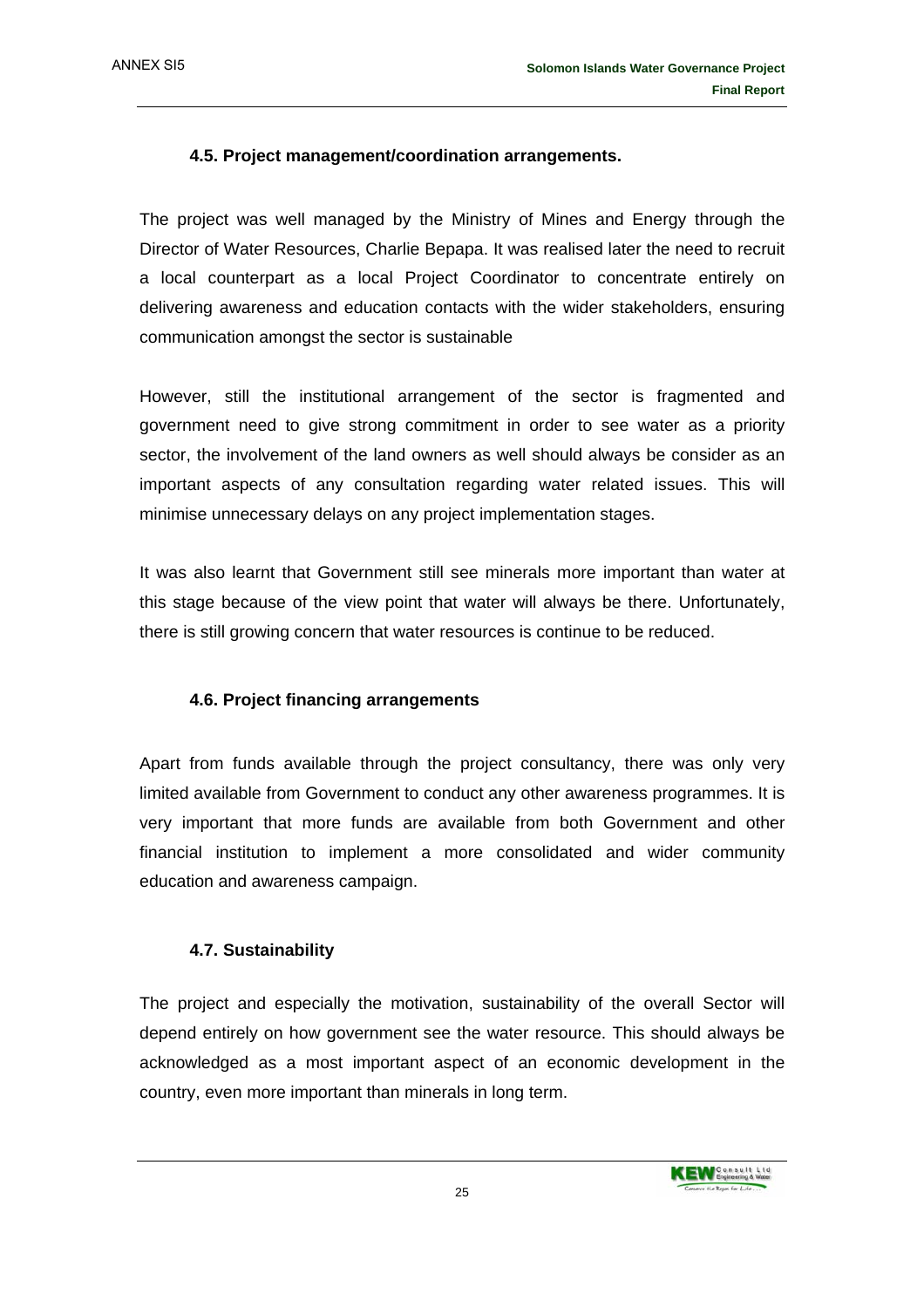#### **4.5. Project management/coordination arrangements.**

The project was well managed by the Ministry of Mines and Energy through the Director of Water Resources, Charlie Bepapa. It was realised later the need to recruit a local counterpart as a local Project Coordinator to concentrate entirely on delivering awareness and education contacts with the wider stakeholders, ensuring communication amongst the sector is sustainable

However, still the institutional arrangement of the sector is fragmented and government need to give strong commitment in order to see water as a priority sector, the involvement of the land owners as well should always be consider as an important aspects of any consultation regarding water related issues. This will minimise unnecessary delays on any project implementation stages.

It was also learnt that Government still see minerals more important than water at this stage because of the view point that water will always be there. Unfortunately, there is still growing concern that water resources is continue to be reduced.

#### **4.6. Project financing arrangements**

Apart from funds available through the project consultancy, there was only very limited available from Government to conduct any other awareness programmes. It is very important that more funds are available from both Government and other financial institution to implement a more consolidated and wider community education and awareness campaign.

#### **4.7. Sustainability**

The project and especially the motivation, sustainability of the overall Sector will depend entirely on how government see the water resource. This should always be acknowledged as a most important aspect of an economic development in the country, even more important than minerals in long term.

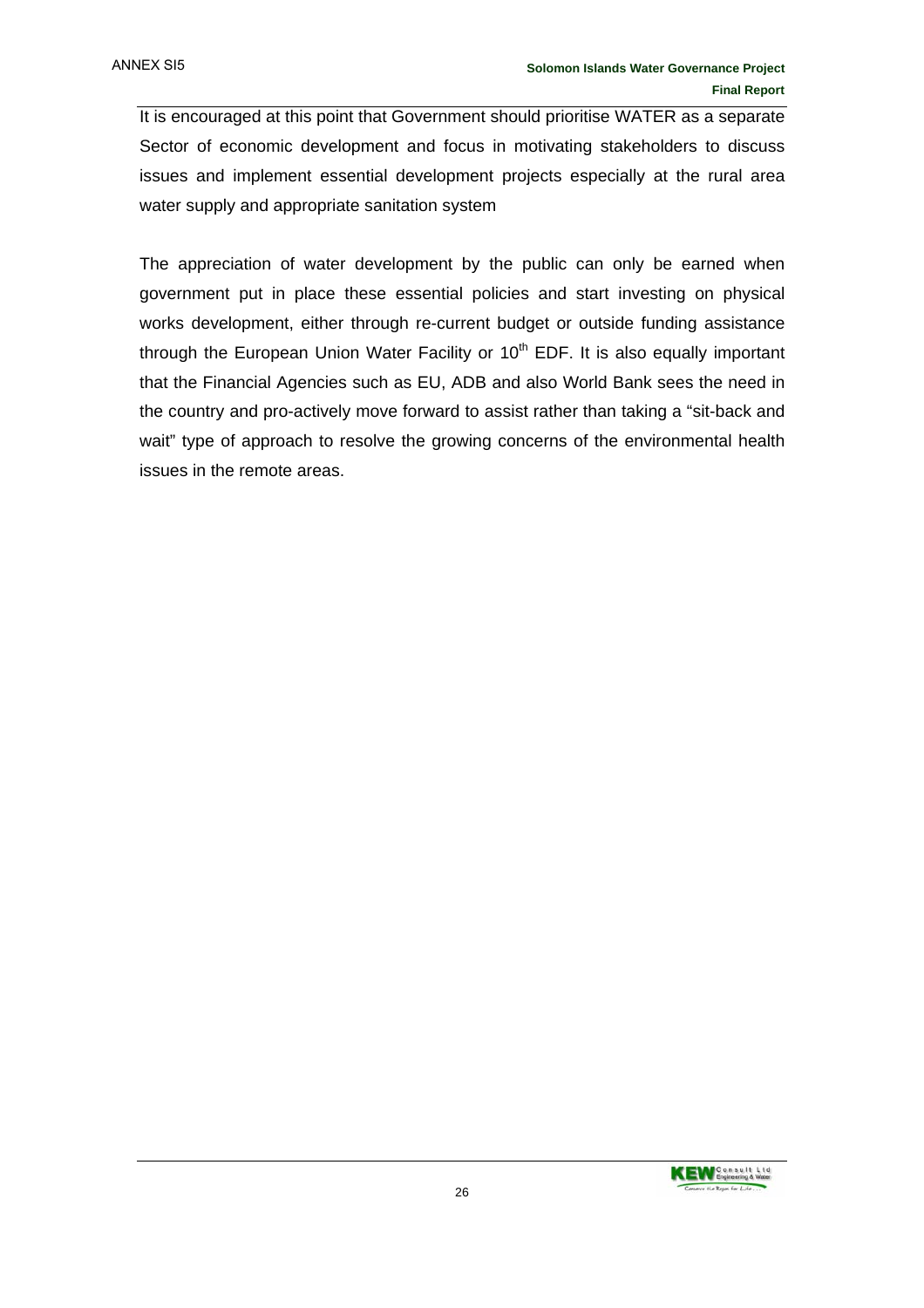It is encouraged at this point that Government should prioritise WATER as a separate Sector of economic development and focus in motivating stakeholders to discuss issues and implement essential development projects especially at the rural area water supply and appropriate sanitation system

The appreciation of water development by the public can only be earned when government put in place these essential policies and start investing on physical works development, either through re-current budget or outside funding assistance through the European Union Water Facility or  $10<sup>th</sup>$  EDF. It is also equally important that the Financial Agencies such as EU, ADB and also World Bank sees the need in the country and pro-actively move forward to assist rather than taking a "sit-back and wait" type of approach to resolve the growing concerns of the environmental health issues in the remote areas.

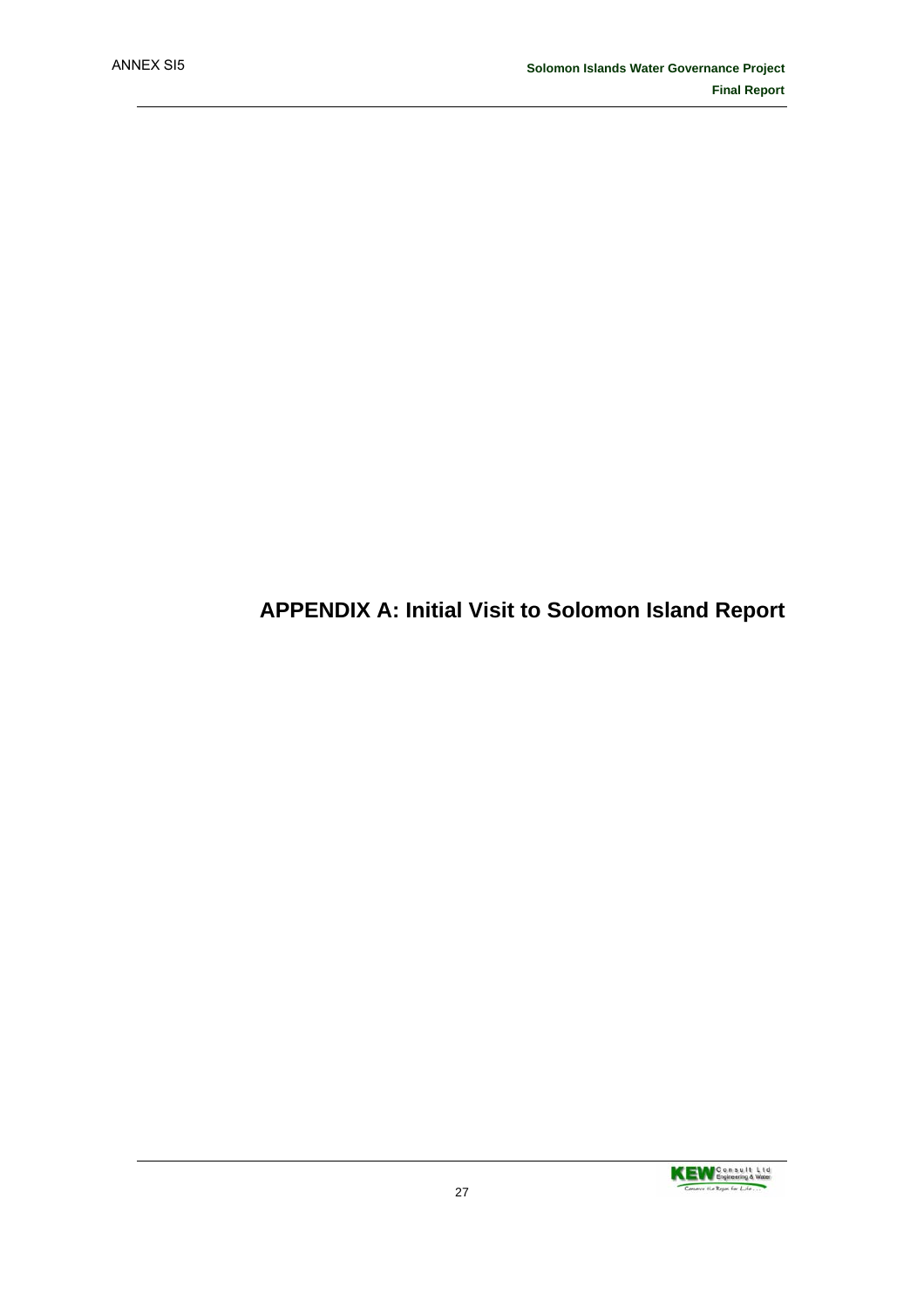## **APPENDIX A: Initial Visit to Solomon Island Report**

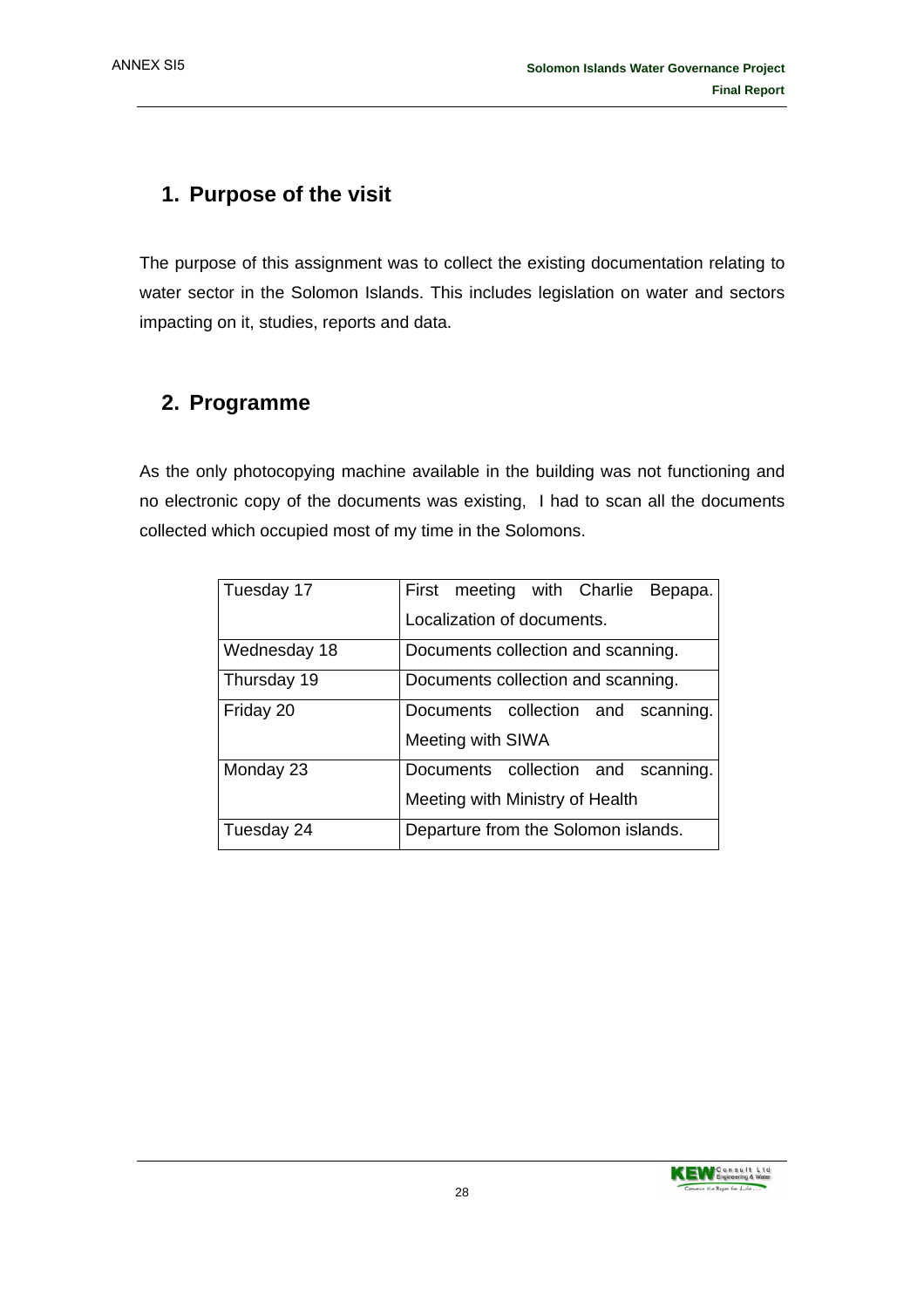## **1. Purpose of the visit**

The purpose of this assignment was to collect the existing documentation relating to water sector in the Solomon Islands. This includes legislation on water and sectors impacting on it, studies, reports and data.

## **2. Programme**

As the only photocopying machine available in the building was not functioning and no electronic copy of the documents was existing, I had to scan all the documents collected which occupied most of my time in the Solomons.

| Tuesday 17   | First meeting with Charlie<br>Bepapa. |  |  |
|--------------|---------------------------------------|--|--|
|              | Localization of documents.            |  |  |
| Wednesday 18 | Documents collection and scanning.    |  |  |
| Thursday 19  | Documents collection and scanning.    |  |  |
| Friday 20    | Documents collection and scanning.    |  |  |
|              | Meeting with SIWA                     |  |  |
| Monday 23    | Documents collection and scanning.    |  |  |
|              | Meeting with Ministry of Health       |  |  |
| Tuesday 24   | Departure from the Solomon islands.   |  |  |

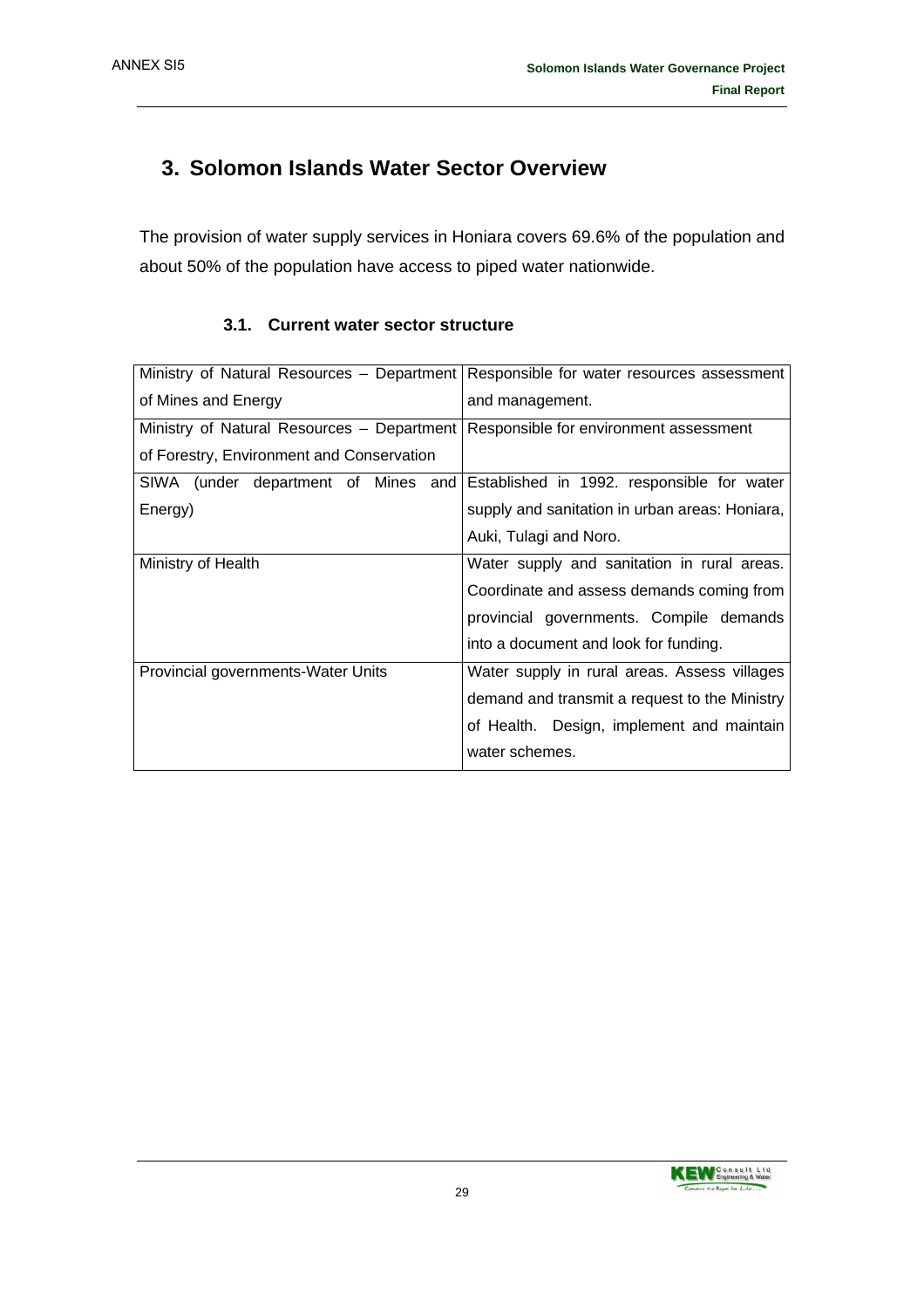## **3. Solomon Islands Water Sector Overview**

The provision of water supply services in Honiara covers 69.6% of the population and about 50% of the population have access to piped water nationwide.

| Ministry of Natural Resources - Department | Responsible for water resources assessment     |
|--------------------------------------------|------------------------------------------------|
| of Mines and Energy                        | and management.                                |
| Ministry of Natural Resources - Department | Responsible for environment assessment         |
| of Forestry, Environment and Conservation  |                                                |
| SIWA (under department of Mines<br>and     | Established in 1992. responsible for water     |
| Energy)                                    | supply and sanitation in urban areas: Honiara, |
|                                            | Auki, Tulagi and Noro.                         |
| Ministry of Health                         | Water supply and sanitation in rural areas.    |
|                                            | Coordinate and assess demands coming from      |
|                                            | provincial governments. Compile demands        |
|                                            | into a document and look for funding.          |
| Provincial governments-Water Units         | Water supply in rural areas. Assess villages   |
|                                            | demand and transmit a request to the Ministry  |
|                                            | of Health. Design, implement and maintain      |
|                                            | water schemes.                                 |

#### **3.1. Current water sector structure**

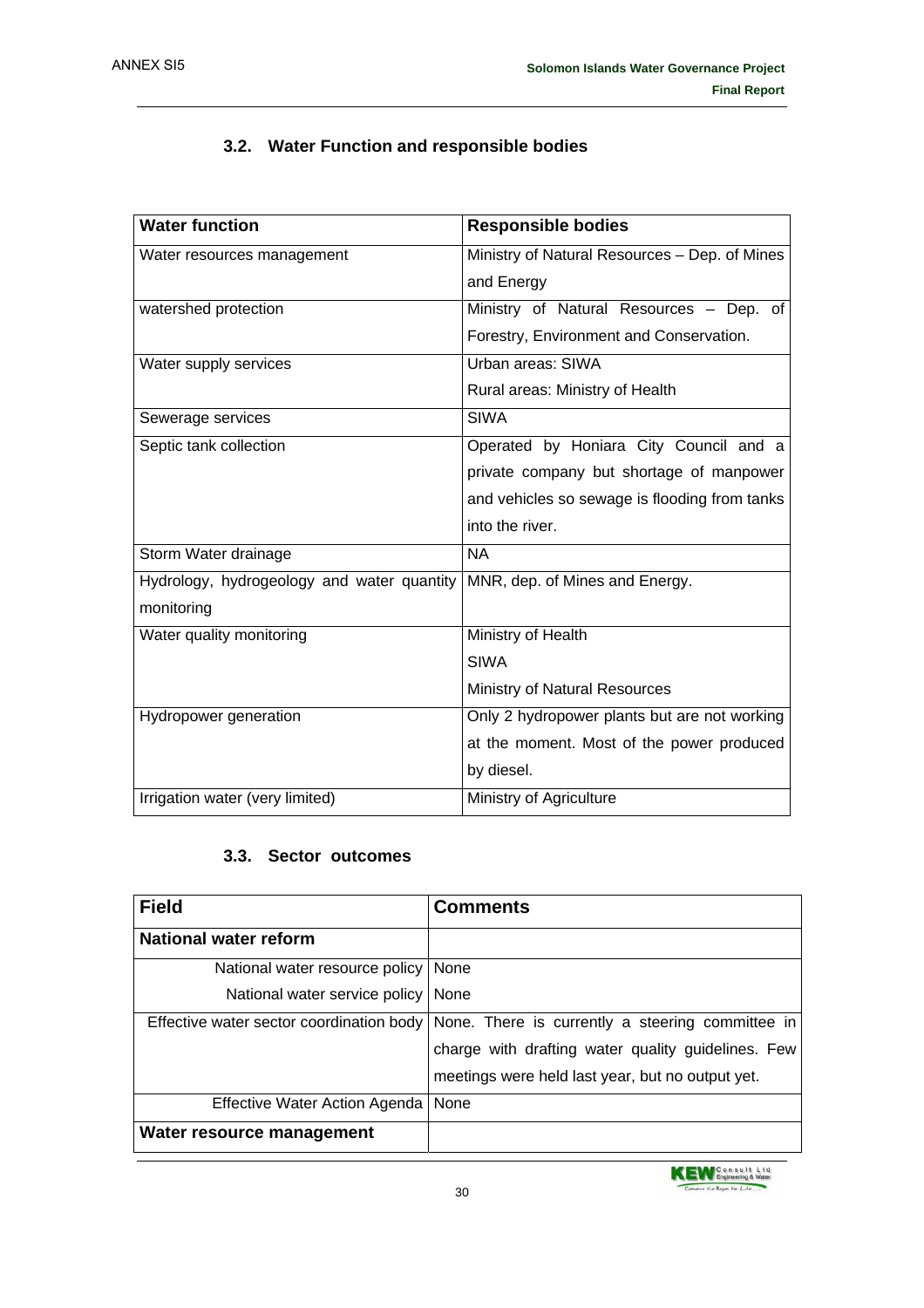### **3.2. Water Function and responsible bodies**

| <b>Water function</b>                      | <b>Responsible bodies</b>                     |
|--------------------------------------------|-----------------------------------------------|
| Water resources management                 | Ministry of Natural Resources - Dep. of Mines |
|                                            | and Energy                                    |
| watershed protection                       | Ministry of Natural Resources - Dep. of       |
|                                            | Forestry, Environment and Conservation.       |
| Water supply services                      | Urban areas: SIWA                             |
|                                            | Rural areas: Ministry of Health               |
| Sewerage services                          | <b>SIWA</b>                                   |
| Septic tank collection                     | Operated by Honiara City Council and a        |
|                                            | private company but shortage of manpower      |
|                                            | and vehicles so sewage is flooding from tanks |
|                                            | into the river.                               |
| Storm Water drainage                       | <b>NA</b>                                     |
| Hydrology, hydrogeology and water quantity | MNR, dep. of Mines and Energy.                |
| monitoring                                 |                                               |
| Water quality monitoring                   | Ministry of Health                            |
|                                            | <b>SIWA</b>                                   |
|                                            | Ministry of Natural Resources                 |
| Hydropower generation                      | Only 2 hydropower plants but are not working  |
|                                            | at the moment. Most of the power produced     |
|                                            | by diesel.                                    |
| Irrigation water (very limited)            | Ministry of Agriculture                       |

#### **3.3. Sector outcomes**

| <b>Field</b>                          | <b>Comments</b>                                                                           |
|---------------------------------------|-------------------------------------------------------------------------------------------|
| <b>National water reform</b>          |                                                                                           |
| National water resource policy   None |                                                                                           |
| National water service policy   None  |                                                                                           |
|                                       | Effective water sector coordination body None. There is currently a steering committee in |
|                                       | charge with drafting water quality guidelines. Few                                        |
|                                       | meetings were held last year, but no output yet.                                          |
| Effective Water Action Agenda         | None                                                                                      |
| Water resource management             |                                                                                           |

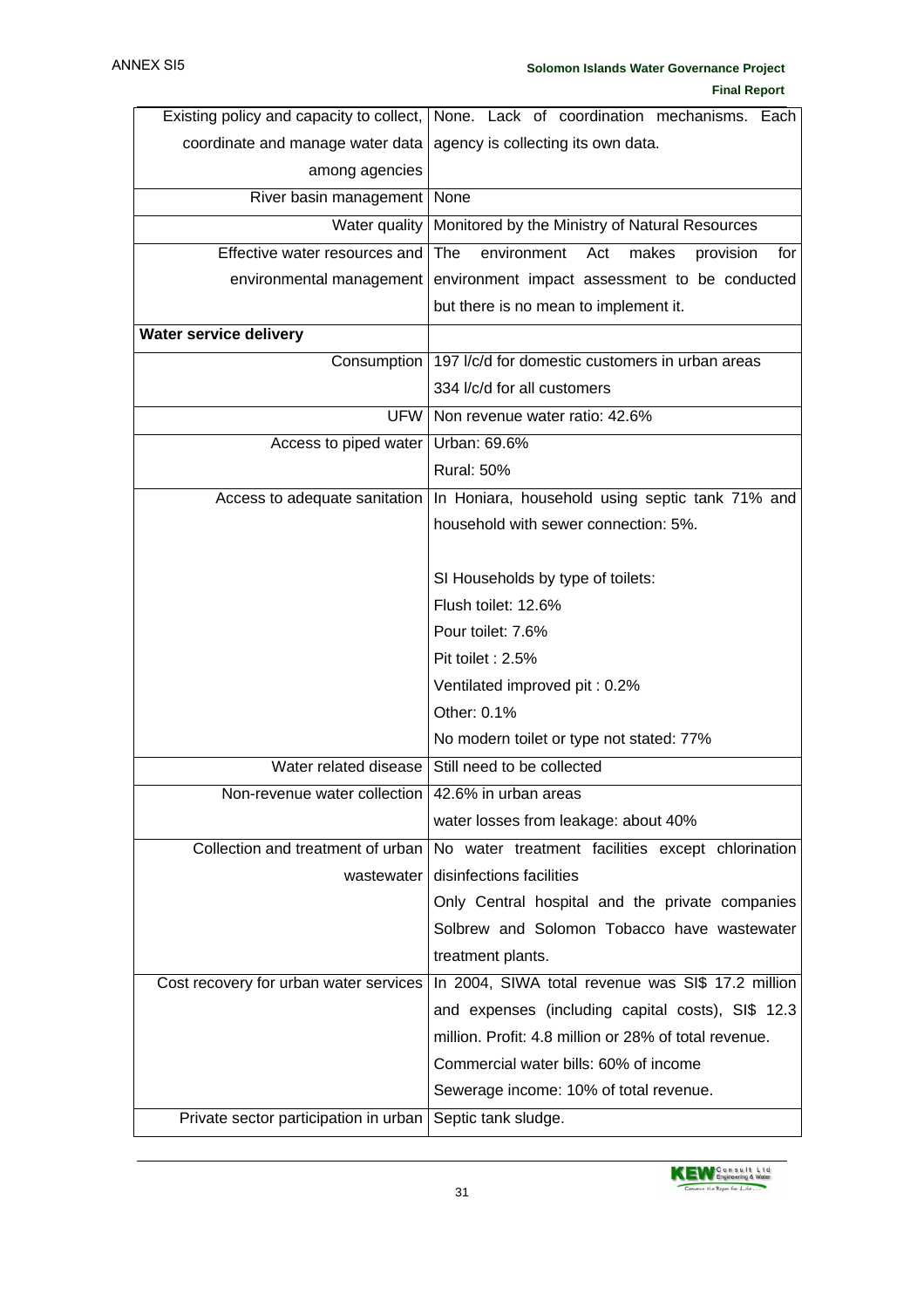| Existing policy and capacity to collect, | None. Lack of coordination mechanisms. Each            |
|------------------------------------------|--------------------------------------------------------|
| coordinate and manage water data         | agency is collecting its own data.                     |
| among agencies                           |                                                        |
| River basin management                   | None                                                   |
| Water quality                            | Monitored by the Ministry of Natural Resources         |
| Effective water resources and            | The<br>environment<br>Act<br>makes<br>provision<br>for |
| environmental management                 | environment impact assessment to be conducted          |
|                                          | but there is no mean to implement it.                  |
| Water service delivery                   |                                                        |
| Consumption                              | 197 I/c/d for domestic customers in urban areas        |
|                                          | 334 I/c/d for all customers                            |
| <b>UFW</b>                               | Non revenue water ratio: 42.6%                         |
| Access to piped water                    | Urban: 69.6%                                           |
|                                          | <b>Rural: 50%</b>                                      |
| Access to adequate sanitation            | In Honiara, household using septic tank 71% and        |
|                                          | household with sewer connection: 5%.                   |
|                                          |                                                        |
|                                          | SI Households by type of toilets:                      |
|                                          | Flush toilet: 12.6%                                    |
|                                          | Pour toilet: 7.6%                                      |
|                                          | Pit toilet: 2.5%                                       |
|                                          | Ventilated improved pit: 0.2%                          |
|                                          | Other: 0.1%                                            |
|                                          | No modern toilet or type not stated: 77%               |
| Water related disease                    | Still need to be collected                             |
| Non-revenue water collection             | 42.6% in urban areas                                   |
|                                          | water losses from leakage: about 40%                   |
| Collection and treatment of urban        | No water treatment facilities except chlorination      |
| wastewater                               | disinfections facilities                               |
|                                          | Only Central hospital and the private companies        |
|                                          | Solbrew and Solomon Tobacco have wastewater            |
|                                          | treatment plants.                                      |
| Cost recovery for urban water services   | In 2004, SIWA total revenue was SI\$ 17.2 million      |
|                                          | and expenses (including capital costs), SI\$ 12.3      |
|                                          | million. Profit: 4.8 million or 28% of total revenue.  |
|                                          | Commercial water bills: 60% of income                  |
|                                          | Sewerage income: 10% of total revenue.                 |
| Private sector participation in urban    | Septic tank sludge.                                    |

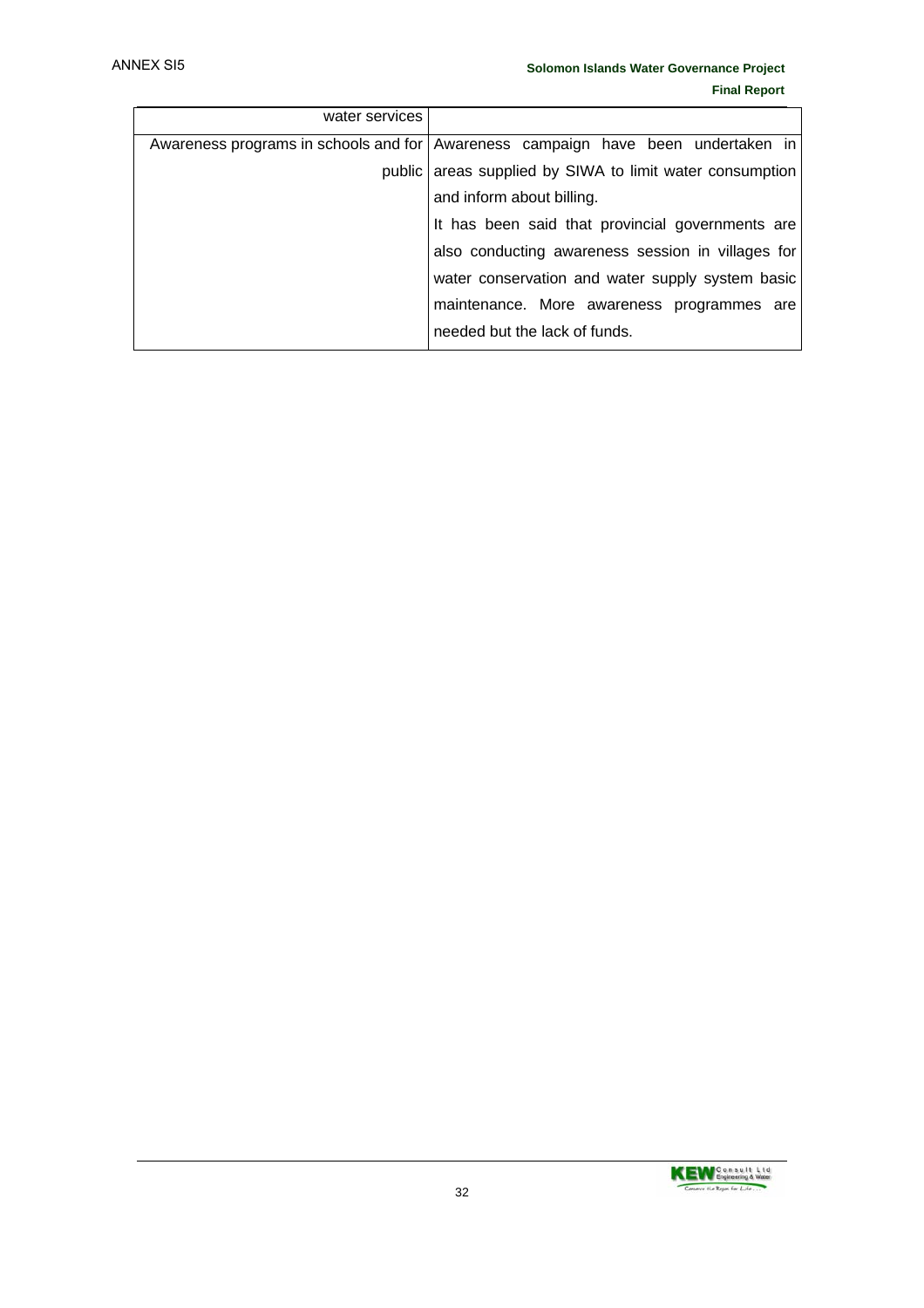| water services |                                                                                  |  |  |
|----------------|----------------------------------------------------------------------------------|--|--|
|                | Awareness programs in schools and for Awareness campaign have been undertaken in |  |  |
|                | public areas supplied by SIWA to limit water consumption                         |  |  |
|                | and inform about billing.                                                        |  |  |
|                | It has been said that provincial governments are                                 |  |  |
|                | also conducting awareness session in villages for                                |  |  |
|                | water conservation and water supply system basic                                 |  |  |
|                | maintenance. More awareness programmes are                                       |  |  |
|                | needed but the lack of funds.                                                    |  |  |

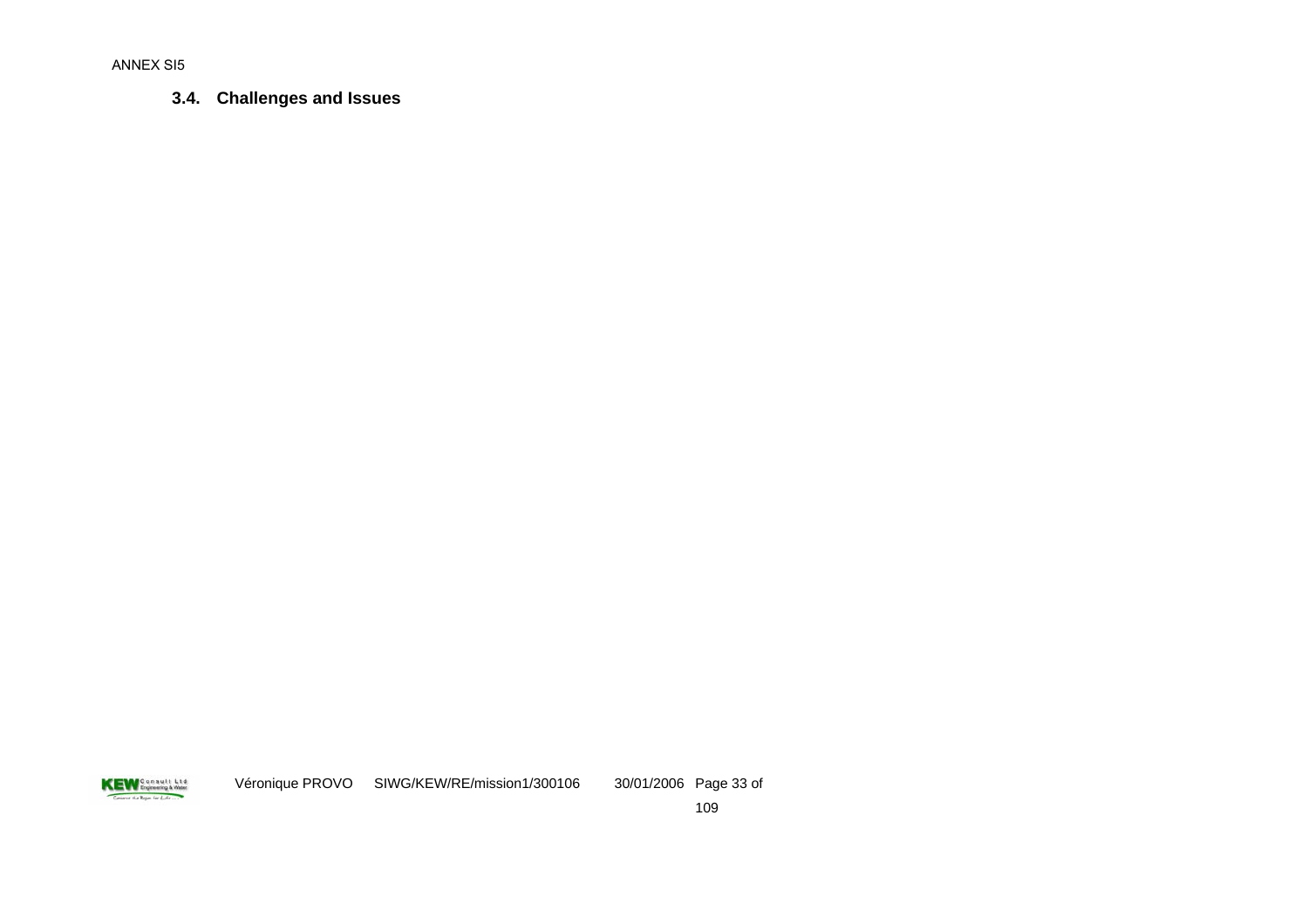**3.4. Challenges and Issues** 

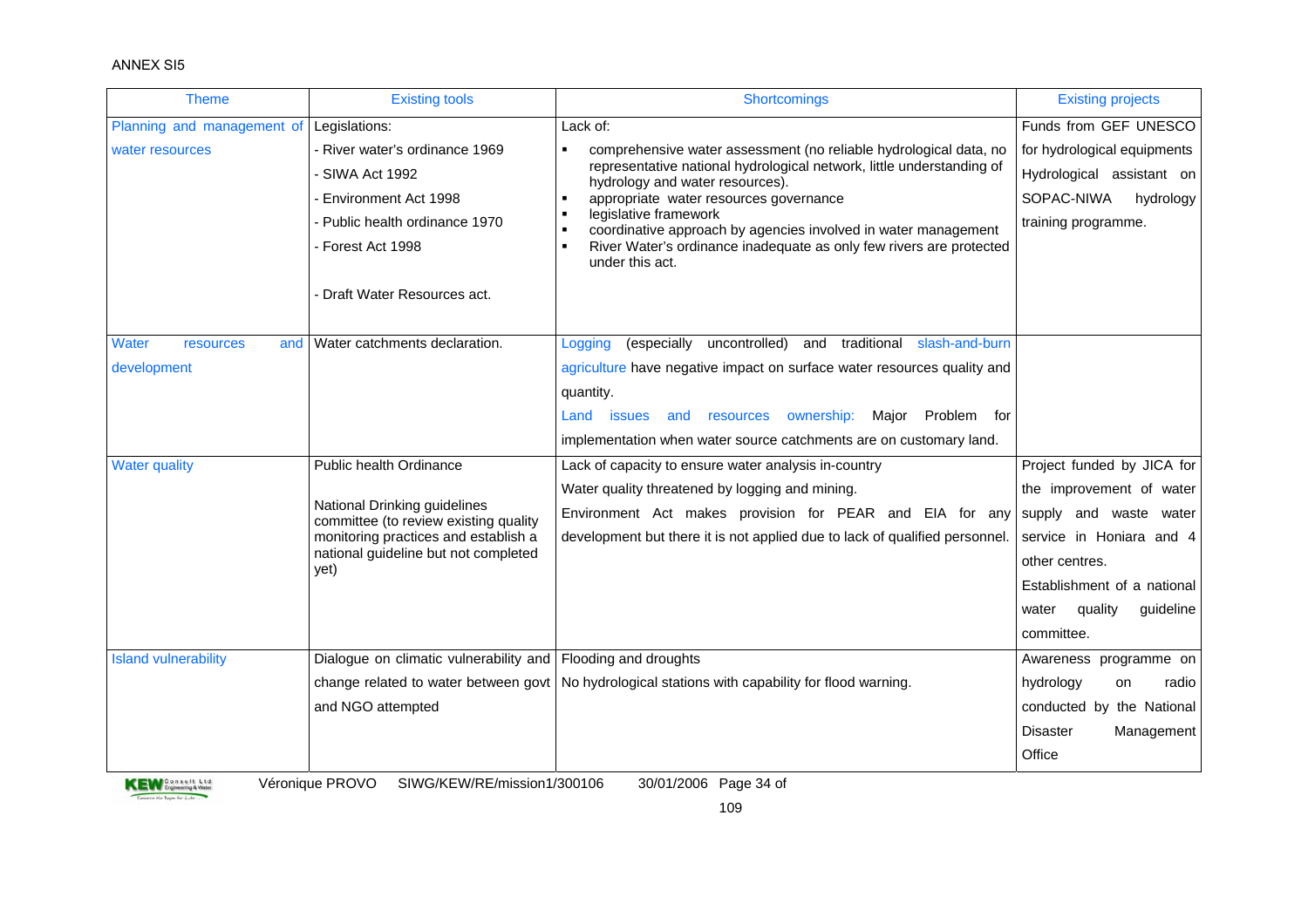#### ANNEX SI5

| <b>Theme</b>                             | <b>Existing tools</b>                                                 | Shortcomings                                                                                             | <b>Existing projects</b>      |
|------------------------------------------|-----------------------------------------------------------------------|----------------------------------------------------------------------------------------------------------|-------------------------------|
| Planning and management of Legislations: |                                                                       | Lack of:                                                                                                 | Funds from GEF UNESCO         |
| water resources                          | - River water's ordinance 1969                                        | comprehensive water assessment (no reliable hydrological data, no                                        | for hydrological equipments   |
|                                          | SIWA Act 1992                                                         | representative national hydrological network, little understanding of<br>hydrology and water resources). | Hydrological assistant on     |
|                                          | Environment Act 1998                                                  | appropriate water resources governance                                                                   | SOPAC-NIWA<br>hydrology       |
|                                          | Public health ordinance 1970                                          | legislative framework<br>coordinative approach by agencies involved in water management                  | training programme.           |
|                                          | - Forest Act 1998                                                     | River Water's ordinance inadequate as only few rivers are protected<br>under this act.                   |                               |
|                                          | - Draft Water Resources act.                                          |                                                                                                          |                               |
| Water<br>resources<br>and                | Water catchments declaration.                                         | (especially<br>uncontrolled) and traditional slash-and-burn<br>Logging                                   |                               |
| development                              |                                                                       | agriculture have negative impact on surface water resources quality and                                  |                               |
|                                          |                                                                       | quantity.                                                                                                |                               |
|                                          |                                                                       | ownership:<br>Major Problem for<br>Land<br><b>issues</b><br>resources<br>and                             |                               |
|                                          |                                                                       | implementation when water source catchments are on customary land.                                       |                               |
| <b>Water quality</b>                     | Public health Ordinance                                               | Lack of capacity to ensure water analysis in-country                                                     | Project funded by JICA for    |
|                                          |                                                                       | Water quality threatened by logging and mining.                                                          | the improvement of water      |
|                                          | National Drinking guidelines<br>committee (to review existing quality | Environment Act makes provision for PEAR and EIA for any                                                 | supply and waste water        |
|                                          | monitoring practices and establish a                                  | development but there it is not applied due to lack of qualified personnel.                              | service in Honiara and 4      |
|                                          | national guideline but not completed<br>yet)                          |                                                                                                          | other centres.                |
|                                          |                                                                       |                                                                                                          | Establishment of a national   |
|                                          |                                                                       |                                                                                                          | quideline<br>quality<br>water |
|                                          |                                                                       |                                                                                                          | committee.                    |
| <b>Island vulnerability</b>              | Dialogue on climatic vulnerability and   Flooding and droughts        |                                                                                                          | Awareness programme on        |
|                                          |                                                                       | change related to water between govt   No hydrological stations with capability for flood warning.       | hydrology<br>on<br>radio      |
|                                          | and NGO attempted                                                     |                                                                                                          | conducted by the National     |
|                                          |                                                                       |                                                                                                          | <b>Disaster</b><br>Management |
|                                          |                                                                       |                                                                                                          | Office                        |



Véronique PROVO SIWG/KEW/RE/mission1/300106 30/01/2006 Page 34 of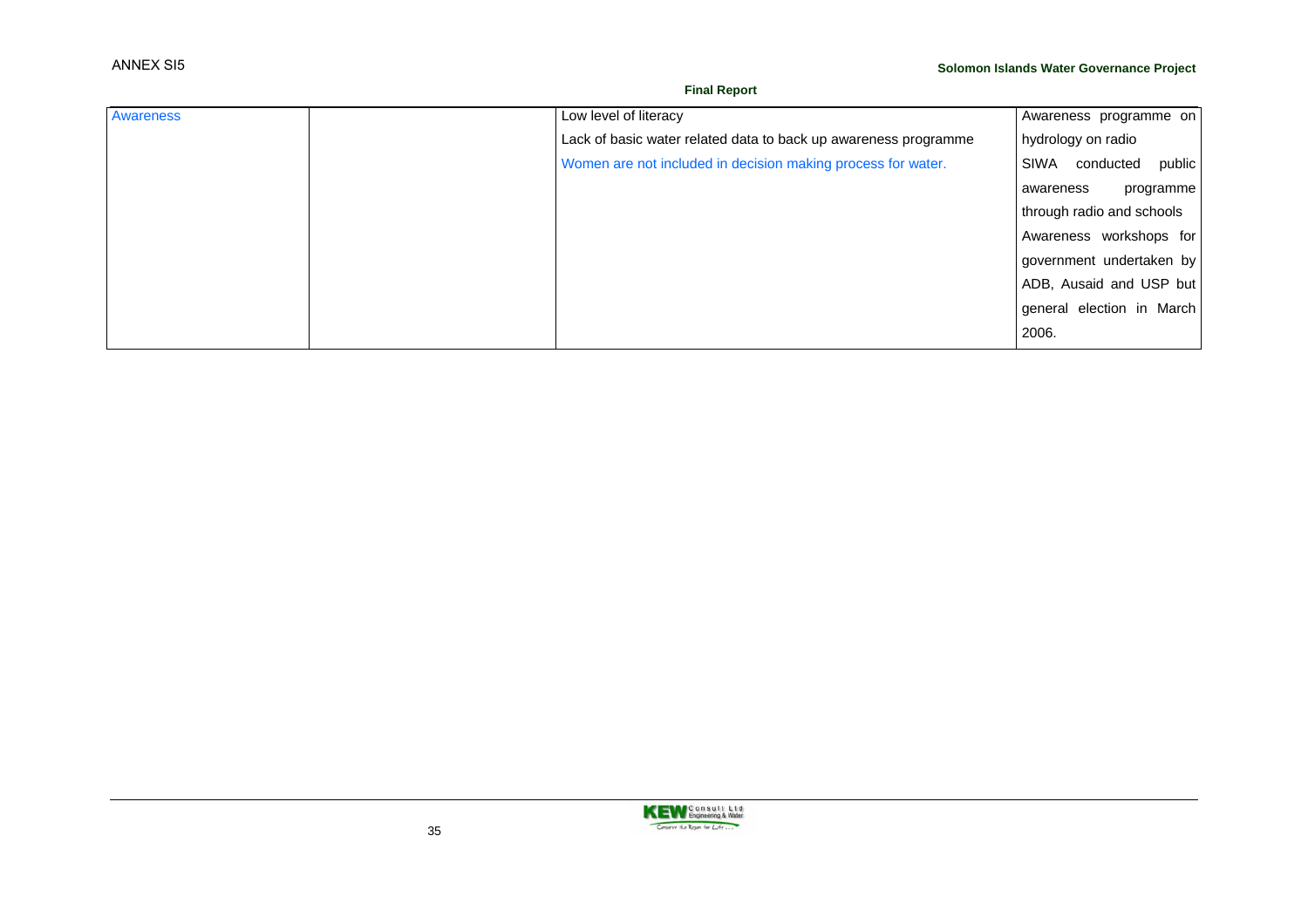#### **Final Report**

| Awareness | Low level of literacy                                           | Awareness programme on      |
|-----------|-----------------------------------------------------------------|-----------------------------|
|           | Lack of basic water related data to back up awareness programme | hydrology on radio          |
|           | Women are not included in decision making process for water.    | public<br>SIWA<br>conducted |
|           |                                                                 | programme<br>awareness      |
|           |                                                                 | through radio and schools   |
|           |                                                                 | Awareness workshops for     |
|           |                                                                 | government undertaken by    |
|           |                                                                 | ADB, Ausaid and USP but     |
|           |                                                                 | general election in March   |
|           |                                                                 | 2006.                       |

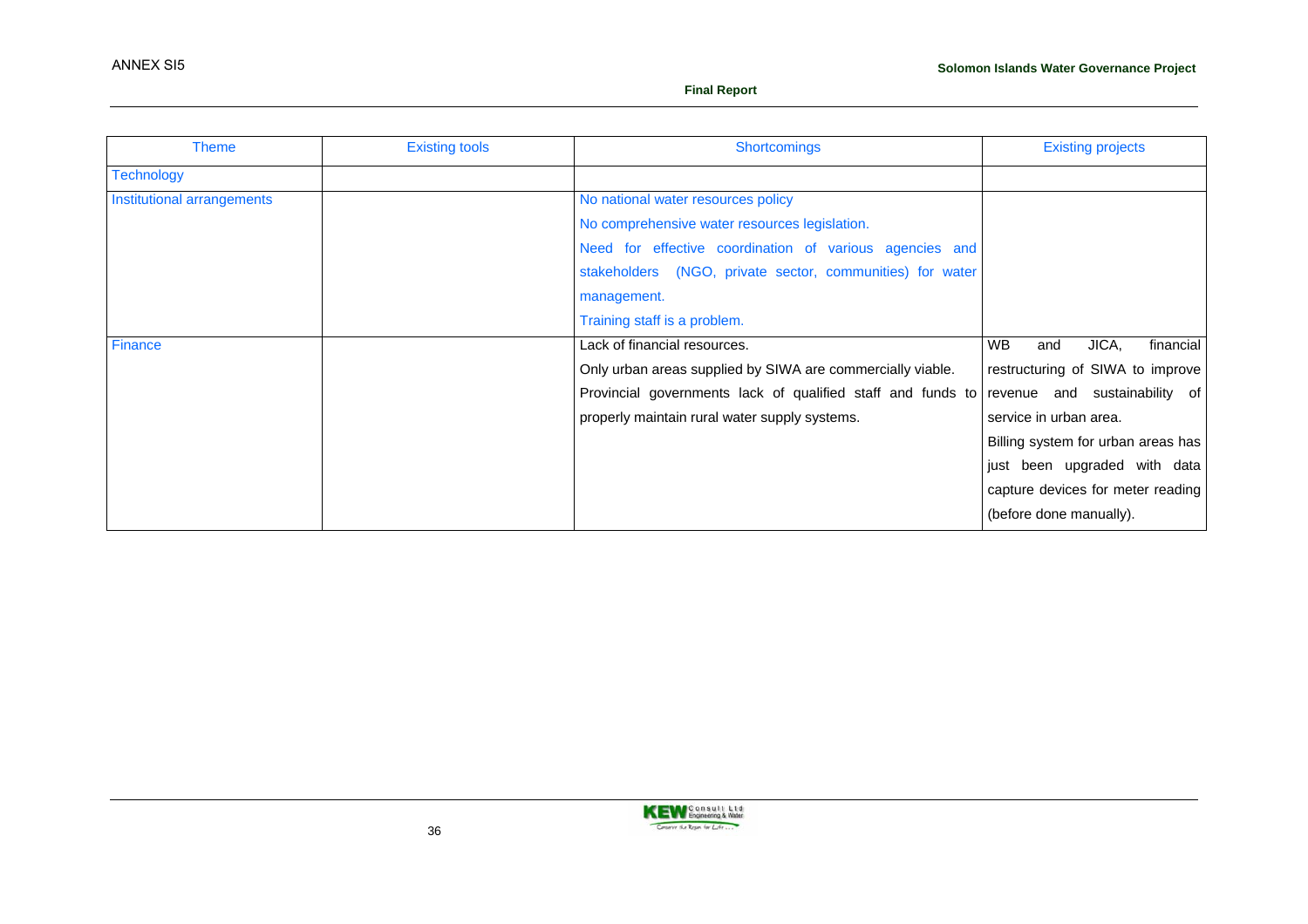| <b>Theme</b>               | <b>Existing tools</b> | <b>Shortcomings</b>                                                                       | <b>Existing projects</b>               |
|----------------------------|-----------------------|-------------------------------------------------------------------------------------------|----------------------------------------|
| <b>Technology</b>          |                       |                                                                                           |                                        |
| Institutional arrangements |                       | No national water resources policy                                                        |                                        |
|                            |                       | No comprehensive water resources legislation.                                             |                                        |
|                            |                       | Need for effective coordination of various agencies and                                   |                                        |
|                            |                       | stakeholders (NGO, private sector, communities) for water                                 |                                        |
|                            |                       | management.                                                                               |                                        |
|                            |                       | Training staff is a problem.                                                              |                                        |
| Finance                    |                       | Lack of financial resources.                                                              | JICA,<br><b>WB</b><br>financial<br>and |
|                            |                       | Only urban areas supplied by SIWA are commercially viable.                                | restructuring of SIWA to improve       |
|                            |                       | Provincial governments lack of qualified staff and funds to revenue and sustainability of |                                        |
|                            |                       | properly maintain rural water supply systems.                                             | service in urban area.                 |
|                            |                       |                                                                                           | Billing system for urban areas has     |
|                            |                       |                                                                                           | just been upgraded with data           |
|                            |                       |                                                                                           | capture devices for meter reading      |
|                            |                       |                                                                                           | (before done manually).                |

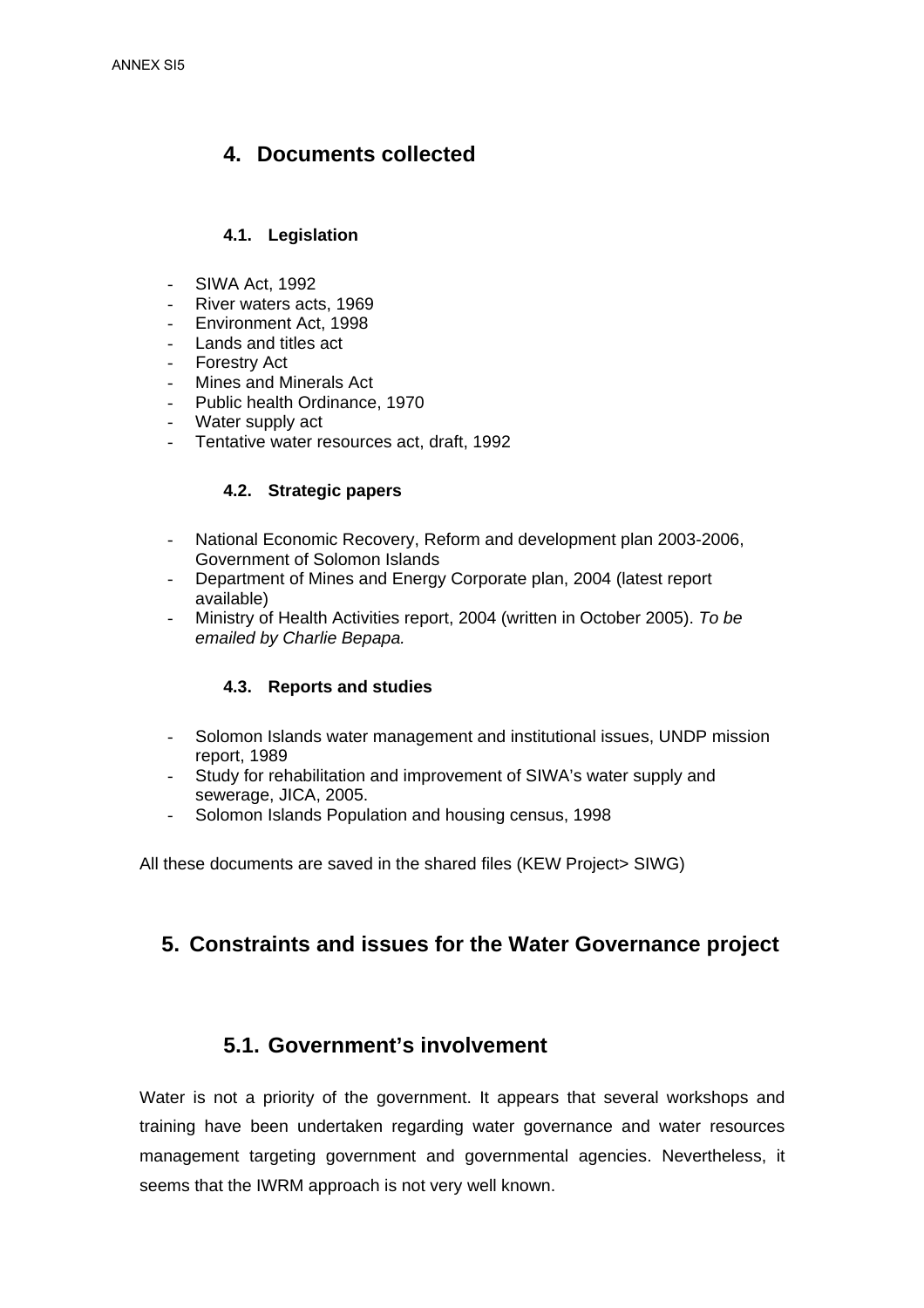## **4. Documents collected**

### **4.1. Legislation**

- SIWA Act, 1992
- River waters acts, 1969
- Environment Act, 1998
- Lands and titles act
- Forestry Act
- Mines and Minerals Act
- Public health Ordinance, 1970
- Water supply act
- Tentative water resources act, draft, 1992

### **4.2. Strategic papers**

- National Economic Recovery, Reform and development plan 2003-2006, Government of Solomon Islands
- Department of Mines and Energy Corporate plan, 2004 (latest report available)
- Ministry of Health Activities report, 2004 (written in October 2005). *To be emailed by Charlie Bepapa.*

### **4.3. Reports and studies**

- Solomon Islands water management and institutional issues, UNDP mission report, 1989
- Study for rehabilitation and improvement of SIWA's water supply and sewerage, JICA, 2005.
- Solomon Islands Population and housing census, 1998

All these documents are saved in the shared files (KEW Project> SIWG)

## **5. Constraints and issues for the Water Governance project**

## **5.1. Government's involvement**

Water is not a priority of the government. It appears that several workshops and training have been undertaken regarding water governance and water resources management targeting government and governmental agencies. Nevertheless, it seems that the IWRM approach is not very well known.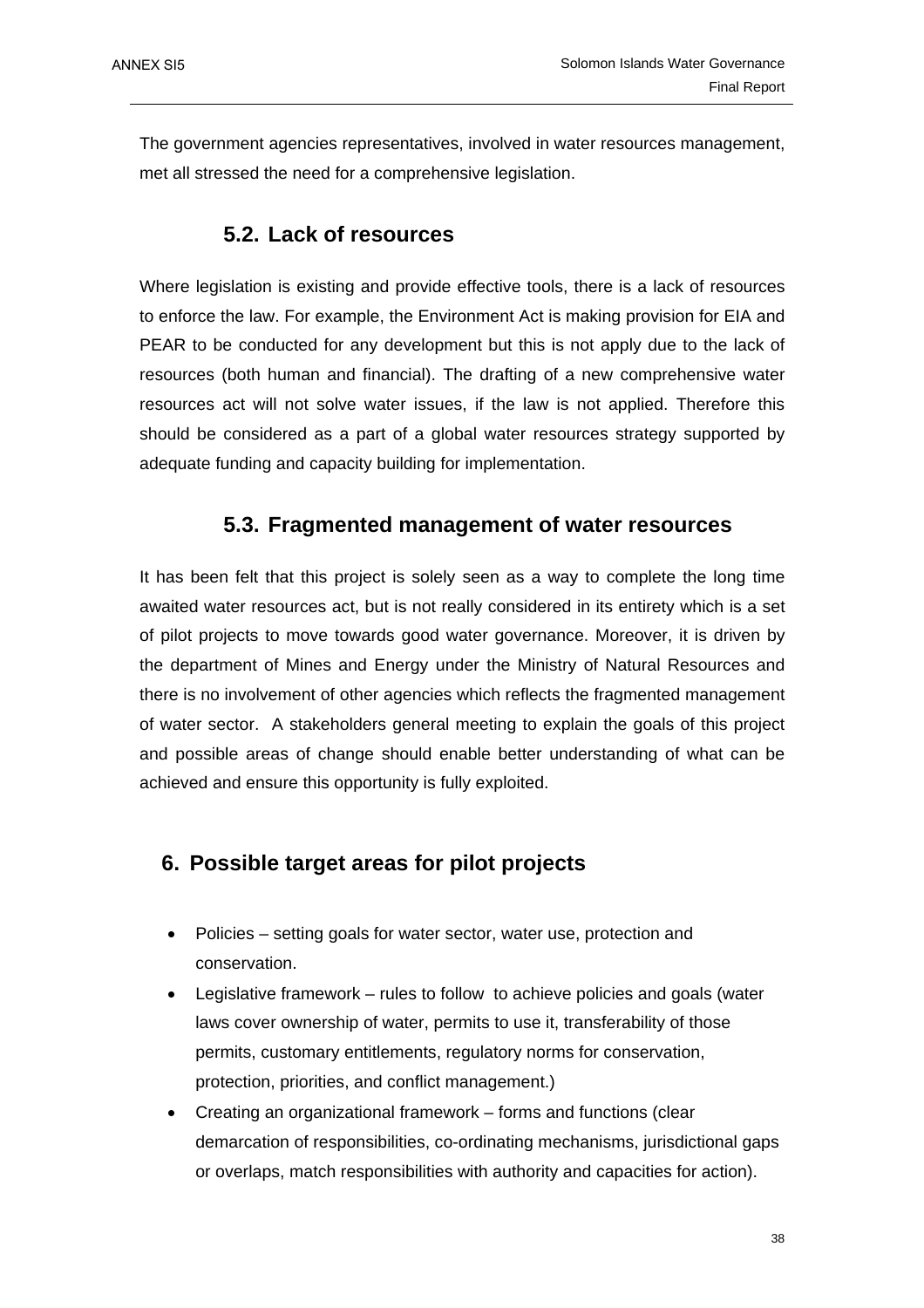The government agencies representatives, involved in water resources management, met all stressed the need for a comprehensive legislation.

### **5.2. Lack of resources**

Where legislation is existing and provide effective tools, there is a lack of resources to enforce the law. For example, the Environment Act is making provision for EIA and PEAR to be conducted for any development but this is not apply due to the lack of resources (both human and financial). The drafting of a new comprehensive water resources act will not solve water issues, if the law is not applied. Therefore this should be considered as a part of a global water resources strategy supported by adequate funding and capacity building for implementation.

### **5.3. Fragmented management of water resources**

It has been felt that this project is solely seen as a way to complete the long time awaited water resources act, but is not really considered in its entirety which is a set of pilot projects to move towards good water governance. Moreover, it is driven by the department of Mines and Energy under the Ministry of Natural Resources and there is no involvement of other agencies which reflects the fragmented management of water sector. A stakeholders general meeting to explain the goals of this project and possible areas of change should enable better understanding of what can be achieved and ensure this opportunity is fully exploited.

## **6. Possible target areas for pilot projects**

- Policies setting goals for water sector, water use, protection and conservation.
- Legislative framework rules to follow to achieve policies and goals (water laws cover ownership of water, permits to use it, transferability of those permits, customary entitlements, regulatory norms for conservation, protection, priorities, and conflict management.)
- Creating an organizational framework forms and functions (clear demarcation of responsibilities, co-ordinating mechanisms, jurisdictional gaps or overlaps, match responsibilities with authority and capacities for action).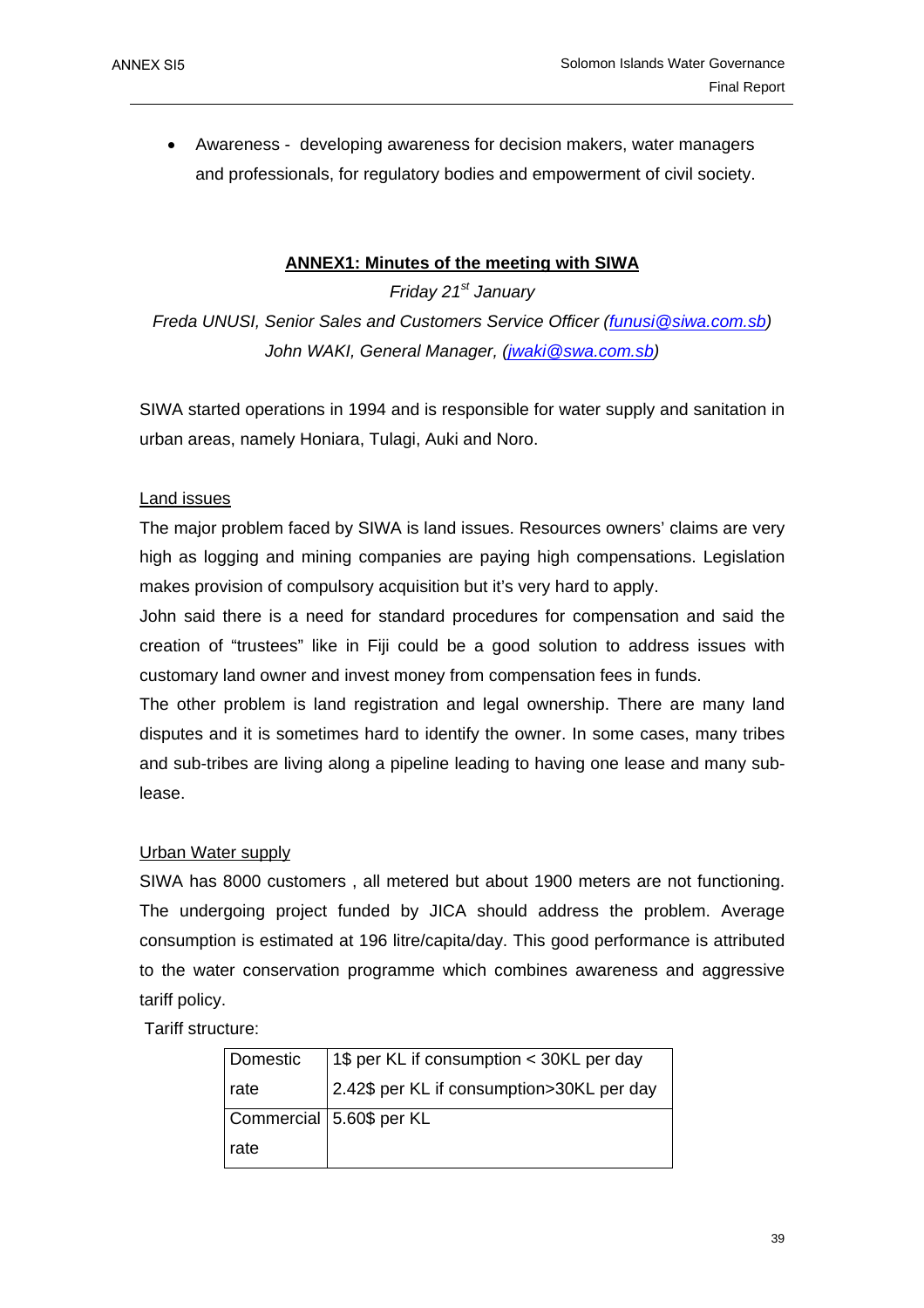• Awareness - developing awareness for decision makers, water managers and professionals, for regulatory bodies and empowerment of civil society.

### **ANNEX1: Minutes of the meeting with SIWA**

*Friday 21st January Freda UNUSI, Senior Sales and Customers Service Officer (funusi@siwa.com.sb) John WAKI, General Manager, (jwaki@swa.com.sb)*

SIWA started operations in 1994 and is responsible for water supply and sanitation in urban areas, namely Honiara, Tulagi, Auki and Noro.

### Land issues

The major problem faced by SIWA is land issues. Resources owners' claims are very high as logging and mining companies are paying high compensations. Legislation makes provision of compulsory acquisition but it's very hard to apply.

John said there is a need for standard procedures for compensation and said the creation of "trustees" like in Fiji could be a good solution to address issues with customary land owner and invest money from compensation fees in funds.

The other problem is land registration and legal ownership. There are many land disputes and it is sometimes hard to identify the owner. In some cases, many tribes and sub-tribes are living along a pipeline leading to having one lease and many sublease.

### Urban Water supply

SIWA has 8000 customers , all metered but about 1900 meters are not functioning. The undergoing project funded by JICA should address the problem. Average consumption is estimated at 196 litre/capita/day. This good performance is attributed to the water conservation programme which combines awareness and aggressive tariff policy.

Tariff structure:

| Domestic | 1\$ per KL if consumption < 30KL per day  |
|----------|-------------------------------------------|
| rate     | 2.42\$ per KL if consumption>30KL per day |
|          | Commercial   5.60\$ per KL                |
| rate     |                                           |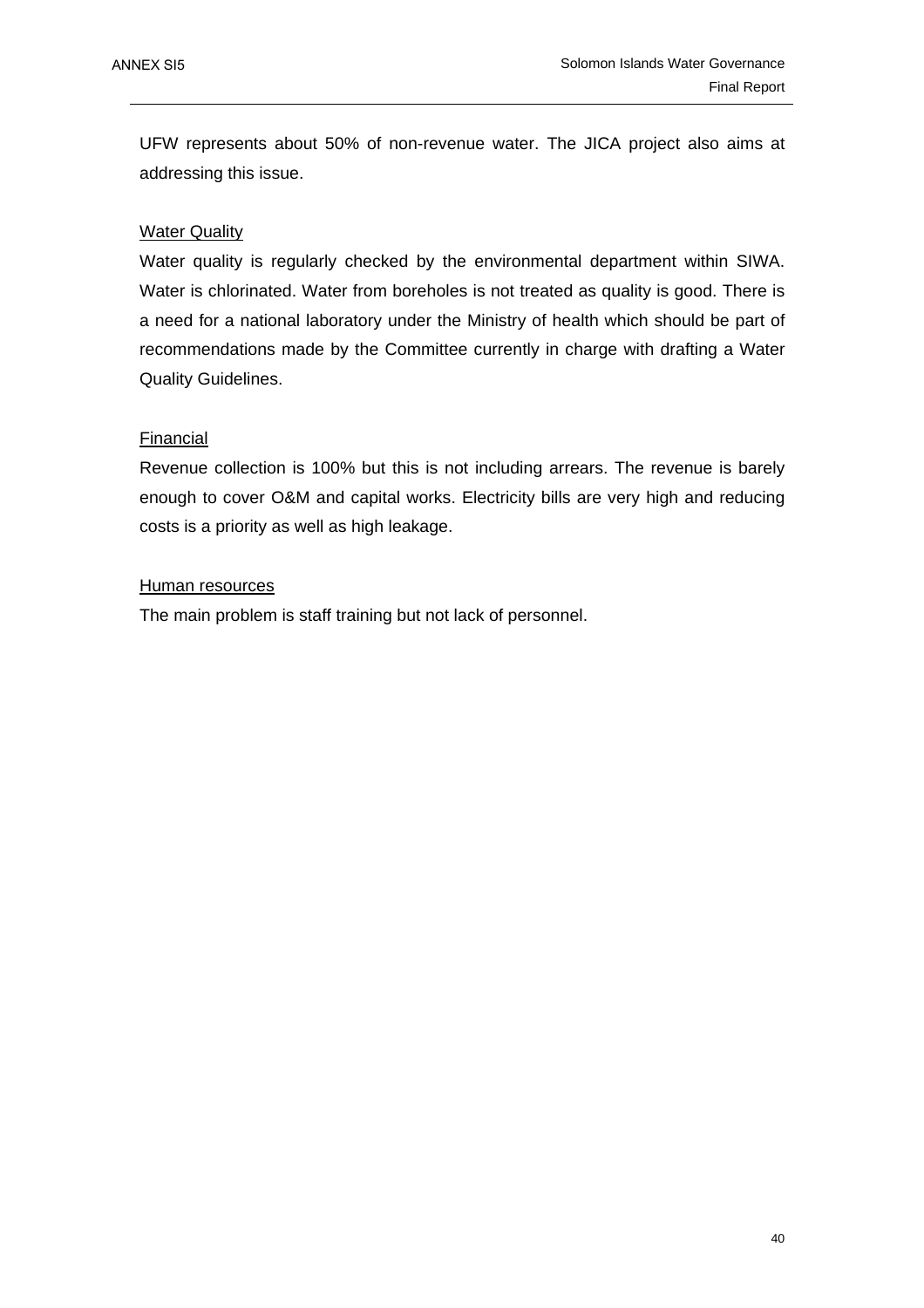UFW represents about 50% of non-revenue water. The JICA project also aims at addressing this issue.

### Water Quality

Water quality is regularly checked by the environmental department within SIWA. Water is chlorinated. Water from boreholes is not treated as quality is good. There is a need for a national laboratory under the Ministry of health which should be part of recommendations made by the Committee currently in charge with drafting a Water Quality Guidelines.

### Financial

Revenue collection is 100% but this is not including arrears. The revenue is barely enough to cover O&M and capital works. Electricity bills are very high and reducing costs is a priority as well as high leakage.

### Human resources

The main problem is staff training but not lack of personnel.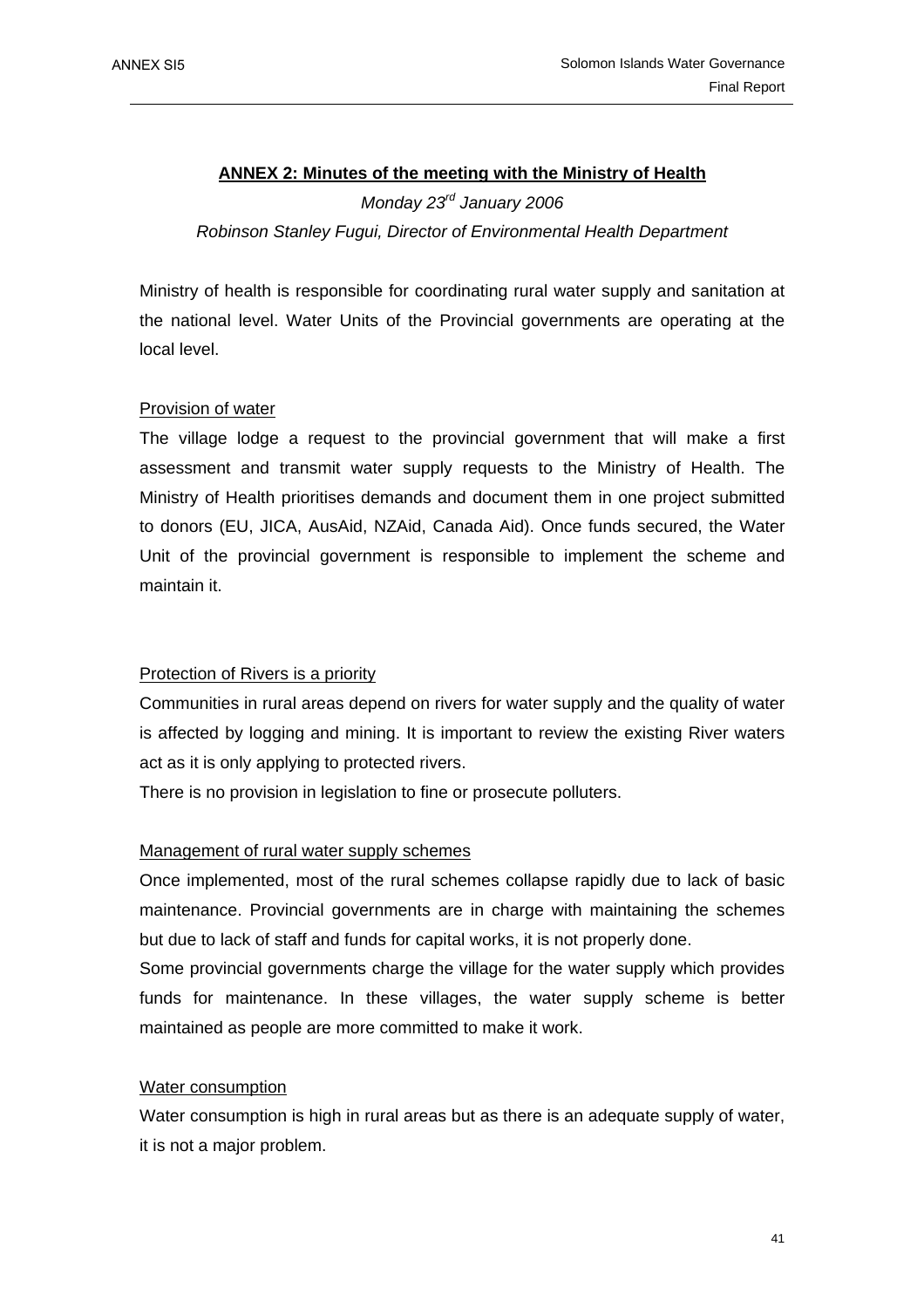## **ANNEX 2: Minutes of the meeting with the Ministry of Health** *Monday 23rd January 2006 Robinson Stanley Fugui, Director of Environmental Health Department*

Ministry of health is responsible for coordinating rural water supply and sanitation at the national level. Water Units of the Provincial governments are operating at the local level.

### Provision of water

The village lodge a request to the provincial government that will make a first assessment and transmit water supply requests to the Ministry of Health. The Ministry of Health prioritises demands and document them in one project submitted to donors (EU, JICA, AusAid, NZAid, Canada Aid). Once funds secured, the Water Unit of the provincial government is responsible to implement the scheme and maintain it.

### Protection of Rivers is a priority

Communities in rural areas depend on rivers for water supply and the quality of water is affected by logging and mining. It is important to review the existing River waters act as it is only applying to protected rivers.

There is no provision in legislation to fine or prosecute polluters.

### Management of rural water supply schemes

Once implemented, most of the rural schemes collapse rapidly due to lack of basic maintenance. Provincial governments are in charge with maintaining the schemes but due to lack of staff and funds for capital works, it is not properly done.

Some provincial governments charge the village for the water supply which provides funds for maintenance. In these villages, the water supply scheme is better maintained as people are more committed to make it work.

### Water consumption

Water consumption is high in rural areas but as there is an adequate supply of water. it is not a major problem.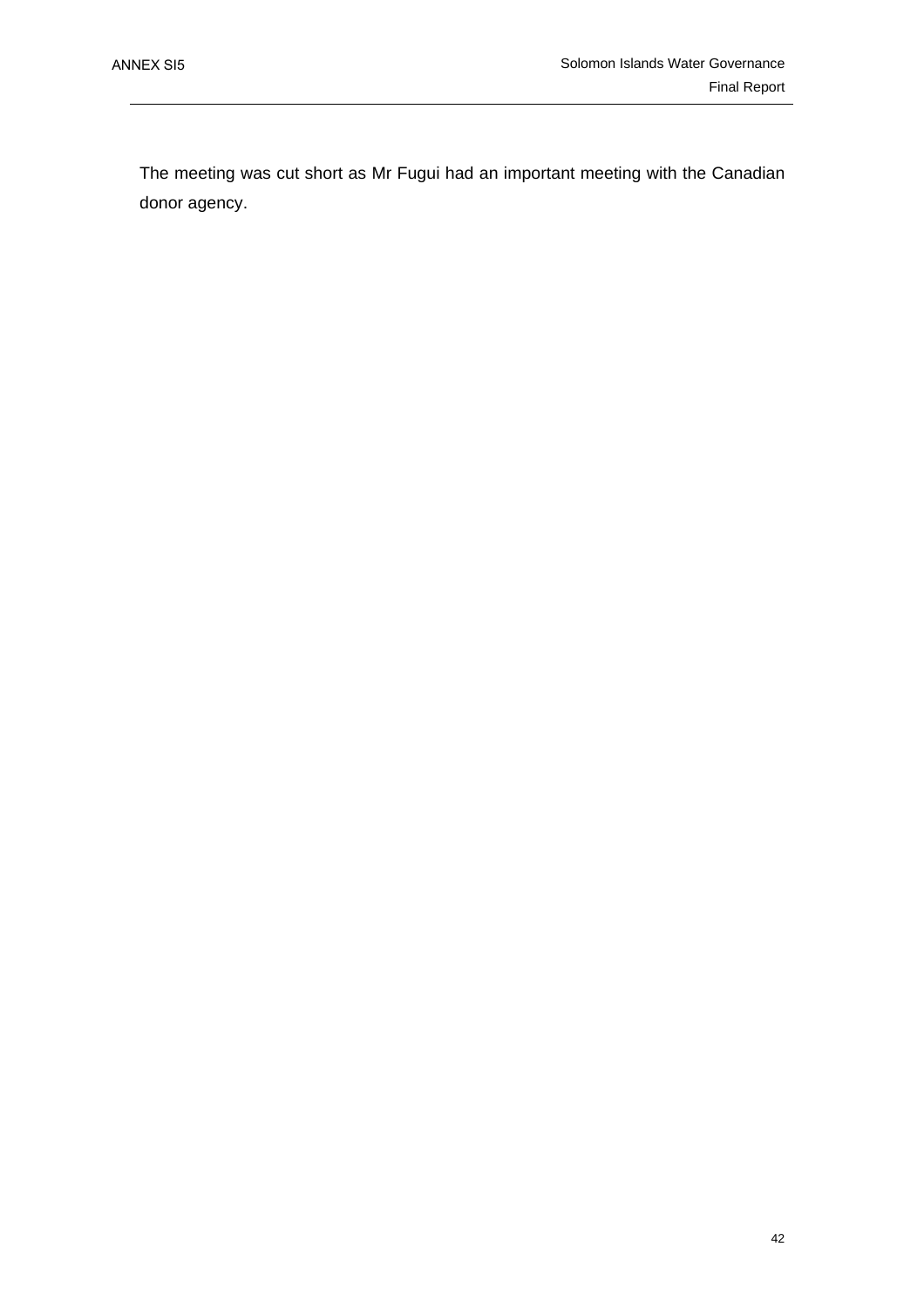The meeting was cut short as Mr Fugui had an important meeting with the Canadian donor agency.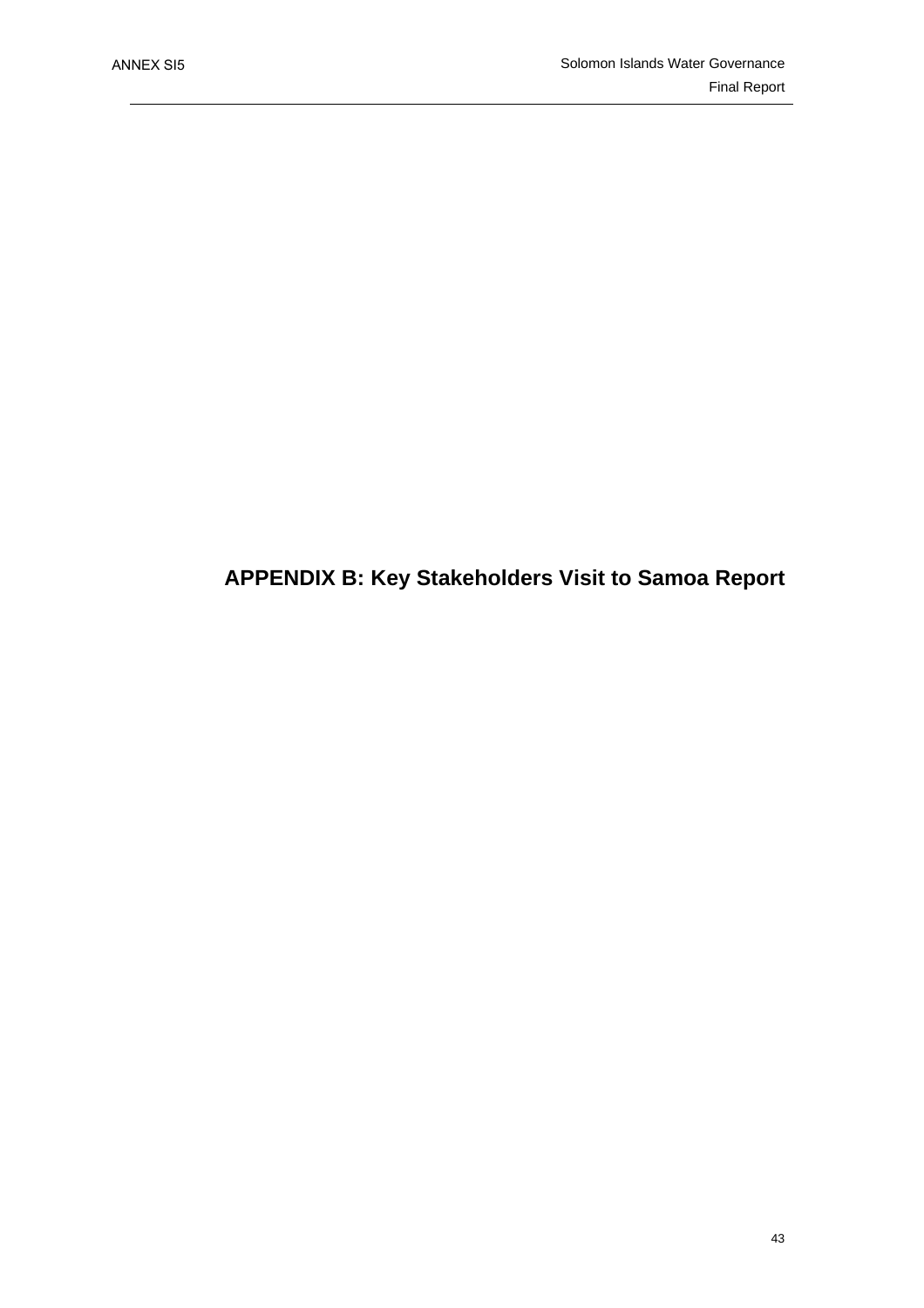## **APPENDIX B: Key Stakeholders Visit to Samoa Report**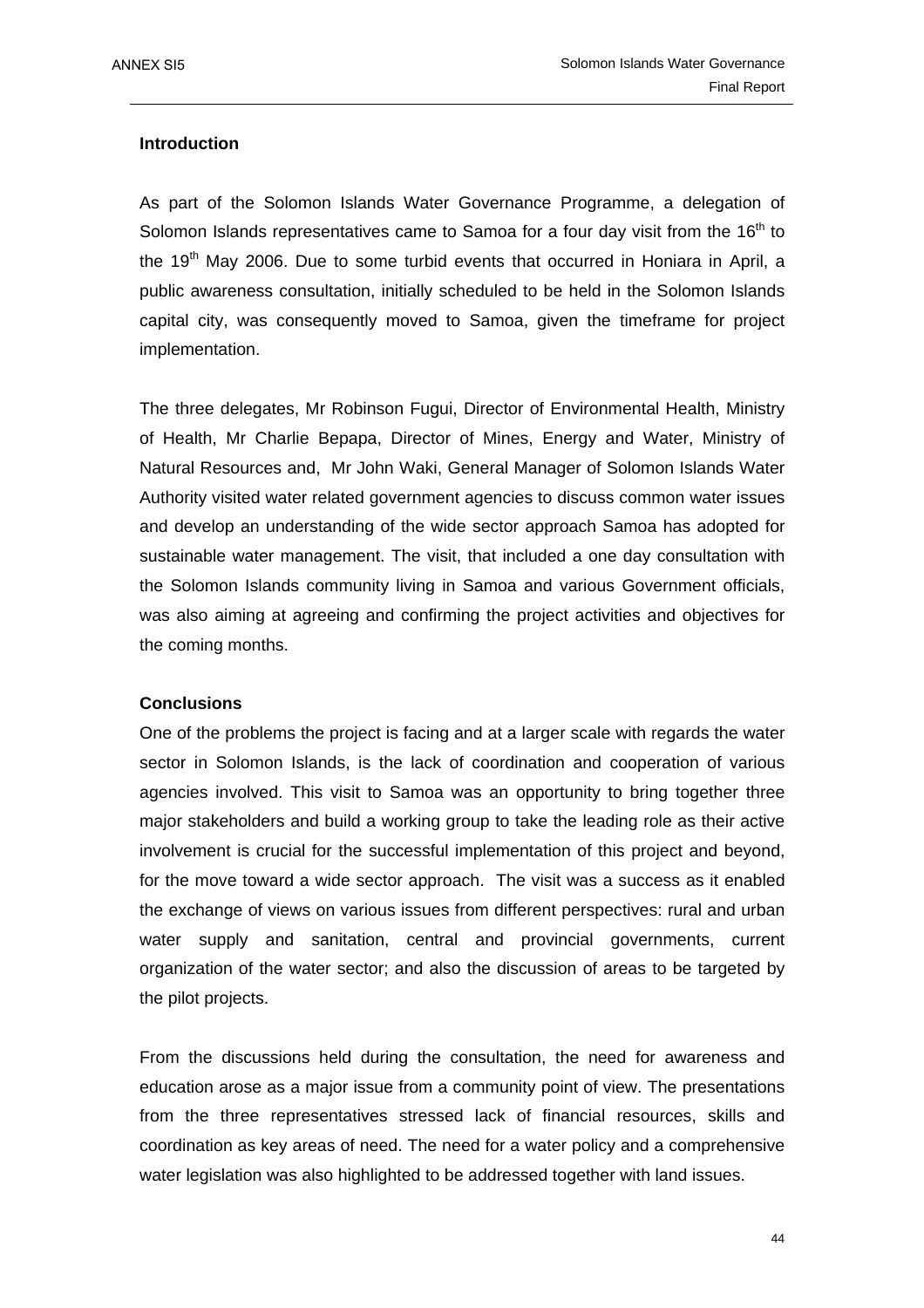### **Introduction**

As part of the Solomon Islands Water Governance Programme, a delegation of Solomon Islands representatives came to Samoa for a four day visit from the  $16<sup>th</sup>$  to the  $19<sup>th</sup>$  May 2006. Due to some turbid events that occurred in Honiara in April, a public awareness consultation, initially scheduled to be held in the Solomon Islands capital city, was consequently moved to Samoa, given the timeframe for project implementation.

The three delegates, Mr Robinson Fugui, Director of Environmental Health, Ministry of Health, Mr Charlie Bepapa, Director of Mines, Energy and Water, Ministry of Natural Resources and, Mr John Waki, General Manager of Solomon Islands Water Authority visited water related government agencies to discuss common water issues and develop an understanding of the wide sector approach Samoa has adopted for sustainable water management. The visit, that included a one day consultation with the Solomon Islands community living in Samoa and various Government officials, was also aiming at agreeing and confirming the project activities and objectives for the coming months.

### **Conclusions**

One of the problems the project is facing and at a larger scale with regards the water sector in Solomon Islands, is the lack of coordination and cooperation of various agencies involved. This visit to Samoa was an opportunity to bring together three major stakeholders and build a working group to take the leading role as their active involvement is crucial for the successful implementation of this project and beyond, for the move toward a wide sector approach. The visit was a success as it enabled the exchange of views on various issues from different perspectives: rural and urban water supply and sanitation, central and provincial governments, current organization of the water sector; and also the discussion of areas to be targeted by the pilot projects.

From the discussions held during the consultation, the need for awareness and education arose as a major issue from a community point of view. The presentations from the three representatives stressed lack of financial resources, skills and coordination as key areas of need. The need for a water policy and a comprehensive water legislation was also highlighted to be addressed together with land issues.

44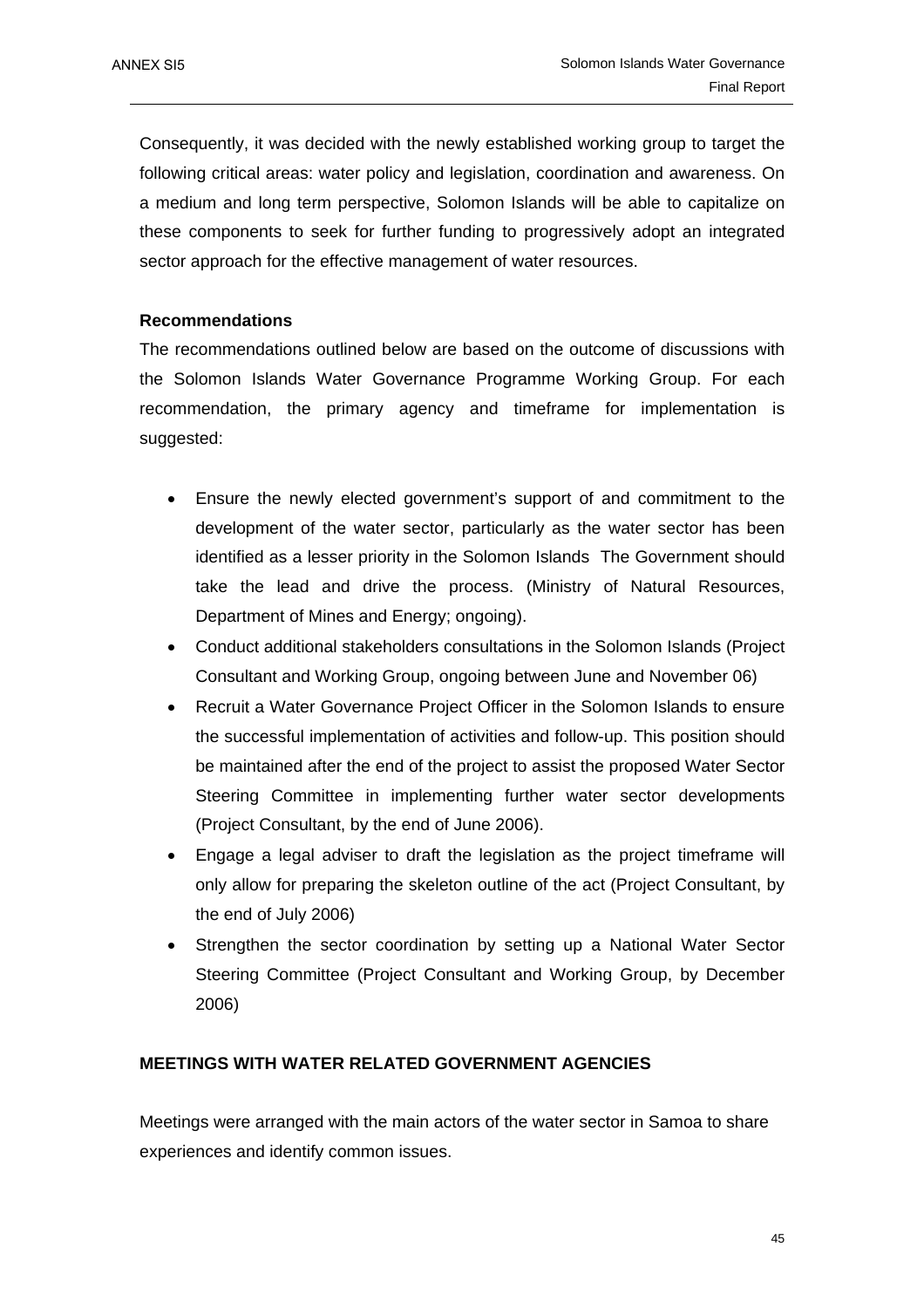Consequently, it was decided with the newly established working group to target the following critical areas: water policy and legislation, coordination and awareness. On a medium and long term perspective, Solomon Islands will be able to capitalize on these components to seek for further funding to progressively adopt an integrated sector approach for the effective management of water resources.

### **Recommendations**

The recommendations outlined below are based on the outcome of discussions with the Solomon Islands Water Governance Programme Working Group. For each recommendation, the primary agency and timeframe for implementation is suggested:

- Ensure the newly elected government's support of and commitment to the development of the water sector, particularly as the water sector has been identified as a lesser priority in the Solomon Islands The Government should take the lead and drive the process. (Ministry of Natural Resources, Department of Mines and Energy; ongoing).
- Conduct additional stakeholders consultations in the Solomon Islands (Project Consultant and Working Group, ongoing between June and November 06)
- Recruit a Water Governance Project Officer in the Solomon Islands to ensure the successful implementation of activities and follow-up. This position should be maintained after the end of the project to assist the proposed Water Sector Steering Committee in implementing further water sector developments (Project Consultant, by the end of June 2006).
- Engage a legal adviser to draft the legislation as the project timeframe will only allow for preparing the skeleton outline of the act (Project Consultant, by the end of July 2006)
- Strengthen the sector coordination by setting up a National Water Sector Steering Committee (Project Consultant and Working Group, by December 2006)

### **MEETINGS WITH WATER RELATED GOVERNMENT AGENCIES**

Meetings were arranged with the main actors of the water sector in Samoa to share experiences and identify common issues.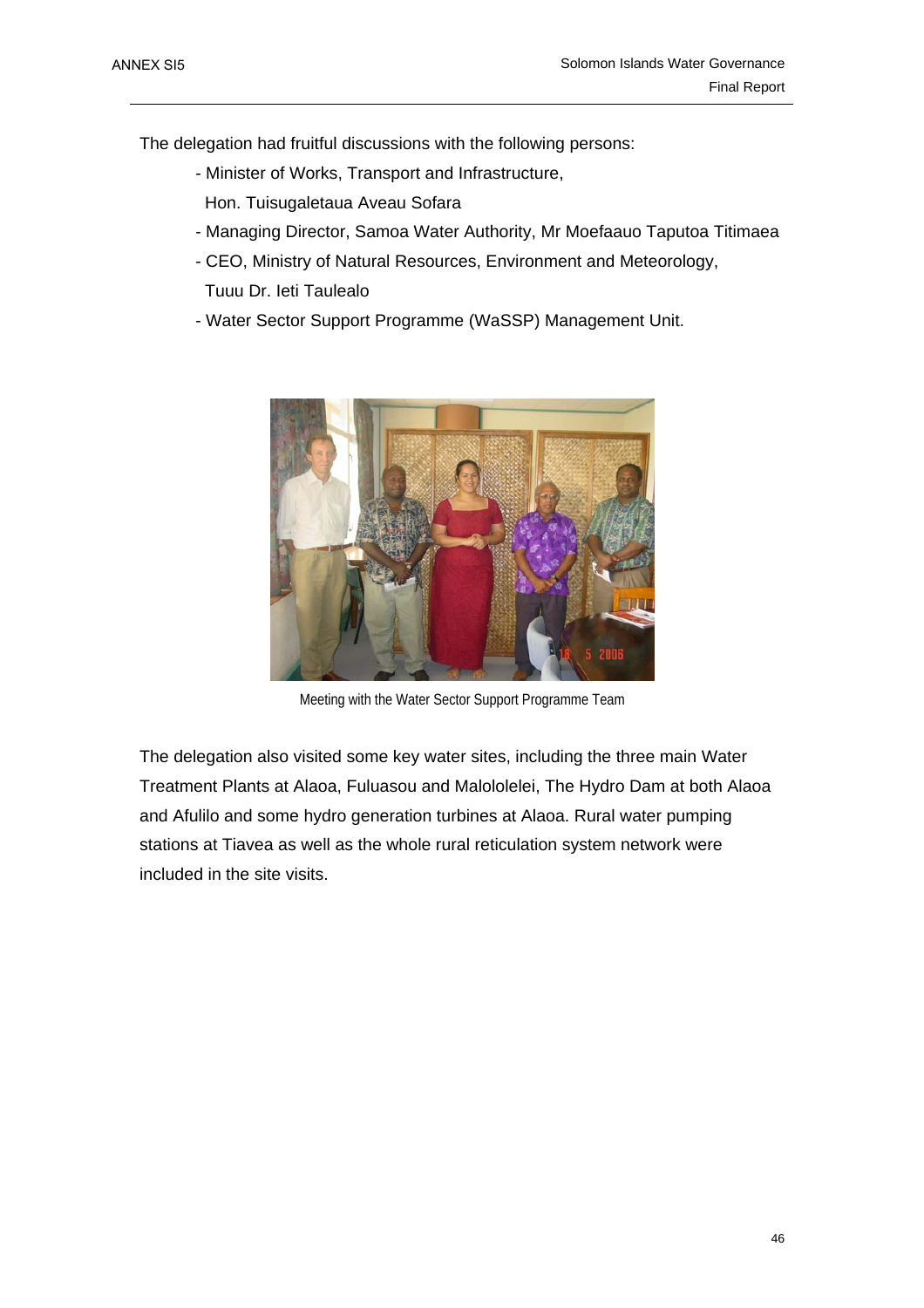The delegation had fruitful discussions with the following persons:

- Minister of Works, Transport and Infrastructure,
	- Hon. Tuisugaletaua Aveau Sofara
- Managing Director, Samoa Water Authority, Mr Moefaauo Taputoa Titimaea
- CEO, Ministry of Natural Resources, Environment and Meteorology,
	- Tuuu Dr. Ieti Taulealo
- Water Sector Support Programme (WaSSP) Management Unit.



Meeting with the Water Sector Support Programme Team

The delegation also visited some key water sites, including the three main Water Treatment Plants at Alaoa, Fuluasou and Malololelei, The Hydro Dam at both Alaoa and Afulilo and some hydro generation turbines at Alaoa. Rural water pumping stations at Tiavea as well as the whole rural reticulation system network were included in the site visits.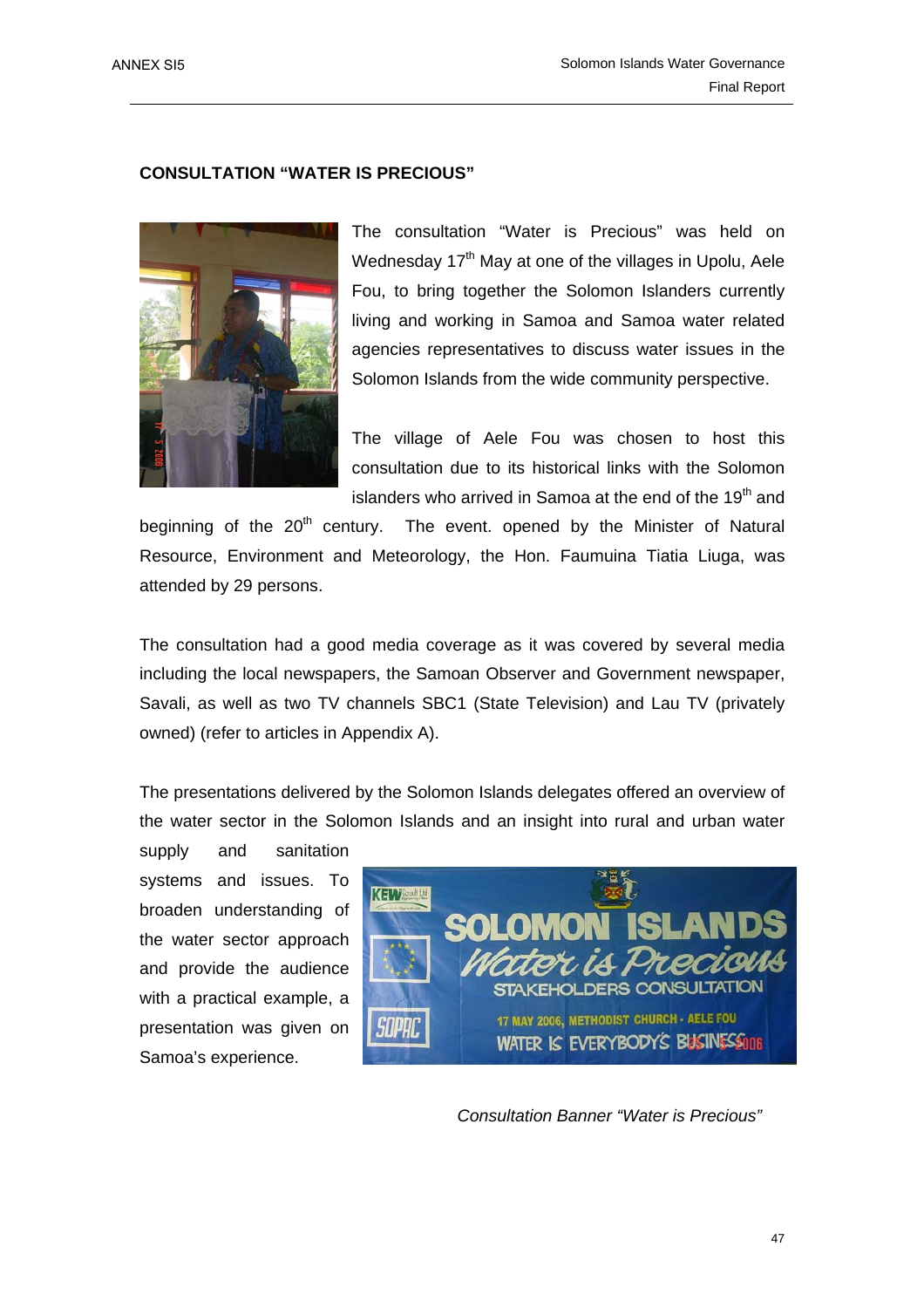### **CONSULTATION "WATER IS PRECIOUS"**



The consultation "Water is Precious" was held on Wednesday 17<sup>th</sup> May at one of the villages in Upolu, Aele Fou, to bring together the Solomon Islanders currently living and working in Samoa and Samoa water related agencies representatives to discuss water issues in the Solomon Islands from the wide community perspective.

The village of Aele Fou was chosen to host this consultation due to its historical links with the Solomon islanders who arrived in Samoa at the end of the  $19<sup>th</sup>$  and

beginning of the  $20<sup>th</sup>$  century. The event, opened by the Minister of Natural Resource, Environment and Meteorology, the Hon. Faumuina Tiatia Liuga, was attended by 29 persons.

The consultation had a good media coverage as it was covered by several media including the local newspapers, the Samoan Observer and Government newspaper, Savali, as well as two TV channels SBC1 (State Television) and Lau TV (privately owned) (refer to articles in Appendix A).

The presentations delivered by the Solomon Islands delegates offered an overview of the water sector in the Solomon Islands and an insight into rural and urban water

supply and sanitation systems and issues. To broaden understanding of the water sector approach and provide the audience with a practical example, a presentation was given on Samoa's experience.



 *Consultation Banner "Water is Precious"*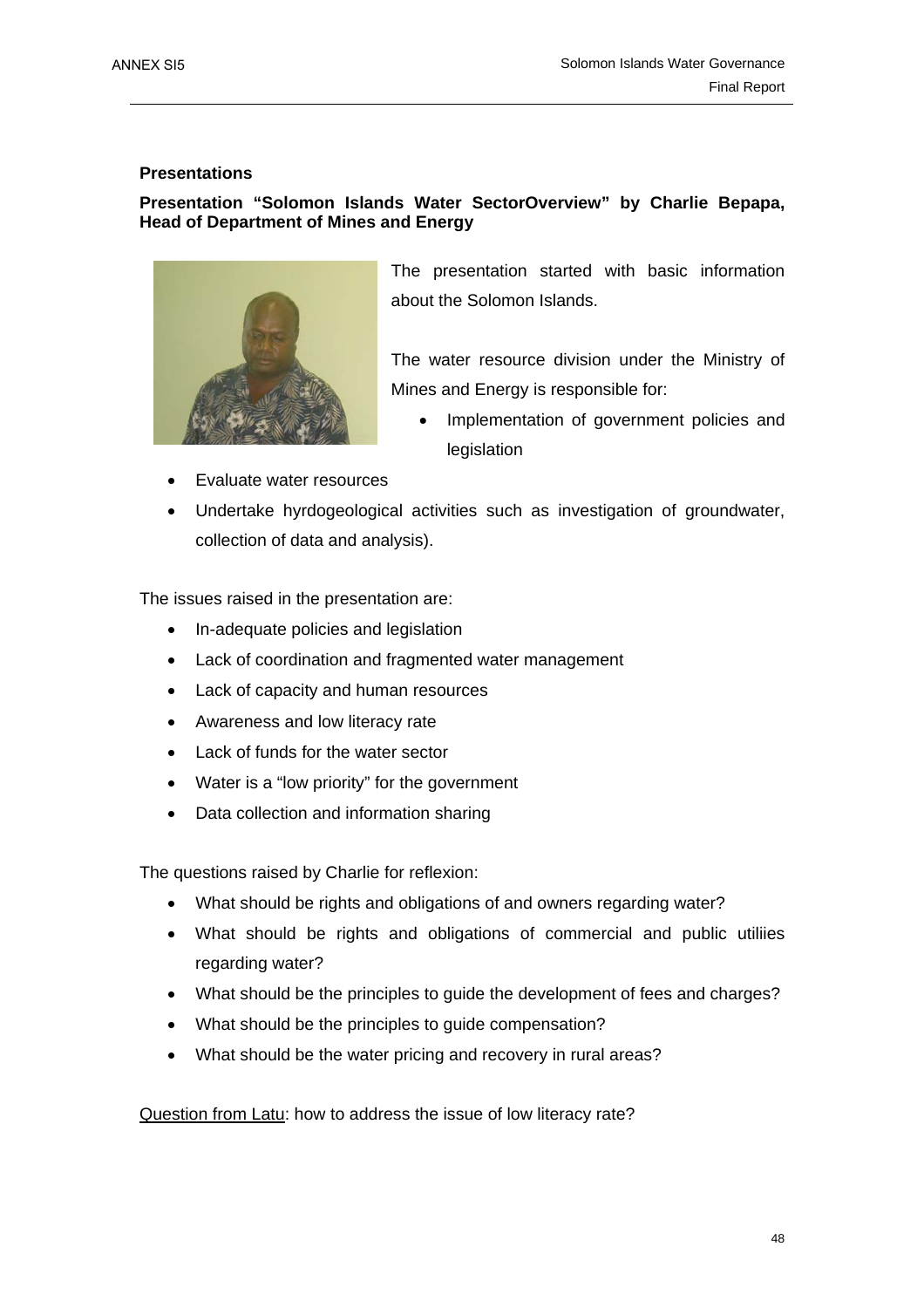### **Presentations**

### **Presentation "Solomon Islands Water SectorOverview" by Charlie Bepapa, Head of Department of Mines and Energy**



The presentation started with basic information about the Solomon Islands.

The water resource division under the Ministry of Mines and Energy is responsible for:

- Implementation of government policies and legislation
- Evaluate water resources
- Undertake hyrdogeological activities such as investigation of groundwater, collection of data and analysis).

The issues raised in the presentation are:

- In-adequate policies and legislation
- Lack of coordination and fragmented water management
- Lack of capacity and human resources
- Awareness and low literacy rate
- Lack of funds for the water sector
- Water is a "low priority" for the government
- Data collection and information sharing

The questions raised by Charlie for reflexion:

- What should be rights and obligations of and owners regarding water?
- What should be rights and obligations of commercial and public utiliies regarding water?
- What should be the principles to guide the development of fees and charges?
- What should be the principles to guide compensation?
- What should be the water pricing and recovery in rural areas?

Question from Latu: how to address the issue of low literacy rate?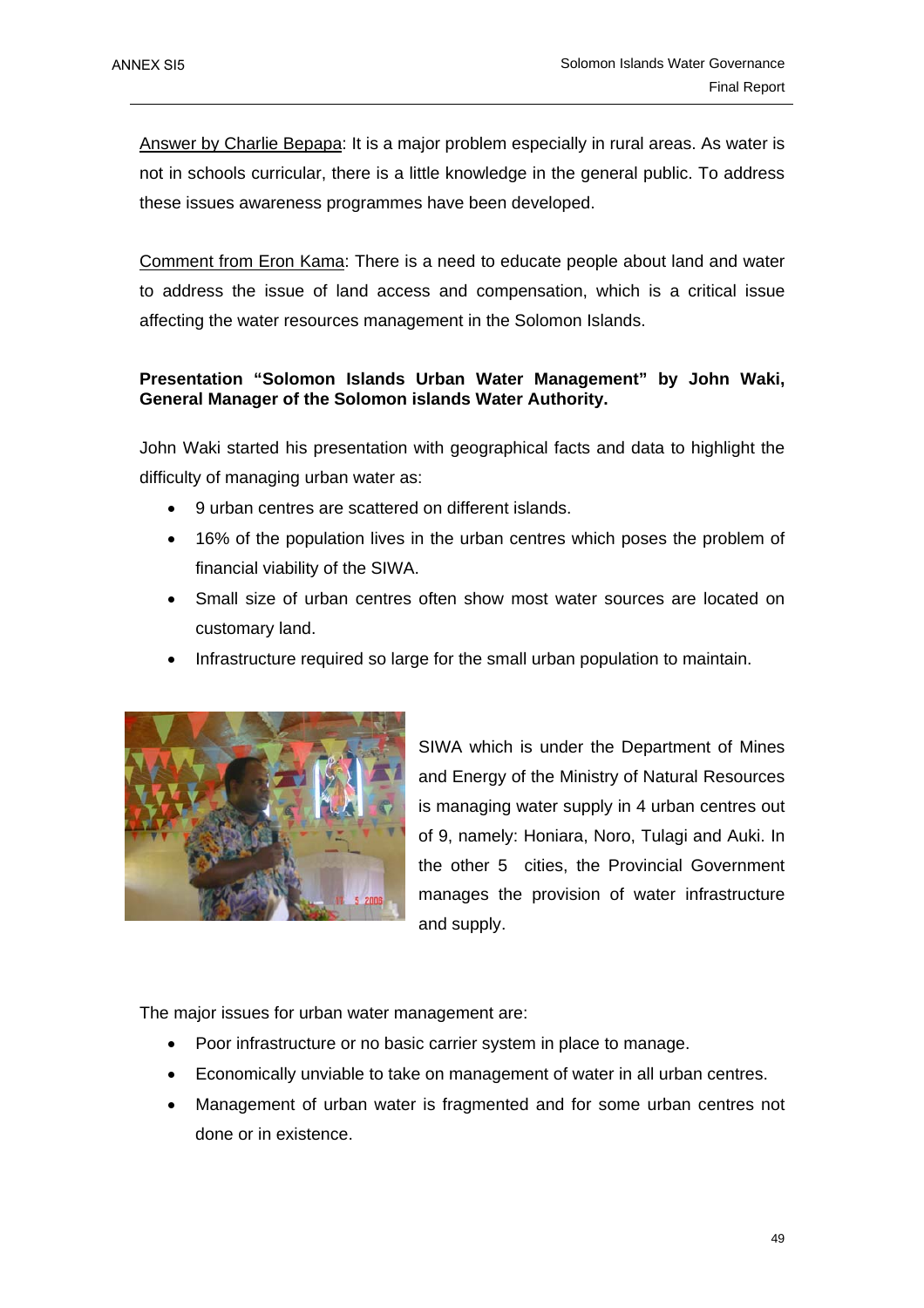Answer by Charlie Bepapa: It is a major problem especially in rural areas. As water is not in schools curricular, there is a little knowledge in the general public. To address these issues awareness programmes have been developed.

Comment from Eron Kama: There is a need to educate people about land and water to address the issue of land access and compensation, which is a critical issue affecting the water resources management in the Solomon Islands.

### **Presentation "Solomon Islands Urban Water Management" by John Waki, General Manager of the Solomon islands Water Authority.**

John Waki started his presentation with geographical facts and data to highlight the difficulty of managing urban water as:

- 9 urban centres are scattered on different islands.
- 16% of the population lives in the urban centres which poses the problem of financial viability of the SIWA.
- Small size of urban centres often show most water sources are located on customary land.
- Infrastructure required so large for the small urban population to maintain.



SIWA which is under the Department of Mines and Energy of the Ministry of Natural Resources is managing water supply in 4 urban centres out of 9, namely: Honiara, Noro, Tulagi and Auki. In the other 5 cities, the Provincial Government manages the provision of water infrastructure and supply.

The major issues for urban water management are:

- Poor infrastructure or no basic carrier system in place to manage.
- Economically unviable to take on management of water in all urban centres.
- Management of urban water is fragmented and for some urban centres not done or in existence.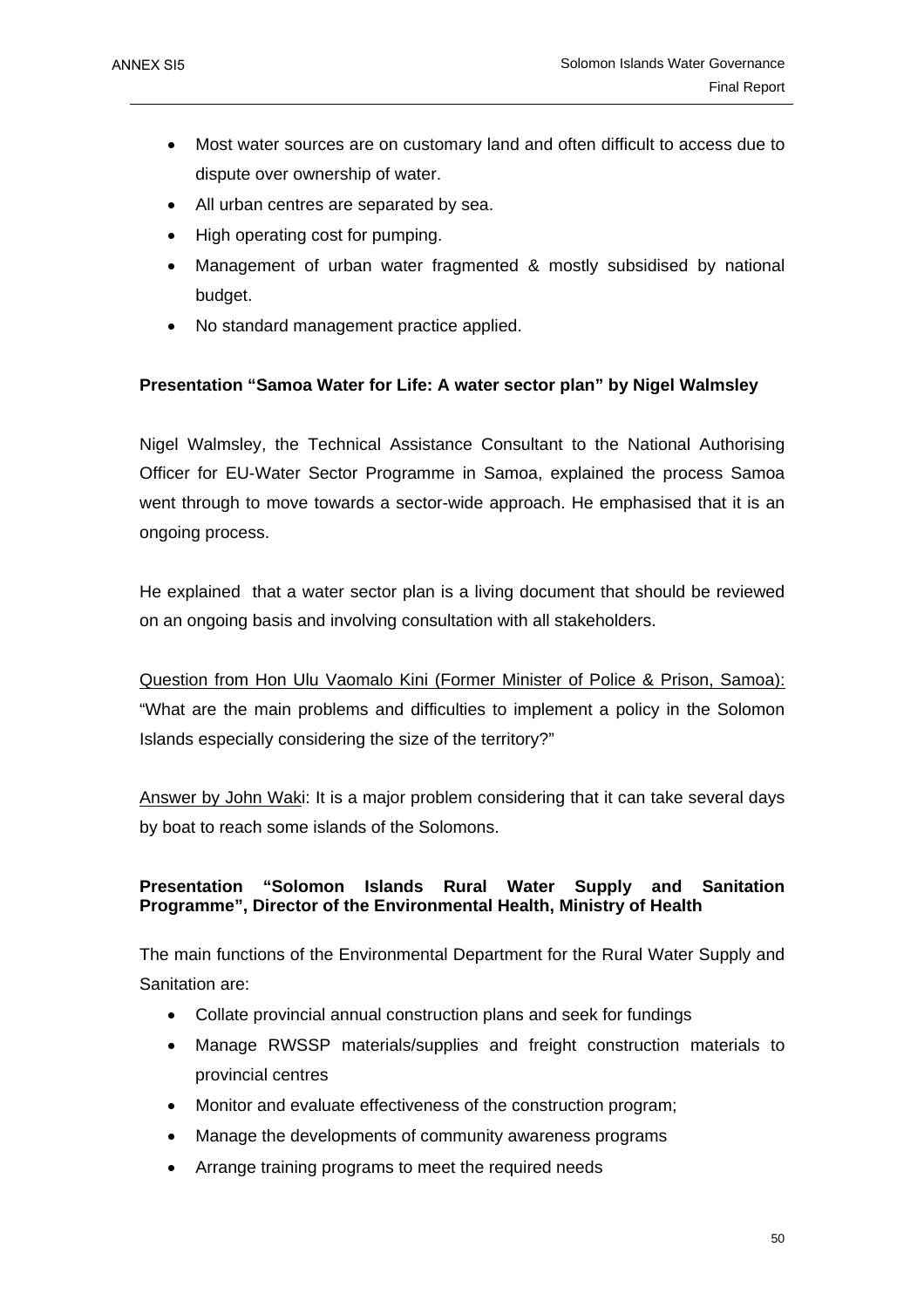- Most water sources are on customary land and often difficult to access due to dispute over ownership of water.
- All urban centres are separated by sea.
- High operating cost for pumping.
- Management of urban water fragmented & mostly subsidised by national budget.
- No standard management practice applied.

### **Presentation "Samoa Water for Life: A water sector plan" by Nigel Walmsley**

Nigel Walmsley, the Technical Assistance Consultant to the National Authorising Officer for EU-Water Sector Programme in Samoa, explained the process Samoa went through to move towards a sector-wide approach. He emphasised that it is an ongoing process.

He explained that a water sector plan is a living document that should be reviewed on an ongoing basis and involving consultation with all stakeholders.

Question from Hon Ulu Vaomalo Kini (Former Minister of Police & Prison, Samoa): "What are the main problems and difficulties to implement a policy in the Solomon Islands especially considering the size of the territory?"

Answer by John Waki: It is a major problem considering that it can take several days by boat to reach some islands of the Solomons.

### **Presentation "Solomon Islands Rural Water Supply and Sanitation Programme", Director of the Environmental Health, Ministry of Health**

The main functions of the Environmental Department for the Rural Water Supply and Sanitation are:

- Collate provincial annual construction plans and seek for fundings
- Manage RWSSP materials/supplies and freight construction materials to provincial centres
- Monitor and evaluate effectiveness of the construction program;
- Manage the developments of community awareness programs
- Arrange training programs to meet the required needs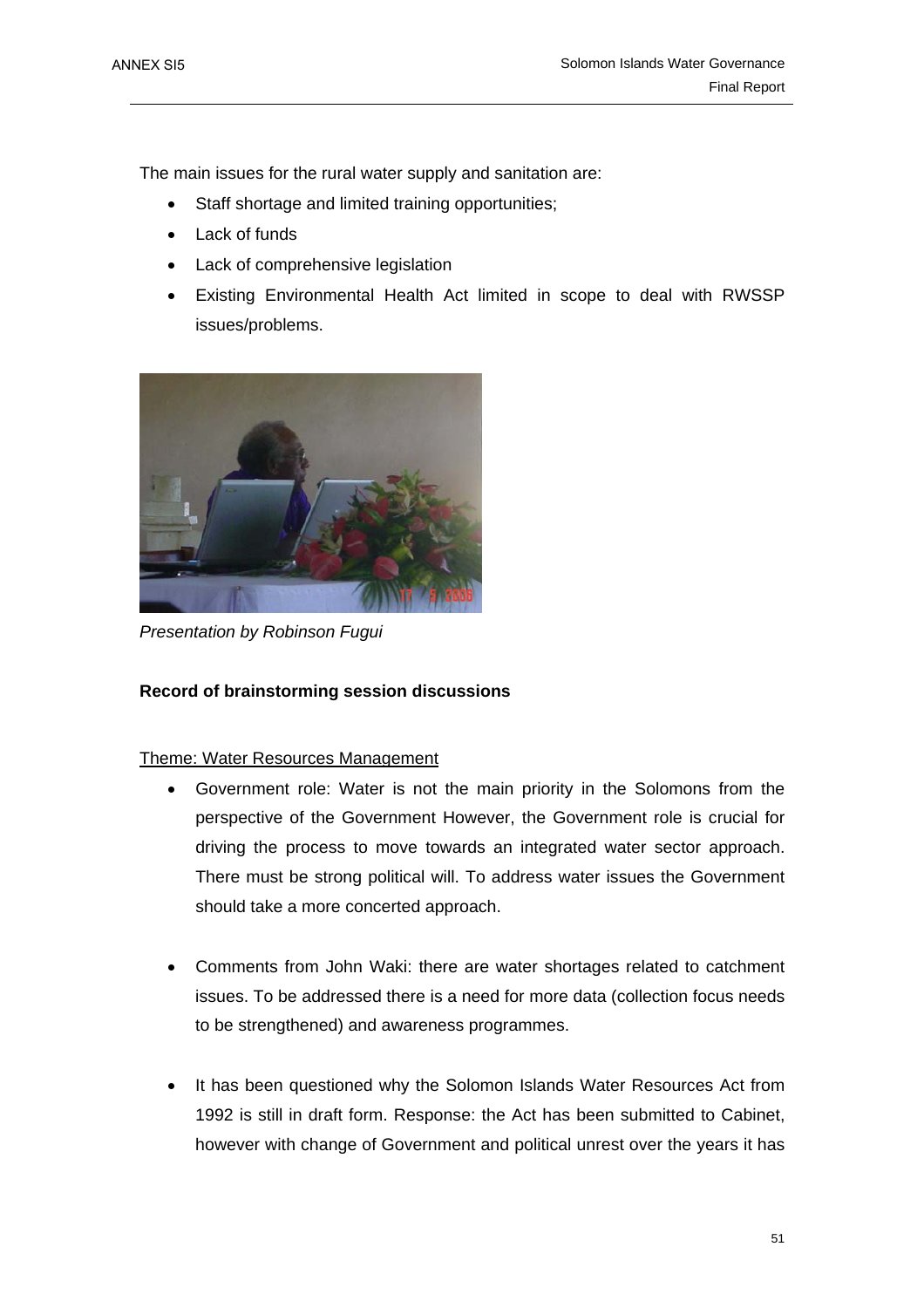The main issues for the rural water supply and sanitation are:

- Staff shortage and limited training opportunities;
- Lack of funds
- Lack of comprehensive legislation
- Existing Environmental Health Act limited in scope to deal with RWSSP issues/problems.



*Presentation by Robinson Fugui* 

### **Record of brainstorming session discussions**

### Theme: Water Resources Management

- Government role: Water is not the main priority in the Solomons from the perspective of the Government However, the Government role is crucial for driving the process to move towards an integrated water sector approach. There must be strong political will. To address water issues the Government should take a more concerted approach.
- Comments from John Waki: there are water shortages related to catchment issues. To be addressed there is a need for more data (collection focus needs to be strengthened) and awareness programmes.
- It has been questioned why the Solomon Islands Water Resources Act from 1992 is still in draft form. Response: the Act has been submitted to Cabinet, however with change of Government and political unrest over the years it has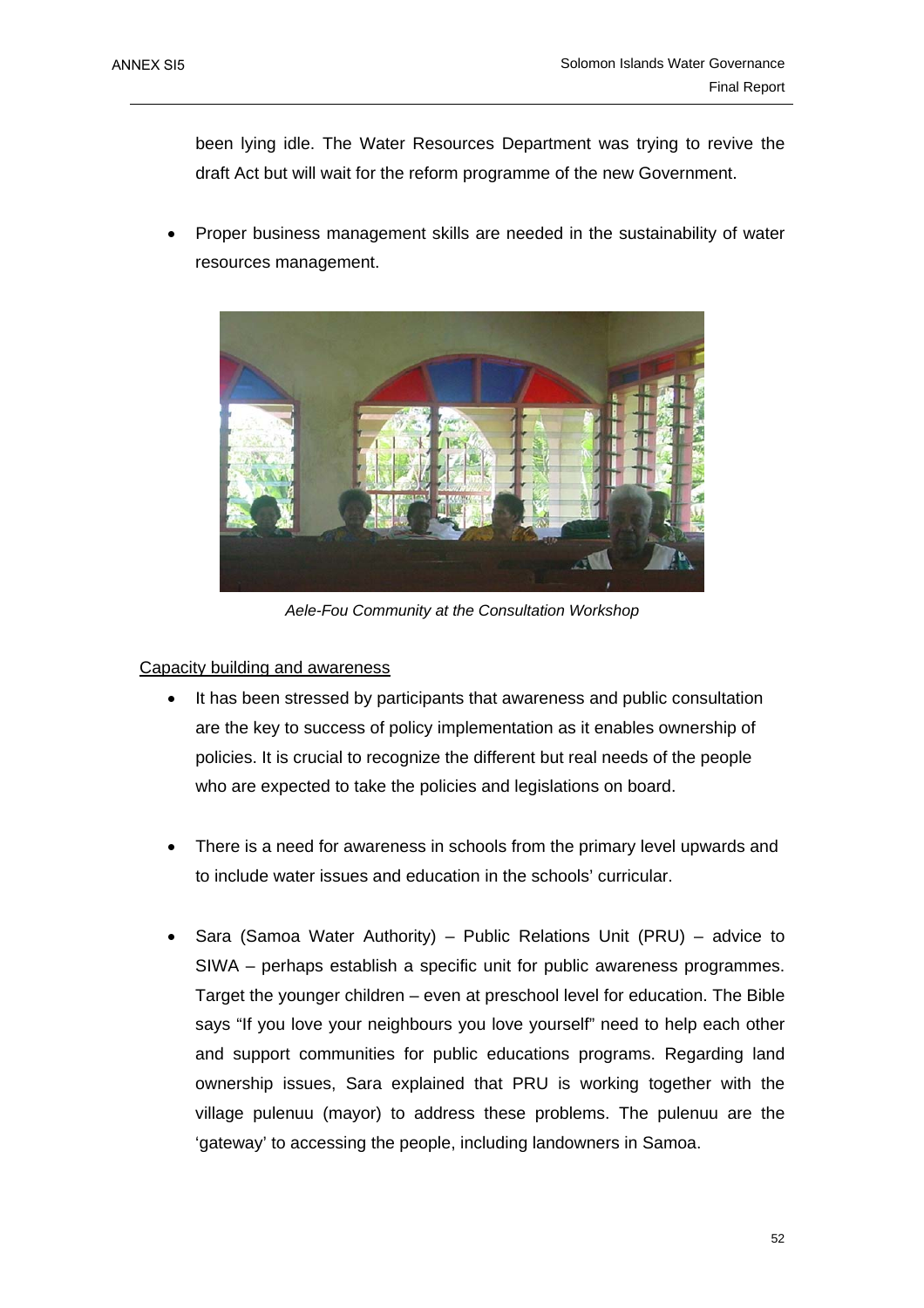been lying idle. The Water Resources Department was trying to revive the draft Act but will wait for the reform programme of the new Government.

• Proper business management skills are needed in the sustainability of water resources management.



*Aele-Fou Community at the Consultation Workshop* 

### Capacity building and awareness

- It has been stressed by participants that awareness and public consultation are the key to success of policy implementation as it enables ownership of policies. It is crucial to recognize the different but real needs of the people who are expected to take the policies and legislations on board.
- There is a need for awareness in schools from the primary level upwards and to include water issues and education in the schools' curricular.
- Sara (Samoa Water Authority) Public Relations Unit (PRU) advice to SIWA – perhaps establish a specific unit for public awareness programmes. Target the younger children – even at preschool level for education. The Bible says "If you love your neighbours you love yourself" need to help each other and support communities for public educations programs. Regarding land ownership issues, Sara explained that PRU is working together with the village pulenuu (mayor) to address these problems. The pulenuu are the 'gateway' to accessing the people, including landowners in Samoa.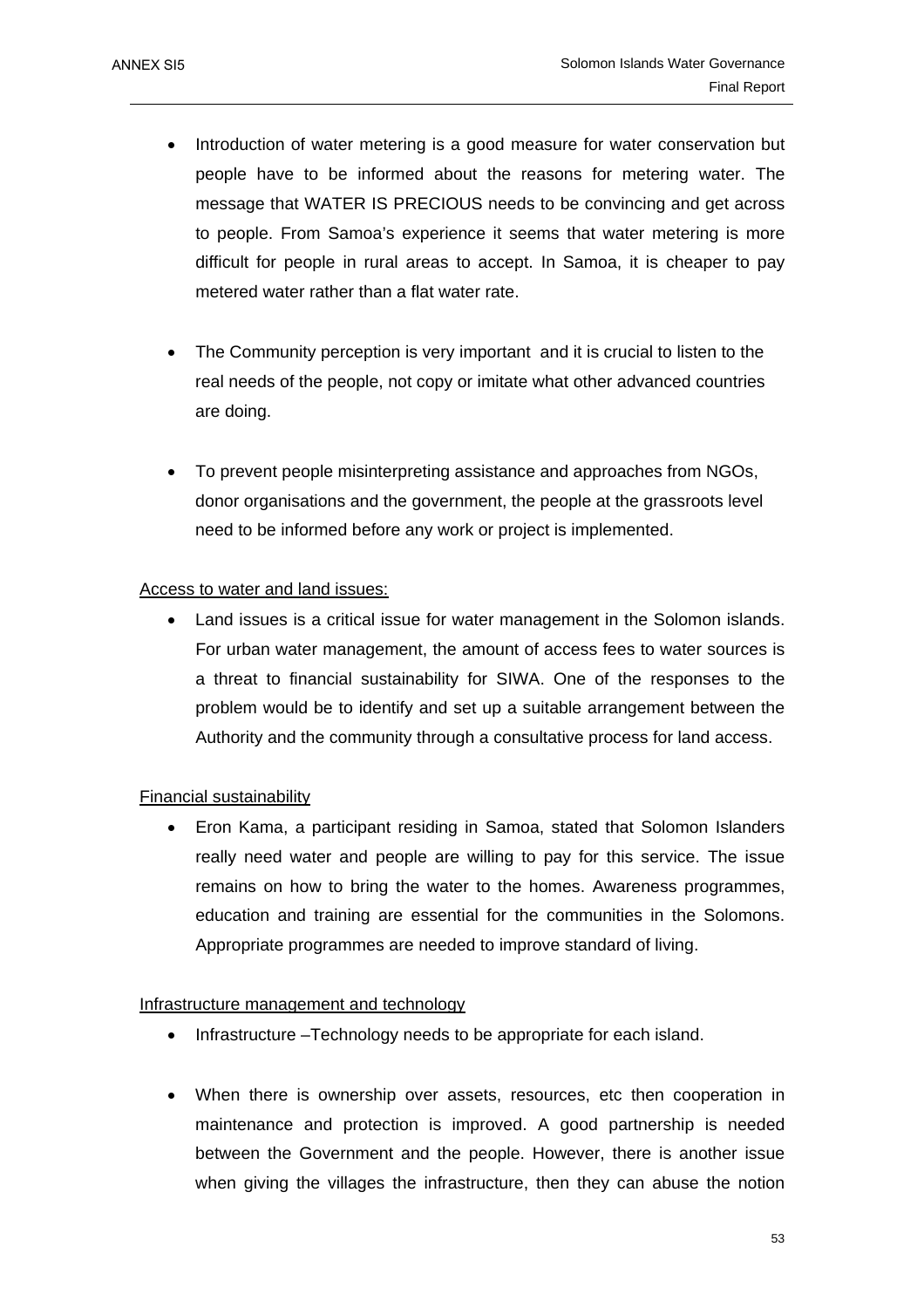- Introduction of water metering is a good measure for water conservation but people have to be informed about the reasons for metering water. The message that WATER IS PRECIOUS needs to be convincing and get across to people. From Samoa's experience it seems that water metering is more difficult for people in rural areas to accept. In Samoa, it is cheaper to pay metered water rather than a flat water rate.
- The Community perception is very important and it is crucial to listen to the real needs of the people, not copy or imitate what other advanced countries are doing.
- To prevent people misinterpreting assistance and approaches from NGOs, donor organisations and the government, the people at the grassroots level need to be informed before any work or project is implemented.

### Access to water and land issues:

• Land issues is a critical issue for water management in the Solomon islands. For urban water management, the amount of access fees to water sources is a threat to financial sustainability for SIWA. One of the responses to the problem would be to identify and set up a suitable arrangement between the Authority and the community through a consultative process for land access.

### Financial sustainability

• Eron Kama, a participant residing in Samoa, stated that Solomon Islanders really need water and people are willing to pay for this service. The issue remains on how to bring the water to the homes. Awareness programmes, education and training are essential for the communities in the Solomons. Appropriate programmes are needed to improve standard of living.

### Infrastructure management and technology

- Infrastructure –Technology needs to be appropriate for each island.
- When there is ownership over assets, resources, etc then cooperation in maintenance and protection is improved. A good partnership is needed between the Government and the people. However, there is another issue when giving the villages the infrastructure, then they can abuse the notion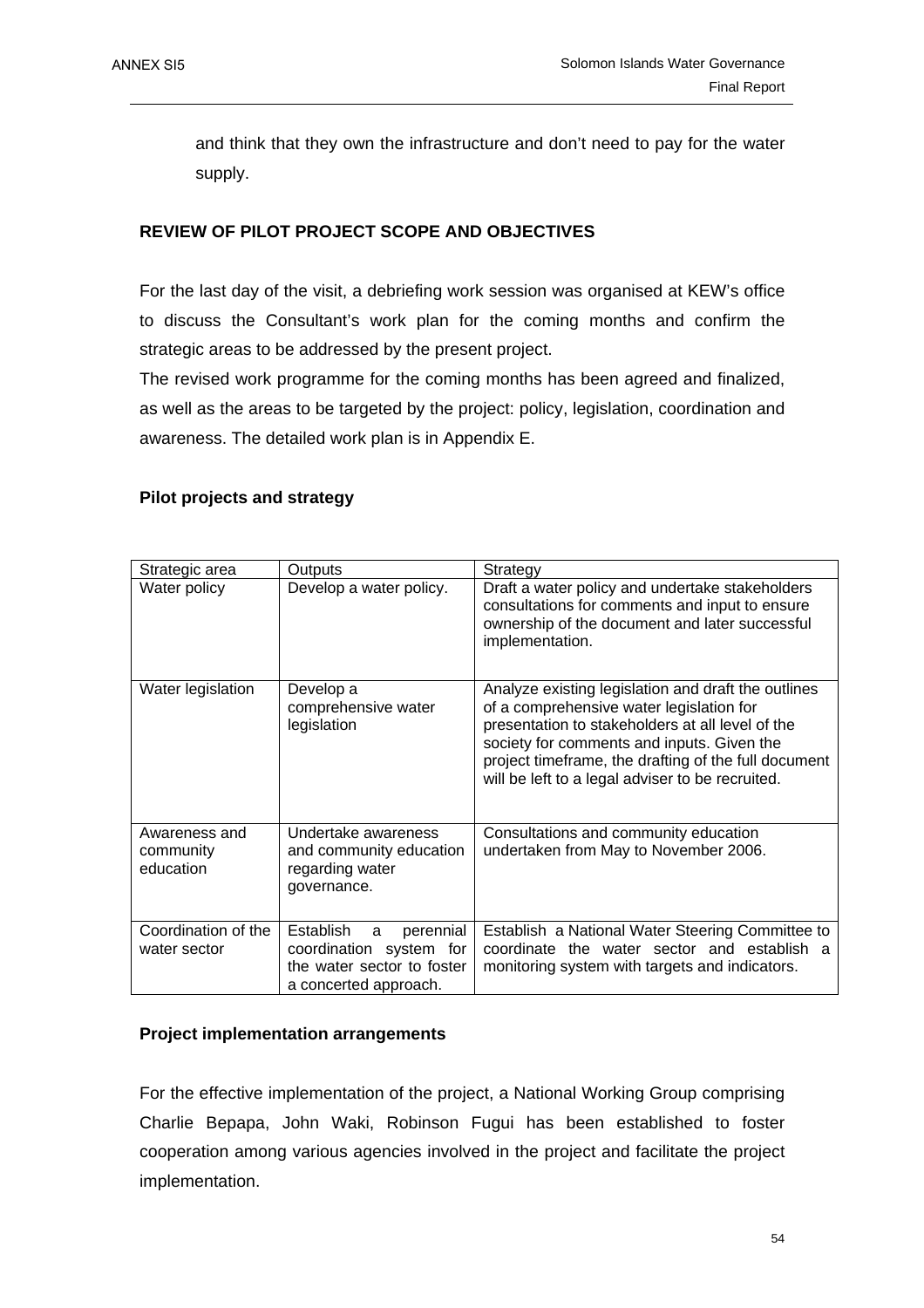and think that they own the infrastructure and don't need to pay for the water supply.

### **REVIEW OF PILOT PROJECT SCOPE AND OBJECTIVES**

For the last day of the visit, a debriefing work session was organised at KEW's office to discuss the Consultant's work plan for the coming months and confirm the strategic areas to be addressed by the present project.

The revised work programme for the coming months has been agreed and finalized, as well as the areas to be targeted by the project: policy, legislation, coordination and awareness. The detailed work plan is in Appendix E.

### **Pilot projects and strategy**

| Strategic area                          | Outputs                                                                                                       | Strategy                                                                                                                                                                                                                                                                                                      |
|-----------------------------------------|---------------------------------------------------------------------------------------------------------------|---------------------------------------------------------------------------------------------------------------------------------------------------------------------------------------------------------------------------------------------------------------------------------------------------------------|
| Water policy                            | Develop a water policy.                                                                                       | Draft a water policy and undertake stakeholders<br>consultations for comments and input to ensure<br>ownership of the document and later successful<br>implementation.                                                                                                                                        |
| Water legislation                       | Develop a<br>comprehensive water<br>legislation                                                               | Analyze existing legislation and draft the outlines<br>of a comprehensive water legislation for<br>presentation to stakeholders at all level of the<br>society for comments and inputs. Given the<br>project timeframe, the drafting of the full document<br>will be left to a legal adviser to be recruited. |
| Awareness and<br>community<br>education | Undertake awareness<br>and community education<br>regarding water<br>governance.                              | Consultations and community education<br>undertaken from May to November 2006.                                                                                                                                                                                                                                |
| Coordination of the<br>water sector     | Establish<br>perennial<br>a<br>coordination system for<br>the water sector to foster<br>a concerted approach. | Establish a National Water Steering Committee to<br>coordinate the water sector and establish a<br>monitoring system with targets and indicators.                                                                                                                                                             |

### **Project implementation arrangements**

For the effective implementation of the project, a National Working Group comprising Charlie Bepapa, John Waki, Robinson Fugui has been established to foster cooperation among various agencies involved in the project and facilitate the project implementation.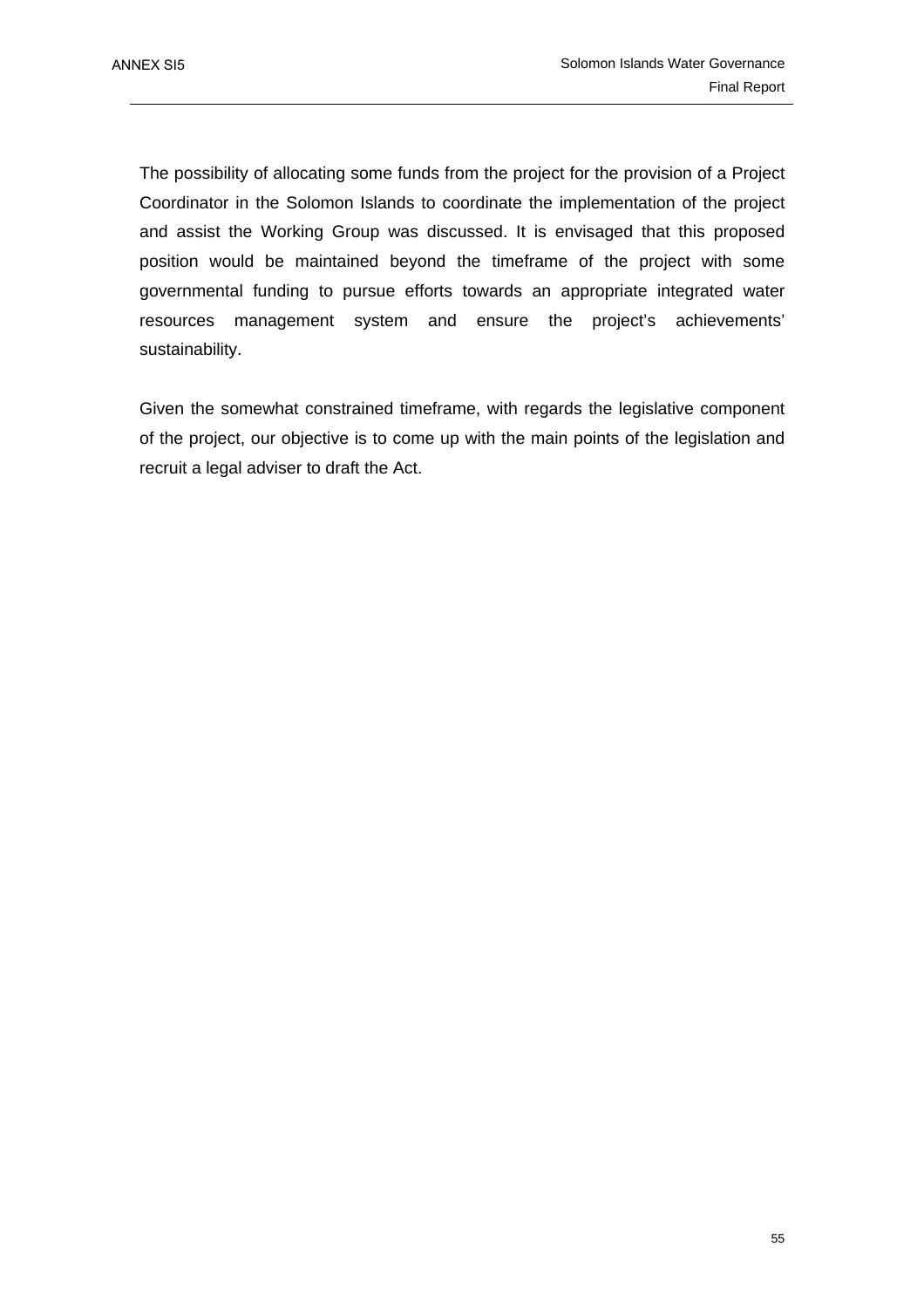The possibility of allocating some funds from the project for the provision of a Project Coordinator in the Solomon Islands to coordinate the implementation of the project and assist the Working Group was discussed. It is envisaged that this proposed position would be maintained beyond the timeframe of the project with some governmental funding to pursue efforts towards an appropriate integrated water resources management system and ensure the project's achievements' sustainability.

Given the somewhat constrained timeframe, with regards the legislative component of the project, our objective is to come up with the main points of the legislation and recruit a legal adviser to draft the Act.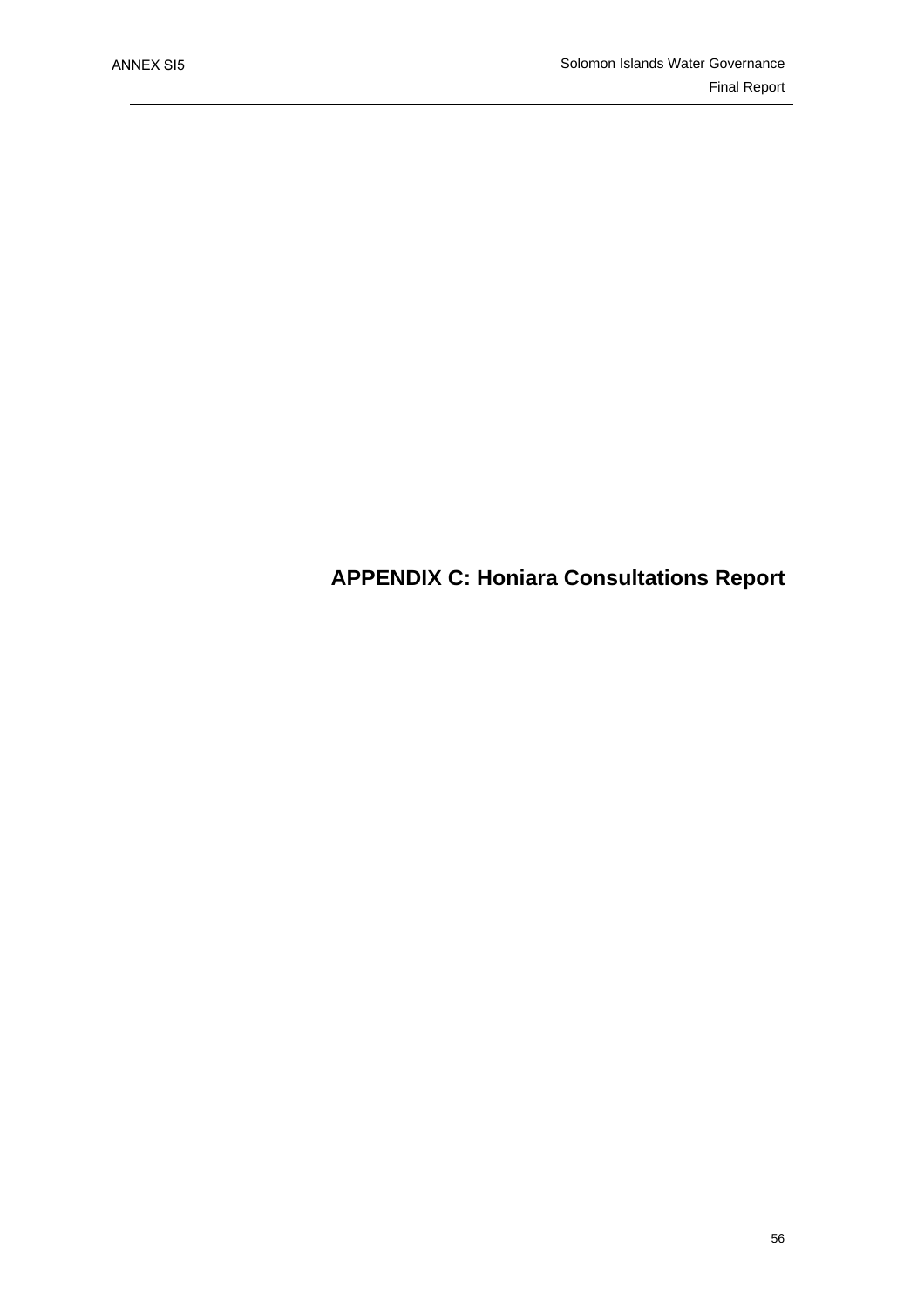# **APPENDIX C: Honiara Consultations Report**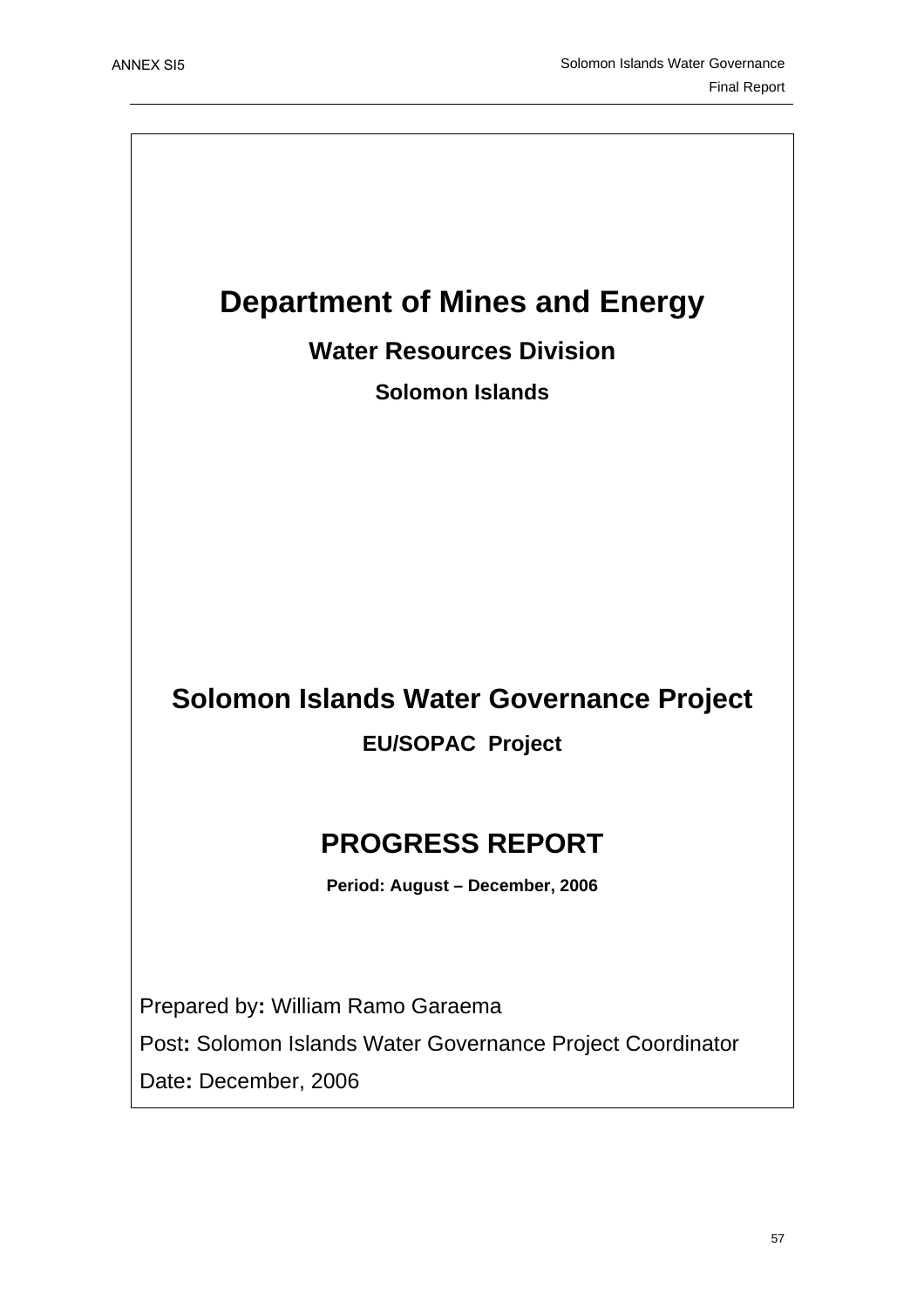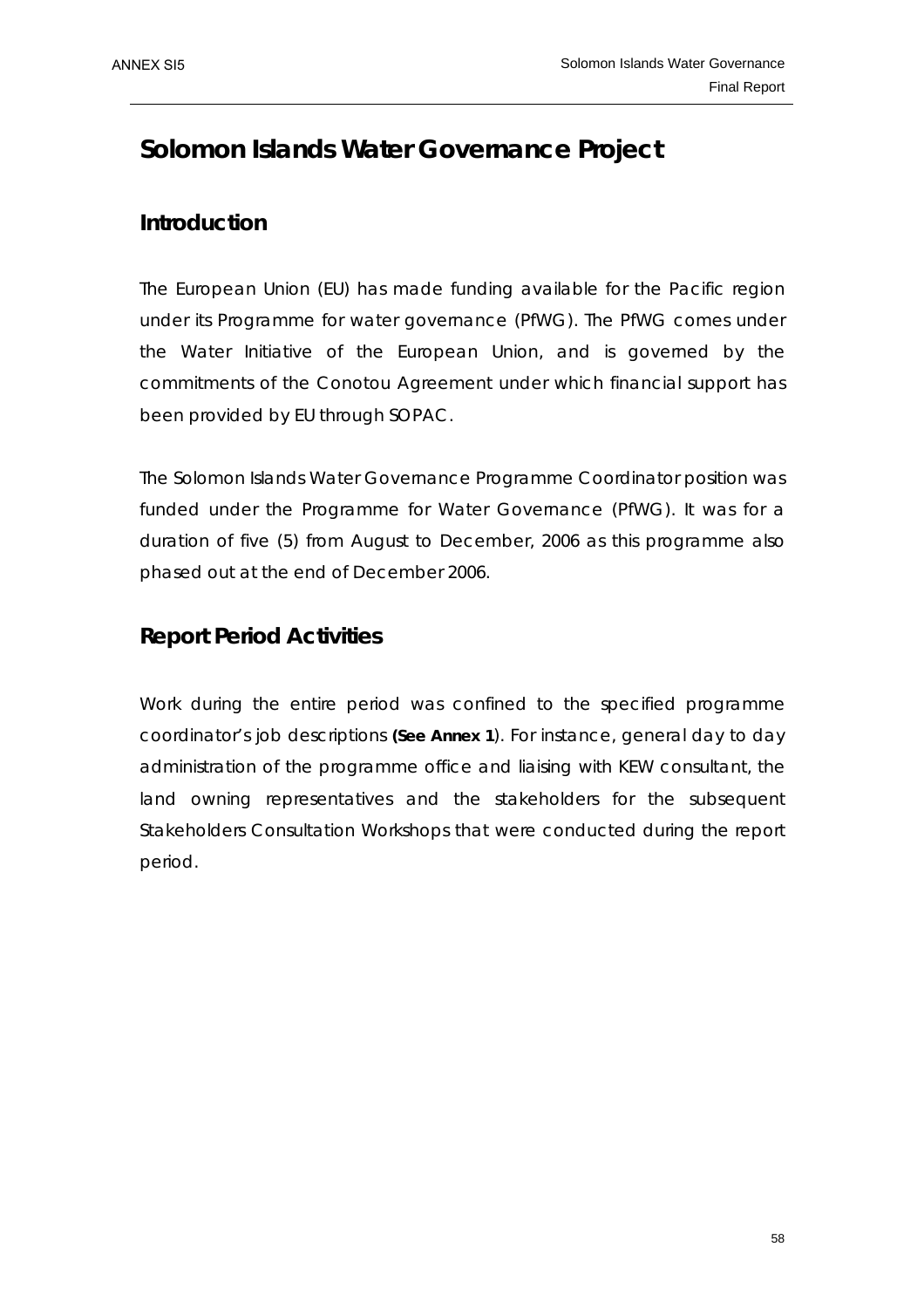## **Solomon Islands Water Governance Project**

## **Introduction**

The European Union (EU) has made funding available for the Pacific region under its Programme for water governance (PfWG). The PfWG comes under the Water Initiative of the European Union, and is governed by the commitments of the Conotou Agreement under which financial support has been provided by EU through SOPAC.

The Solomon Islands Water Governance Programme Coordinator position was funded under the Programme for Water Governance (PfWG). It was for a duration of five (5) from August to December, 2006 as this programme also phased out at the end of December 2006.

## **Report Period Activities**

Work during the entire period was confined to the specified programme coordinator's job descriptions *(See Annex 1*). For instance, general day to day administration of the programme office and liaising with KEW consultant, the land owning representatives and the stakeholders for the subsequent Stakeholders Consultation Workshops that were conducted during the report period.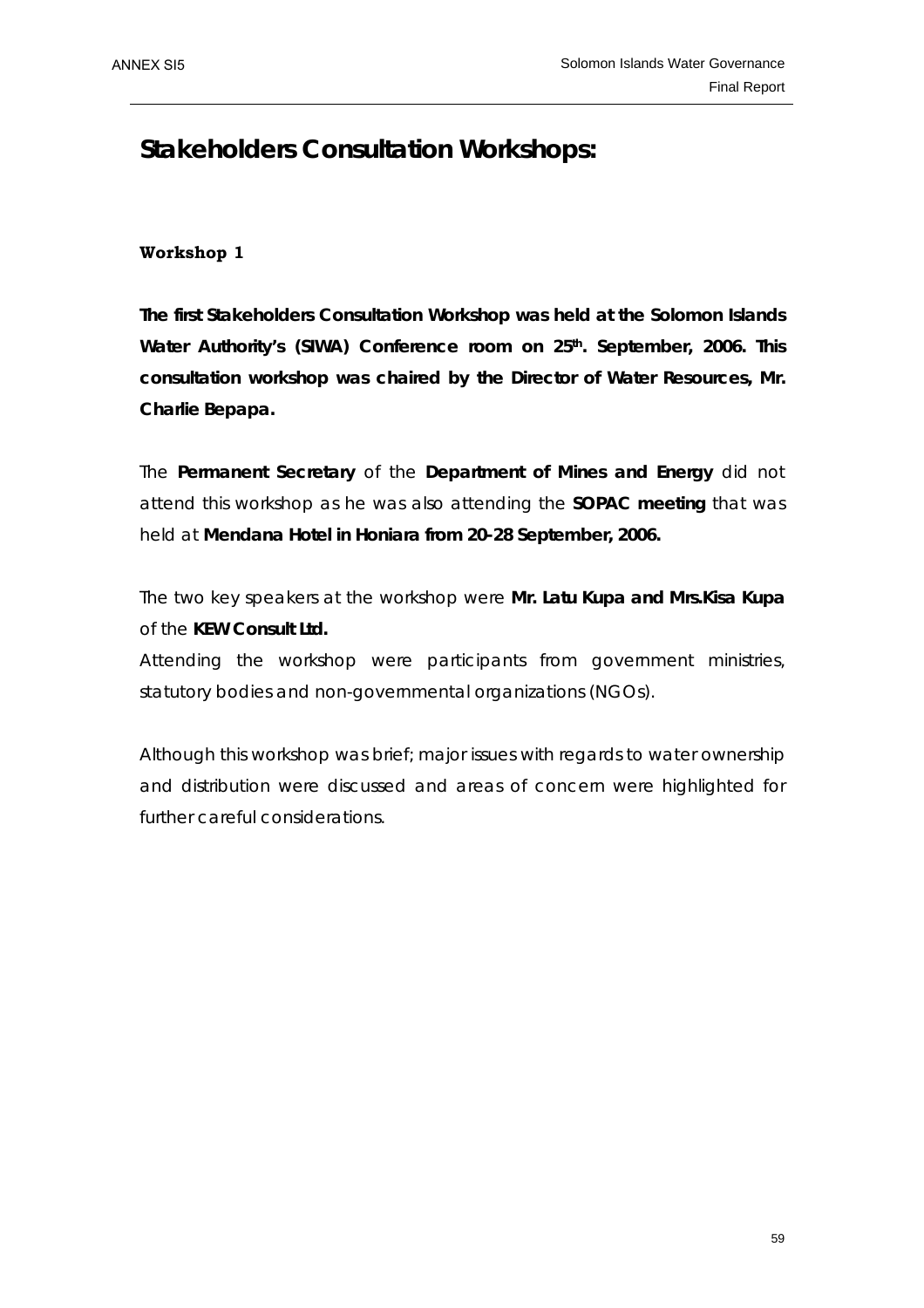## **Stakeholders Consultation Workshops:**

### **Workshop 1**

**The first Stakeholders Consultation Workshop was held at the Solomon Islands**  Water Authority's (SIWA) Conference room on 25<sup>th</sup>. September, 2006. This **consultation workshop was chaired by the Director of Water Resources, Mr. Charlie Bepapa.** 

The **Permanent Secretary** of the **Department of Mines and Energy** did not attend this workshop as he was also attending the **SOPAC meeting** that was held at **Mendana Hotel in Honiara from 20-28 September, 2006.**

The two key speakers at the workshop were **Mr. Latu Kupa and Mrs.Kisa Kupa** of the **KEW Consult Ltd.**

Attending the workshop were participants from government ministries, statutory bodies and non-governmental organizations (NGOs).

Although this workshop was brief; major issues with regards to water ownership and distribution were discussed and areas of concern were highlighted for further careful considerations.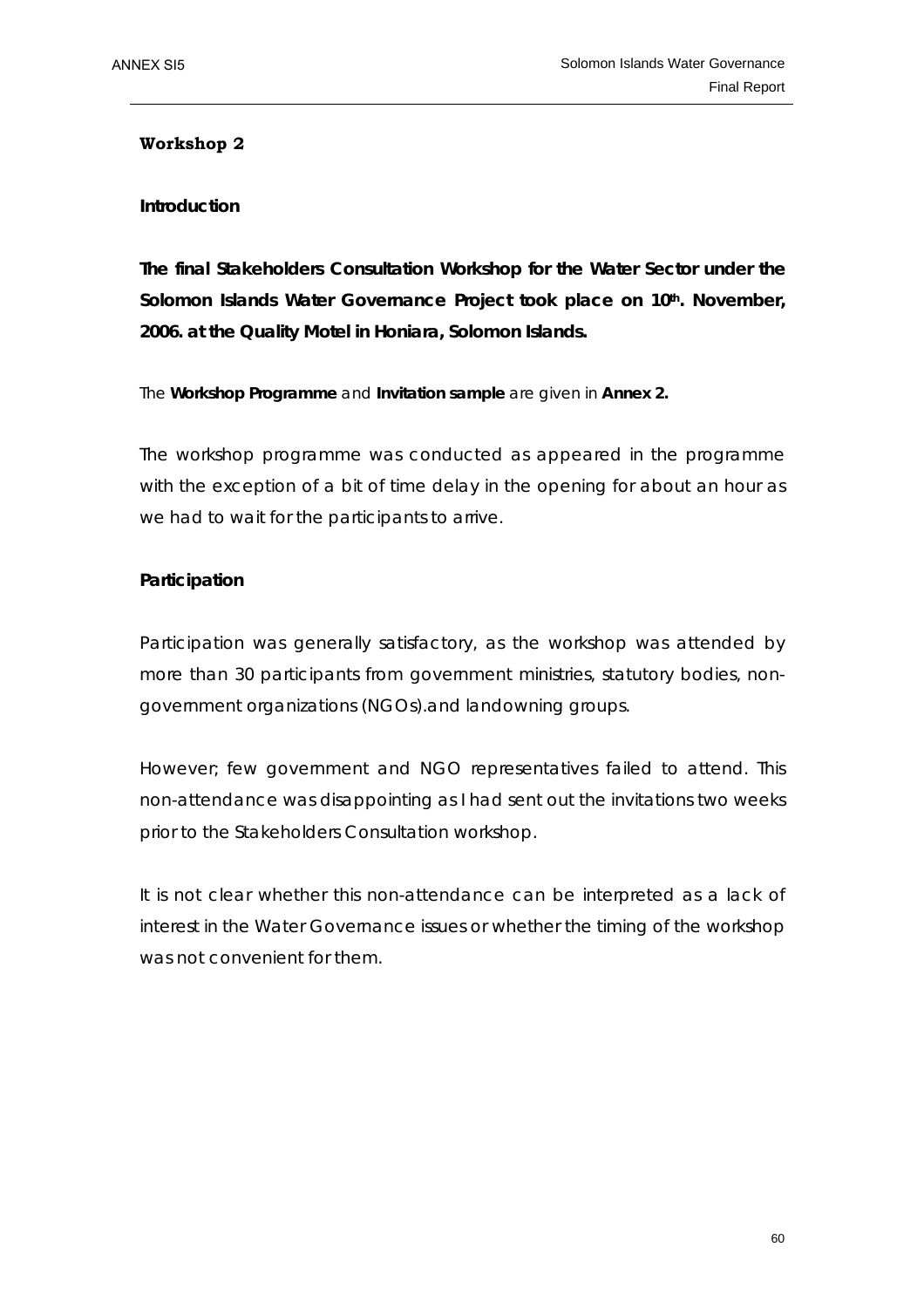### **Workshop 2**

### **Introduction**

**The final Stakeholders Consultation Workshop for the Water Sector under the Solomon Islands Water Governance Project took place on 10th. November, 2006. at the Quality Motel in Honiara, Solomon Islands.** 

### *The Workshop Programme and Invitation sample are given in Annex 2.*

The workshop programme was conducted as appeared in the programme with the exception of a bit of time delay in the opening for about an hour as we had to wait for the participants to arrive.

### **Participation**

Participation was generally satisfactory, as the workshop was attended by more than 30 participants from government ministries, statutory bodies, nongovernment organizations (NGOs).and landowning groups.

However; few government and NGO representatives failed to attend. This non-attendance was disappointing as I had sent out the invitations two weeks prior to the Stakeholders Consultation workshop.

It is not clear whether this non-attendance can be interpreted as a lack of interest in the Water Governance issues or whether the timing of the workshop was not convenient for them.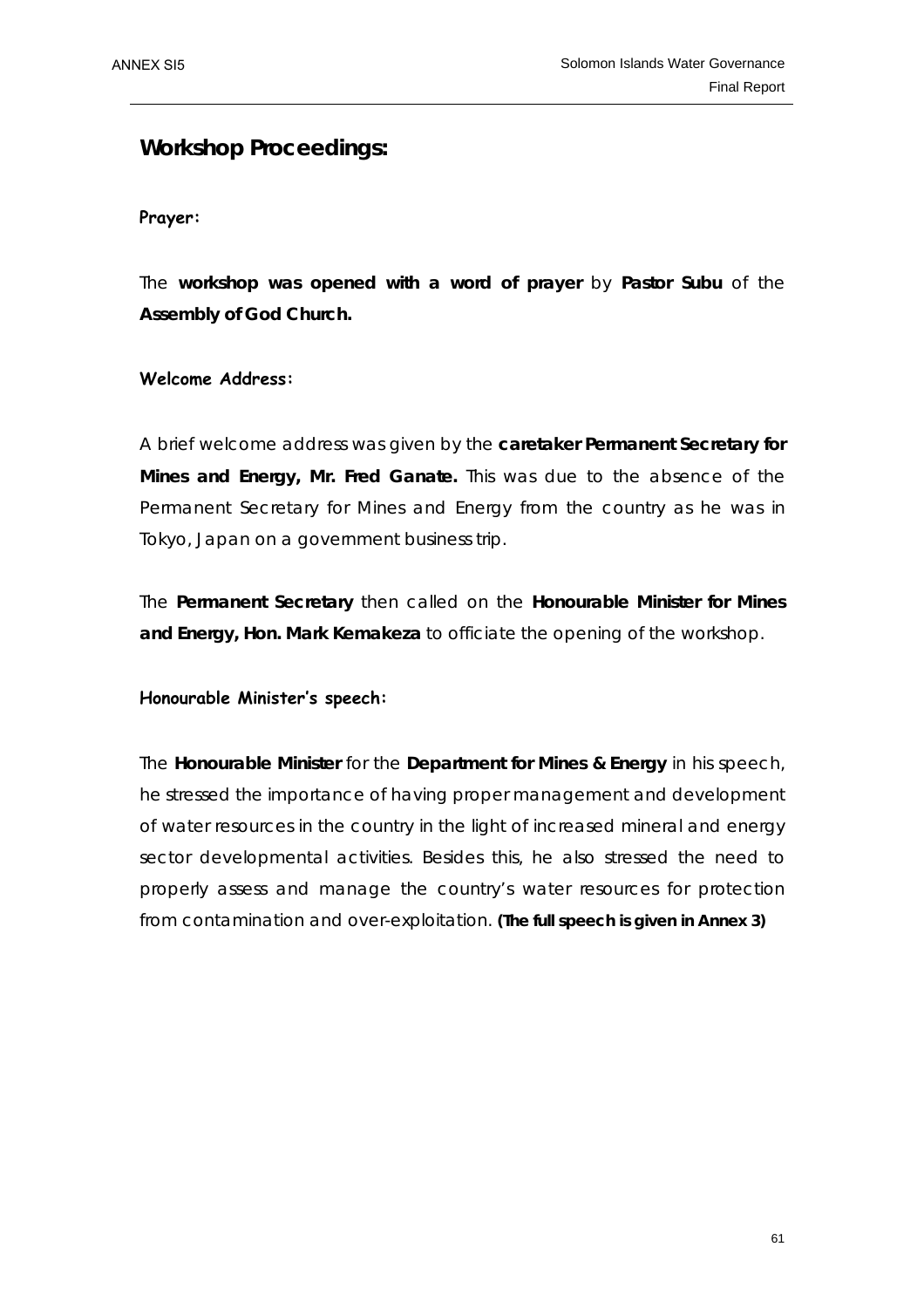### **Workshop Proceedings:**

### **Prayer:**

The **workshop was opened with a word of prayer** by **Pastor Subu** of the **Assembly of God Church.** 

### **Welcome Address:**

A brief welcome address was given by the **caretaker Permanent Secretary for Mines and Energy, Mr. Fred Ganate.** This was due to the absence of the Permanent Secretary for Mines and Energy from the country as he was in Tokyo, Japan on a government business trip.

The **Permanent Secretary** then called on the **Honourable Minister for Mines and Energy, Hon. Mark Kemakeza** to officiate the opening of the workshop.

### **Honourable Minister's speech:**

The **Honourable Minister** for the **Department for Mines & Energy** in his speech, he stressed the importance of having proper management and development of water resources in the country in the light of increased mineral and energy sector developmental activities. Besides this, he also stressed the need to properly assess and manage the country's water resources for protection from contamination and over-exploitation. *(The full speech is given in Annex 3)*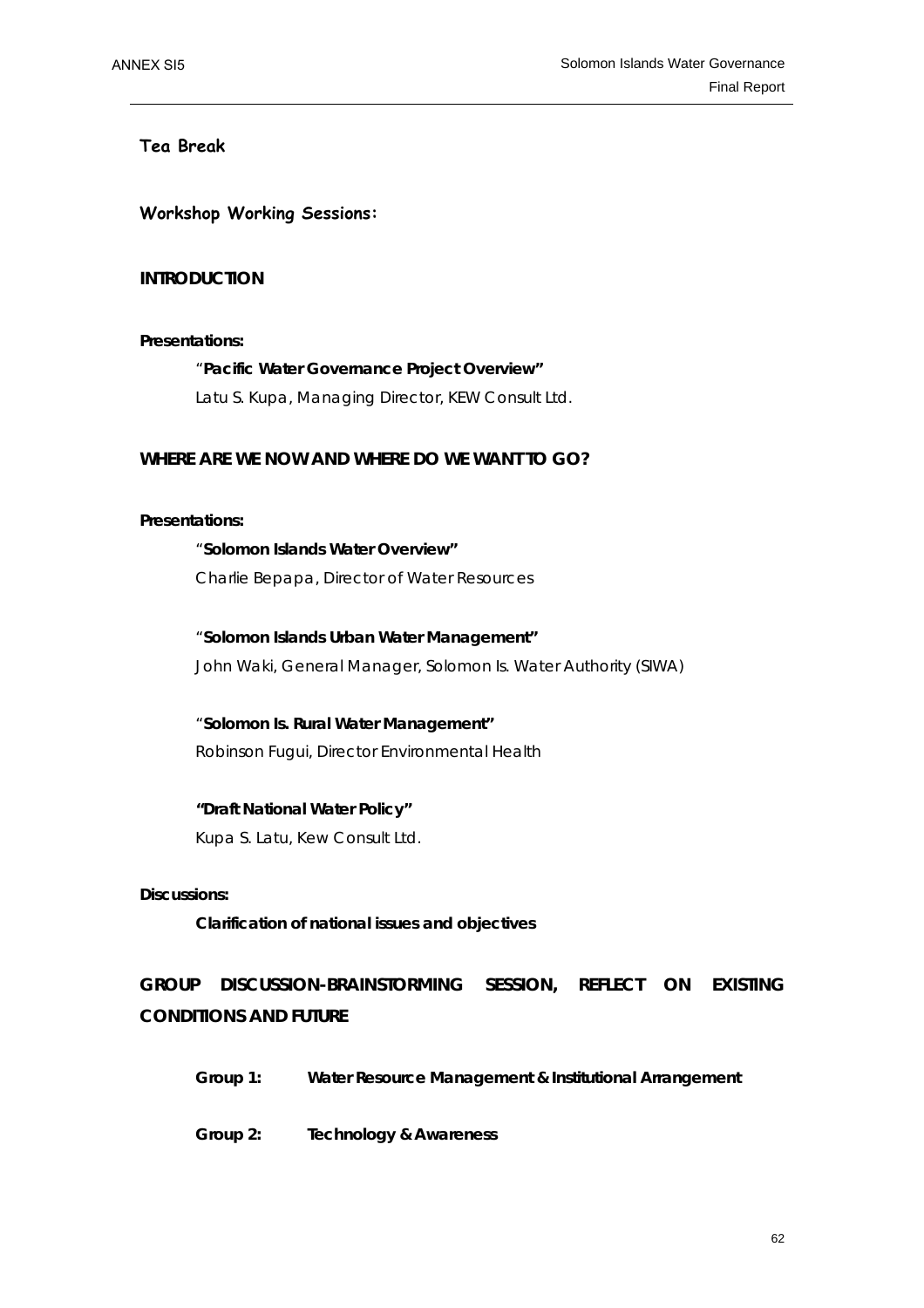### **Tea Break**

**Workshop Working Sessions:** 

### **INTRODUCTION**

### **Presentations:**

### "**Pacific Water Governance Project Overview"**

Latu S. Kupa, Managing Director, KEW Consult Ltd.

### **WHERE ARE WE NOW AND WHERE DO WE WANT TO GO?**

### **Presentations:**

## "**Solomon Islands Water Overview"**  Charlie Bepapa, Director of Water Resources

 "**Solomon Islands Urban Water Management"**  John Waki, General Manager, Solomon Is. Water Authority (SIWA)

 "**Solomon Is. Rural Water Management"**  Robinson Fugui, Director Environmental Health

### **"Draft National Water Policy"**  Kupa S. Latu, Kew Consult Ltd.

### **Discussions:**

**Clarification of national issues and objectives** 

**GROUP DISCUSSION-BRAINSTORMING SESSION, REFLECT ON EXISTING CONDITIONS AND FUTURE** 

 **Group 1: Water Resource Management & Institutional Arrangement** 

 **Group 2: Technology & Awareness**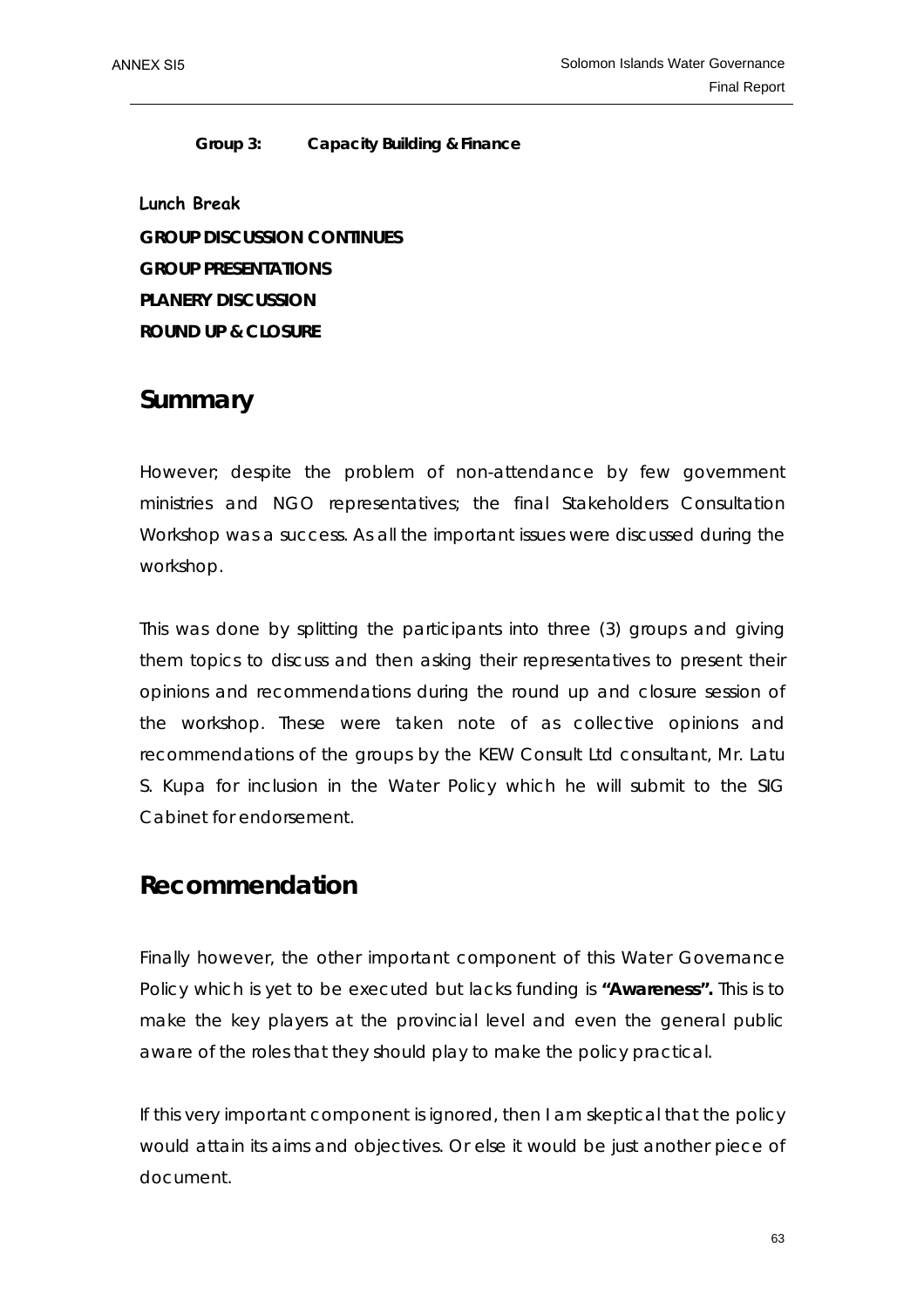### **Group 3: Capacity Building & Finance**

**Lunch Break GROUP DISCUSSION CONTINUES GROUP PRESENTATIONS PLANERY DISCUSSION ROUND UP & CLOSURE** 

## **Summary**

However; despite the problem of non-attendance by few government ministries and NGO representatives; the final Stakeholders Consultation Workshop was a success. As all the important issues were discussed during the workshop.

This was done by splitting the participants into three (3) groups and giving them topics to discuss and then asking their representatives to present their opinions and recommendations during the round up and closure session of the workshop. These were taken note of as collective opinions and recommendations of the groups by the KEW Consult Ltd consultant, Mr. Latu S. Kupa for inclusion in the Water Policy which he will submit to the SIG Cabinet for endorsement.

## **Recommendation**

Finally however, the other important component of this Water Governance Policy which is yet to be executed but lacks funding is **"Awareness".** This is to make the key players at the provincial level and even the general public aware of the roles that they should play to make the policy practical.

If this very important component is ignored, then I am skeptical that the policy would attain its aims and objectives. Or else it would be just another piece of document.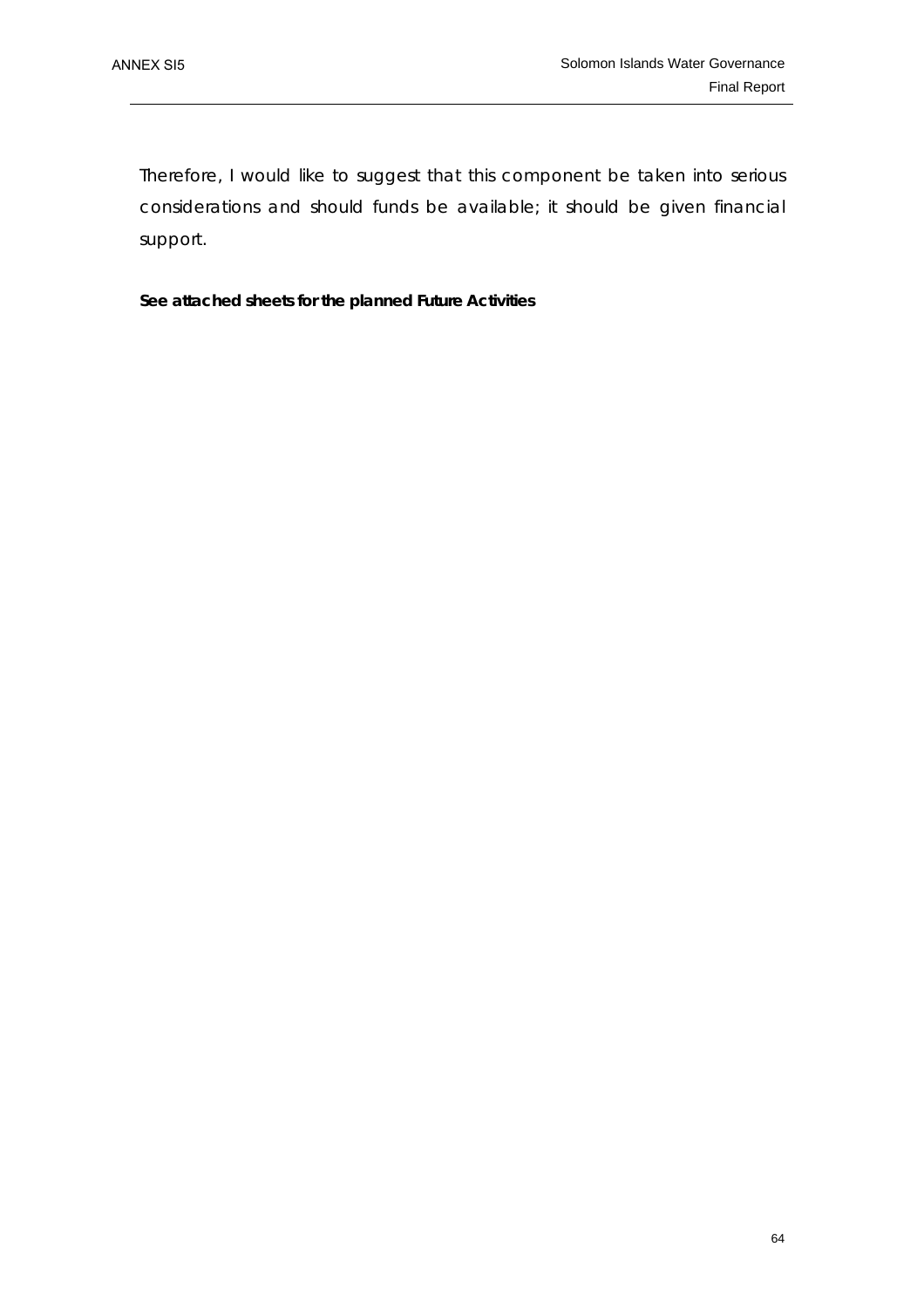Therefore, I would like to suggest that this component be taken into serious considerations and should funds be available; it should be given financial support.

**See attached sheets for the planned Future Activities**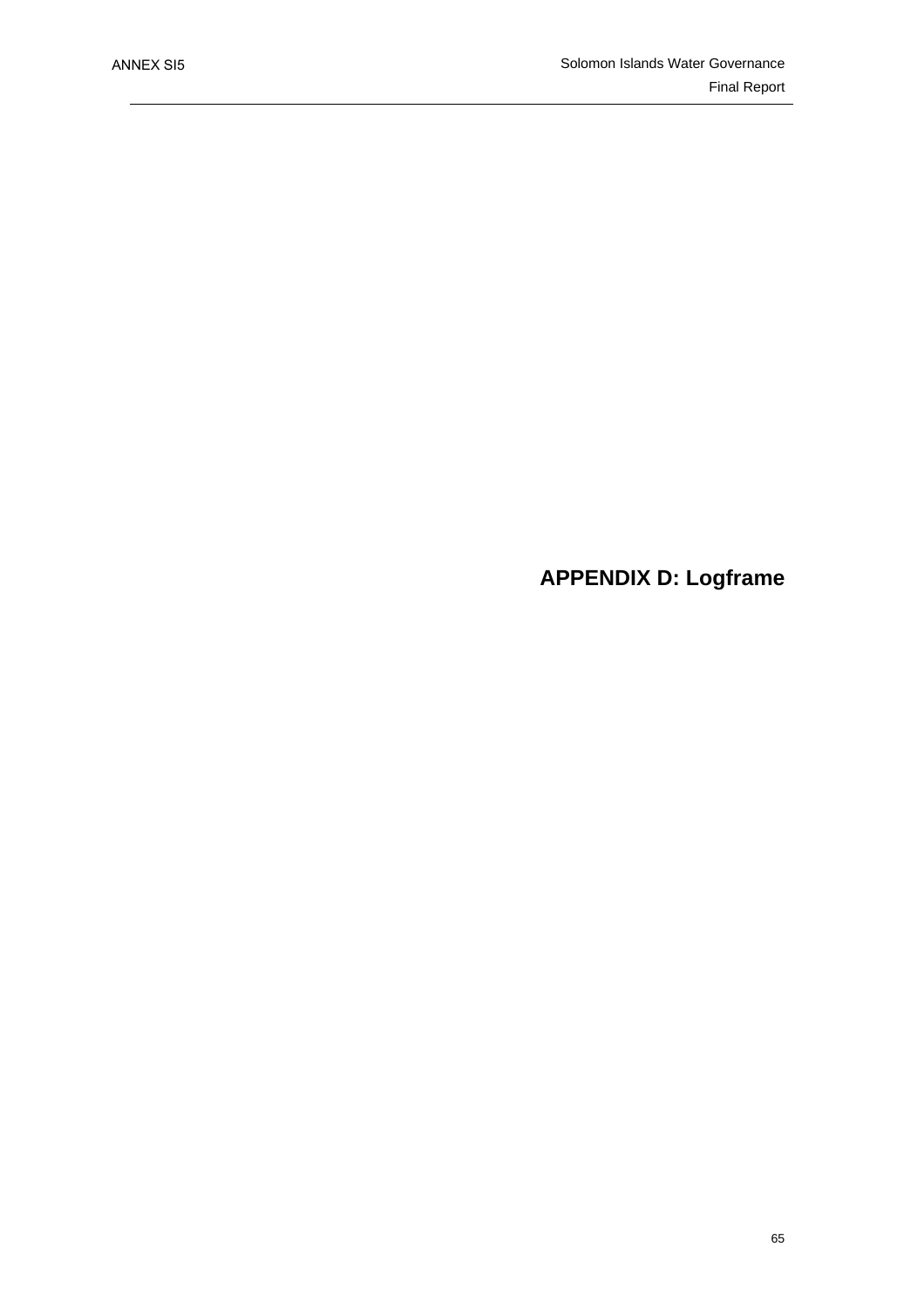## **APPENDIX D: Logframe**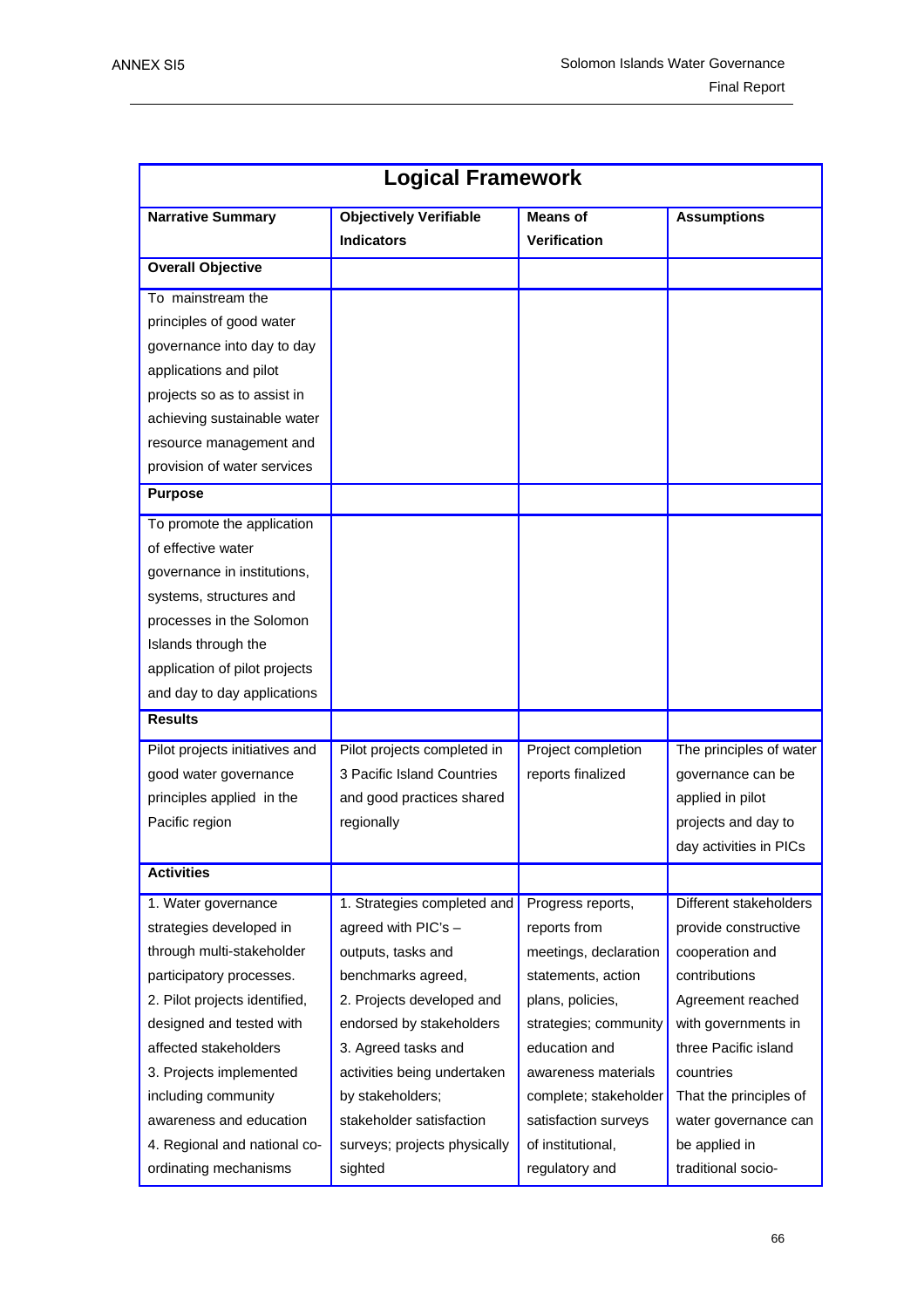| <b>Logical Framework</b>                               |                               |                                        |                         |  |  |
|--------------------------------------------------------|-------------------------------|----------------------------------------|-------------------------|--|--|
| <b>Narrative Summary</b>                               | <b>Objectively Verifiable</b> | <b>Means of</b>                        | <b>Assumptions</b>      |  |  |
|                                                        | <b>Indicators</b>             | <b>Verification</b>                    |                         |  |  |
| <b>Overall Objective</b>                               |                               |                                        |                         |  |  |
| To mainstream the                                      |                               |                                        |                         |  |  |
| principles of good water                               |                               |                                        |                         |  |  |
| governance into day to day                             |                               |                                        |                         |  |  |
| applications and pilot                                 |                               |                                        |                         |  |  |
| projects so as to assist in                            |                               |                                        |                         |  |  |
| achieving sustainable water                            |                               |                                        |                         |  |  |
| resource management and                                |                               |                                        |                         |  |  |
| provision of water services                            |                               |                                        |                         |  |  |
| <b>Purpose</b>                                         |                               |                                        |                         |  |  |
| To promote the application                             |                               |                                        |                         |  |  |
| of effective water                                     |                               |                                        |                         |  |  |
| governance in institutions,                            |                               |                                        |                         |  |  |
| systems, structures and                                |                               |                                        |                         |  |  |
| processes in the Solomon                               |                               |                                        |                         |  |  |
| Islands through the                                    |                               |                                        |                         |  |  |
| application of pilot projects                          |                               |                                        |                         |  |  |
| and day to day applications                            |                               |                                        |                         |  |  |
| <b>Results</b>                                         |                               |                                        |                         |  |  |
| Pilot projects initiatives and                         | Pilot projects completed in   | Project completion                     | The principles of water |  |  |
| good water governance                                  | 3 Pacific Island Countries    | reports finalized                      | governance can be       |  |  |
| principles applied in the                              | and good practices shared     |                                        | applied in pilot        |  |  |
| Pacific region                                         | regionally                    |                                        | projects and day to     |  |  |
|                                                        |                               |                                        | day activities in PICs  |  |  |
| <b>Activities</b>                                      |                               |                                        |                         |  |  |
| 1. Water governance                                    | 1. Strategies completed and   | Progress reports,                      | Different stakeholders  |  |  |
| strategies developed in                                | agreed with PIC's -           | reports from                           | provide constructive    |  |  |
| through multi-stakeholder                              | outputs, tasks and            | meetings, declaration                  | cooperation and         |  |  |
| participatory processes.                               | benchmarks agreed,            |                                        | contributions           |  |  |
| 2. Pilot projects identified,                          | 2. Projects developed and     |                                        | Agreement reached       |  |  |
| designed and tested with                               | endorsed by stakeholders      |                                        | with governments in     |  |  |
| affected stakeholders<br>3. Agreed tasks and           |                               | strategies; community<br>education and | three Pacific island    |  |  |
| activities being undertaken<br>3. Projects implemented |                               | awareness materials                    | countries               |  |  |
| including community<br>by stakeholders;                |                               | complete; stakeholder                  | That the principles of  |  |  |
| awareness and education<br>stakeholder satisfaction    |                               | satisfaction surveys                   | water governance can    |  |  |
| 4. Regional and national co-                           | surveys; projects physically  | of institutional,                      | be applied in           |  |  |
| ordinating mechanisms                                  | sighted                       | regulatory and                         | traditional socio-      |  |  |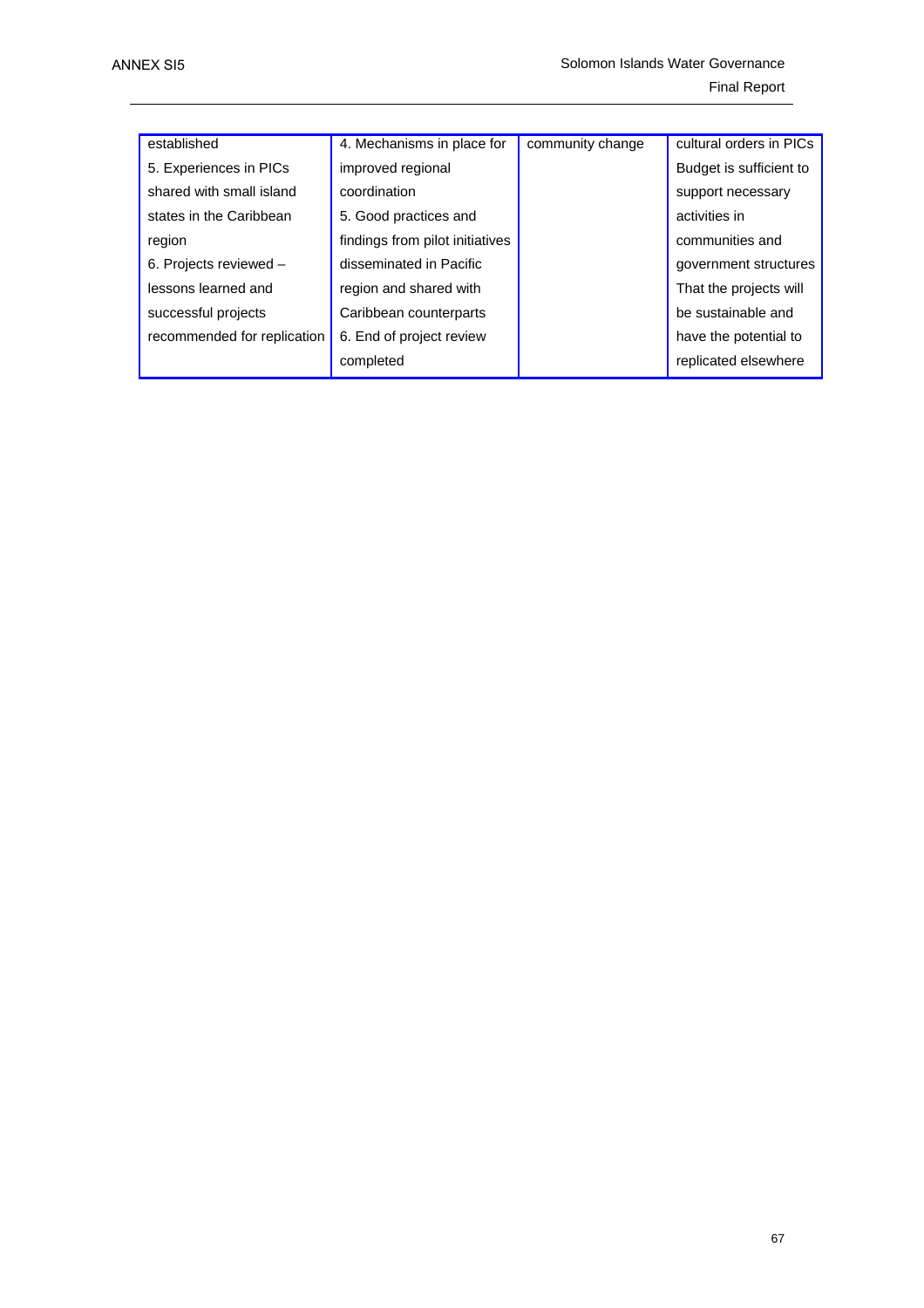| established                 | 4. Mechanisms in place for      | community change | cultural orders in PICs |  |
|-----------------------------|---------------------------------|------------------|-------------------------|--|
| 5. Experiences in PICs      | improved regional               |                  | Budget is sufficient to |  |
| shared with small island    | coordination                    |                  | support necessary       |  |
| states in the Caribbean     | 5. Good practices and           |                  | activities in           |  |
| region                      | findings from pilot initiatives |                  | communities and         |  |
| 6. Projects reviewed -      | disseminated in Pacific         |                  | government structures   |  |
| lessons learned and         | region and shared with          |                  | That the projects will  |  |
| successful projects         | Caribbean counterparts          |                  | be sustainable and      |  |
| recommended for replication | 6. End of project review        |                  | have the potential to   |  |
|                             | completed                       |                  | replicated elsewhere    |  |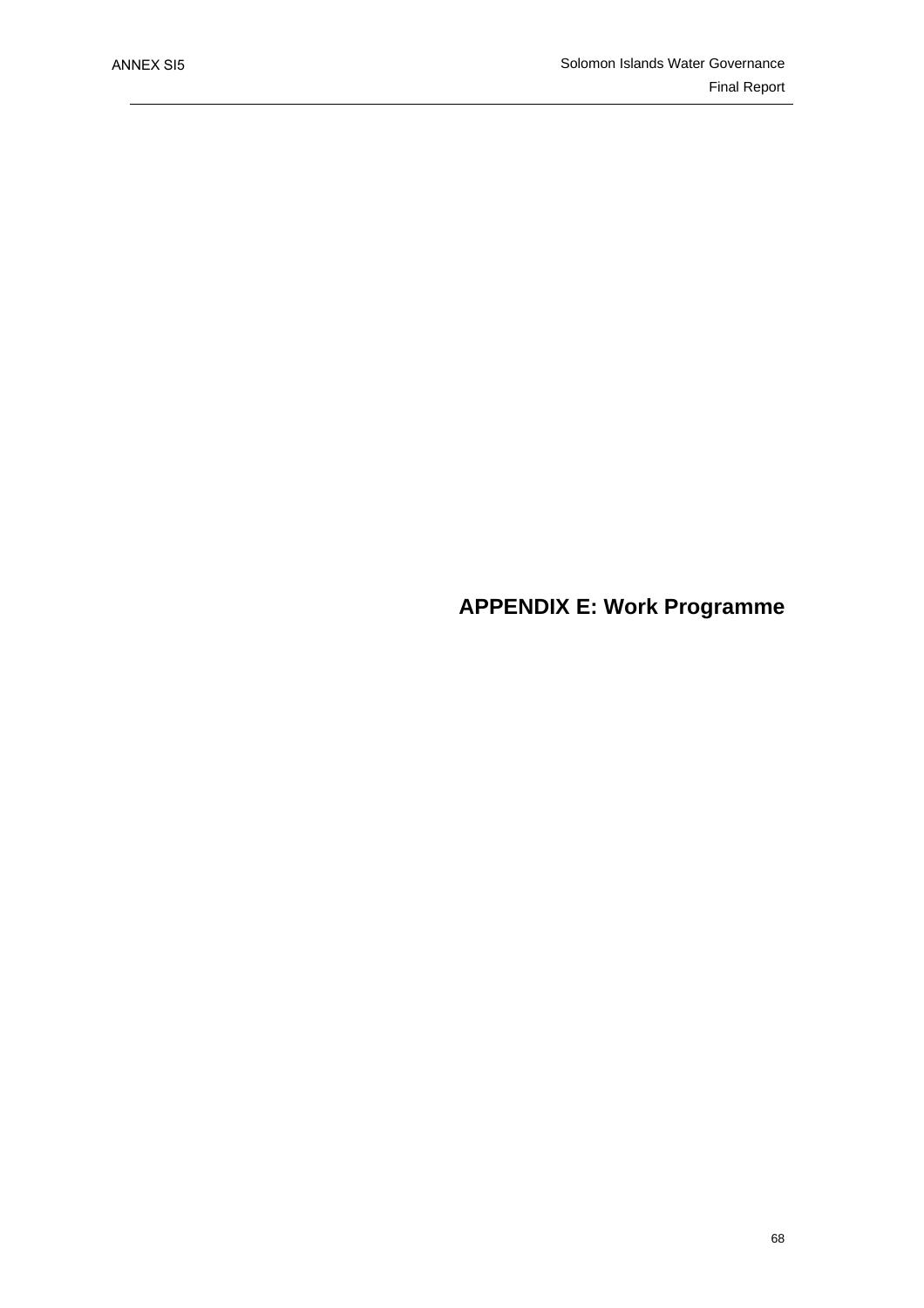## **APPENDIX E: Work Programme**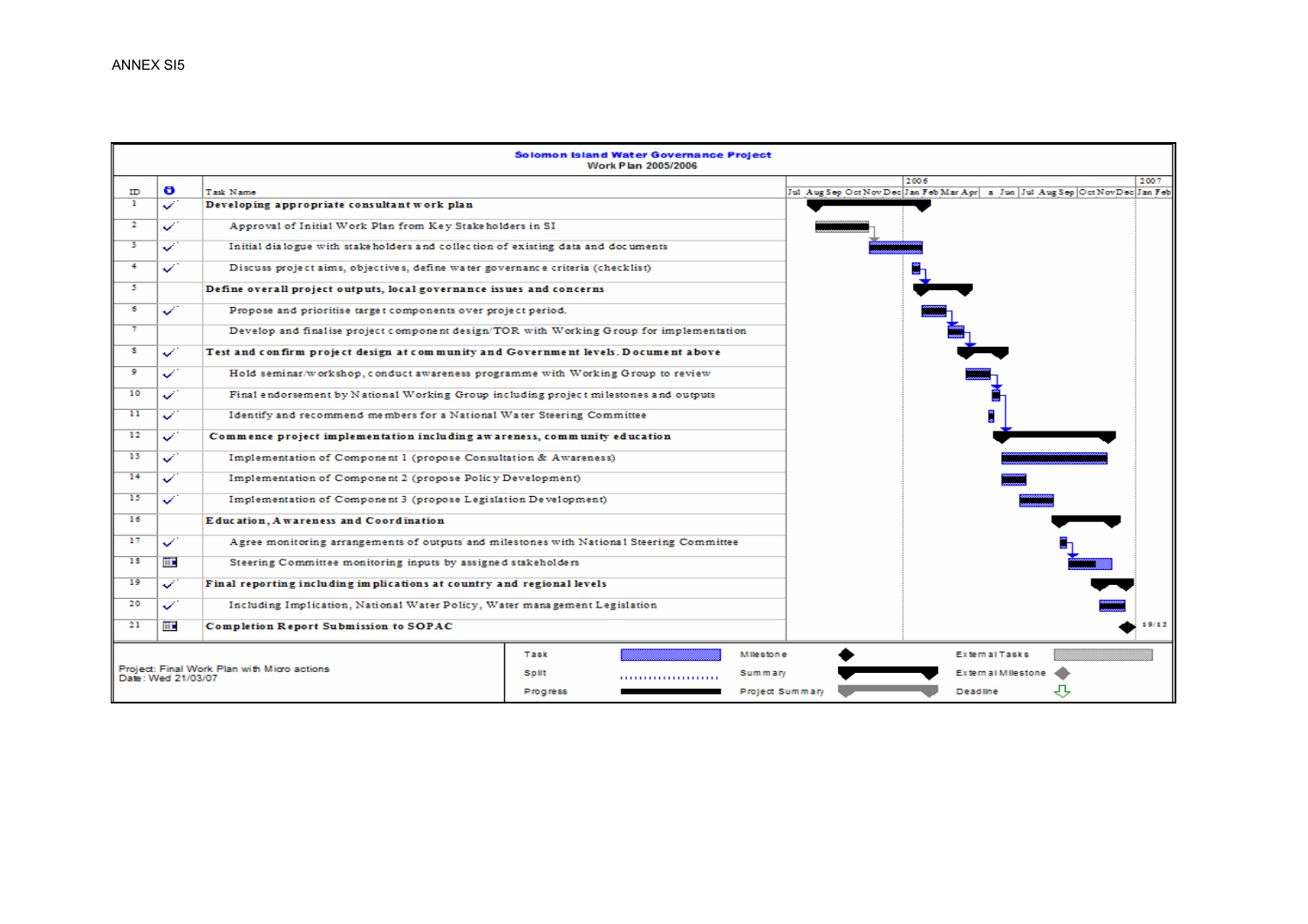|                                             |               |                                                                                          |          | Solomon Island Water Governance Project<br>Work Plan 2005/2006 |                  |      |                           |                                                                                     |
|---------------------------------------------|---------------|------------------------------------------------------------------------------------------|----------|----------------------------------------------------------------|------------------|------|---------------------------|-------------------------------------------------------------------------------------|
|                                             |               |                                                                                          |          |                                                                |                  | 2006 |                           | 2007                                                                                |
| ID<br>п.                                    | ð<br>s        | Task Namo<br>Developing appropriate consultant work plan                                 |          |                                                                |                  |      |                           | Jul Aug Sep Oct Nov Dec Jan Feb Mar Apr   a Jun   Jul Aug Sep   Oct Nov Dec Jan Feb |
|                                             |               |                                                                                          |          |                                                                |                  |      |                           |                                                                                     |
| 2                                           | ✓             | Approval of Initial Work Plan from Key Stakeholders in SI                                |          |                                                                |                  |      |                           |                                                                                     |
| з                                           | ✓             | Initial dialogue with stakeholders and collection of existing data and documents         |          |                                                                |                  |      |                           |                                                                                     |
| 4                                           | $\mathscr{L}$ | Discuss project aims, objectives, define water governance criteria (checklist)           |          |                                                                |                  |      |                           |                                                                                     |
| 5.                                          |               | Define overall project outputs, local governance issues and concerns                     |          |                                                                |                  |      |                           |                                                                                     |
| 6                                           | ✓             | Propose and prioritise target components over project period.                            |          |                                                                |                  |      |                           |                                                                                     |
| π                                           |               | Develop and finalise project component design/TOR with Working Group for implementation  |          |                                                                |                  |      |                           |                                                                                     |
| s                                           | ✓             | Test and confirm project design at community and Government levels. Document above       |          |                                                                |                  |      |                           |                                                                                     |
| 9                                           | ✓             | Hold seminar/workshop, conduct awareness programme with Working Group to review          |          |                                                                |                  |      |                           |                                                                                     |
| 10                                          | ✓             | Final endorsement by National Working Group including project milestones and outputs     |          |                                                                |                  |      |                           |                                                                                     |
| 11                                          | ✓             | Identify and recommend members for a National Water Steering Committee                   |          |                                                                |                  |      |                           |                                                                                     |
| 12                                          | ✓             | Commence project implementation including awareness, community education                 |          |                                                                |                  |      |                           |                                                                                     |
| 13                                          | ✓             | Implementation of Component 1 (propose Consultation & Awareness)                         |          |                                                                |                  |      |                           |                                                                                     |
| 14                                          | ✓             | Implementation of Component 2 (propose Policy Development)                               |          |                                                                |                  |      |                           |                                                                                     |
| 15                                          | ✓             | Implementation of Component 3 (propose Legislation Development)                          |          |                                                                |                  |      |                           |                                                                                     |
| 16                                          |               | Education, Awareness and Coordination                                                    |          |                                                                |                  |      |                           |                                                                                     |
| 17                                          | $\checkmark$  | Agree monitoring arrangements of outputs and milestones with National Steering Committee |          |                                                                |                  |      |                           |                                                                                     |
| 18                                          | 田             | Steering Committee monitoring inputs by assigned stakeholders                            |          |                                                                |                  |      |                           |                                                                                     |
| 19                                          | ✓             | Final reporting including implications at country and regional levels                    |          |                                                                |                  |      |                           |                                                                                     |
| 20                                          | J.            | Including Implication, National Water Policy, Water management Legislation               |          |                                                                |                  |      |                           |                                                                                     |
| 21                                          | H.            | <b>Completion Report Submission to SOPAC</b>                                             |          |                                                                |                  |      |                           | 19/12                                                                               |
|                                             |               |                                                                                          | Task     |                                                                | <b>Milestone</b> |      | <b>External Tasks</b>     |                                                                                     |
| Project: Final Work Plan with Micro actions |               |                                                                                          | Spilt    |                                                                | Summary          |      | <b>External Milestone</b> |                                                                                     |
| Date: Wed 21/03/07                          |               |                                                                                          |          |                                                                |                  |      | Deadline                  |                                                                                     |
|                                             |               |                                                                                          | Progress |                                                                | Project Summary  |      |                           |                                                                                     |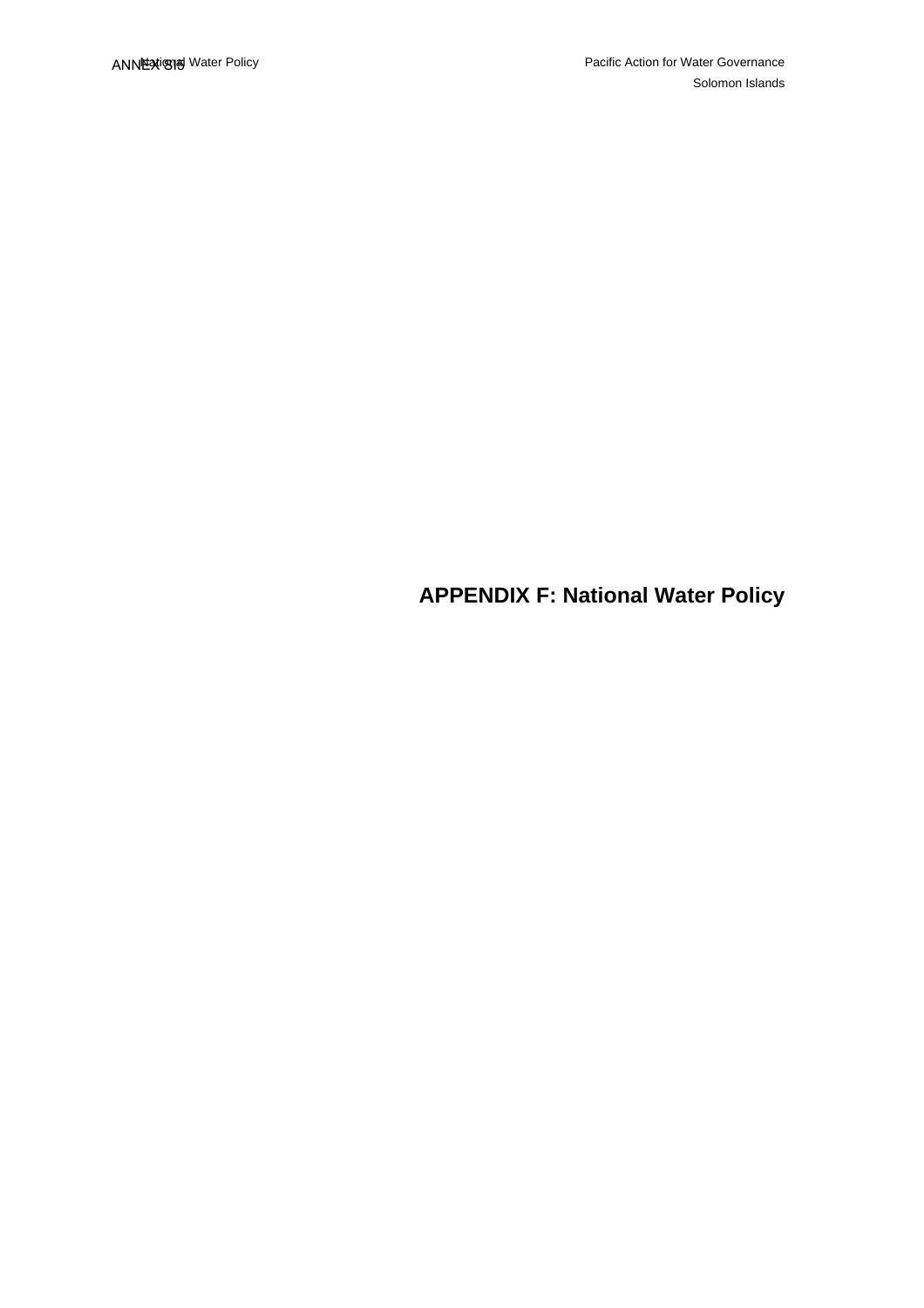**APPENDIX F: National Water Policy**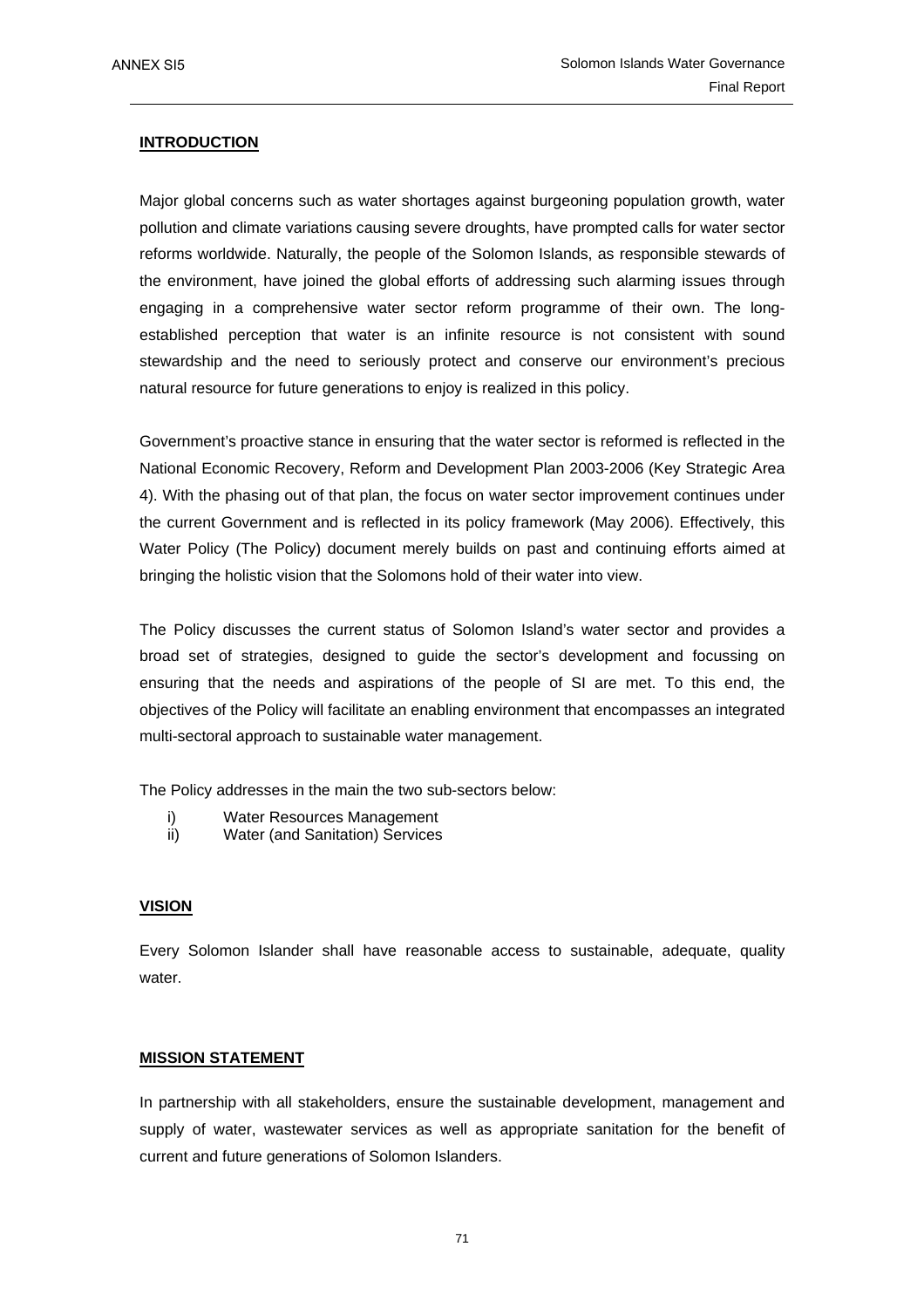### **INTRODUCTION**

Major global concerns such as water shortages against burgeoning population growth, water pollution and climate variations causing severe droughts, have prompted calls for water sector reforms worldwide. Naturally, the people of the Solomon Islands, as responsible stewards of the environment, have joined the global efforts of addressing such alarming issues through engaging in a comprehensive water sector reform programme of their own. The longestablished perception that water is an infinite resource is not consistent with sound stewardship and the need to seriously protect and conserve our environment's precious natural resource for future generations to enjoy is realized in this policy.

Government's proactive stance in ensuring that the water sector is reformed is reflected in the National Economic Recovery, Reform and Development Plan 2003-2006 (Key Strategic Area 4). With the phasing out of that plan, the focus on water sector improvement continues under the current Government and is reflected in its policy framework (May 2006). Effectively, this Water Policy (The Policy) document merely builds on past and continuing efforts aimed at bringing the holistic vision that the Solomons hold of their water into view.

The Policy discusses the current status of Solomon Island's water sector and provides a broad set of strategies, designed to guide the sector's development and focussing on ensuring that the needs and aspirations of the people of SI are met. To this end, the objectives of the Policy will facilitate an enabling environment that encompasses an integrated multi-sectoral approach to sustainable water management.

The Policy addresses in the main the two sub-sectors below:

- i) Water Resources Management
- ii) Water (and Sanitation) Services

#### **VISION**

Every Solomon Islander shall have reasonable access to sustainable, adequate, quality water.

#### **MISSION STATEMENT**

In partnership with all stakeholders, ensure the sustainable development, management and supply of water, wastewater services as well as appropriate sanitation for the benefit of current and future generations of Solomon Islanders.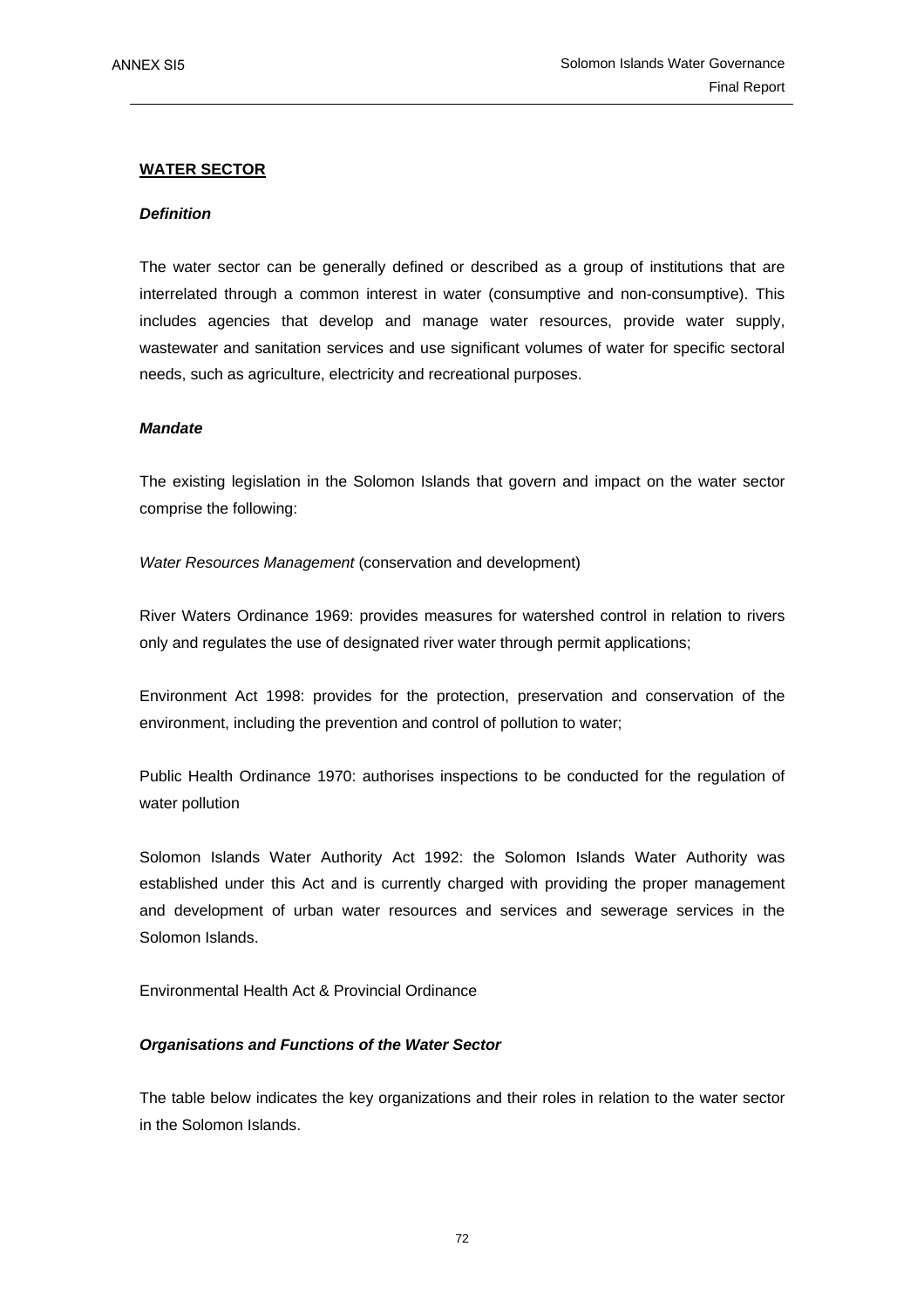### **WATER SECTOR**

#### *Definition*

The water sector can be generally defined or described as a group of institutions that are interrelated through a common interest in water (consumptive and non-consumptive). This includes agencies that develop and manage water resources, provide water supply, wastewater and sanitation services and use significant volumes of water for specific sectoral needs, such as agriculture, electricity and recreational purposes.

#### *Mandate*

The existing legislation in the Solomon Islands that govern and impact on the water sector comprise the following:

#### *Water Resources Management* (conservation and development)

River Waters Ordinance 1969: provides measures for watershed control in relation to rivers only and regulates the use of designated river water through permit applications;

Environment Act 1998: provides for the protection, preservation and conservation of the environment, including the prevention and control of pollution to water;

Public Health Ordinance 1970: authorises inspections to be conducted for the regulation of water pollution

Solomon Islands Water Authority Act 1992: the Solomon Islands Water Authority was established under this Act and is currently charged with providing the proper management and development of urban water resources and services and sewerage services in the Solomon Islands.

Environmental Health Act & Provincial Ordinance

#### *Organisations and Functions of the Water Sector*

The table below indicates the key organizations and their roles in relation to the water sector in the Solomon Islands.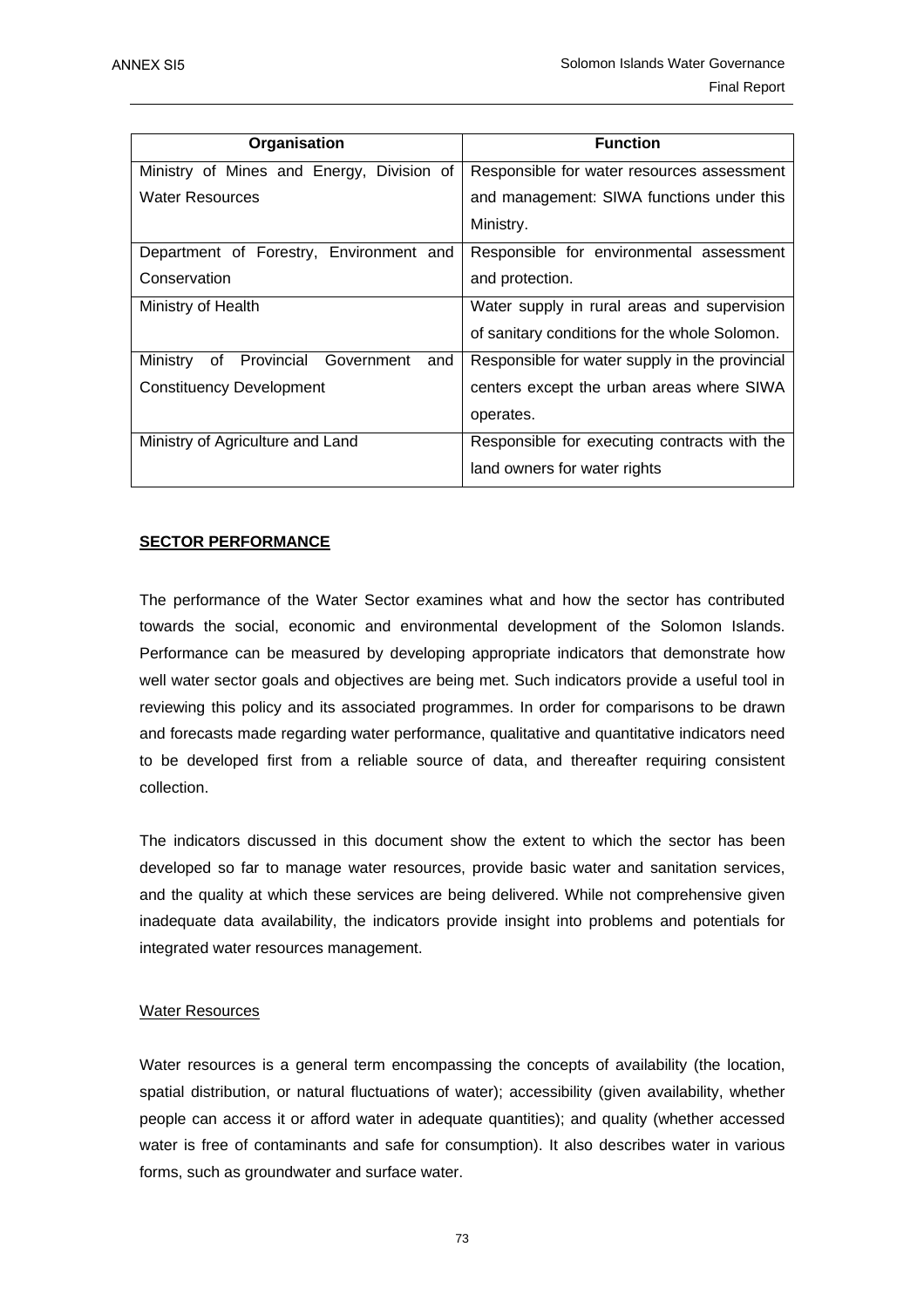| Organisation                                | <b>Function</b>                                |
|---------------------------------------------|------------------------------------------------|
| Ministry of Mines and Energy, Division of   | Responsible for water resources assessment     |
| <b>Water Resources</b>                      | and management: SIWA functions under this      |
|                                             | Ministry.                                      |
| Department of Forestry, Environment and     | Responsible for environmental assessment       |
| Conservation                                | and protection.                                |
| Ministry of Health                          | Water supply in rural areas and supervision    |
|                                             | of sanitary conditions for the whole Solomon.  |
| of Provincial Government<br>Ministrv<br>and | Responsible for water supply in the provincial |
| <b>Constituency Development</b>             | centers except the urban areas where SIWA      |
|                                             | operates.                                      |
| Ministry of Agriculture and Land            | Responsible for executing contracts with the   |
|                                             | land owners for water rights                   |

# **SECTOR PERFORMANCE**

The performance of the Water Sector examines what and how the sector has contributed towards the social, economic and environmental development of the Solomon Islands. Performance can be measured by developing appropriate indicators that demonstrate how well water sector goals and objectives are being met. Such indicators provide a useful tool in reviewing this policy and its associated programmes. In order for comparisons to be drawn and forecasts made regarding water performance, qualitative and quantitative indicators need to be developed first from a reliable source of data, and thereafter requiring consistent collection.

The indicators discussed in this document show the extent to which the sector has been developed so far to manage water resources, provide basic water and sanitation services, and the quality at which these services are being delivered. While not comprehensive given inadequate data availability, the indicators provide insight into problems and potentials for integrated water resources management.

### Water Resources

Water resources is a general term encompassing the concepts of availability (the location, spatial distribution, or natural fluctuations of water); accessibility (given availability, whether people can access it or afford water in adequate quantities); and quality (whether accessed water is free of contaminants and safe for consumption). It also describes water in various forms, such as groundwater and surface water.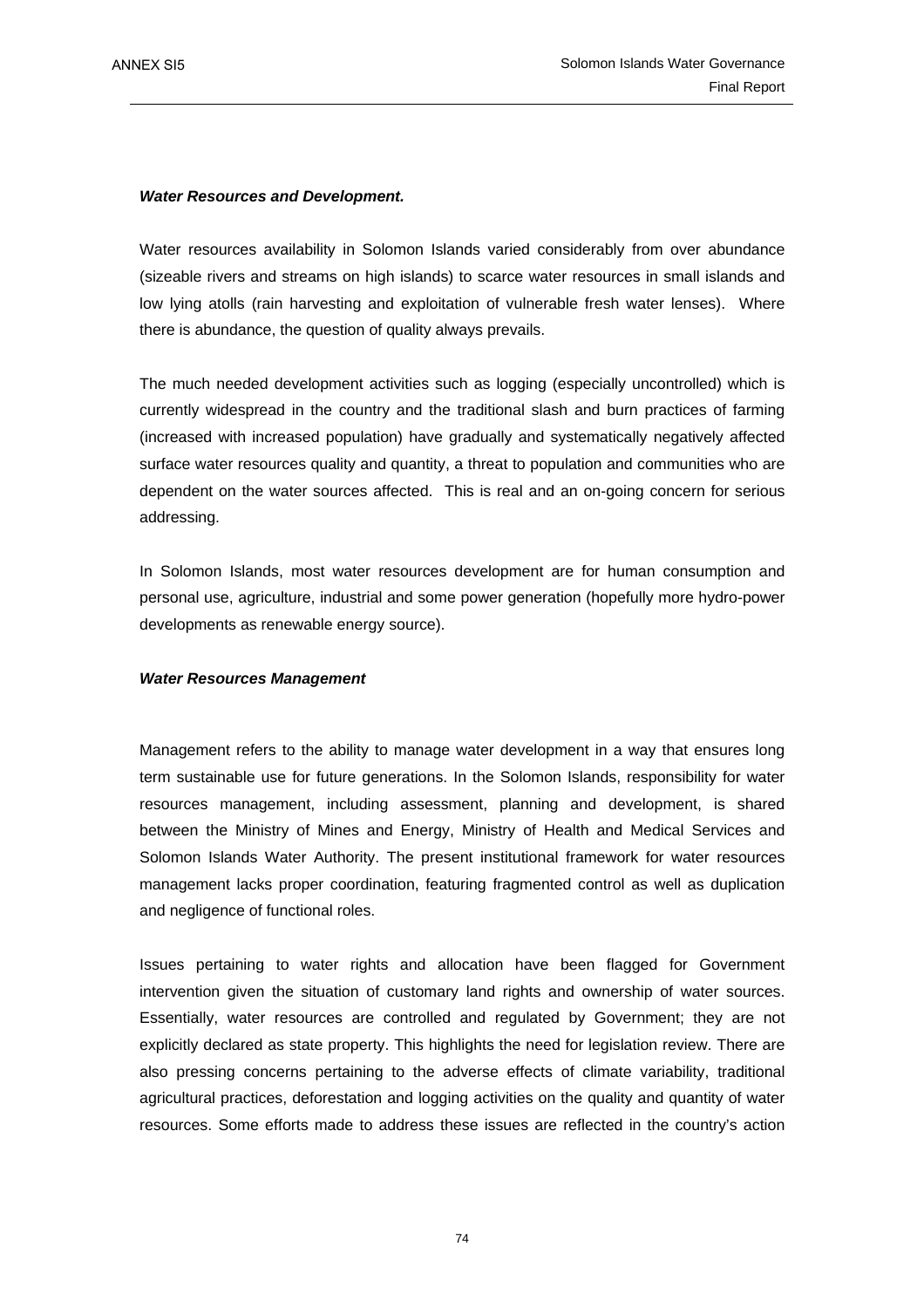### *Water Resources and Development.*

Water resources availability in Solomon Islands varied considerably from over abundance (sizeable rivers and streams on high islands) to scarce water resources in small islands and low lying atolls (rain harvesting and exploitation of vulnerable fresh water lenses). Where there is abundance, the question of quality always prevails.

The much needed development activities such as logging (especially uncontrolled) which is currently widespread in the country and the traditional slash and burn practices of farming (increased with increased population) have gradually and systematically negatively affected surface water resources quality and quantity, a threat to population and communities who are dependent on the water sources affected. This is real and an on-going concern for serious addressing.

In Solomon Islands, most water resources development are for human consumption and personal use, agriculture, industrial and some power generation (hopefully more hydro-power developments as renewable energy source).

### *Water Resources Management*

Management refers to the ability to manage water development in a way that ensures long term sustainable use for future generations. In the Solomon Islands, responsibility for water resources management, including assessment, planning and development, is shared between the Ministry of Mines and Energy, Ministry of Health and Medical Services and Solomon Islands Water Authority. The present institutional framework for water resources management lacks proper coordination, featuring fragmented control as well as duplication and negligence of functional roles.

Issues pertaining to water rights and allocation have been flagged for Government intervention given the situation of customary land rights and ownership of water sources. Essentially, water resources are controlled and regulated by Government; they are not explicitly declared as state property. This highlights the need for legislation review. There are also pressing concerns pertaining to the adverse effects of climate variability, traditional agricultural practices, deforestation and logging activities on the quality and quantity of water resources. Some efforts made to address these issues are reflected in the country's action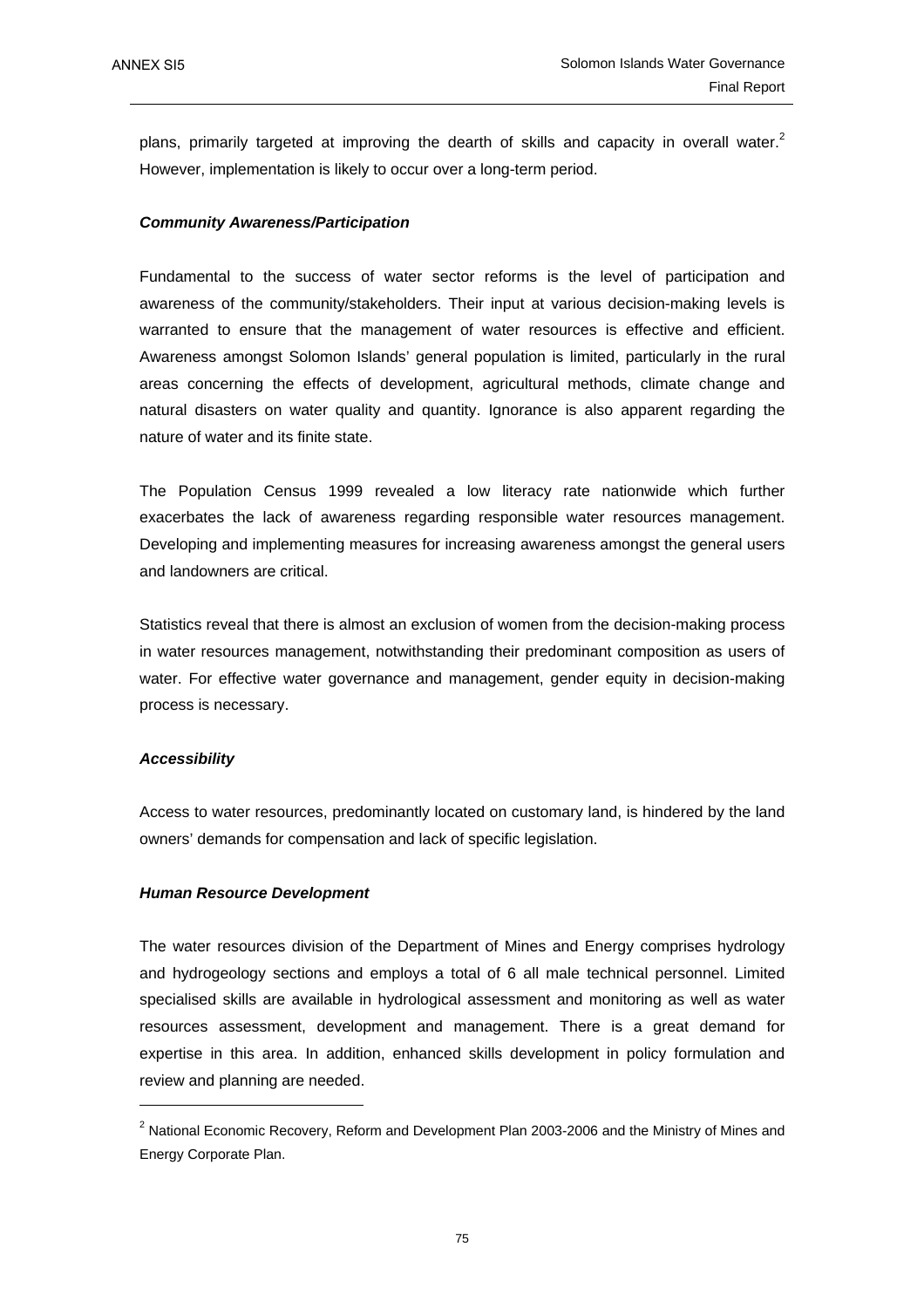plans, primarily targeted at improving the dearth of skills and capacity in overall water. $2$ However, implementation is likely to occur over a long-term period.

#### *Community Awareness/Participation*

Fundamental to the success of water sector reforms is the level of participation and awareness of the community/stakeholders. Their input at various decision-making levels is warranted to ensure that the management of water resources is effective and efficient. Awareness amongst Solomon Islands' general population is limited, particularly in the rural areas concerning the effects of development, agricultural methods, climate change and natural disasters on water quality and quantity. Ignorance is also apparent regarding the nature of water and its finite state.

The Population Census 1999 revealed a low literacy rate nationwide which further exacerbates the lack of awareness regarding responsible water resources management. Developing and implementing measures for increasing awareness amongst the general users and landowners are critical.

Statistics reveal that there is almost an exclusion of women from the decision-making process in water resources management, notwithstanding their predominant composition as users of water. For effective water governance and management, gender equity in decision-making process is necessary.

#### *Accessibility*

Access to water resources, predominantly located on customary land, is hindered by the land owners' demands for compensation and lack of specific legislation.

#### *Human Resource Development*

The water resources division of the Department of Mines and Energy comprises hydrology and hydrogeology sections and employs a total of 6 all male technical personnel. Limited specialised skills are available in hydrological assessment and monitoring as well as water resources assessment, development and management. There is a great demand for expertise in this area. In addition, enhanced skills development in policy formulation and review and planning are needed.

 $2$  National Economic Recovery, Reform and Development Plan 2003-2006 and the Ministry of Mines and Energy Corporate Plan.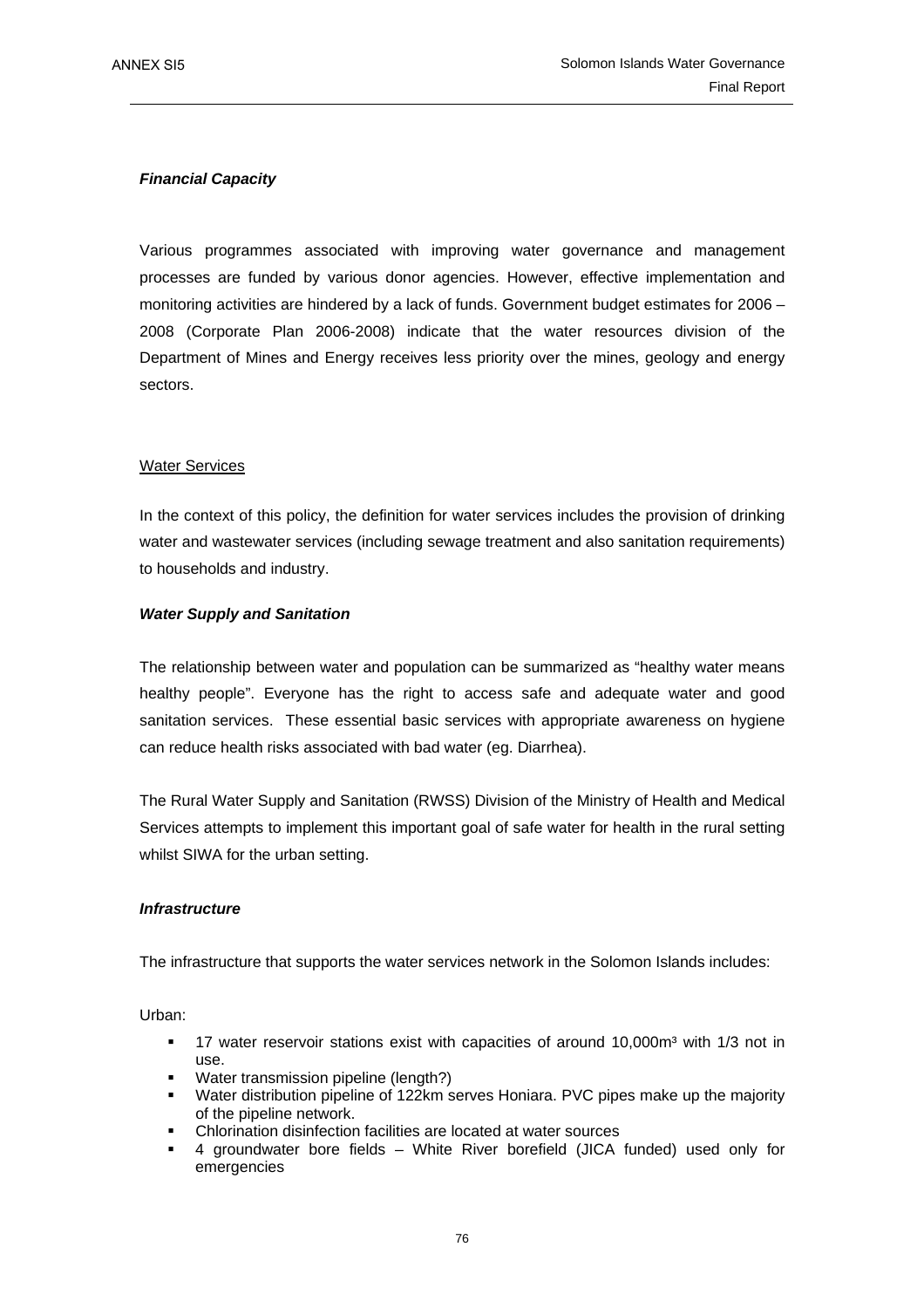# *Financial Capacity*

Various programmes associated with improving water governance and management processes are funded by various donor agencies. However, effective implementation and monitoring activities are hindered by a lack of funds. Government budget estimates for 2006 – 2008 (Corporate Plan 2006-2008) indicate that the water resources division of the Department of Mines and Energy receives less priority over the mines, geology and energy sectors.

# Water Services

In the context of this policy, the definition for water services includes the provision of drinking water and wastewater services (including sewage treatment and also sanitation requirements) to households and industry.

# *Water Supply and Sanitation*

The relationship between water and population can be summarized as "healthy water means healthy people". Everyone has the right to access safe and adequate water and good sanitation services. These essential basic services with appropriate awareness on hygiene can reduce health risks associated with bad water (eg. Diarrhea).

The Rural Water Supply and Sanitation (RWSS) Division of the Ministry of Health and Medical Services attempts to implement this important goal of safe water for health in the rural setting whilst SIWA for the urban setting.

# *Infrastructure*

The infrastructure that supports the water services network in the Solomon Islands includes:

Urban:

- 17 water reservoir stations exist with capacities of around 10,000m<sup>3</sup> with 1/3 not in use.
- Water transmission pipeline (length?)
- Water distribution pipeline of 122km serves Honiara. PVC pipes make up the majority of the pipeline network.
- Chlorination disinfection facilities are located at water sources
- 4 groundwater bore fields White River borefield (JICA funded) used only for emergencies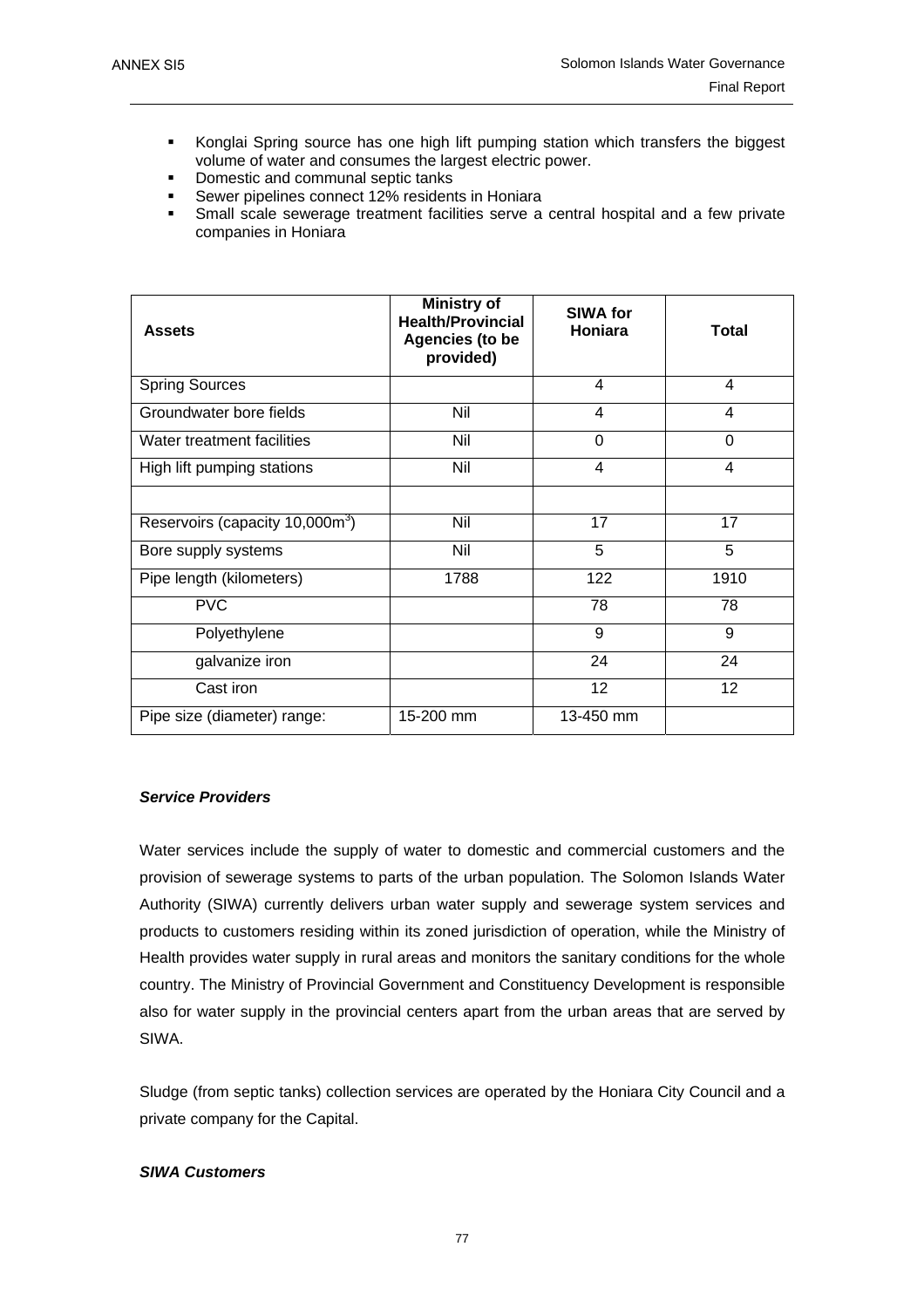- Konglai Spring source has one high lift pumping station which transfers the biggest volume of water and consumes the largest electric power.
- Domestic and communal septic tanks
- Sewer pipelines connect 12% residents in Honiara
- Small scale sewerage treatment facilities serve a central hospital and a few private companies in Honiara

| <b>Assets</b>                               | <b>Ministry of</b><br><b>Health/Provincial</b><br><b>Agencies (to be</b><br>provided) | <b>SIWA for</b><br>Honiara | <b>Total</b>            |
|---------------------------------------------|---------------------------------------------------------------------------------------|----------------------------|-------------------------|
| <b>Spring Sources</b>                       |                                                                                       | 4                          | 4                       |
| Groundwater bore fields                     | Nil                                                                                   | 4                          | $\overline{\mathbf{4}}$ |
| Water treatment facilities                  | Nil                                                                                   | 0                          | $\Omega$                |
| High lift pumping stations                  | Nil                                                                                   | 4                          | 4                       |
|                                             |                                                                                       |                            |                         |
| Reservoirs (capacity 10,000m <sup>3</sup> ) | Nil                                                                                   | 17                         | 17                      |
| Bore supply systems                         | Nil                                                                                   | 5                          | 5                       |
| Pipe length (kilometers)                    | 1788                                                                                  | 122                        | 1910                    |
| <b>PVC</b>                                  |                                                                                       | 78                         | 78                      |
| Polyethylene                                |                                                                                       | 9                          | 9                       |
| galvanize iron                              |                                                                                       | 24                         | 24                      |
| Cast iron                                   |                                                                                       | 12                         | 12                      |
| Pipe size (diameter) range:                 | 15-200 mm                                                                             | 13-450 mm                  |                         |

# *Service Providers*

Water services include the supply of water to domestic and commercial customers and the provision of sewerage systems to parts of the urban population. The Solomon Islands Water Authority (SIWA) currently delivers urban water supply and sewerage system services and products to customers residing within its zoned jurisdiction of operation, while the Ministry of Health provides water supply in rural areas and monitors the sanitary conditions for the whole country. The Ministry of Provincial Government and Constituency Development is responsible also for water supply in the provincial centers apart from the urban areas that are served by SIWA.

Sludge (from septic tanks) collection services are operated by the Honiara City Council and a private company for the Capital.

### *SIWA Customers*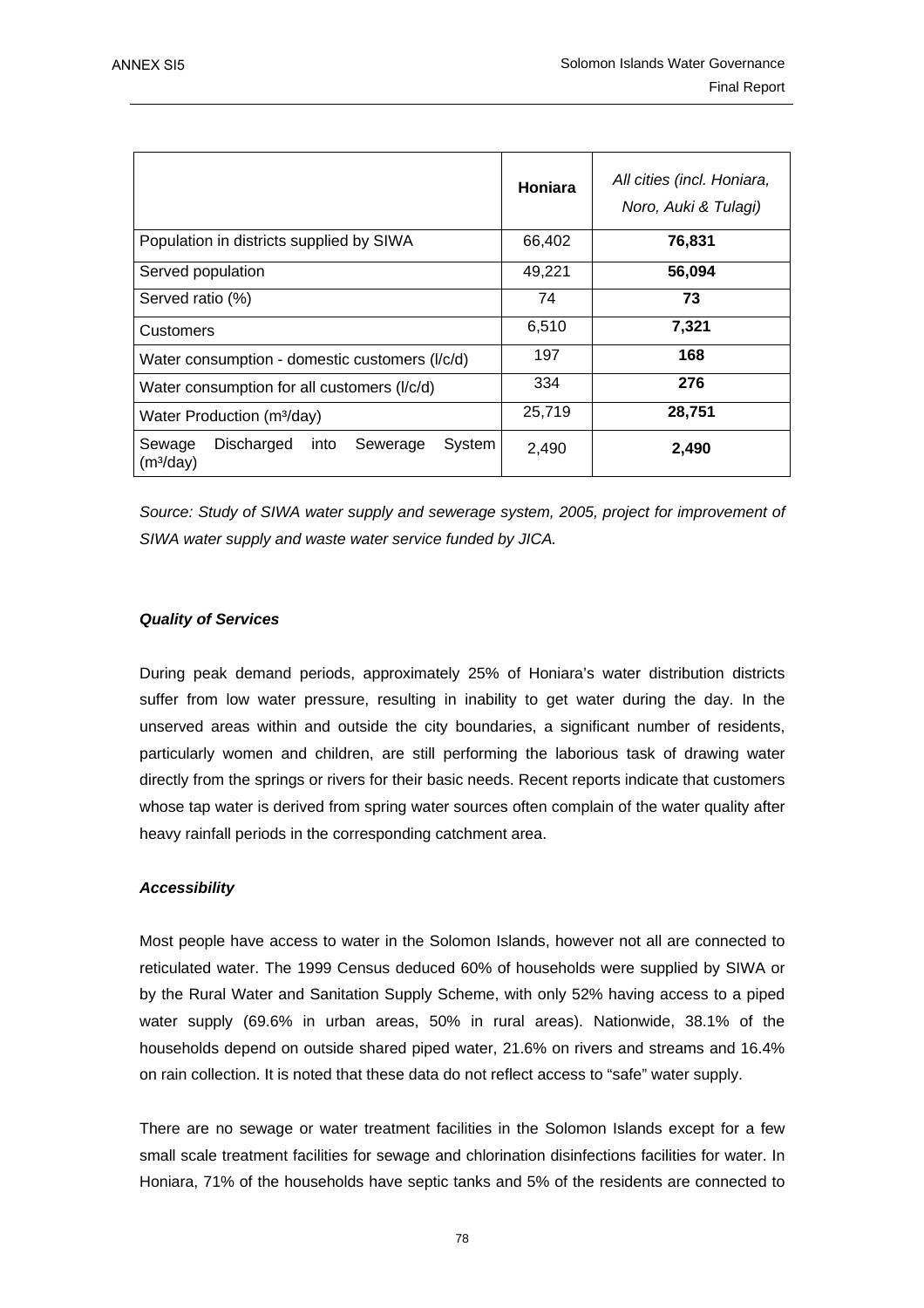|                                                                             | Honiara | All cities (incl. Honiara,<br>Noro, Auki & Tulagi) |
|-----------------------------------------------------------------------------|---------|----------------------------------------------------|
| Population in districts supplied by SIWA                                    | 66,402  | 76,831                                             |
| Served population                                                           | 49,221  | 56,094                                             |
| Served ratio (%)                                                            | 74      | 73                                                 |
| Customers                                                                   | 6,510   | 7,321                                              |
| Water consumption - domestic customers (I/c/d)                              | 197     | 168                                                |
| Water consumption for all customers (I/c/d)                                 | 334     | 276                                                |
| Water Production (m <sup>3</sup> /day)                                      | 25,719  | 28,751                                             |
| Sewage<br>Discharged<br>System<br>into<br>Sewerage<br>(m <sup>3</sup> /day) | 2,490   | 2,490                                              |

*Source: Study of SIWA water supply and sewerage system, 2005, project for improvement of SIWA water supply and waste water service funded by JICA.*

# *Quality of Services*

During peak demand periods, approximately 25% of Honiara's water distribution districts suffer from low water pressure, resulting in inability to get water during the day. In the unserved areas within and outside the city boundaries, a significant number of residents, particularly women and children, are still performing the laborious task of drawing water directly from the springs or rivers for their basic needs. Recent reports indicate that customers whose tap water is derived from spring water sources often complain of the water quality after heavy rainfall periods in the corresponding catchment area.

### *Accessibility*

Most people have access to water in the Solomon Islands, however not all are connected to reticulated water. The 1999 Census deduced 60% of households were supplied by SIWA or by the Rural Water and Sanitation Supply Scheme, with only 52% having access to a piped water supply (69.6% in urban areas, 50% in rural areas). Nationwide, 38.1% of the households depend on outside shared piped water, 21.6% on rivers and streams and 16.4% on rain collection. It is noted that these data do not reflect access to "safe" water supply.

There are no sewage or water treatment facilities in the Solomon Islands except for a few small scale treatment facilities for sewage and chlorination disinfections facilities for water. In Honiara, 71% of the households have septic tanks and 5% of the residents are connected to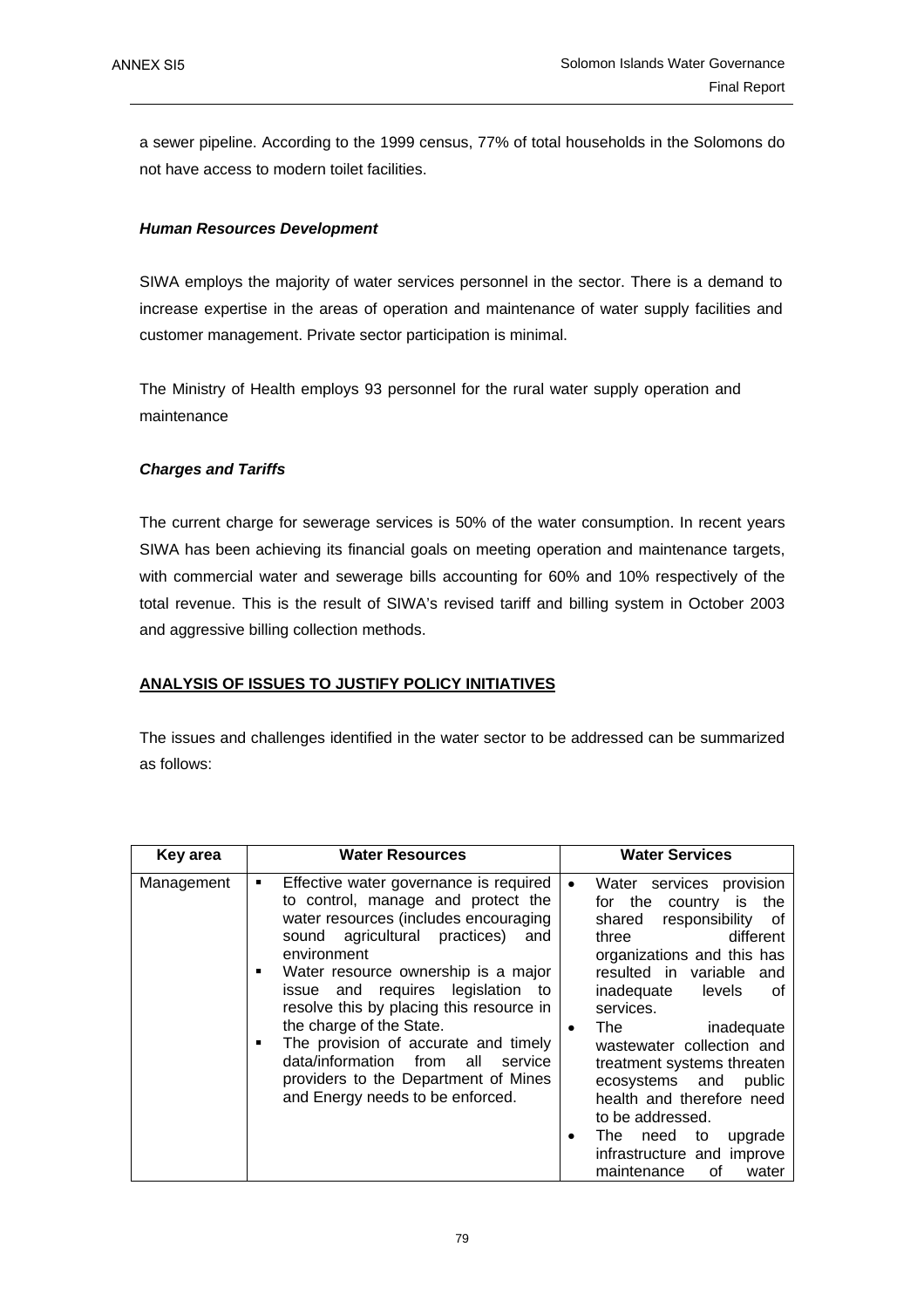a sewer pipeline. According to the 1999 census, 77% of total households in the Solomons do not have access to modern toilet facilities.

# *Human Resources Development*

SIWA employs the majority of water services personnel in the sector. There is a demand to increase expertise in the areas of operation and maintenance of water supply facilities and customer management. Private sector participation is minimal.

The Ministry of Health employs 93 personnel for the rural water supply operation and maintenance

### *Charges and Tariffs*

The current charge for sewerage services is 50% of the water consumption. In recent years SIWA has been achieving its financial goals on meeting operation and maintenance targets, with commercial water and sewerage bills accounting for 60% and 10% respectively of the total revenue. This is the result of SIWA's revised tariff and billing system in October 2003 and aggressive billing collection methods.

# **ANALYSIS OF ISSUES TO JUSTIFY POLICY INITIATIVES**

The issues and challenges identified in the water sector to be addressed can be summarized as follows:

| Key area   | <b>Water Resources</b>                                                                                                                                                                                                                                                                                                                                                                                                                                                                                         | <b>Water Services</b>                                                                                                                                                                                                                                                                                                                                                                                                                                                          |
|------------|----------------------------------------------------------------------------------------------------------------------------------------------------------------------------------------------------------------------------------------------------------------------------------------------------------------------------------------------------------------------------------------------------------------------------------------------------------------------------------------------------------------|--------------------------------------------------------------------------------------------------------------------------------------------------------------------------------------------------------------------------------------------------------------------------------------------------------------------------------------------------------------------------------------------------------------------------------------------------------------------------------|
| Management | Effective water governance is required<br>٠<br>to control, manage and protect the<br>water resources (includes encouraging<br>sound agricultural practices)<br>and<br>environment<br>Water resource ownership is a major<br>п<br>issue and requires legislation to<br>resolve this by placing this resource in<br>the charge of the State.<br>The provision of accurate and timely<br>п<br>data/information from<br>all<br>service<br>providers to the Department of Mines<br>and Energy needs to be enforced. | Water services provision<br>$\bullet$<br>for the country is the<br>responsibility of<br>shared<br>three<br>different<br>organizations and this has<br>resulted in variable and<br>inadequate levels<br>οf<br>services.<br>The<br>inadequate<br>٠<br>wastewater collection and<br>treatment systems threaten<br>ecosystems and<br>public<br>health and therefore need<br>to be addressed.<br>The need to<br>upgrade<br>infrastructure and improve<br>maintenance<br>of<br>water |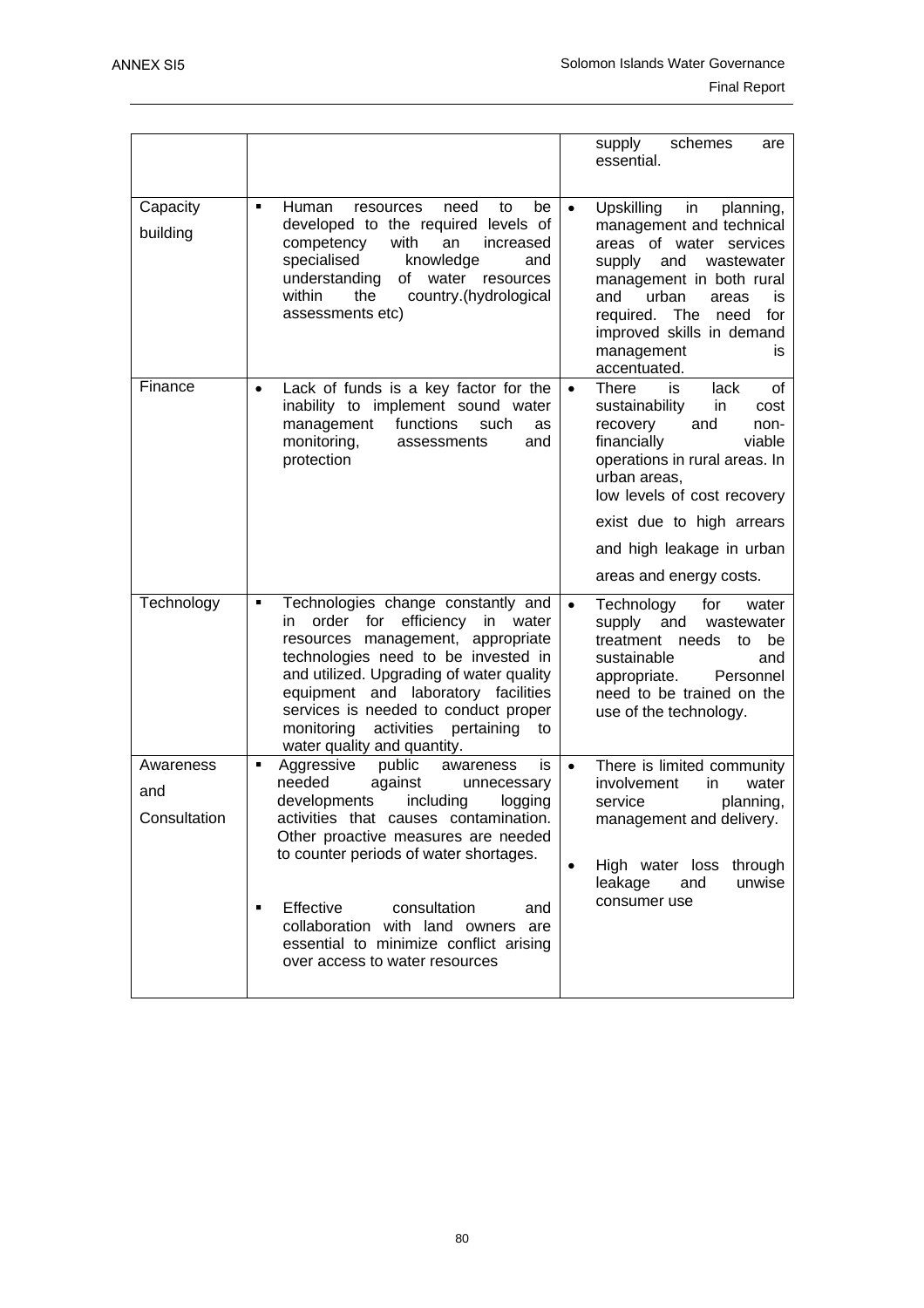|                                  |                                                                                                                                                                                                                                                                                                                                                                                                               | schemes<br>supply<br>are<br>essential.                                                                                                                                                                                                                                                                 |
|----------------------------------|---------------------------------------------------------------------------------------------------------------------------------------------------------------------------------------------------------------------------------------------------------------------------------------------------------------------------------------------------------------------------------------------------------------|--------------------------------------------------------------------------------------------------------------------------------------------------------------------------------------------------------------------------------------------------------------------------------------------------------|
| Capacity<br>building             | be<br>Human<br>need<br>to<br>٠<br>resources<br>developed to the required levels of<br>competency<br>with<br>an<br>increased<br>specialised<br>knowledge<br>and<br>understanding<br>of<br>water resources<br>country.(hydrological<br>within<br>the<br>assessments etc)                                                                                                                                        | <b>Upskilling</b><br>in<br>planning,<br>$\bullet$<br>management and technical<br>areas of water services<br>and<br>supply<br>wastewater<br>management in both rural<br>urban<br>and<br>areas<br>is<br>required. The need<br>for<br>improved skills in demand<br>management<br>is<br>accentuated.       |
| Finance                          | Lack of funds is a key factor for the<br>$\bullet$<br>inability to implement sound water<br>functions<br>management<br>such<br>as<br>monitoring,<br>assessments<br>and<br>protection                                                                                                                                                                                                                          | <b>There</b><br>is<br>of<br>lack<br>$\bullet$<br>sustainability<br>in<br>cost<br>and<br>recovery<br>non-<br>financially<br>viable<br>operations in rural areas. In<br>urban areas,<br>low levels of cost recovery<br>exist due to high arrears<br>and high leakage in urban<br>areas and energy costs. |
| Technology                       | Technologies change constantly and<br>٠<br>order for efficiency in water<br>in.<br>resources management, appropriate<br>technologies need to be invested in<br>and utilized. Upgrading of water quality<br>equipment and laboratory facilities<br>services is needed to conduct proper<br>monitoring<br>activities<br>pertaining<br>to<br>water quality and quantity.                                         | $\bullet$<br>Technology<br>for<br>water<br>supply and<br>wastewater<br>treatment needs to be<br>sustainable<br>and<br>Personnel<br>appropriate.<br>need to be trained on the<br>use of the technology.                                                                                                 |
| Awareness<br>and<br>Consultation | Aggressive<br>public<br>awareness<br>٠<br>is<br>needed<br>against<br>unnecessary<br>developments<br>including<br>logging<br>activities that causes contamination.<br>Other proactive measures are needed<br>to counter periods of water shortages.<br>Effective<br>consultation<br>and<br>٠<br>collaboration with land owners are<br>essential to minimize conflict arising<br>over access to water resources | There is limited community<br>$\bullet$<br>involvement<br>in.<br>water<br>service<br>planning,<br>management and delivery.<br>High water loss through<br>leakage<br>and<br>unwise<br>consumer use                                                                                                      |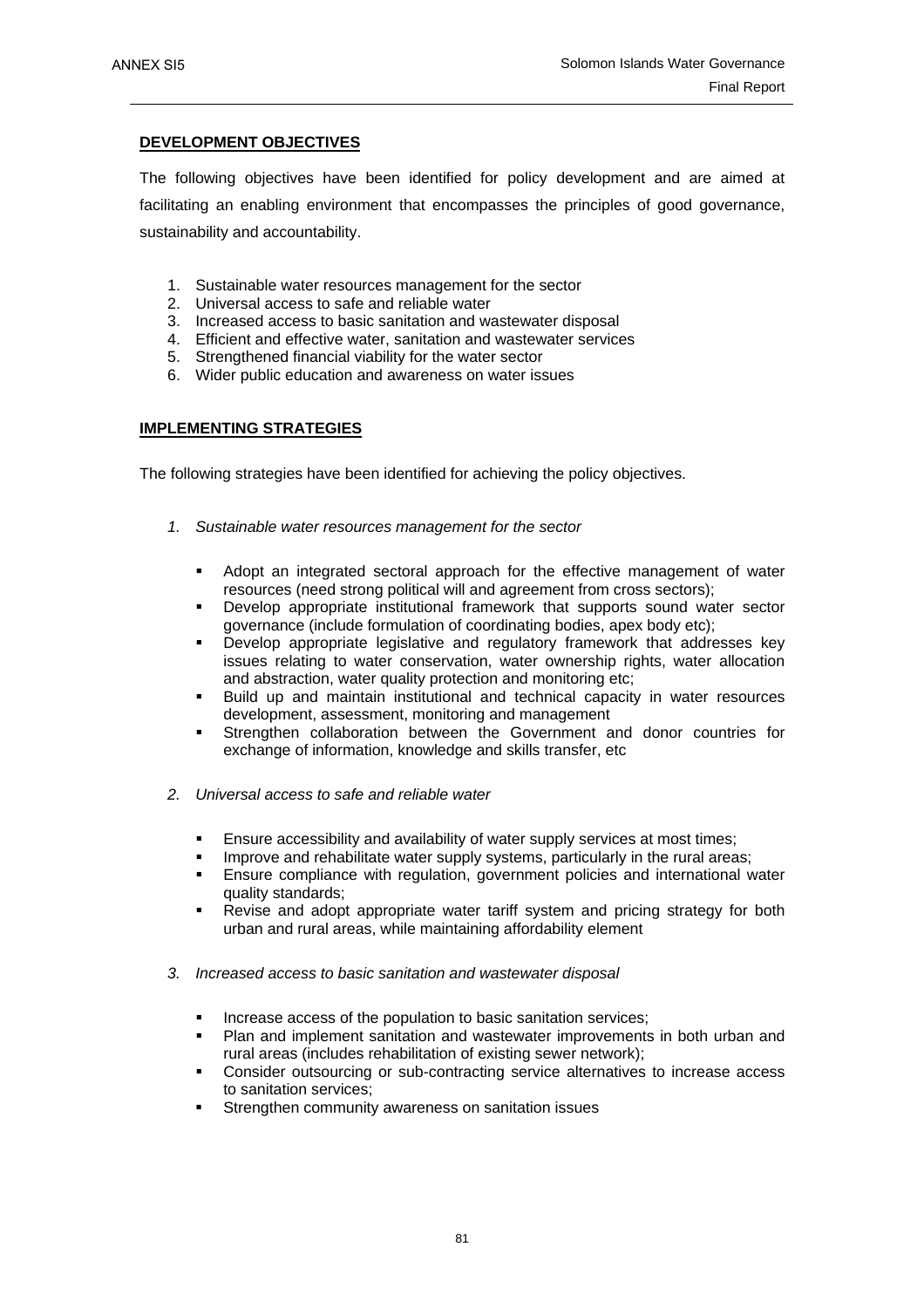# **DEVELOPMENT OBJECTIVES**

The following objectives have been identified for policy development and are aimed at facilitating an enabling environment that encompasses the principles of good governance, sustainability and accountability.

- 1. Sustainable water resources management for the sector
- 2. Universal access to safe and reliable water
- 3. Increased access to basic sanitation and wastewater disposal
- 4. Efficient and effective water, sanitation and wastewater services
- 5. Strengthened financial viability for the water sector
- 6. Wider public education and awareness on water issues

# **IMPLEMENTING STRATEGIES**

The following strategies have been identified for achieving the policy objectives.

- *1. Sustainable water resources management for the sector* 
	- Adopt an integrated sectoral approach for the effective management of water resources (need strong political will and agreement from cross sectors);
	- Develop appropriate institutional framework that supports sound water sector governance (include formulation of coordinating bodies, apex body etc);
	- Develop appropriate legislative and regulatory framework that addresses key issues relating to water conservation, water ownership rights, water allocation and abstraction, water quality protection and monitoring etc;
	- Build up and maintain institutional and technical capacity in water resources development, assessment, monitoring and management
	- Strengthen collaboration between the Government and donor countries for exchange of information, knowledge and skills transfer, etc
- *2. Universal access to safe and reliable water* 
	- Ensure accessibility and availability of water supply services at most times;
	- Improve and rehabilitate water supply systems, particularly in the rural areas;
	- Ensure compliance with regulation, government policies and international water quality standards;
	- Revise and adopt appropriate water tariff system and pricing strategy for both urban and rural areas, while maintaining affordability element
- *3. Increased access to basic sanitation and wastewater disposal* 
	- Increase access of the population to basic sanitation services;
	- Plan and implement sanitation and wastewater improvements in both urban and rural areas (includes rehabilitation of existing sewer network);
	- Consider outsourcing or sub-contracting service alternatives to increase access to sanitation services;
	- Strengthen community awareness on sanitation issues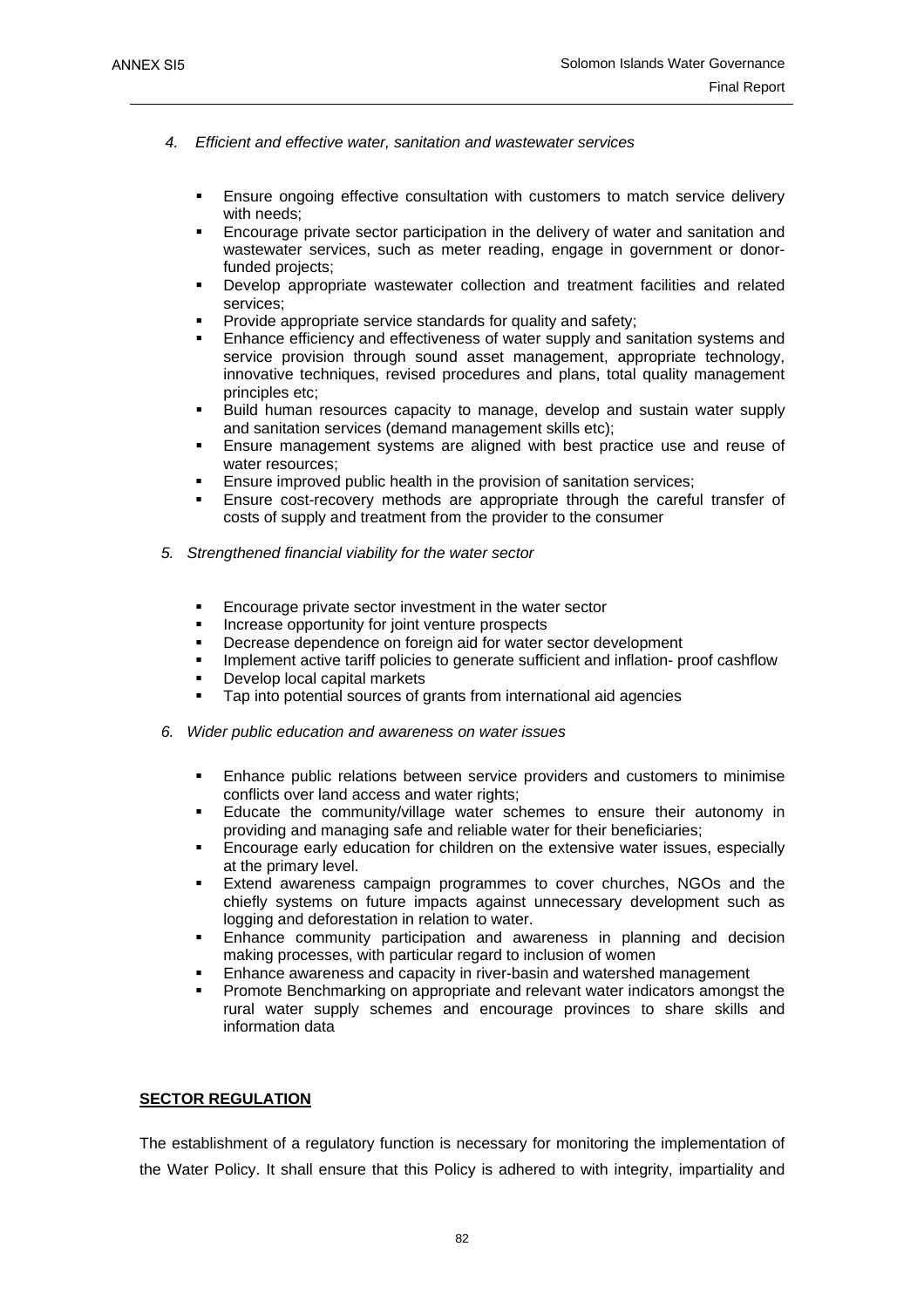- *4. Efficient and effective water, sanitation and wastewater services* 
	- Ensure ongoing effective consultation with customers to match service delivery with needs:
	- Encourage private sector participation in the delivery of water and sanitation and wastewater services, such as meter reading, engage in government or donorfunded projects:
	- Develop appropriate wastewater collection and treatment facilities and related services;
	- Provide appropriate service standards for quality and safety;
	- Enhance efficiency and effectiveness of water supply and sanitation systems and service provision through sound asset management, appropriate technology, innovative techniques, revised procedures and plans, total quality management principles etc;
	- Build human resources capacity to manage, develop and sustain water supply and sanitation services (demand management skills etc);
	- Ensure management systems are aligned with best practice use and reuse of water resources;
	- Ensure improved public health in the provision of sanitation services;
	- Ensure cost-recovery methods are appropriate through the careful transfer of costs of supply and treatment from the provider to the consumer
- *5. Strengthened financial viability for the water sector* 
	- **Encourage private sector investment in the water sector**
	- Increase opportunity for joint venture prospects
	- Decrease dependence on foreign aid for water sector development
	- Implement active tariff policies to generate sufficient and inflation- proof cashflow
	- Develop local capital markets
	- Tap into potential sources of grants from international aid agencies
- *6. Wider public education and awareness on water issues* 
	- Enhance public relations between service providers and customers to minimise conflicts over land access and water rights;
	- Educate the community/village water schemes to ensure their autonomy in providing and managing safe and reliable water for their beneficiaries;
	- Encourage early education for children on the extensive water issues, especially at the primary level.
	- Extend awareness campaign programmes to cover churches, NGOs and the chiefly systems on future impacts against unnecessary development such as logging and deforestation in relation to water.
	- Enhance community participation and awareness in planning and decision making processes, with particular regard to inclusion of women
	- Enhance awareness and capacity in river-basin and watershed management
	- Promote Benchmarking on appropriate and relevant water indicators amongst the rural water supply schemes and encourage provinces to share skills and information data

# **SECTOR REGULATION**

The establishment of a regulatory function is necessary for monitoring the implementation of the Water Policy. It shall ensure that this Policy is adhered to with integrity, impartiality and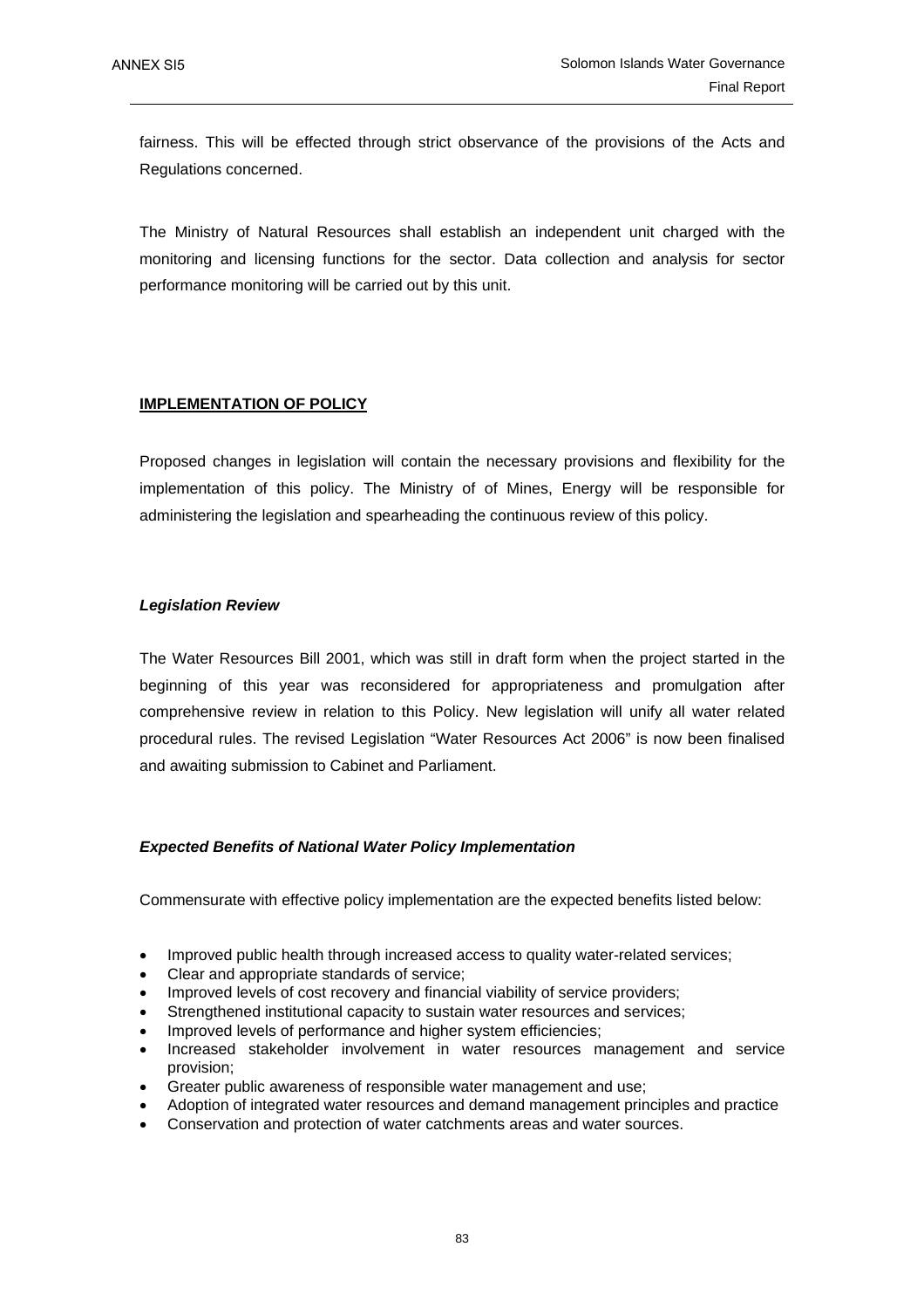fairness. This will be effected through strict observance of the provisions of the Acts and Regulations concerned.

The Ministry of Natural Resources shall establish an independent unit charged with the monitoring and licensing functions for the sector. Data collection and analysis for sector performance monitoring will be carried out by this unit.

# **IMPLEMENTATION OF POLICY**

Proposed changes in legislation will contain the necessary provisions and flexibility for the implementation of this policy. The Ministry of of Mines, Energy will be responsible for administering the legislation and spearheading the continuous review of this policy.

### *Legislation Review*

The Water Resources Bill 2001, which was still in draft form when the project started in the beginning of this year was reconsidered for appropriateness and promulgation after comprehensive review in relation to this Policy. New legislation will unify all water related procedural rules. The revised Legislation "Water Resources Act 2006" is now been finalised and awaiting submission to Cabinet and Parliament.

### *Expected Benefits of National Water Policy Implementation*

Commensurate with effective policy implementation are the expected benefits listed below:

- Improved public health through increased access to quality water-related services;
- Clear and appropriate standards of service;
- Improved levels of cost recovery and financial viability of service providers;
- Strengthened institutional capacity to sustain water resources and services;
- Improved levels of performance and higher system efficiencies;
- Increased stakeholder involvement in water resources management and service provision;
- Greater public awareness of responsible water management and use;
- Adoption of integrated water resources and demand management principles and practice
- Conservation and protection of water catchments areas and water sources.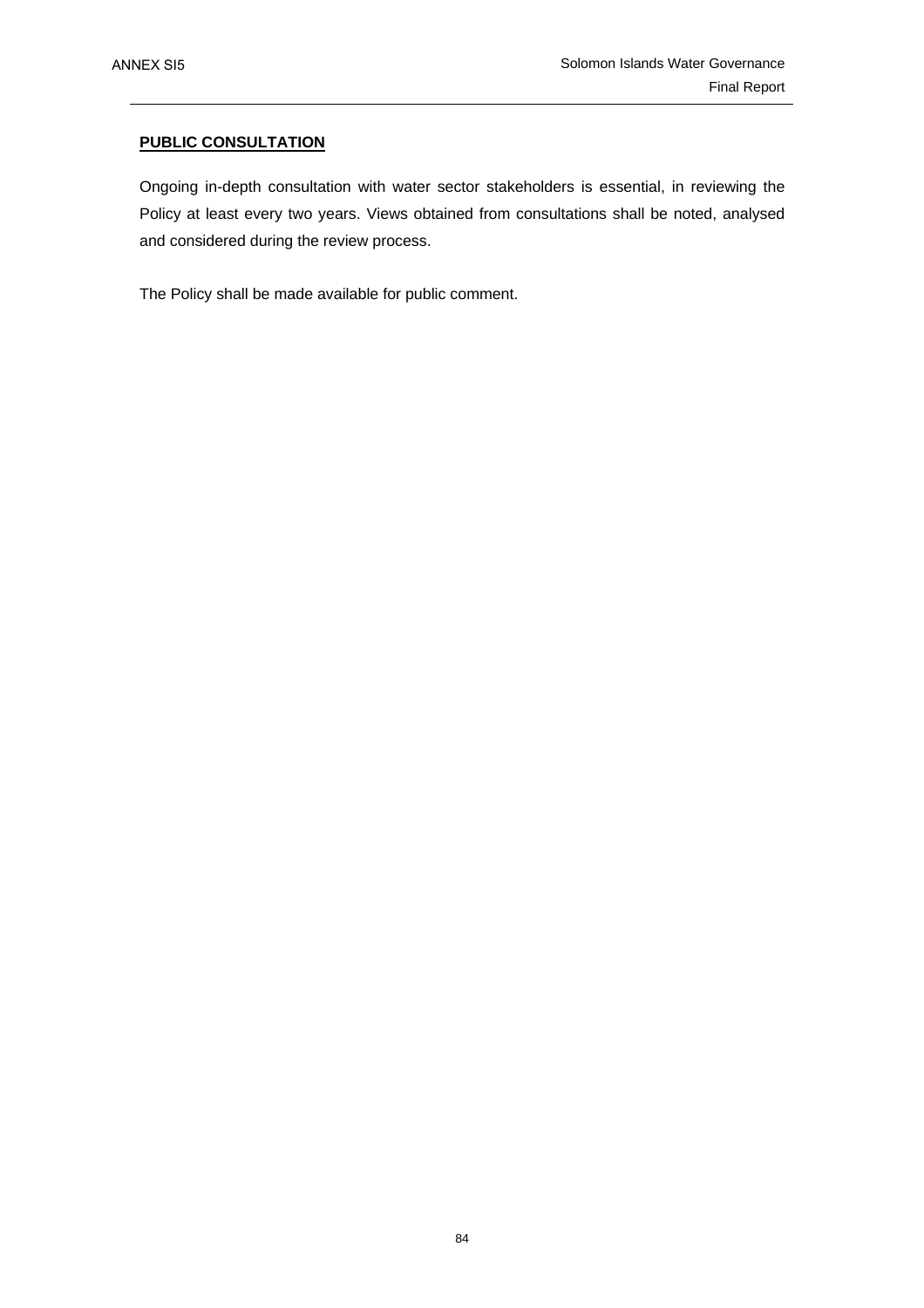# **PUBLIC CONSULTATION**

Ongoing in-depth consultation with water sector stakeholders is essential, in reviewing the Policy at least every two years. Views obtained from consultations shall be noted, analysed and considered during the review process.

The Policy shall be made available for public comment.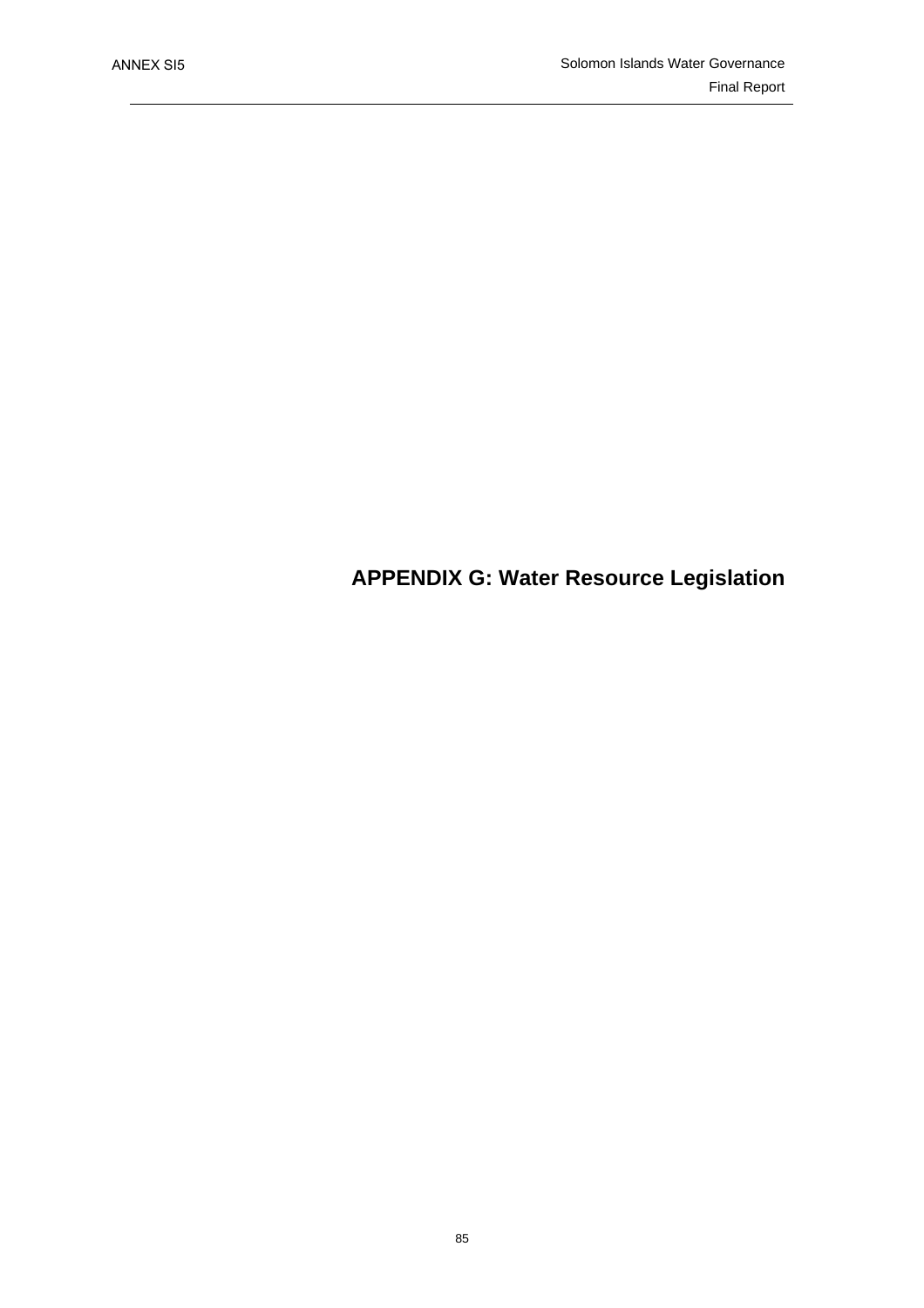# **APPENDIX G: Water Resource Legislation**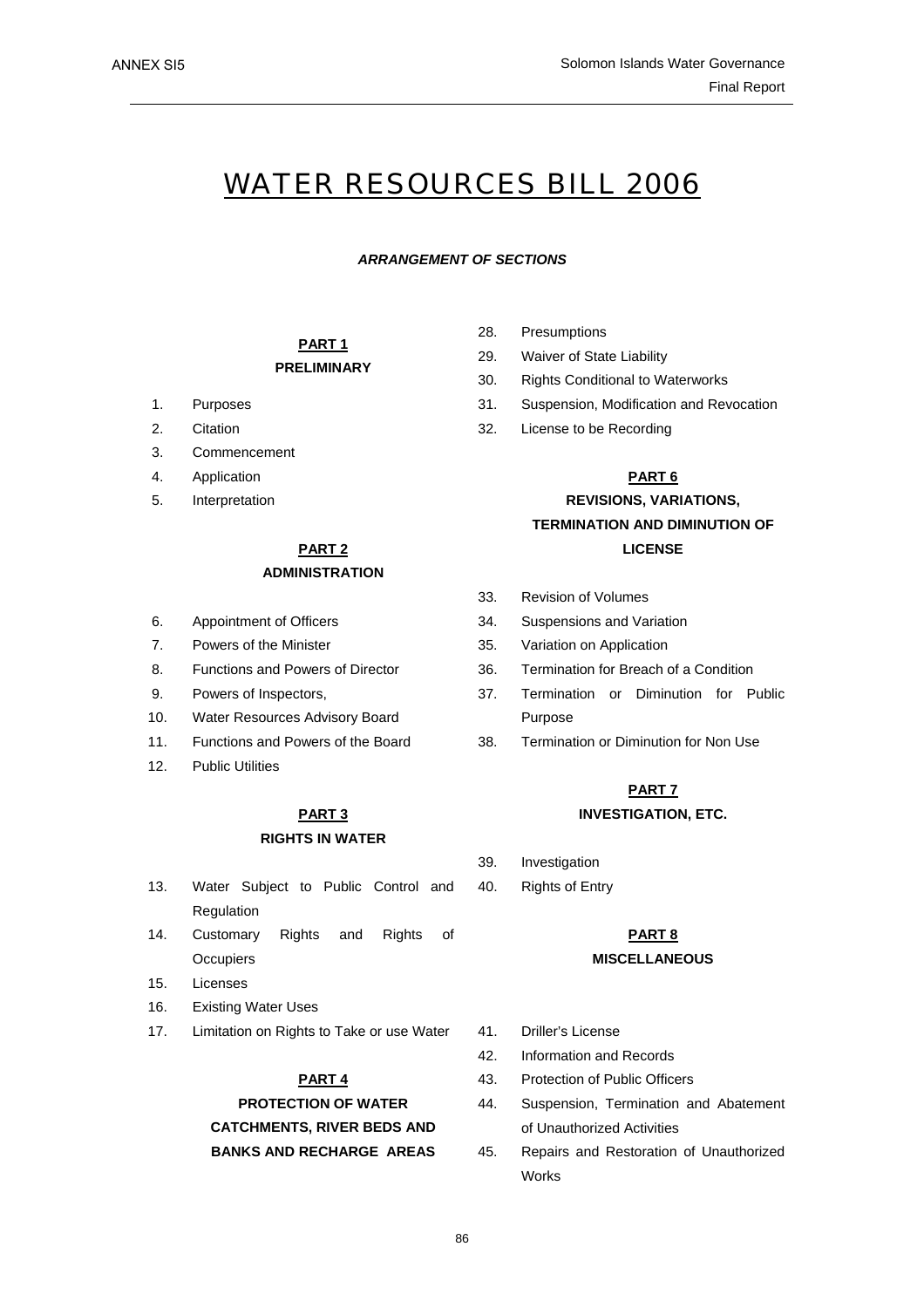# WATER RESOURCES BILL 2006

#### *ARRANGEMENT OF SECTIONS*

### **PART 1 PRELIMINARY**

- 
- 
- 3. Commencement
- 4. Application
- 5. Interpretation

# **ADMINISTRATION**

- 
- 
- 
- 9. Powers of Inspectors,
- 10. Water Resources Advisory Board
- 
- 12. Public Utilities

# **RIGHTS IN WATER**

- 13. Water Subject to Public Control and 40. Rights of Entry Regulation
- 14. Customary Rights and Rights of **Occupiers**
- 15. Licenses
- 16. Existing Water Uses
- 17. Limitation on Rights to Take or use Water 41. Driller's License

#### **PART 4**

# **PROTECTION OF WATER CATCHMENTS, RIVER BEDS AND**

- 28. Presumptions
- 29. Waiver of State Liability
- 30. Rights Conditional to Waterworks
- 1. Purposes 31. Suspension, Modification and Revocation
- 2. Citation 32. License to be Recording

#### **PART 6**

# **REVISIONS, VARIATIONS, TERMINATION AND DIMINUTION OF PART 2** LICENSE

- 33. Revision of Volumes
- 6. Appointment of Officers 34. Suspensions and Variation
- 7. Powers of the Minister 35. Variation on Application
- 8. Functions and Powers of Director 36. Termination for Breach of a Condition
	- 37. Termination or Diminution for Public Purpose
- 11. Functions and Powers of the Board 38. Termination or Diminution for Non Use

# **PART 7 PART 3 INVESTIGATION, ETC.**

- 39. Investigation
- 

#### **PART 8**

#### **MISCELLANEOUS**

- 
- 42. Information and Records
- 43. Protection of Public Officers
- 44. Suspension, Termination and Abatement of Unauthorized Activities
- **BANKS AND RECHARGE AREAS** 45. Repairs and Restoration of Unauthorized Works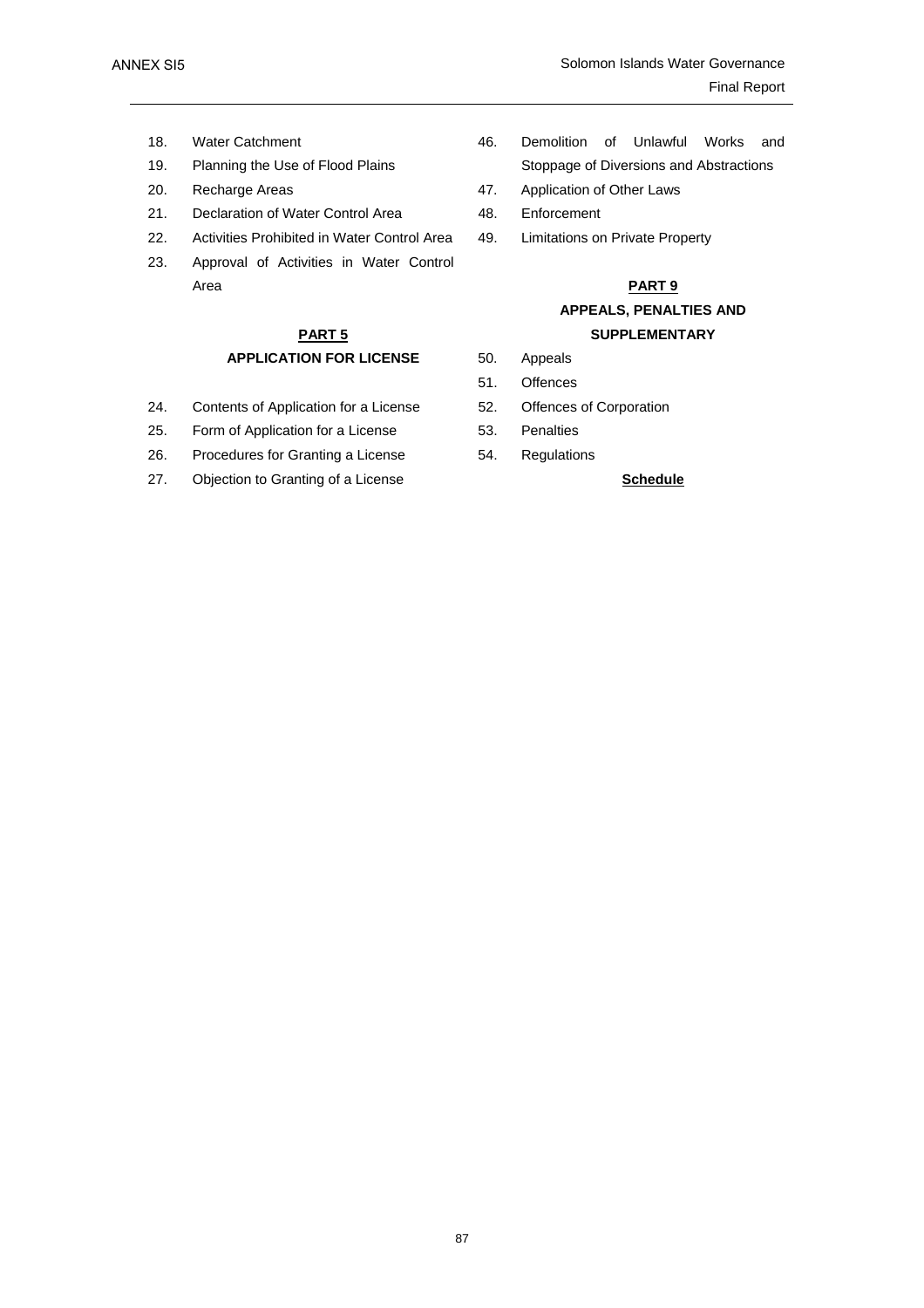ANNEX SI5

- 18. Water Catchment
- 19. Planning the Use of Flood Plains
- 
- 21. Declaration of Water Control Area 48. Enforcement
- 22. Activities Prohibited in Water Control Area 49. Limitations on Private Property
- 23. Approval of Activities in Water Control Area **PART 9**

# **PART 5 APPLICATION FOR LICENSE**

- 24. Contents of Application for a License 52. Offences of Corporation
- 25. Form of Application for a License 53. Penalties
- 26. Procedures for Granting a License 54. Regulations
- 27. Objection to Granting of a License **Schedule Schedule**
- 46. Demolition of Unlawful Works and Stoppage of Diversions and Abstractions
- 20. Recharge Areas **47.** Application of Other Laws
	-
	-

# **APPEALS, PENALTIES AND SUPPLEMENTARY**

- 50. Appeals
- 51. Offences
- 
- 
-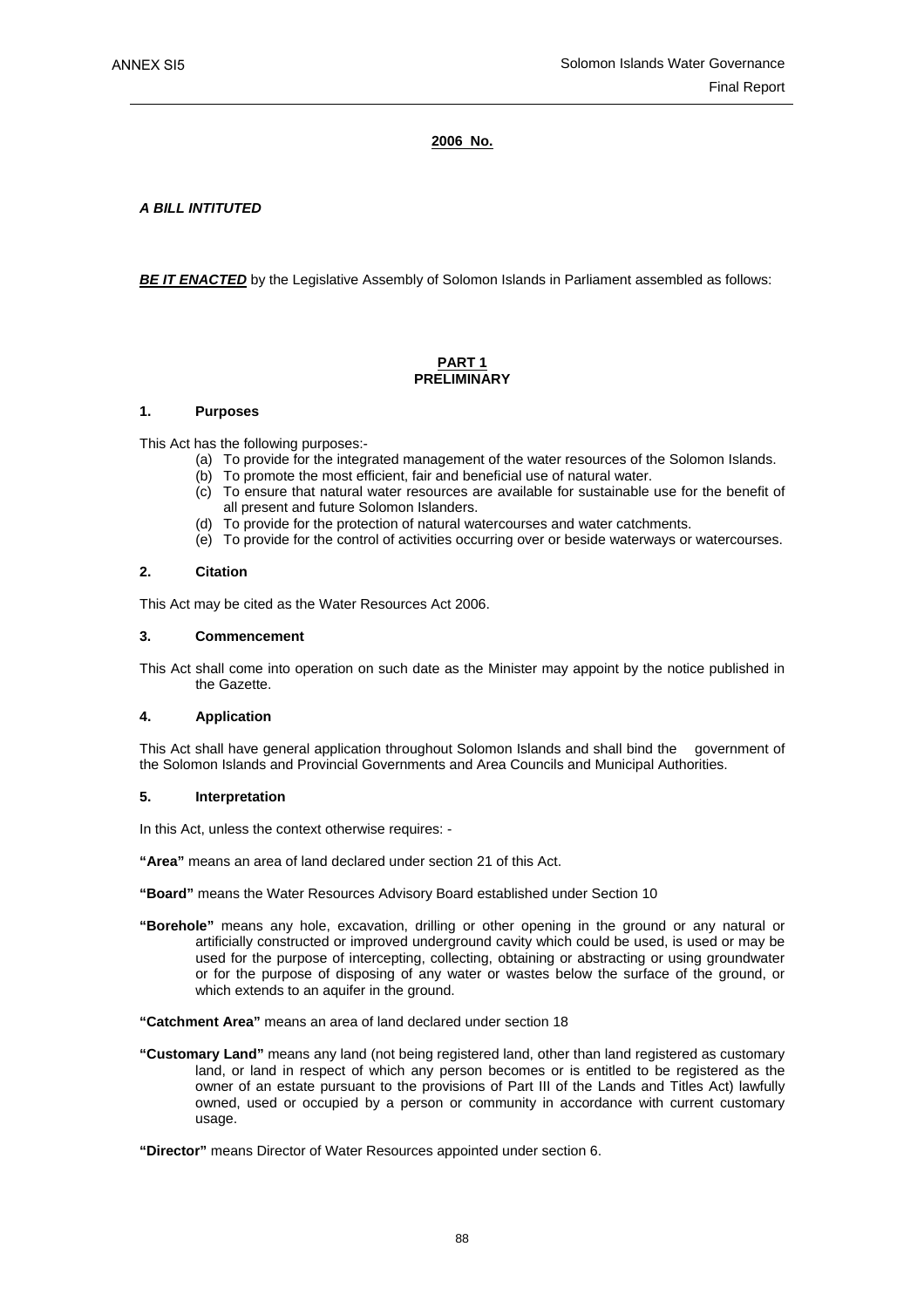#### **2006 No.**

*A BILL INTITUTED* 

**BE IT ENACTED** by the Legislative Assembly of Solomon Islands in Parliament assembled as follows:

### **PART 1 PRELIMINARY**

#### **1. Purposes**

This Act has the following purposes:-

- (a) To provide for the integrated management of the water resources of the Solomon Islands.
- (b) To promote the most efficient, fair and beneficial use of natural water.
- (c) To ensure that natural water resources are available for sustainable use for the benefit of all present and future Solomon Islanders.
- (d) To provide for the protection of natural watercourses and water catchments.
- (e) To provide for the control of activities occurring over or beside waterways or watercourses.

#### **2. Citation**

This Act may be cited as the Water Resources Act 2006.

#### **3. Commencement**

This Act shall come into operation on such date as the Minister may appoint by the notice published in the Gazette.

#### **4. Application**

This Act shall have general application throughout Solomon Islands and shall bind the government of the Solomon Islands and Provincial Governments and Area Councils and Municipal Authorities.

#### **5. Interpretation**

In this Act, unless the context otherwise requires: -

**"Area"** means an area of land declared under section 21 of this Act.

**"Board"** means the Water Resources Advisory Board established under Section 10

**"Borehole"** means any hole, excavation, drilling or other opening in the ground or any natural or artificially constructed or improved underground cavity which could be used, is used or may be used for the purpose of intercepting, collecting, obtaining or abstracting or using groundwater or for the purpose of disposing of any water or wastes below the surface of the ground, or which extends to an aquifer in the ground.

**"Catchment Area"** means an area of land declared under section 18

**"Customary Land"** means any land (not being registered land, other than land registered as customary land, or land in respect of which any person becomes or is entitled to be registered as the owner of an estate pursuant to the provisions of Part III of the Lands and Titles Act) lawfully owned, used or occupied by a person or community in accordance with current customary usage.

**"Director"** means Director of Water Resources appointed under section 6.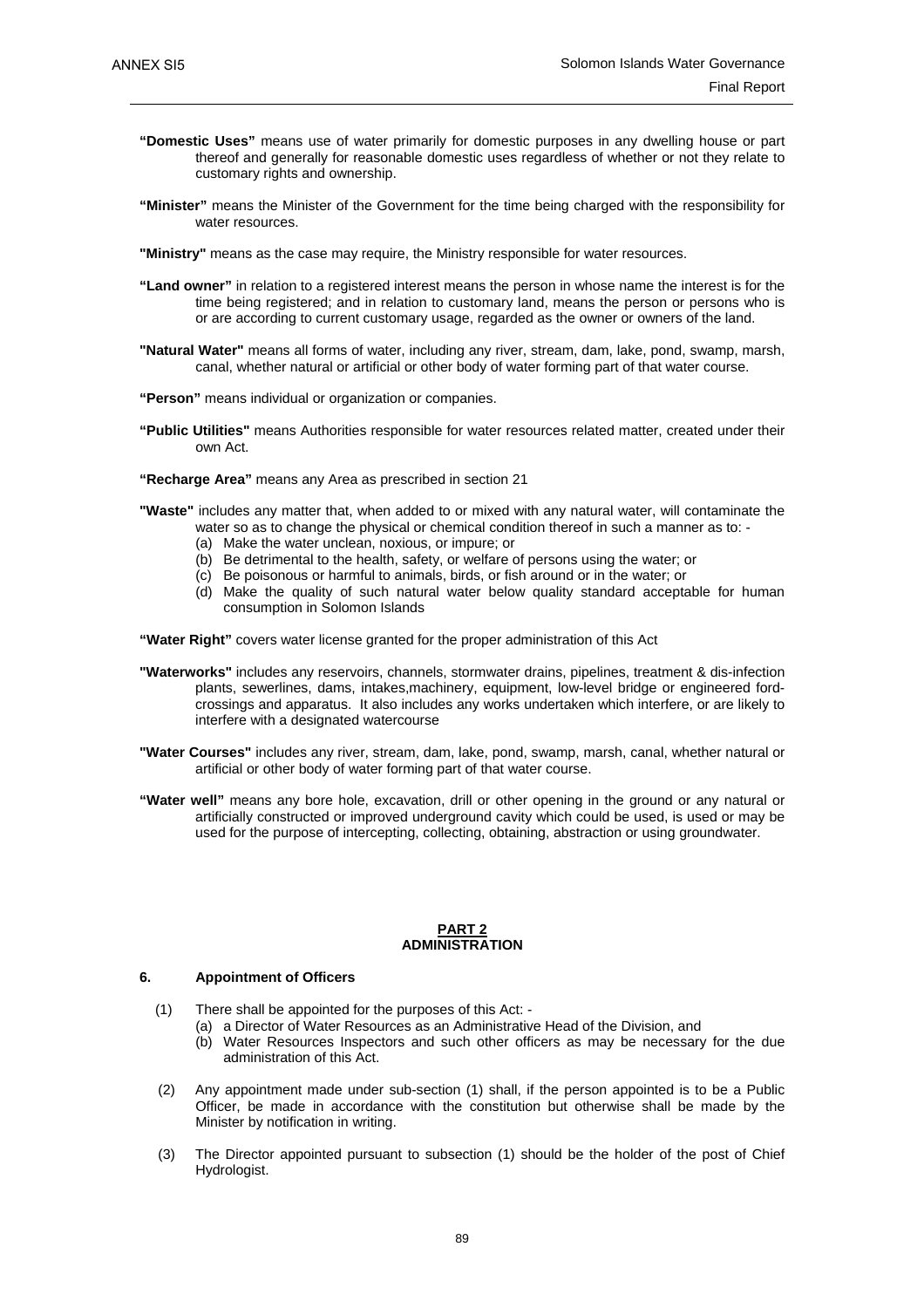- **"Domestic Uses"** means use of water primarily for domestic purposes in any dwelling house or part thereof and generally for reasonable domestic uses regardless of whether or not they relate to customary rights and ownership.
- **"Minister"** means the Minister of the Government for the time being charged with the responsibility for water resources.
- **"Ministry"** means as the case may require, the Ministry responsible for water resources.
- **"Land owner"** in relation to a registered interest means the person in whose name the interest is for the time being registered; and in relation to customary land, means the person or persons who is or are according to current customary usage, regarded as the owner or owners of the land.
- **"Natural Water"** means all forms of water, including any river, stream, dam, lake, pond, swamp, marsh, canal, whether natural or artificial or other body of water forming part of that water course.
- **"Person"** means individual or organization or companies.
- **"Public Utilities"** means Authorities responsible for water resources related matter, created under their own Act.
- **"Recharge Area"** means any Area as prescribed in section 21
- **"Waste"** includes any matter that, when added to or mixed with any natural water, will contaminate the water so as to change the physical or chemical condition thereof in such a manner as to: -
	- (a) Make the water unclean, noxious, or impure; or
	- (b) Be detrimental to the health, safety, or welfare of persons using the water; or
	- (c) Be poisonous or harmful to animals, birds, or fish around or in the water; or
	- (d) Make the quality of such natural water below quality standard acceptable for human consumption in Solomon Islands

**"Water Right"** covers water license granted for the proper administration of this Act

- **"Waterworks"** includes any reservoirs, channels, stormwater drains, pipelines, treatment & dis-infection plants, sewerlines, dams, intakes,machinery, equipment, low-level bridge or engineered fordcrossings and apparatus. It also includes any works undertaken which interfere, or are likely to interfere with a designated watercourse
- **"Water Courses"** includes any river, stream, dam, lake, pond, swamp, marsh, canal, whether natural or artificial or other body of water forming part of that water course.
- **"Water well"** means any bore hole, excavation, drill or other opening in the ground or any natural or artificially constructed or improved underground cavity which could be used, is used or may be used for the purpose of intercepting, collecting, obtaining, abstraction or using groundwater.

#### **PART 2 ADMINISTRATION**

#### **6. Appointment of Officers**

- (1) There shall be appointed for the purposes of this Act:
	- (a) a Director of Water Resources as an Administrative Head of the Division, and
		- (b) Water Resources Inspectors and such other officers as may be necessary for the due administration of this Act.
- (2) Any appointment made under sub-section (1) shall, if the person appointed is to be a Public Officer, be made in accordance with the constitution but otherwise shall be made by the Minister by notification in writing.
- (3) The Director appointed pursuant to subsection (1) should be the holder of the post of Chief Hydrologist.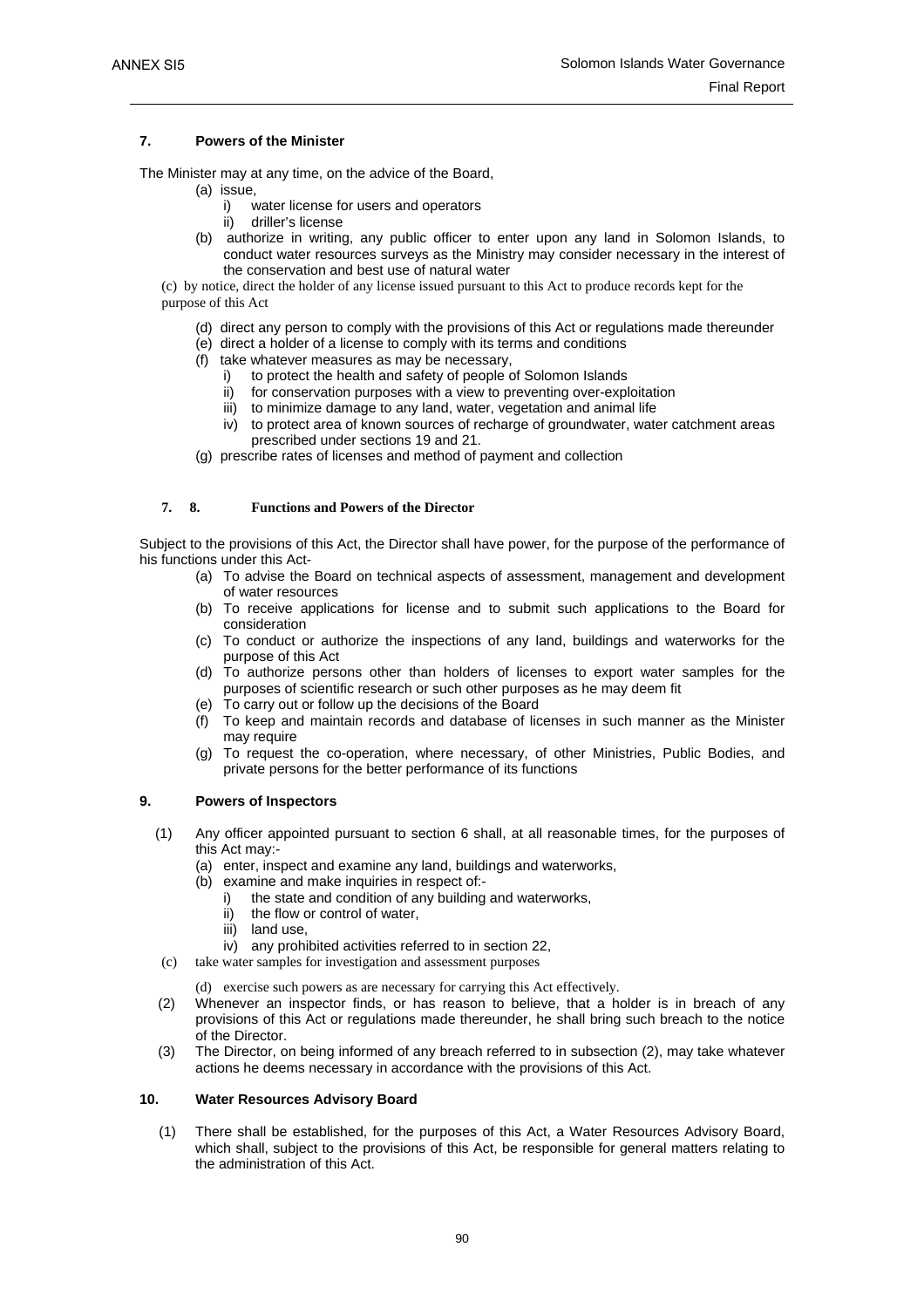#### **7. Powers of the Minister**

The Minister may at any time, on the advice of the Board,

- (a) issue,
	- i) water license for users and operators
	- ii) driller's license
- (b) authorize in writing, any public officer to enter upon any land in Solomon Islands, to conduct water resources surveys as the Ministry may consider necessary in the interest of the conservation and best use of natural water

(c) by notice, direct the holder of any license issued pursuant to this Act to produce records kept for the purpose of this Act

- (d) direct any person to comply with the provisions of this Act or regulations made thereunder
- (e) direct a holder of a license to comply with its terms and conditions
- (f) take whatever measures as may be necessary,
	- i) to protect the health and safety of people of Solomon Islands
	- ii) for conservation purposes with a view to preventing over-exploitation iii) to minimize damage to any land, water, vegetation and animal life
	- iv) to protect area of known sources of recharge of groundwater, water catchment areas prescribed under sections 19 and 21.
- (g) prescribe rates of licenses and method of payment and collection

### **7. 8. Functions and Powers of the Director**

Subject to the provisions of this Act, the Director shall have power, for the purpose of the performance of his functions under this Act-

- (a) To advise the Board on technical aspects of assessment, management and development of water resources
- (b) To receive applications for license and to submit such applications to the Board for consideration
- (c) To conduct or authorize the inspections of any land, buildings and waterworks for the purpose of this Act
- (d) To authorize persons other than holders of licenses to export water samples for the purposes of scientific research or such other purposes as he may deem fit
- (e) To carry out or follow up the decisions of the Board
- (f) To keep and maintain records and database of licenses in such manner as the Minister may require
- (g) To request the co-operation, where necessary, of other Ministries, Public Bodies, and private persons for the better performance of its functions

#### **9. Powers of Inspectors**

- (1) Any officer appointed pursuant to section 6 shall, at all reasonable times, for the purposes of this Act may:-
	- (a) enter, inspect and examine any land, buildings and waterworks,
	- (b) examine and make inquiries in respect of:
		- i) the state and condition of any building and waterworks,
		- ii) the flow or control of water,
		- iii) land use.
		- iv) any prohibited activities referred to in section 22,
- (c) take water samples for investigation and assessment purposes

(d) exercise such powers as are necessary for carrying this Act effectively.

- (2) Whenever an inspector finds, or has reason to believe, that a holder is in breach of any provisions of this Act or regulations made thereunder, he shall bring such breach to the notice of the Director.
- (3) The Director, on being informed of any breach referred to in subsection (2), may take whatever actions he deems necessary in accordance with the provisions of this Act.

#### **10. Water Resources Advisory Board**

 (1) There shall be established, for the purposes of this Act, a Water Resources Advisory Board, which shall, subject to the provisions of this Act, be responsible for general matters relating to the administration of this Act.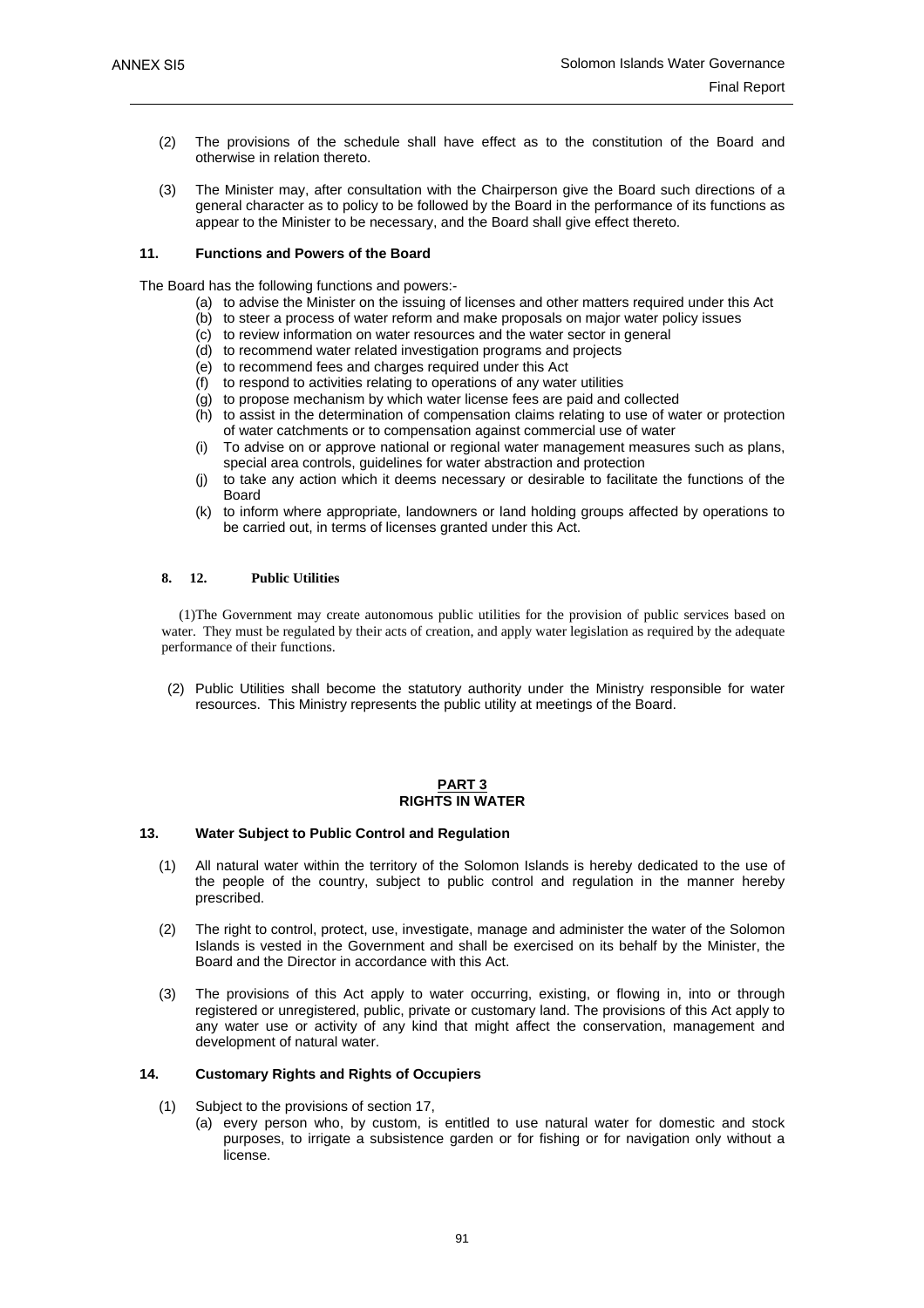- (2) The provisions of the schedule shall have effect as to the constitution of the Board and otherwise in relation thereto.
- (3) The Minister may, after consultation with the Chairperson give the Board such directions of a general character as to policy to be followed by the Board in the performance of its functions as appear to the Minister to be necessary, and the Board shall give effect thereto.

#### **11. Functions and Powers of the Board**

The Board has the following functions and powers:-

- (a) to advise the Minister on the issuing of licenses and other matters required under this Act
- (b) to steer a process of water reform and make proposals on major water policy issues
- (c) to review information on water resources and the water sector in general
- (d) to recommend water related investigation programs and projects
- (e) to recommend fees and charges required under this Act
- (f) to respond to activities relating to operations of any water utilities
- (g) to propose mechanism by which water license fees are paid and collected
- (h) to assist in the determination of compensation claims relating to use of water or protection of water catchments or to compensation against commercial use of water
- (i) To advise on or approve national or regional water management measures such as plans, special area controls, guidelines for water abstraction and protection
- (j) to take any action which it deems necessary or desirable to facilitate the functions of the **Board**
- (k) to inform where appropriate, landowners or land holding groups affected by operations to be carried out, in terms of licenses granted under this Act.

#### **8. 12. Public Utilities**

 (1) The Government may create autonomous public utilities for the provision of public services based on water. They must be regulated by their acts of creation, and apply water legislation as required by the adequate performance of their functions.

(2) Public Utilities shall become the statutory authority under the Ministry responsible for water resources. This Ministry represents the public utility at meetings of the Board.

#### **PART 3 RIGHTS IN WATER**

#### **13. Water Subject to Public Control and Regulation**

- (1) All natural water within the territory of the Solomon Islands is hereby dedicated to the use of the people of the country, subject to public control and regulation in the manner hereby prescribed.
- (2) The right to control, protect, use, investigate, manage and administer the water of the Solomon Islands is vested in the Government and shall be exercised on its behalf by the Minister, the Board and the Director in accordance with this Act.
- (3) The provisions of this Act apply to water occurring, existing, or flowing in, into or through registered or unregistered, public, private or customary land. The provisions of this Act apply to any water use or activity of any kind that might affect the conservation, management and development of natural water.

#### **14. Customary Rights and Rights of Occupiers**

- (1) Subject to the provisions of section 17,
	- (a) every person who, by custom, is entitled to use natural water for domestic and stock purposes, to irrigate a subsistence garden or for fishing or for navigation only without a license.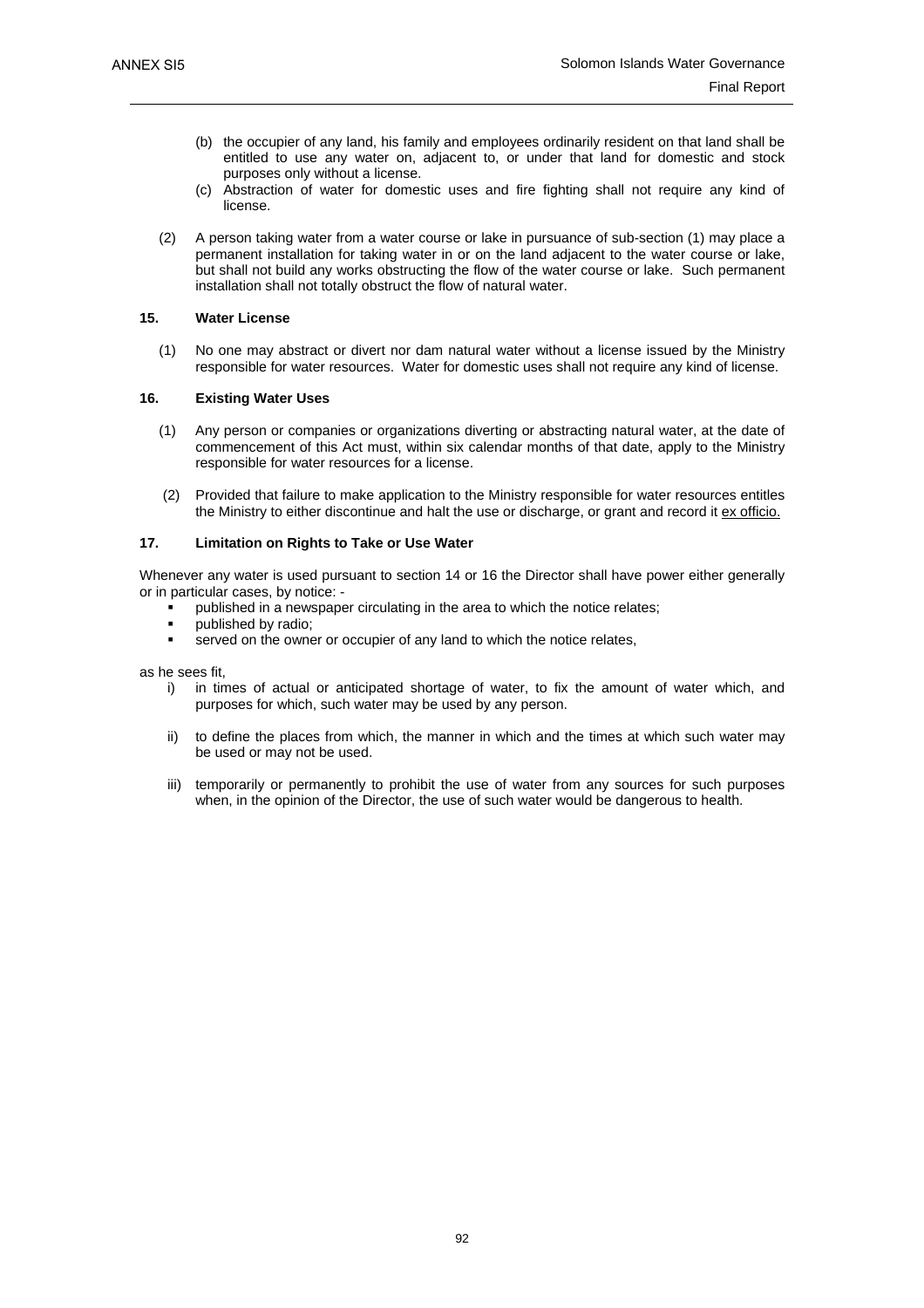- (b) the occupier of any land, his family and employees ordinarily resident on that land shall be entitled to use any water on, adjacent to, or under that land for domestic and stock purposes only without a license.
- (c) Abstraction of water for domestic uses and fire fighting shall not require any kind of license.
- (2) A person taking water from a water course or lake in pursuance of sub-section (1) may place a permanent installation for taking water in or on the land adjacent to the water course or lake, but shall not build any works obstructing the flow of the water course or lake. Such permanent installation shall not totally obstruct the flow of natural water.

#### **15. Water License**

 (1) No one may abstract or divert nor dam natural water without a license issued by the Ministry responsible for water resources. Water for domestic uses shall not require any kind of license.

#### **16. Existing Water Uses**

- (1) Any person or companies or organizations diverting or abstracting natural water, at the date of commencement of this Act must, within six calendar months of that date, apply to the Ministry responsible for water resources for a license.
- (2) Provided that failure to make application to the Ministry responsible for water resources entitles the Ministry to either discontinue and halt the use or discharge, or grant and record it ex officio.

#### **17. Limitation on Rights to Take or Use Water**

Whenever any water is used pursuant to section 14 or 16 the Director shall have power either generally or in particular cases, by notice: -

- published in a newspaper circulating in the area to which the notice relates;
- published by radio;
- served on the owner or occupier of any land to which the notice relates,

as he sees fit,

- i) in times of actual or anticipated shortage of water, to fix the amount of water which, and purposes for which, such water may be used by any person.
- ii) to define the places from which, the manner in which and the times at which such water may be used or may not be used.
- iii) temporarily or permanently to prohibit the use of water from any sources for such purposes when, in the opinion of the Director, the use of such water would be dangerous to health.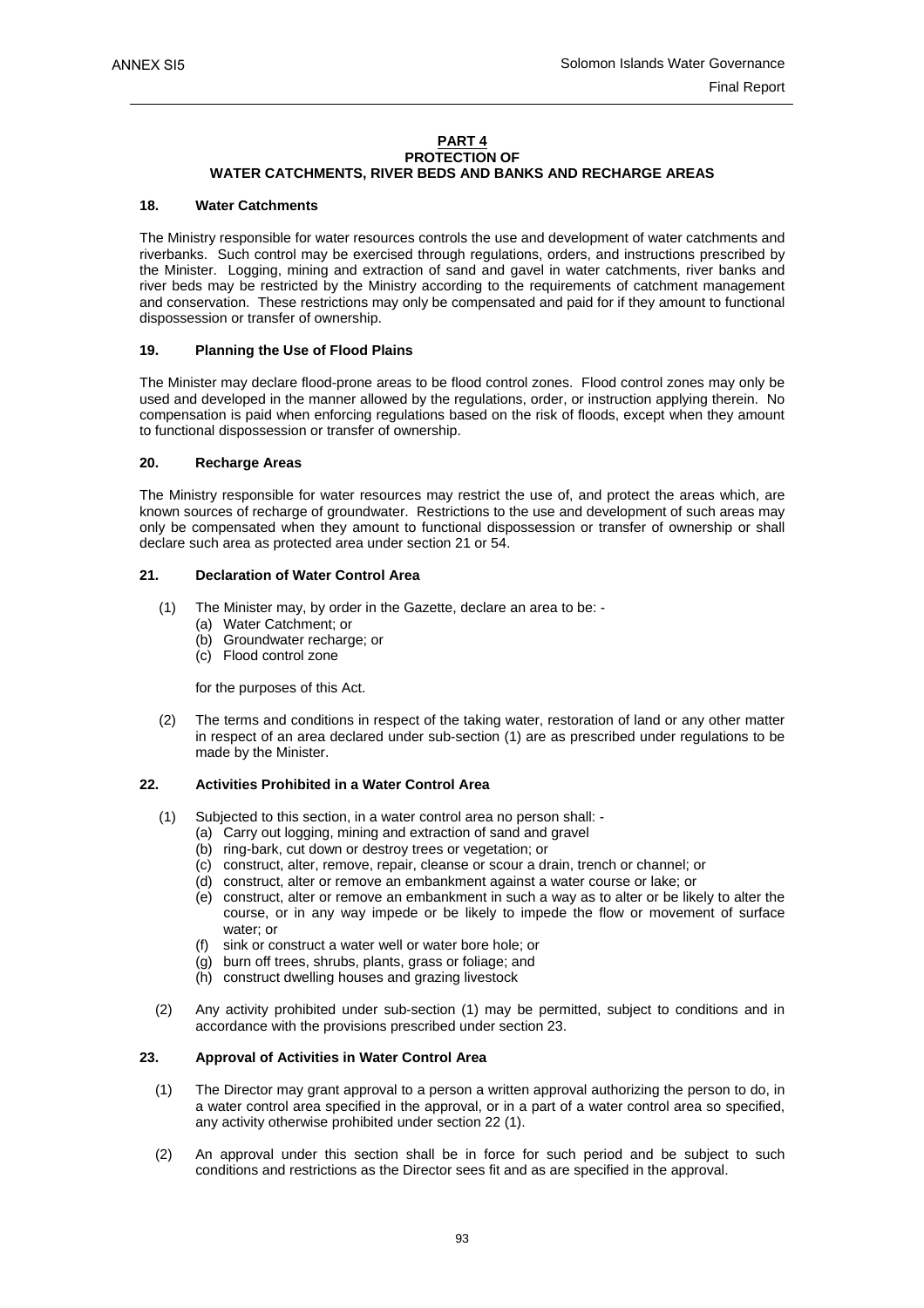#### **PART 4 PROTECTION OF WATER CATCHMENTS, RIVER BEDS AND BANKS AND RECHARGE AREAS**

#### **18. Water Catchments**

The Ministry responsible for water resources controls the use and development of water catchments and riverbanks. Such control may be exercised through regulations, orders, and instructions prescribed by the Minister. Logging, mining and extraction of sand and gavel in water catchments, river banks and river beds may be restricted by the Ministry according to the requirements of catchment management and conservation. These restrictions may only be compensated and paid for if they amount to functional dispossession or transfer of ownership.

#### **19. Planning the Use of Flood Plains**

The Minister may declare flood-prone areas to be flood control zones. Flood control zones may only be used and developed in the manner allowed by the regulations, order, or instruction applying therein. No compensation is paid when enforcing regulations based on the risk of floods, except when they amount to functional dispossession or transfer of ownership.

#### **20. Recharge Areas**

The Ministry responsible for water resources may restrict the use of, and protect the areas which, are known sources of recharge of groundwater. Restrictions to the use and development of such areas may only be compensated when they amount to functional dispossession or transfer of ownership or shall declare such area as protected area under section 21 or 54.

#### **21. Declaration of Water Control Area**

- (1) The Minister may, by order in the Gazette, declare an area to be:
	- (a) Water Catchment; or
	- (b) Groundwater recharge; or
	- (c) Flood control zone

for the purposes of this Act.

 (2) The terms and conditions in respect of the taking water, restoration of land or any other matter in respect of an area declared under sub-section (1) are as prescribed under regulations to be made by the Minister.

#### **22. Activities Prohibited in a Water Control Area**

- (1) Subjected to this section, in a water control area no person shall:
	- (a) Carry out logging, mining and extraction of sand and gravel
	- (b) ring-bark, cut down or destroy trees or vegetation; or
	- (c) construct, alter, remove, repair, cleanse or scour a drain, trench or channel; or
	- (d) construct, alter or remove an embankment against a water course or lake; or
	- (e) construct, alter or remove an embankment in such a way as to alter or be likely to alter the course, or in any way impede or be likely to impede the flow or movement of surface water; or
	- (f) sink or construct a water well or water bore hole; or
	- (g) burn off trees, shrubs, plants, grass or foliage; and
	- (h) construct dwelling houses and grazing livestock
- (2) Any activity prohibited under sub-section (1) may be permitted, subject to conditions and in accordance with the provisions prescribed under section 23.

#### **23. Approval of Activities in Water Control Area**

- (1) The Director may grant approval to a person a written approval authorizing the person to do, in a water control area specified in the approval, or in a part of a water control area so specified, any activity otherwise prohibited under section 22 (1).
- (2) An approval under this section shall be in force for such period and be subject to such conditions and restrictions as the Director sees fit and as are specified in the approval.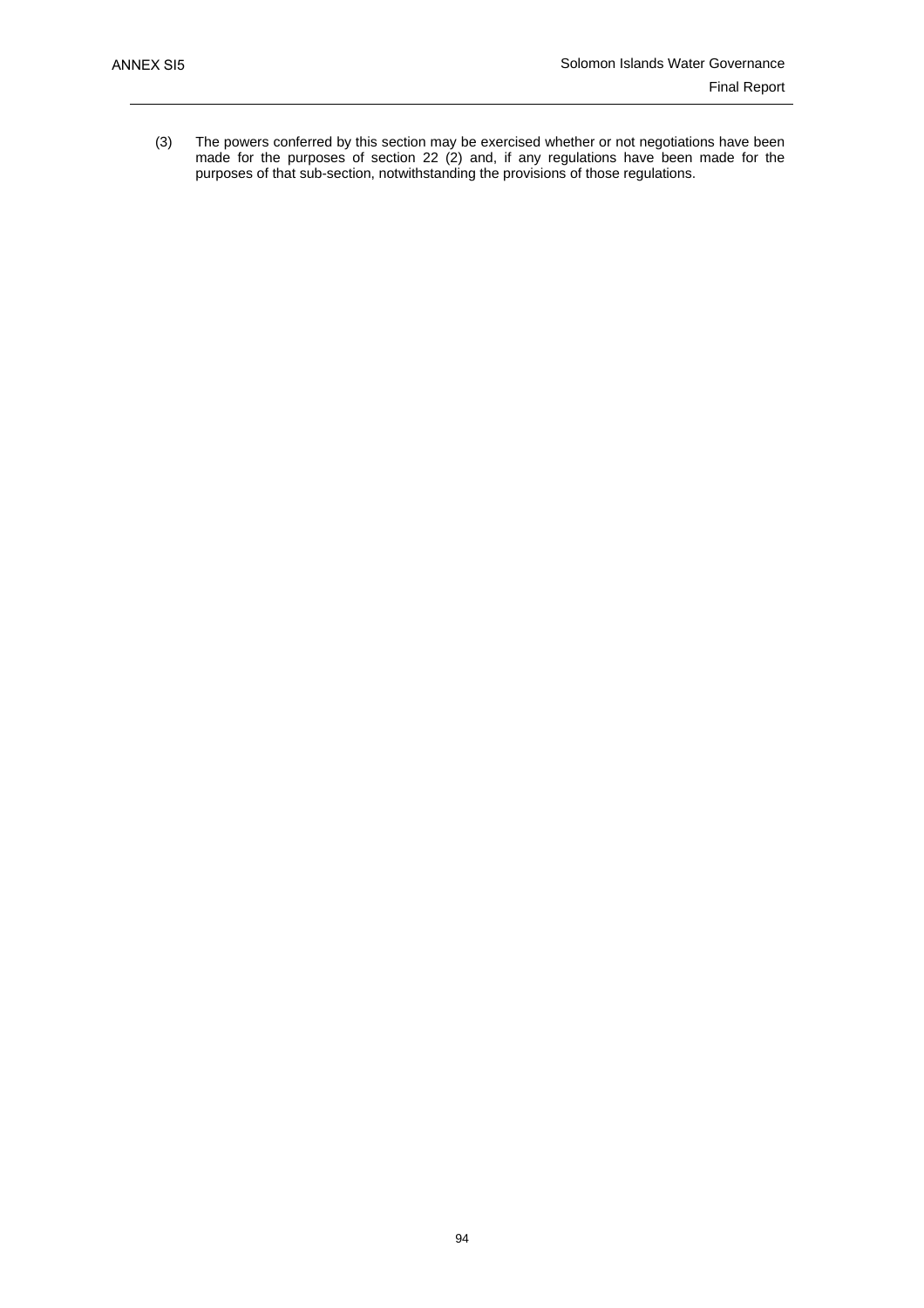(3) The powers conferred by this section may be exercised whether or not negotiations have been made for the purposes of section 22 (2) and, if any regulations have been made for the purposes of that sub-section, notwithstanding the provisions of those regulations.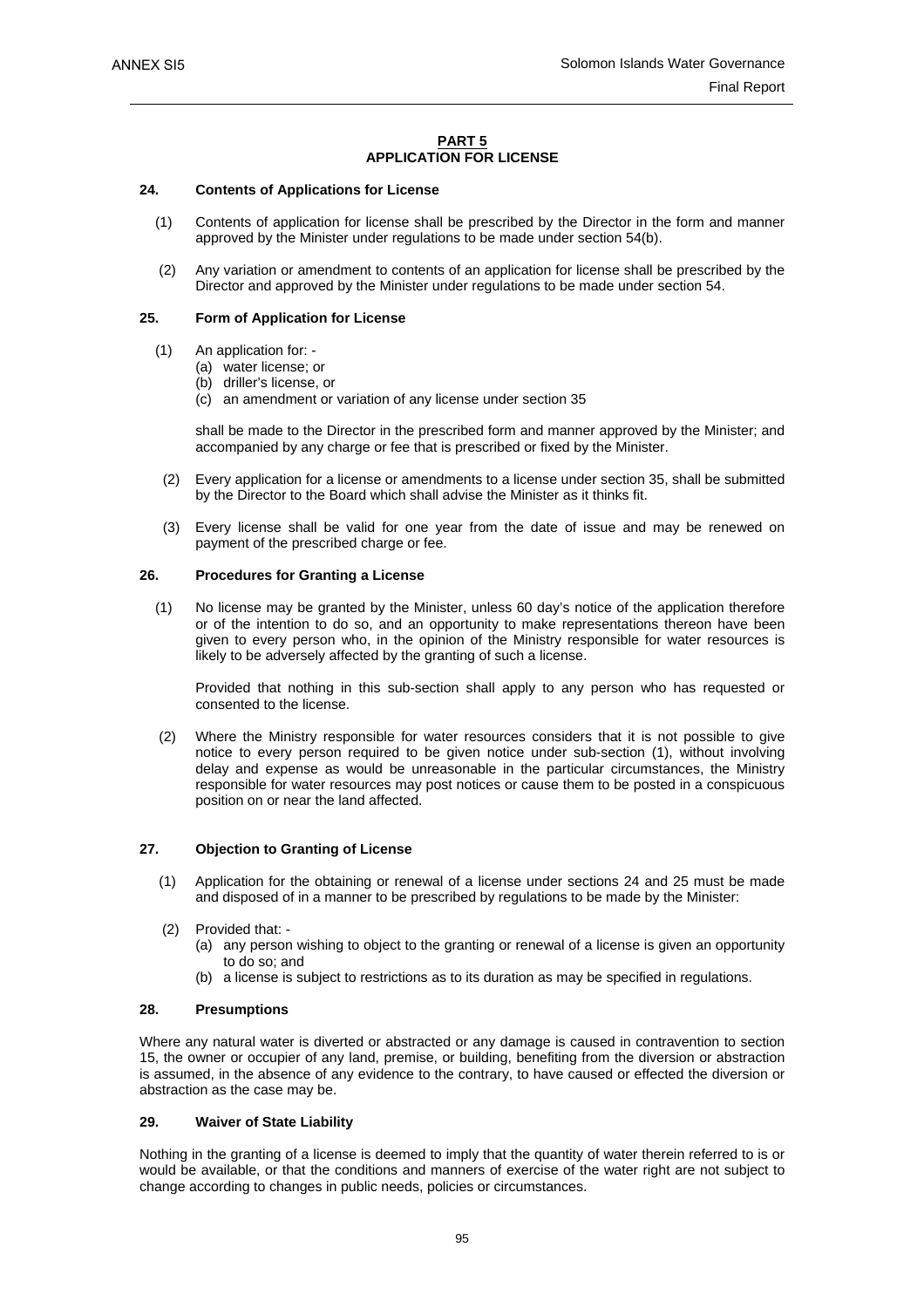#### **PART 5 APPLICATION FOR LICENSE**

#### **24. Contents of Applications for License**

- (1) Contents of application for license shall be prescribed by the Director in the form and manner approved by the Minister under regulations to be made under section 54(b).
- (2) Any variation or amendment to contents of an application for license shall be prescribed by the Director and approved by the Minister under regulations to be made under section 54.

#### **25. Form of Application for License**

- (1) An application for:
	- (a) water license; or
	- (b) driller's license, or
	- (c) an amendment or variation of any license under section 35

shall be made to the Director in the prescribed form and manner approved by the Minister; and accompanied by any charge or fee that is prescribed or fixed by the Minister.

- (2) Every application for a license or amendments to a license under section 35, shall be submitted by the Director to the Board which shall advise the Minister as it thinks fit.
- (3) Every license shall be valid for one year from the date of issue and may be renewed on payment of the prescribed charge or fee.

#### **26. Procedures for Granting a License**

 (1) No license may be granted by the Minister, unless 60 day's notice of the application therefore or of the intention to do so, and an opportunity to make representations thereon have been given to every person who, in the opinion of the Ministry responsible for water resources is likely to be adversely affected by the granting of such a license.

Provided that nothing in this sub-section shall apply to any person who has requested or consented to the license.

 (2) Where the Ministry responsible for water resources considers that it is not possible to give notice to every person required to be given notice under sub-section (1), without involving delay and expense as would be unreasonable in the particular circumstances, the Ministry responsible for water resources may post notices or cause them to be posted in a conspicuous position on or near the land affected.

#### **27. Objection to Granting of License**

- (1) Application for the obtaining or renewal of a license under sections 24 and 25 must be made and disposed of in a manner to be prescribed by regulations to be made by the Minister:
- (2) Provided that:
	- (a) any person wishing to object to the granting or renewal of a license is given an opportunity to do so; and
	- (b) a license is subject to restrictions as to its duration as may be specified in regulations.

#### **28. Presumptions**

Where any natural water is diverted or abstracted or any damage is caused in contravention to section 15, the owner or occupier of any land, premise, or building, benefiting from the diversion or abstraction is assumed, in the absence of any evidence to the contrary, to have caused or effected the diversion or abstraction as the case may be.

#### **29. Waiver of State Liability**

Nothing in the granting of a license is deemed to imply that the quantity of water therein referred to is or would be available, or that the conditions and manners of exercise of the water right are not subject to change according to changes in public needs, policies or circumstances.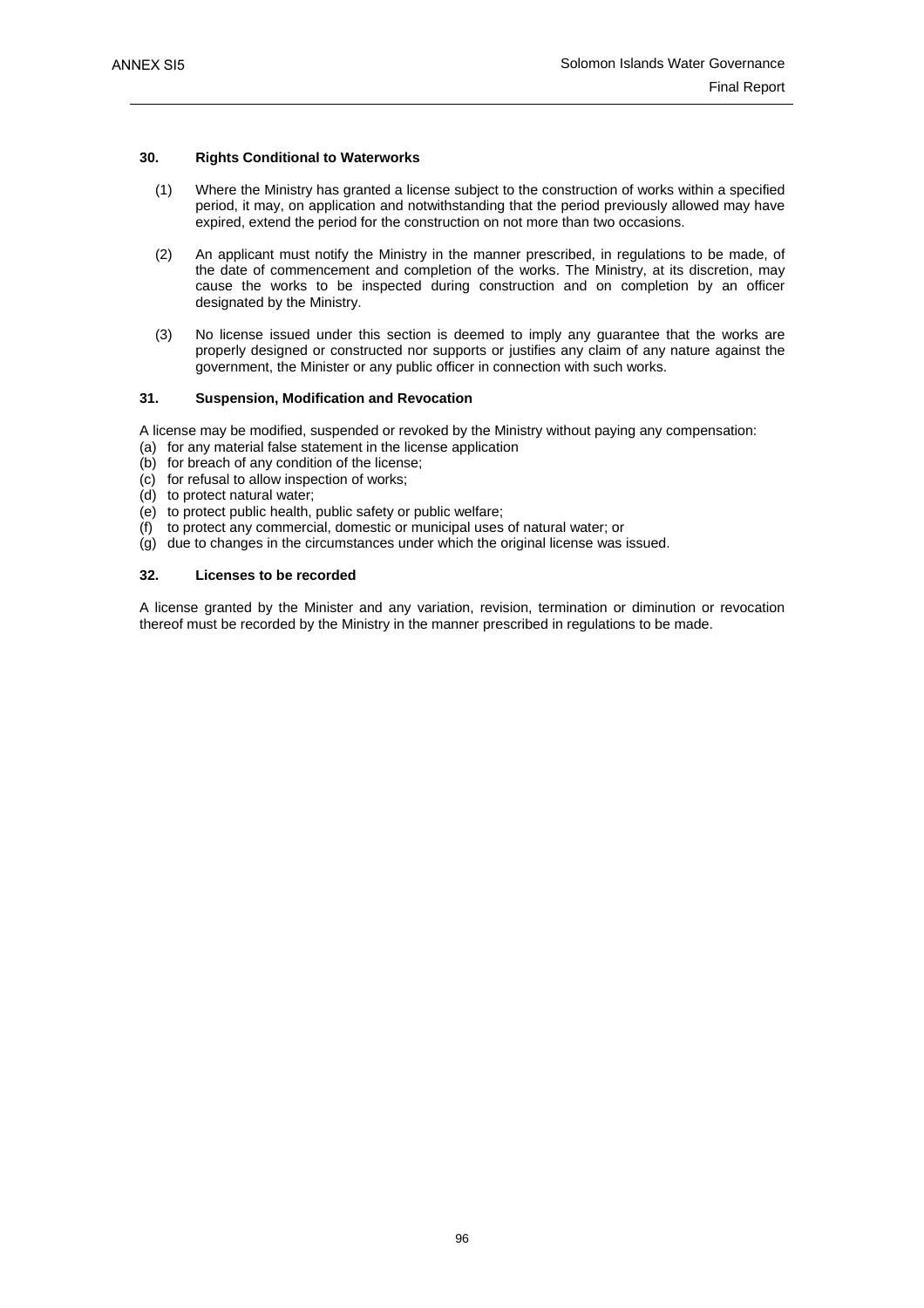#### **30. Rights Conditional to Waterworks**

- (1) Where the Ministry has granted a license subject to the construction of works within a specified period, it may, on application and notwithstanding that the period previously allowed may have expired, extend the period for the construction on not more than two occasions.
- (2) An applicant must notify the Ministry in the manner prescribed, in regulations to be made, of the date of commencement and completion of the works. The Ministry, at its discretion, may cause the works to be inspected during construction and on completion by an officer designated by the Ministry.
- (3) No license issued under this section is deemed to imply any guarantee that the works are properly designed or constructed nor supports or justifies any claim of any nature against the government, the Minister or any public officer in connection with such works.

# **31. Suspension, Modification and Revocation**

A license may be modified, suspended or revoked by the Ministry without paying any compensation:

- (a) for any material false statement in the license application
- (b) for breach of any condition of the license;
- (c) for refusal to allow inspection of works;
- (d) to protect natural water;
- (e) to protect public health, public safety or public welfare;
- (f) to protect any commercial, domestic or municipal uses of natural water; or
- (g) due to changes in the circumstances under which the original license was issued.

### **32. Licenses to be recorded**

A license granted by the Minister and any variation, revision, termination or diminution or revocation thereof must be recorded by the Ministry in the manner prescribed in regulations to be made.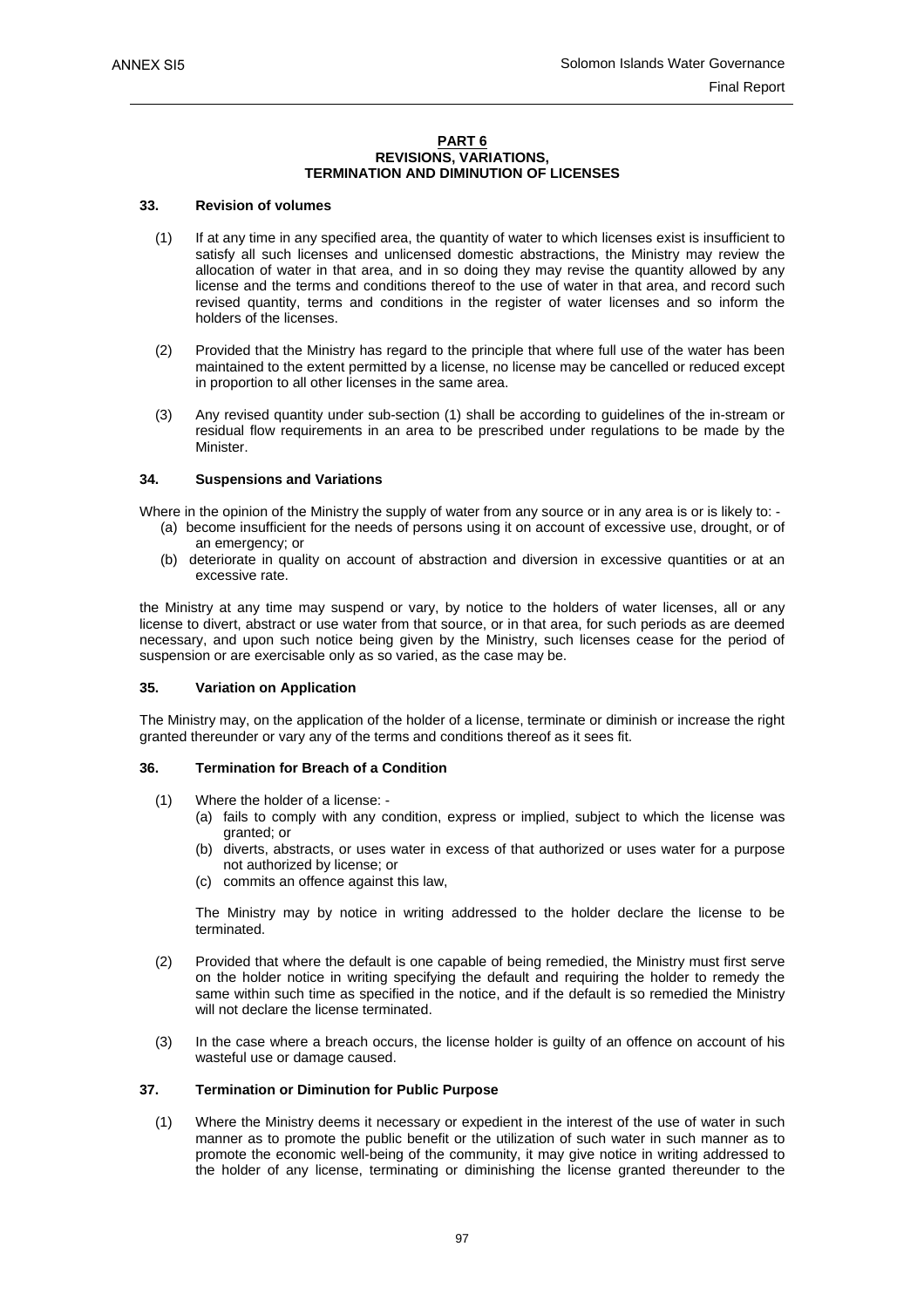#### **PART 6 REVISIONS, VARIATIONS, TERMINATION AND DIMINUTION OF LICENSES**

#### **33. Revision of volumes**

- (1) If at any time in any specified area, the quantity of water to which licenses exist is insufficient to satisfy all such licenses and unlicensed domestic abstractions, the Ministry may review the allocation of water in that area, and in so doing they may revise the quantity allowed by any license and the terms and conditions thereof to the use of water in that area, and record such revised quantity, terms and conditions in the register of water licenses and so inform the holders of the licenses.
- (2) Provided that the Ministry has regard to the principle that where full use of the water has been maintained to the extent permitted by a license, no license may be cancelled or reduced except in proportion to all other licenses in the same area.
- (3) Any revised quantity under sub-section (1) shall be according to guidelines of the in-stream or residual flow requirements in an area to be prescribed under regulations to be made by the Minister.

#### **34. Suspensions and Variations**

Where in the opinion of the Ministry the supply of water from any source or in any area is or is likely to: -

- (a) become insufficient for the needs of persons using it on account of excessive use, drought, or of an emergency; or
- (b) deteriorate in quality on account of abstraction and diversion in excessive quantities or at an excessive rate.

the Ministry at any time may suspend or vary, by notice to the holders of water licenses, all or any license to divert, abstract or use water from that source, or in that area, for such periods as are deemed necessary, and upon such notice being given by the Ministry, such licenses cease for the period of suspension or are exercisable only as so varied, as the case may be.

### **35. Variation on Application**

The Ministry may, on the application of the holder of a license, terminate or diminish or increase the right granted thereunder or vary any of the terms and conditions thereof as it sees fit.

#### **36. Termination for Breach of a Condition**

- (1) Where the holder of a license:
	- (a) fails to comply with any condition, express or implied, subject to which the license was granted; or
	- (b) diverts, abstracts, or uses water in excess of that authorized or uses water for a purpose not authorized by license; or
	- (c) commits an offence against this law,

 The Ministry may by notice in writing addressed to the holder declare the license to be terminated.

- (2) Provided that where the default is one capable of being remedied, the Ministry must first serve on the holder notice in writing specifying the default and requiring the holder to remedy the same within such time as specified in the notice, and if the default is so remedied the Ministry will not declare the license terminated.
- (3) In the case where a breach occurs, the license holder is guilty of an offence on account of his wasteful use or damage caused.

#### **37. Termination or Diminution for Public Purpose**

 (1) Where the Ministry deems it necessary or expedient in the interest of the use of water in such manner as to promote the public benefit or the utilization of such water in such manner as to promote the economic well-being of the community, it may give notice in writing addressed to the holder of any license, terminating or diminishing the license granted thereunder to the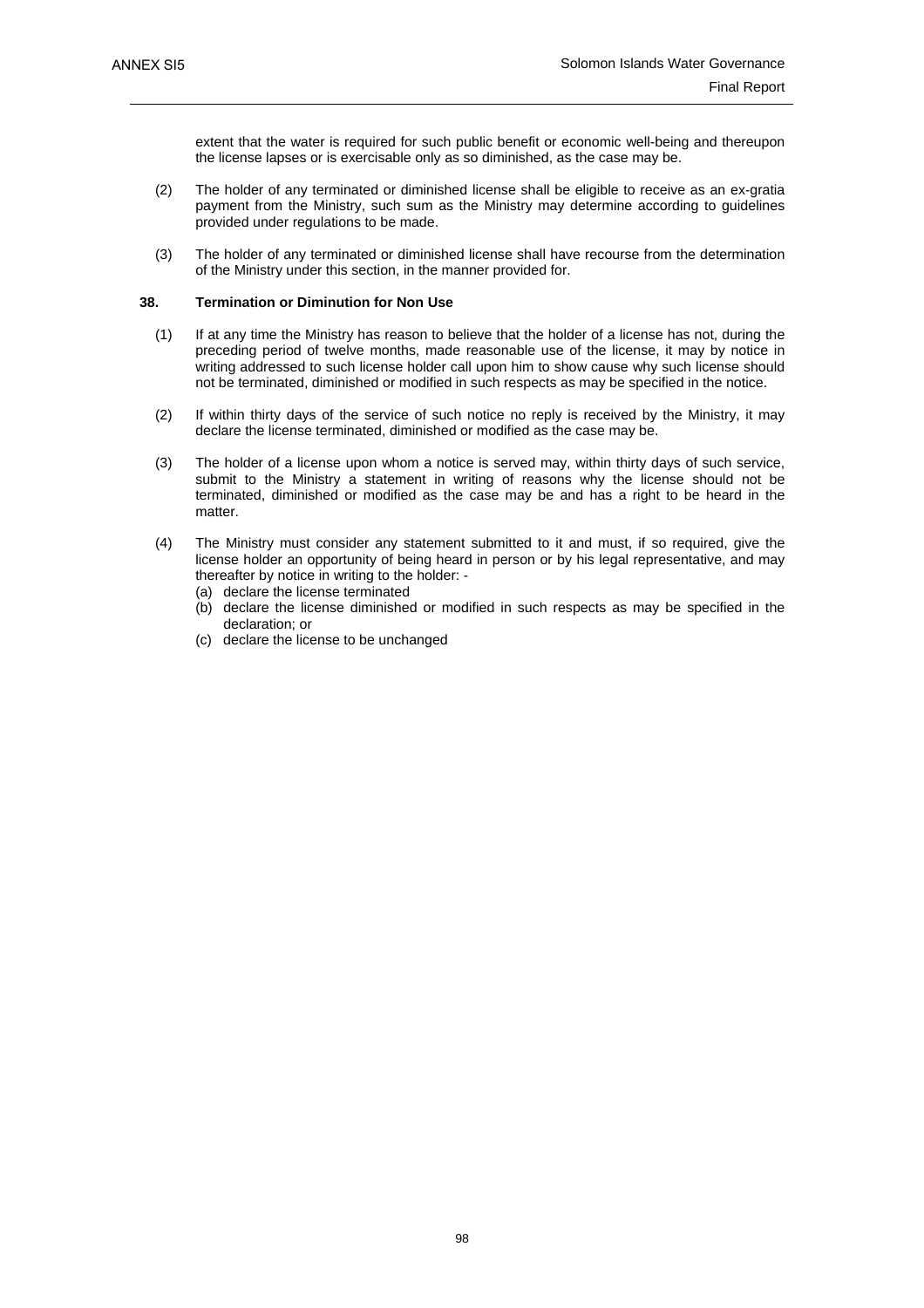extent that the water is required for such public benefit or economic well-being and thereupon the license lapses or is exercisable only as so diminished, as the case may be.

- (2) The holder of any terminated or diminished license shall be eligible to receive as an ex-gratia payment from the Ministry, such sum as the Ministry may determine according to guidelines provided under regulations to be made.
- (3) The holder of any terminated or diminished license shall have recourse from the determination of the Ministry under this section, in the manner provided for.

### **38. Termination or Diminution for Non Use**

- (1) If at any time the Ministry has reason to believe that the holder of a license has not, during the preceding period of twelve months, made reasonable use of the license, it may by notice in writing addressed to such license holder call upon him to show cause why such license should not be terminated, diminished or modified in such respects as may be specified in the notice.
- (2) If within thirty days of the service of such notice no reply is received by the Ministry, it may declare the license terminated, diminished or modified as the case may be.
- (3) The holder of a license upon whom a notice is served may, within thirty days of such service, submit to the Ministry a statement in writing of reasons why the license should not be terminated, diminished or modified as the case may be and has a right to be heard in the matter.
- (4) The Ministry must consider any statement submitted to it and must, if so required, give the license holder an opportunity of being heard in person or by his legal representative, and may thereafter by notice in writing to the holder: -
	- (a) declare the license terminated
	- (b) declare the license diminished or modified in such respects as may be specified in the declaration; or
	- (c) declare the license to be unchanged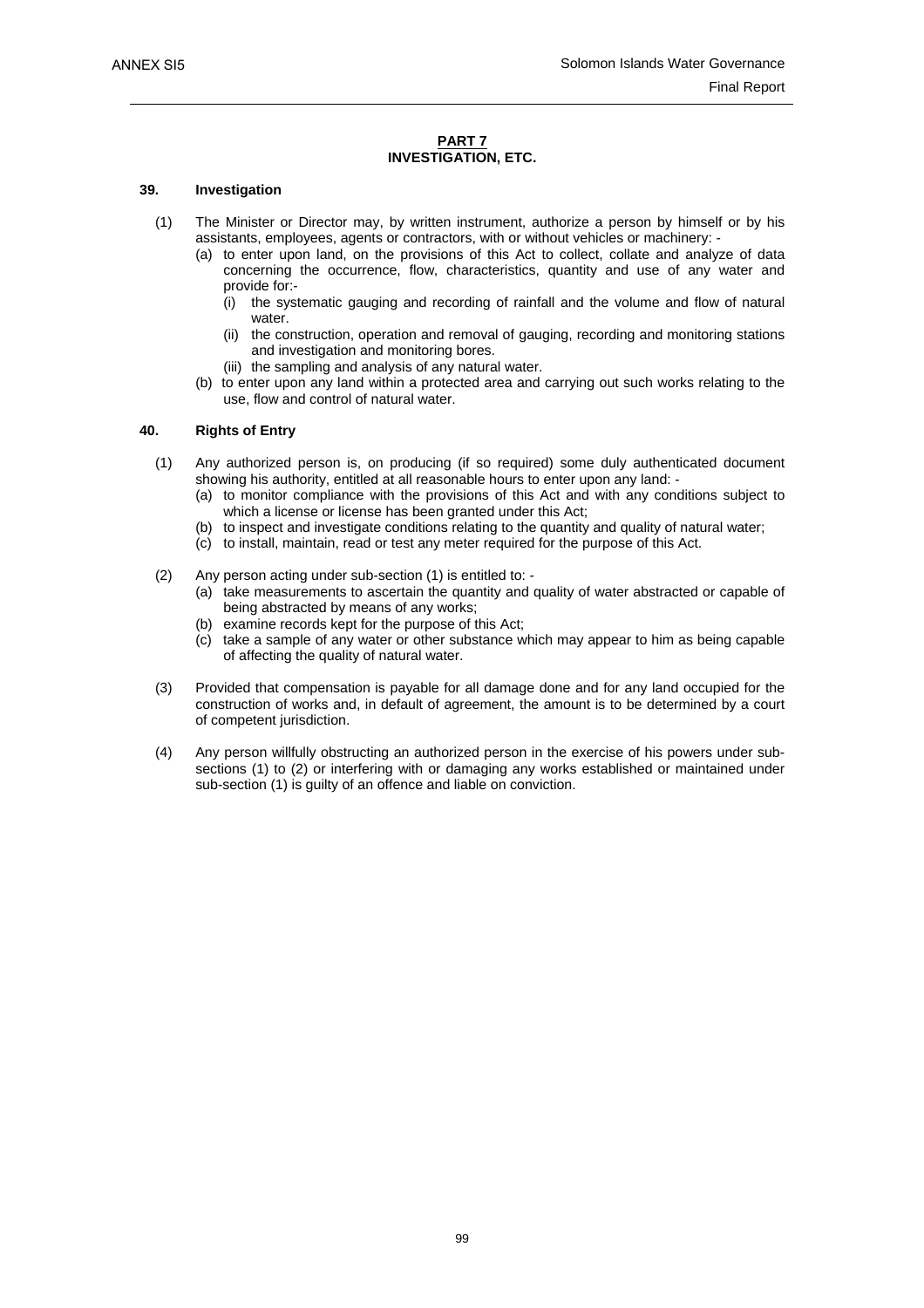#### **PART 7 INVESTIGATION, ETC.**

#### **39. Investigation**

- (1) The Minister or Director may, by written instrument, authorize a person by himself or by his assistants, employees, agents or contractors, with or without vehicles or machinery: -
	- (a) to enter upon land, on the provisions of this Act to collect, collate and analyze of data concerning the occurrence, flow, characteristics, quantity and use of any water and provide for:-
		- (i) the systematic gauging and recording of rainfall and the volume and flow of natural water.
		- (ii) the construction, operation and removal of gauging, recording and monitoring stations and investigation and monitoring bores.
		- (iii) the sampling and analysis of any natural water.
	- (b) to enter upon any land within a protected area and carrying out such works relating to the use, flow and control of natural water.

### **40. Rights of Entry**

- (1) Any authorized person is, on producing (if so required) some duly authenticated document showing his authority, entitled at all reasonable hours to enter upon any land: -
	- (a) to monitor compliance with the provisions of this Act and with any conditions subject to which a license or license has been granted under this Act;
	- (b) to inspect and investigate conditions relating to the quantity and quality of natural water;
	- (c) to install, maintain, read or test any meter required for the purpose of this Act.
- (2) Any person acting under sub-section (1) is entitled to:
	- (a) take measurements to ascertain the quantity and quality of water abstracted or capable of being abstracted by means of any works;
	- (b) examine records kept for the purpose of this Act;
	- (c) take a sample of any water or other substance which may appear to him as being capable of affecting the quality of natural water.
- (3) Provided that compensation is payable for all damage done and for any land occupied for the construction of works and, in default of agreement, the amount is to be determined by a court of competent jurisdiction.
- (4) Any person willfully obstructing an authorized person in the exercise of his powers under subsections (1) to (2) or interfering with or damaging any works established or maintained under sub-section (1) is guilty of an offence and liable on conviction.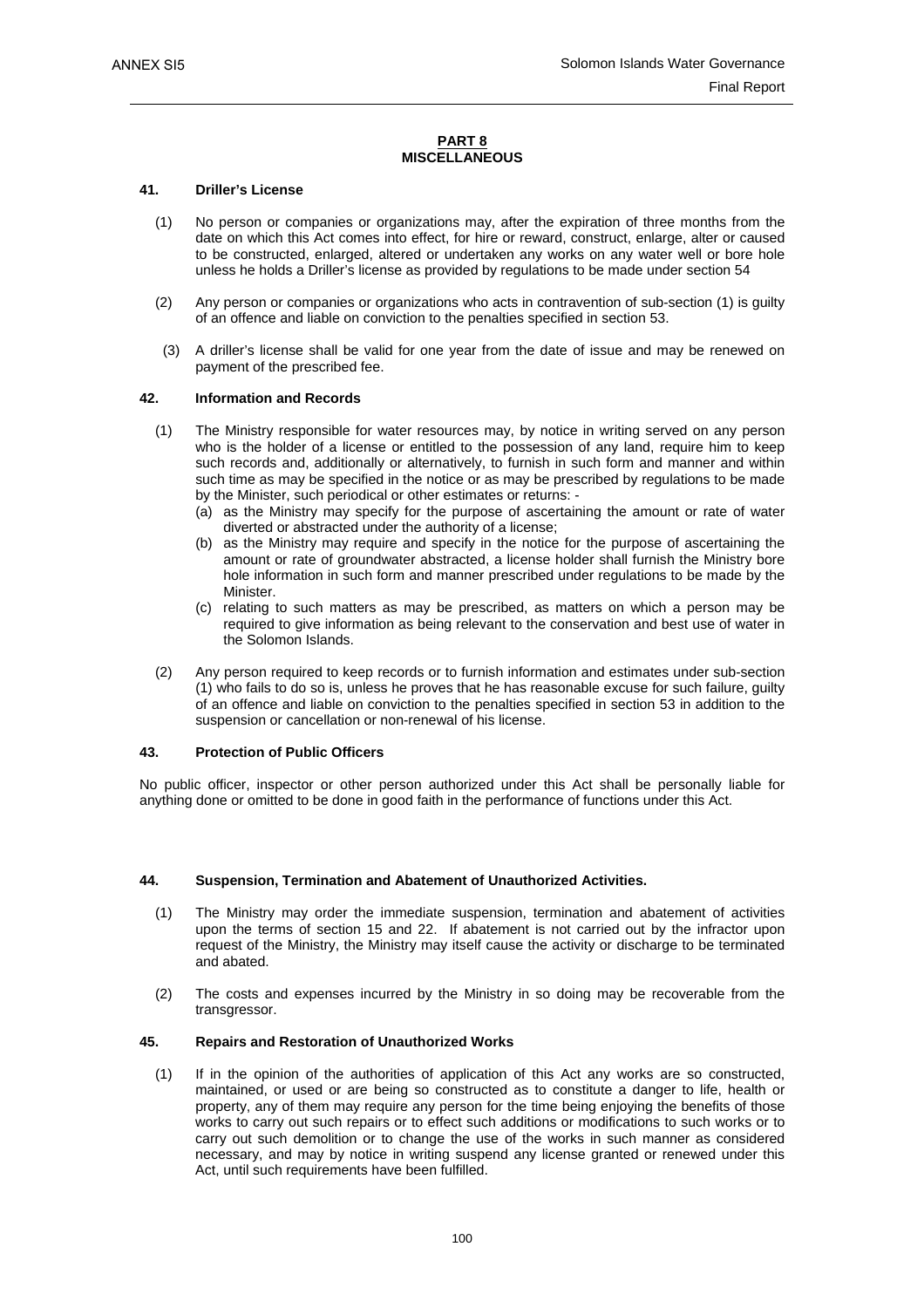#### **PART 8 MISCELLANEOUS**

#### **41. Driller's License**

- (1) No person or companies or organizations may, after the expiration of three months from the date on which this Act comes into effect, for hire or reward, construct, enlarge, alter or caused to be constructed, enlarged, altered or undertaken any works on any water well or bore hole unless he holds a Driller's license as provided by regulations to be made under section 54
- (2) Any person or companies or organizations who acts in contravention of sub-section (1) is guilty of an offence and liable on conviction to the penalties specified in section 53.
- (3) A driller's license shall be valid for one year from the date of issue and may be renewed on payment of the prescribed fee.

#### **42. Information and Records**

- (1) The Ministry responsible for water resources may, by notice in writing served on any person who is the holder of a license or entitled to the possession of any land, require him to keep such records and, additionally or alternatively, to furnish in such form and manner and within such time as may be specified in the notice or as may be prescribed by regulations to be made by the Minister, such periodical or other estimates or returns: -
	- (a) as the Ministry may specify for the purpose of ascertaining the amount or rate of water diverted or abstracted under the authority of a license;
	- (b) as the Ministry may require and specify in the notice for the purpose of ascertaining the amount or rate of groundwater abstracted, a license holder shall furnish the Ministry bore hole information in such form and manner prescribed under regulations to be made by the Minister.
	- (c) relating to such matters as may be prescribed, as matters on which a person may be required to give information as being relevant to the conservation and best use of water in the Solomon Islands.
- (2) Any person required to keep records or to furnish information and estimates under sub-section (1) who fails to do so is, unless he proves that he has reasonable excuse for such failure, guilty of an offence and liable on conviction to the penalties specified in section 53 in addition to the suspension or cancellation or non-renewal of his license.

#### **43. Protection of Public Officers**

No public officer, inspector or other person authorized under this Act shall be personally liable for anything done or omitted to be done in good faith in the performance of functions under this Act.

#### **44. Suspension, Termination and Abatement of Unauthorized Activities.**

- (1) The Ministry may order the immediate suspension, termination and abatement of activities upon the terms of section 15 and 22. If abatement is not carried out by the infractor upon request of the Ministry, the Ministry may itself cause the activity or discharge to be terminated and abated.
- (2) The costs and expenses incurred by the Ministry in so doing may be recoverable from the transgressor.

#### **45. Repairs and Restoration of Unauthorized Works**

 (1) If in the opinion of the authorities of application of this Act any works are so constructed, maintained, or used or are being so constructed as to constitute a danger to life, health or property, any of them may require any person for the time being enjoying the benefits of those works to carry out such repairs or to effect such additions or modifications to such works or to carry out such demolition or to change the use of the works in such manner as considered necessary, and may by notice in writing suspend any license granted or renewed under this Act, until such requirements have been fulfilled.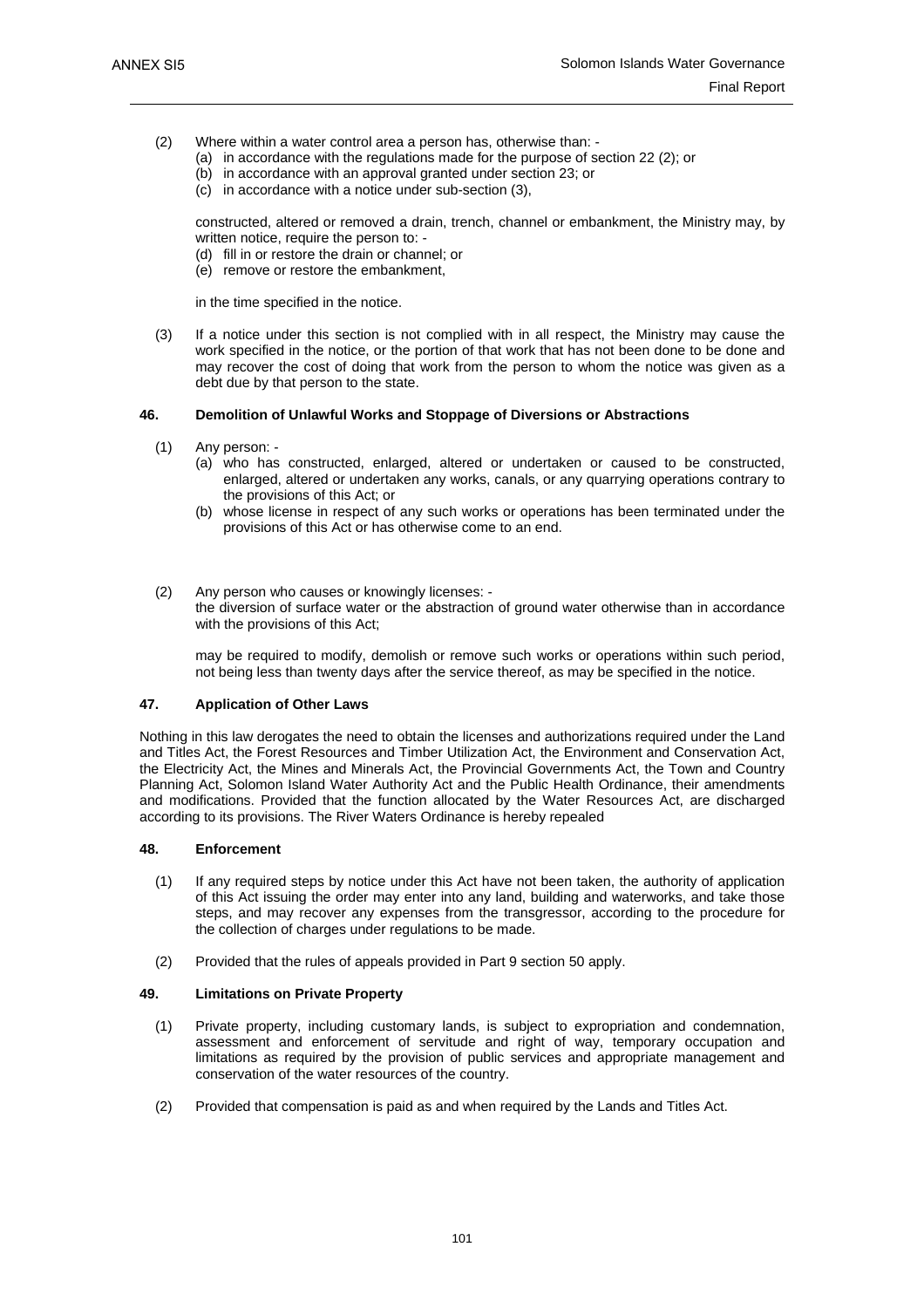- (2) Where within a water control area a person has, otherwise than:
	- (a) in accordance with the regulations made for the purpose of section 22 (2); or
	- (b) in accordance with an approval granted under section 23; or
	- (c) in accordance with a notice under sub-section (3),

constructed, altered or removed a drain, trench, channel or embankment, the Ministry may, by written notice, require the person to: -

- (d) fill in or restore the drain or channel; or
- (e) remove or restore the embankment,

in the time specified in the notice.

 (3) If a notice under this section is not complied with in all respect, the Ministry may cause the work specified in the notice, or the portion of that work that has not been done to be done and may recover the cost of doing that work from the person to whom the notice was given as a debt due by that person to the state.

#### **46. Demolition of Unlawful Works and Stoppage of Diversions or Abstractions**

- (1) Any person:
	- (a) who has constructed, enlarged, altered or undertaken or caused to be constructed, enlarged, altered or undertaken any works, canals, or any quarrying operations contrary to the provisions of this Act; or
	- (b) whose license in respect of any such works or operations has been terminated under the provisions of this Act or has otherwise come to an end.
- (2) Any person who causes or knowingly licenses: the diversion of surface water or the abstraction of ground water otherwise than in accordance with the provisions of this Act;

may be required to modify, demolish or remove such works or operations within such period, not being less than twenty days after the service thereof, as may be specified in the notice.

#### **47. Application of Other Laws**

Nothing in this law derogates the need to obtain the licenses and authorizations required under the Land and Titles Act, the Forest Resources and Timber Utilization Act, the Environment and Conservation Act, the Electricity Act, the Mines and Minerals Act, the Provincial Governments Act, the Town and Country Planning Act, Solomon Island Water Authority Act and the Public Health Ordinance, their amendments and modifications. Provided that the function allocated by the Water Resources Act, are discharged according to its provisions. The River Waters Ordinance is hereby repealed

#### **48. Enforcement**

- (1) If any required steps by notice under this Act have not been taken, the authority of application of this Act issuing the order may enter into any land, building and waterworks, and take those steps, and may recover any expenses from the transgressor, according to the procedure for the collection of charges under regulations to be made.
- (2) Provided that the rules of appeals provided in Part 9 section 50 apply.

#### **49. Limitations on Private Property**

- (1) Private property, including customary lands, is subject to expropriation and condemnation, assessment and enforcement of servitude and right of way, temporary occupation and limitations as required by the provision of public services and appropriate management and conservation of the water resources of the country.
- (2) Provided that compensation is paid as and when required by the Lands and Titles Act.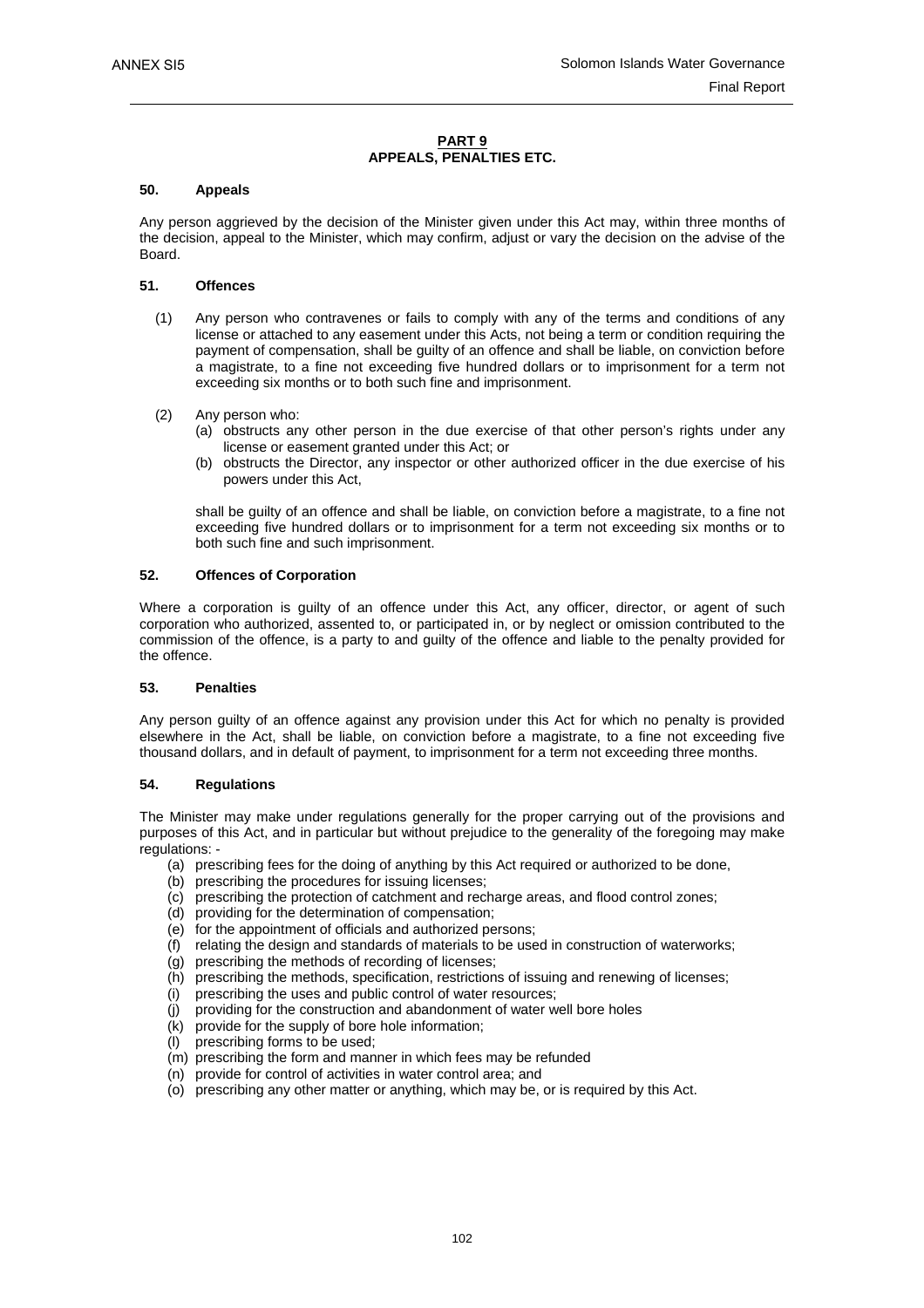#### **PART 9 APPEALS, PENALTIES ETC.**

#### **50. Appeals**

Any person aggrieved by the decision of the Minister given under this Act may, within three months of the decision, appeal to the Minister, which may confirm, adjust or vary the decision on the advise of the Board.

#### **51. Offences**

- (1) Any person who contravenes or fails to comply with any of the terms and conditions of any license or attached to any easement under this Acts, not being a term or condition requiring the payment of compensation, shall be guilty of an offence and shall be liable, on conviction before a magistrate, to a fine not exceeding five hundred dollars or to imprisonment for a term not exceeding six months or to both such fine and imprisonment.
- (2) Any person who:
	- (a) obstructs any other person in the due exercise of that other person's rights under any license or easement granted under this Act; or
	- (b) obstructs the Director, any inspector or other authorized officer in the due exercise of his powers under this Act,

shall be guilty of an offence and shall be liable, on conviction before a magistrate, to a fine not exceeding five hundred dollars or to imprisonment for a term not exceeding six months or to both such fine and such imprisonment.

#### **52. Offences of Corporation**

Where a corporation is guilty of an offence under this Act, any officer, director, or agent of such corporation who authorized, assented to, or participated in, or by neglect or omission contributed to the commission of the offence, is a party to and guilty of the offence and liable to the penalty provided for the offence.

#### **53. Penalties**

Any person guilty of an offence against any provision under this Act for which no penalty is provided elsewhere in the Act, shall be liable, on conviction before a magistrate, to a fine not exceeding five thousand dollars, and in default of payment, to imprisonment for a term not exceeding three months.

#### **54. Regulations**

The Minister may make under regulations generally for the proper carrying out of the provisions and purposes of this Act, and in particular but without prejudice to the generality of the foregoing may make regulations: -

- (a) prescribing fees for the doing of anything by this Act required or authorized to be done,
- (b) prescribing the procedures for issuing licenses;
- (c) prescribing the protection of catchment and recharge areas, and flood control zones;
- (d) providing for the determination of compensation;
- (e) for the appointment of officials and authorized persons;
- (f) relating the design and standards of materials to be used in construction of waterworks;
- $(q)$  prescribing the methods of recording of licenses;
- (h) prescribing the methods, specification, restrictions of issuing and renewing of licenses;
- (i) prescribing the uses and public control of water resources;
- (j) providing for the construction and abandonment of water well bore holes
- (k) provide for the supply of bore hole information;
- (l) prescribing forms to be used;
- (m) prescribing the form and manner in which fees may be refunded
- (n) provide for control of activities in water control area; and
- (o) prescribing any other matter or anything, which may be, or is required by this Act.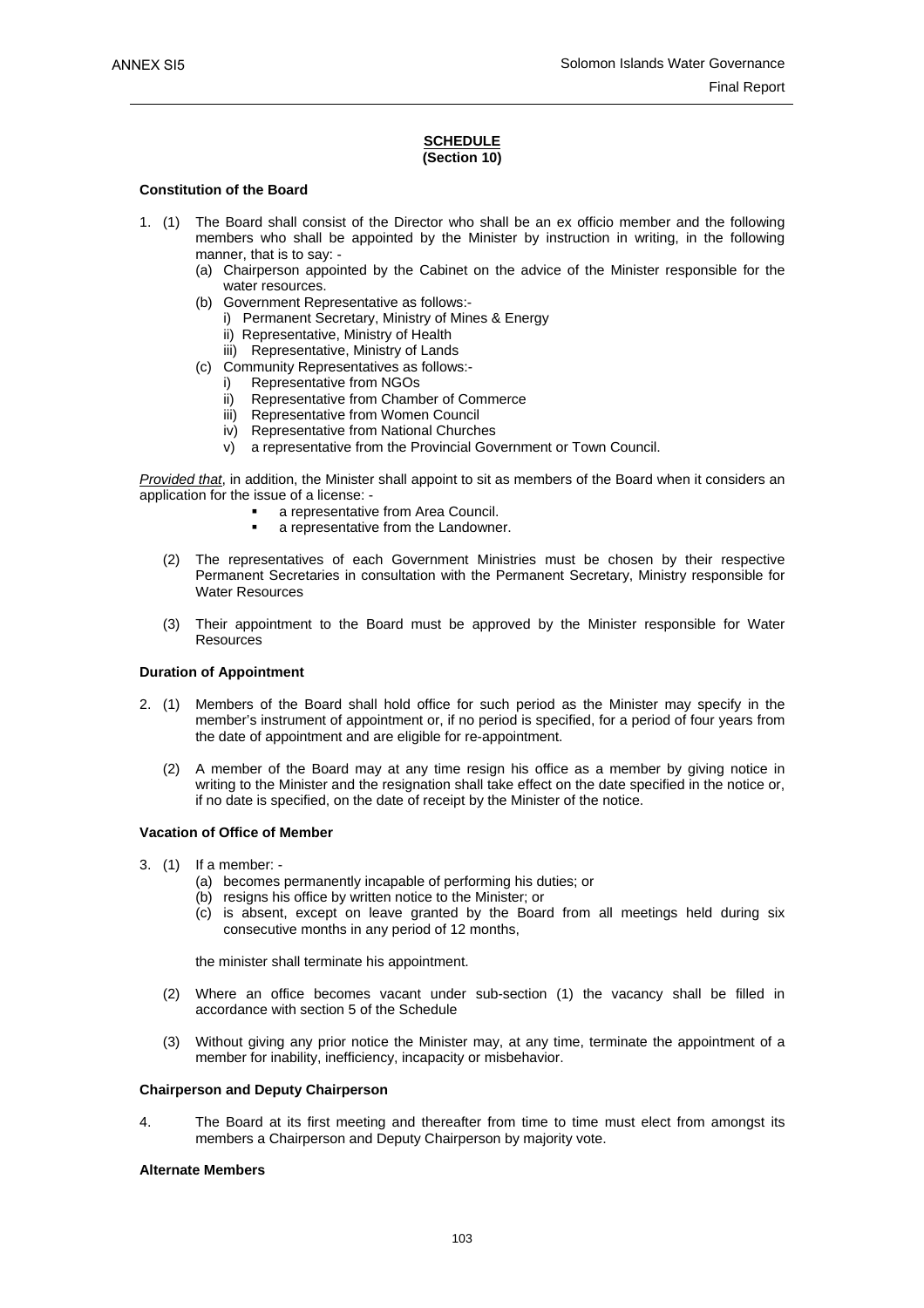#### **SCHEDULE (Section 10)**

#### **Constitution of the Board**

- 1. (1) The Board shall consist of the Director who shall be an ex officio member and the following members who shall be appointed by the Minister by instruction in writing, in the following manner, that is to say: -
	- (a) Chairperson appointed by the Cabinet on the advice of the Minister responsible for the water resources.
	- (b) Government Representative as follows:
		- i) Permanent Secretary, Ministry of Mines & Energy
		- ii) Representative, Ministry of Health
		- iii) Representative, Ministry of Lands
	- (c) Community Representatives as follows:
		- i) Representative from NGOs
		- ii) Representative from Chamber of Commerce
		- iii) Representative from Women Council
		- iv) Representative from National Churches
		- v) a representative from the Provincial Government or Town Council.

*Provided that*, in addition, the Minister shall appoint to sit as members of the Board when it considers an application for the issue of a license: -

- a representative from Area Council.
- a representative from the Landowner.
- (2) The representatives of each Government Ministries must be chosen by their respective Permanent Secretaries in consultation with the Permanent Secretary, Ministry responsible for Water Resources
- (3) Their appointment to the Board must be approved by the Minister responsible for Water **Resources**

#### **Duration of Appointment**

- 2. (1) Members of the Board shall hold office for such period as the Minister may specify in the member's instrument of appointment or, if no period is specified, for a period of four years from the date of appointment and are eligible for re-appointment.
	- (2) A member of the Board may at any time resign his office as a member by giving notice in writing to the Minister and the resignation shall take effect on the date specified in the notice or, if no date is specified, on the date of receipt by the Minister of the notice.

#### **Vacation of Office of Member**

- 3. (1) If a member:
	- (a) becomes permanently incapable of performing his duties; or
	- (b) resigns his office by written notice to the Minister; or
	- (c) is absent, except on leave granted by the Board from all meetings held during six consecutive months in any period of 12 months,

the minister shall terminate his appointment.

- (2) Where an office becomes vacant under sub-section (1) the vacancy shall be filled in accordance with section 5 of the Schedule
- (3) Without giving any prior notice the Minister may, at any time, terminate the appointment of a member for inability, inefficiency, incapacity or misbehavior.

#### **Chairperson and Deputy Chairperson**

4. The Board at its first meeting and thereafter from time to time must elect from amongst its members a Chairperson and Deputy Chairperson by majority vote.

#### **Alternate Members**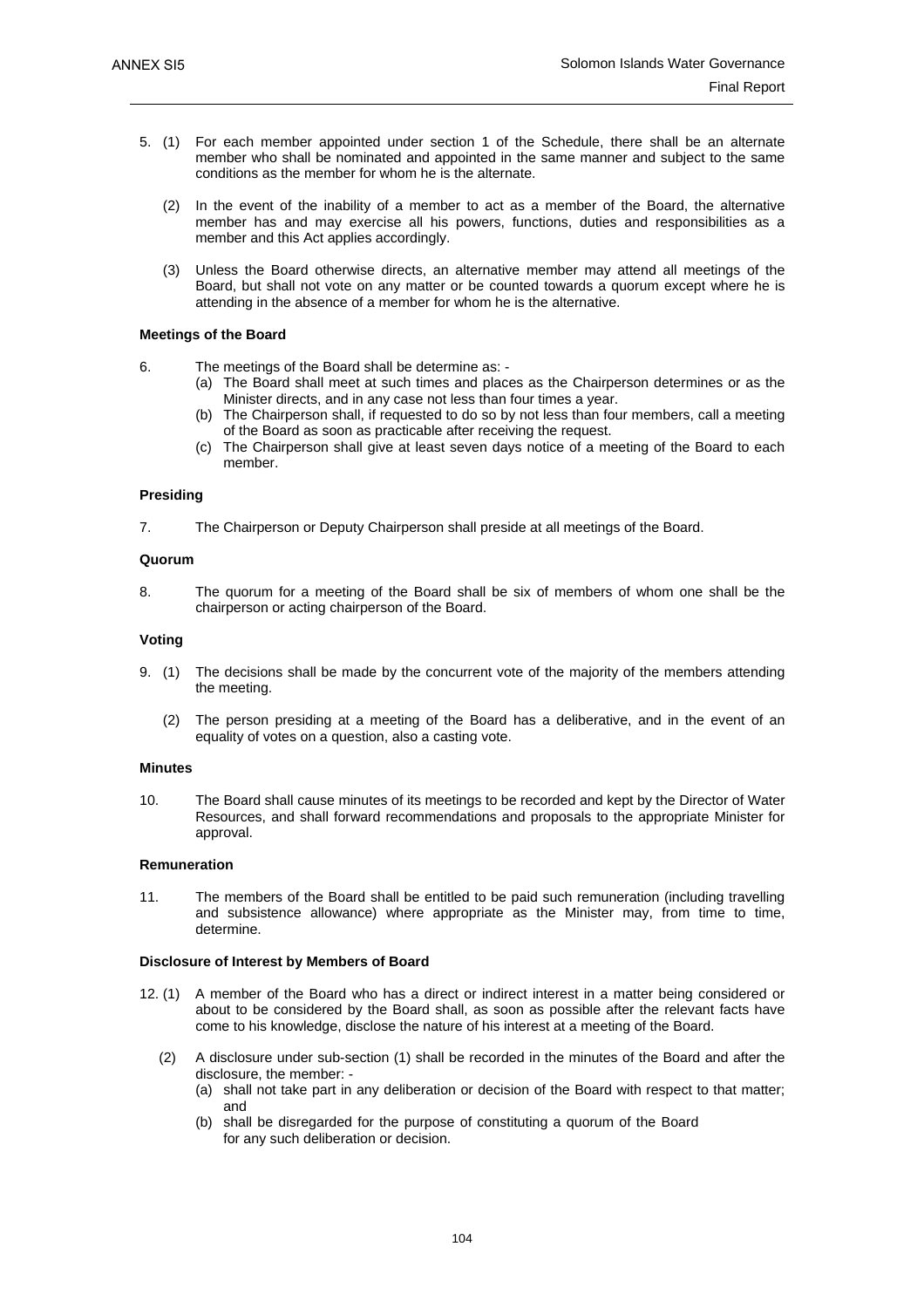- 5. (1) For each member appointed under section 1 of the Schedule, there shall be an alternate member who shall be nominated and appointed in the same manner and subject to the same conditions as the member for whom he is the alternate.
	- (2) In the event of the inability of a member to act as a member of the Board, the alternative member has and may exercise all his powers, functions, duties and responsibilities as a member and this Act applies accordingly.
	- (3) Unless the Board otherwise directs, an alternative member may attend all meetings of the Board, but shall not vote on any matter or be counted towards a quorum except where he is attending in the absence of a member for whom he is the alternative.

#### **Meetings of the Board**

- 6. The meetings of the Board shall be determine as:
	- (a) The Board shall meet at such times and places as the Chairperson determines or as the Minister directs, and in any case not less than four times a year.
	- (b) The Chairperson shall, if requested to do so by not less than four members, call a meeting of the Board as soon as practicable after receiving the request.
	- (c) The Chairperson shall give at least seven days notice of a meeting of the Board to each member.

#### **Presiding**

7. The Chairperson or Deputy Chairperson shall preside at all meetings of the Board.

#### **Quorum**

8. The quorum for a meeting of the Board shall be six of members of whom one shall be the chairperson or acting chairperson of the Board.

#### **Voting**

- 9. (1) The decisions shall be made by the concurrent vote of the majority of the members attending the meeting.
	- (2) The person presiding at a meeting of the Board has a deliberative, and in the event of an equality of votes on a question, also a casting vote.

#### **Minutes**

10. The Board shall cause minutes of its meetings to be recorded and kept by the Director of Water Resources, and shall forward recommendations and proposals to the appropriate Minister for approval.

#### **Remuneration**

11. The members of the Board shall be entitled to be paid such remuneration (including travelling and subsistence allowance) where appropriate as the Minister may, from time to time, determine.

#### **Disclosure of Interest by Members of Board**

- 12. (1) A member of the Board who has a direct or indirect interest in a matter being considered or about to be considered by the Board shall, as soon as possible after the relevant facts have come to his knowledge, disclose the nature of his interest at a meeting of the Board.
	- (2) A disclosure under sub-section (1) shall be recorded in the minutes of the Board and after the disclosure, the member: -
		- (a) shall not take part in any deliberation or decision of the Board with respect to that matter; and
		- (b) shall be disregarded for the purpose of constituting a quorum of the Board for any such deliberation or decision.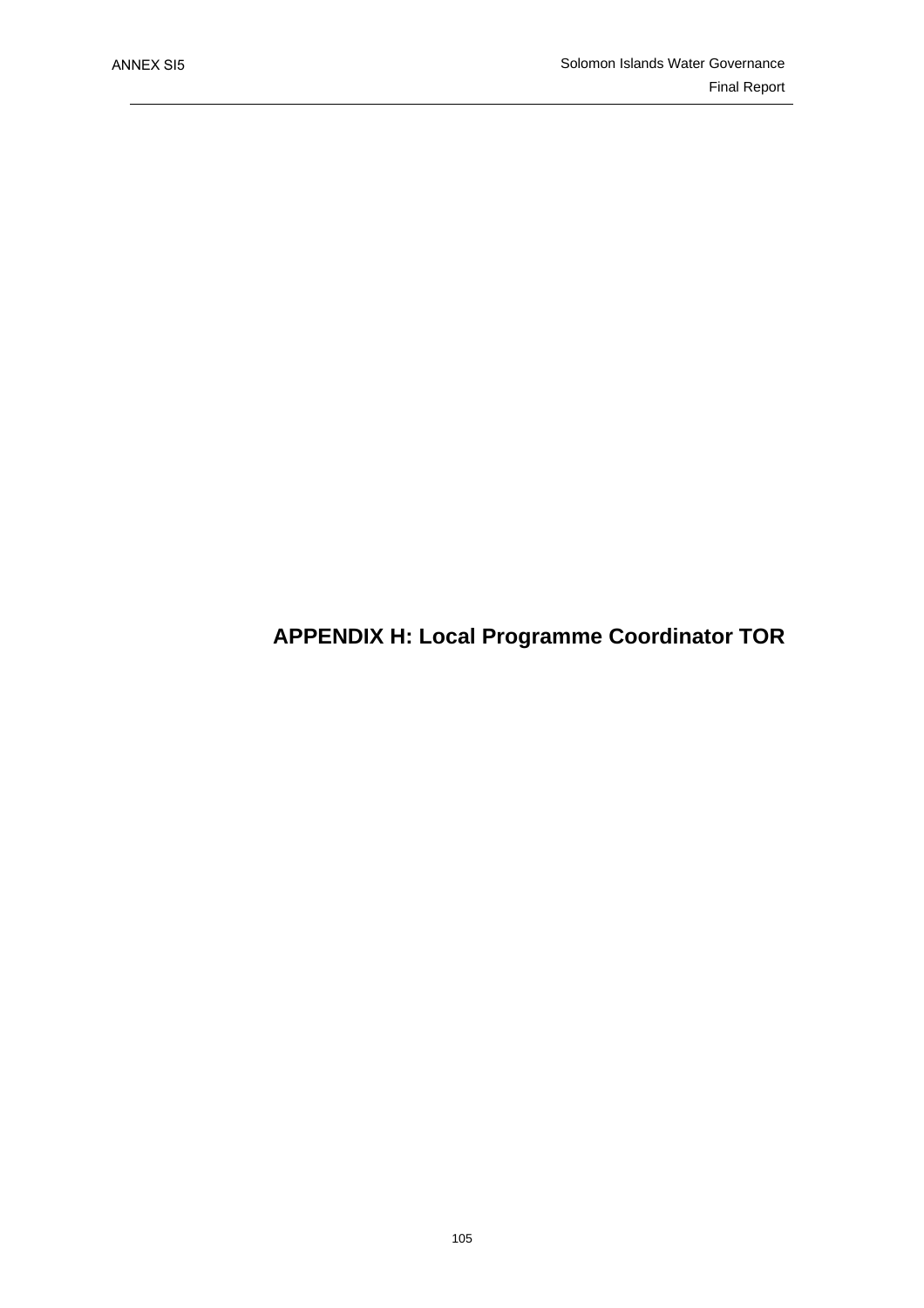**APPENDIX H: Local Programme Coordinator TOR**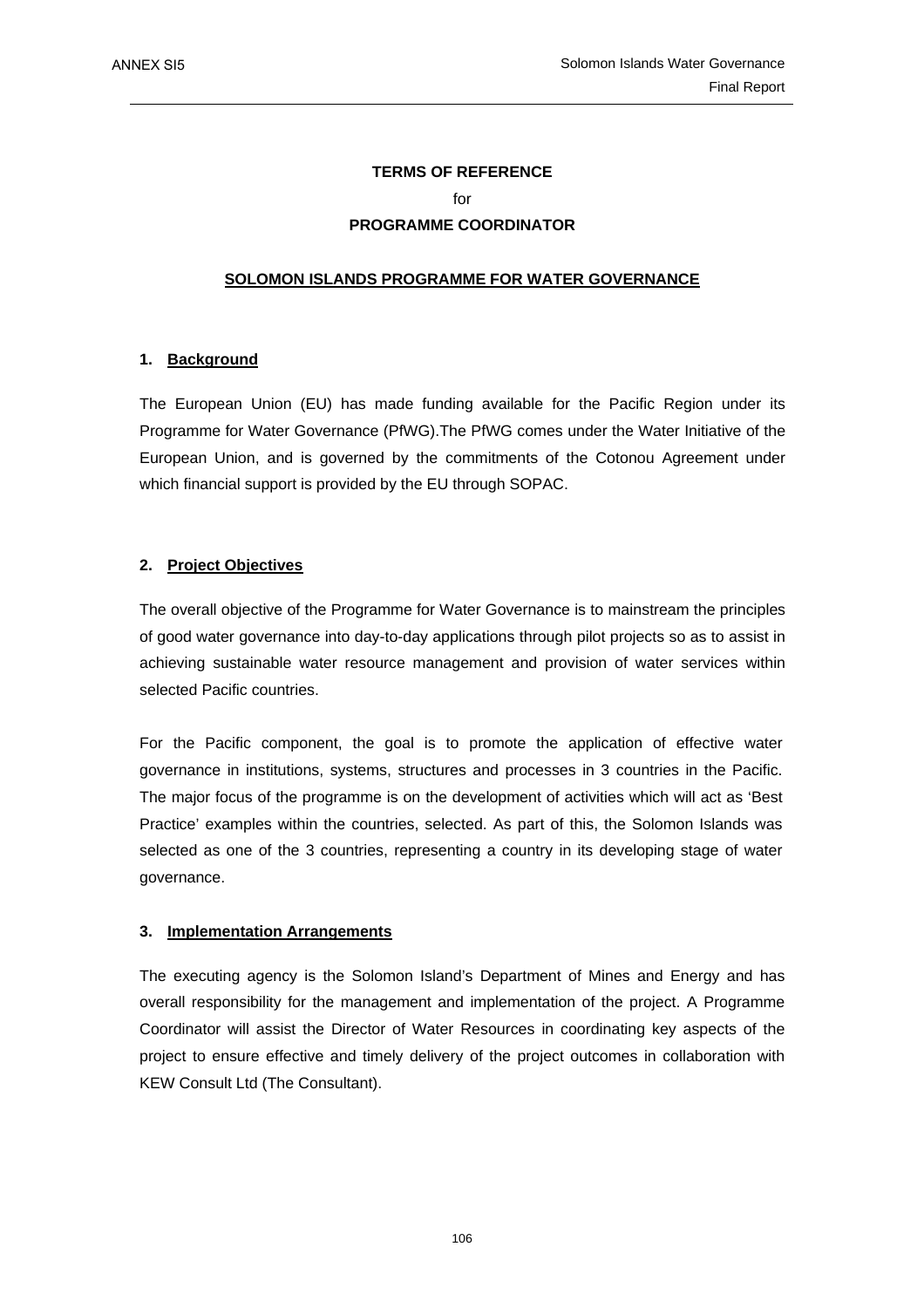# **TERMS OF REFERENCE**   $for$ **PROGRAMME COORDINATOR**

# **SOLOMON ISLANDS PROGRAMME FOR WATER GOVERNANCE**

# **1. Background**

The European Union (EU) has made funding available for the Pacific Region under its Programme for Water Governance (PfWG).The PfWG comes under the Water Initiative of the European Union, and is governed by the commitments of the Cotonou Agreement under which financial support is provided by the EU through SOPAC.

# **2. Project Objectives**

The overall objective of the Programme for Water Governance is to mainstream the principles of good water governance into day-to-day applications through pilot projects so as to assist in achieving sustainable water resource management and provision of water services within selected Pacific countries.

For the Pacific component, the goal is to promote the application of effective water governance in institutions, systems, structures and processes in 3 countries in the Pacific. The major focus of the programme is on the development of activities which will act as 'Best Practice' examples within the countries, selected. As part of this, the Solomon Islands was selected as one of the 3 countries, representing a country in its developing stage of water governance.

### **3. Implementation Arrangements**

The executing agency is the Solomon Island's Department of Mines and Energy and has overall responsibility for the management and implementation of the project. A Programme Coordinator will assist the Director of Water Resources in coordinating key aspects of the project to ensure effective and timely delivery of the project outcomes in collaboration with KEW Consult Ltd (The Consultant).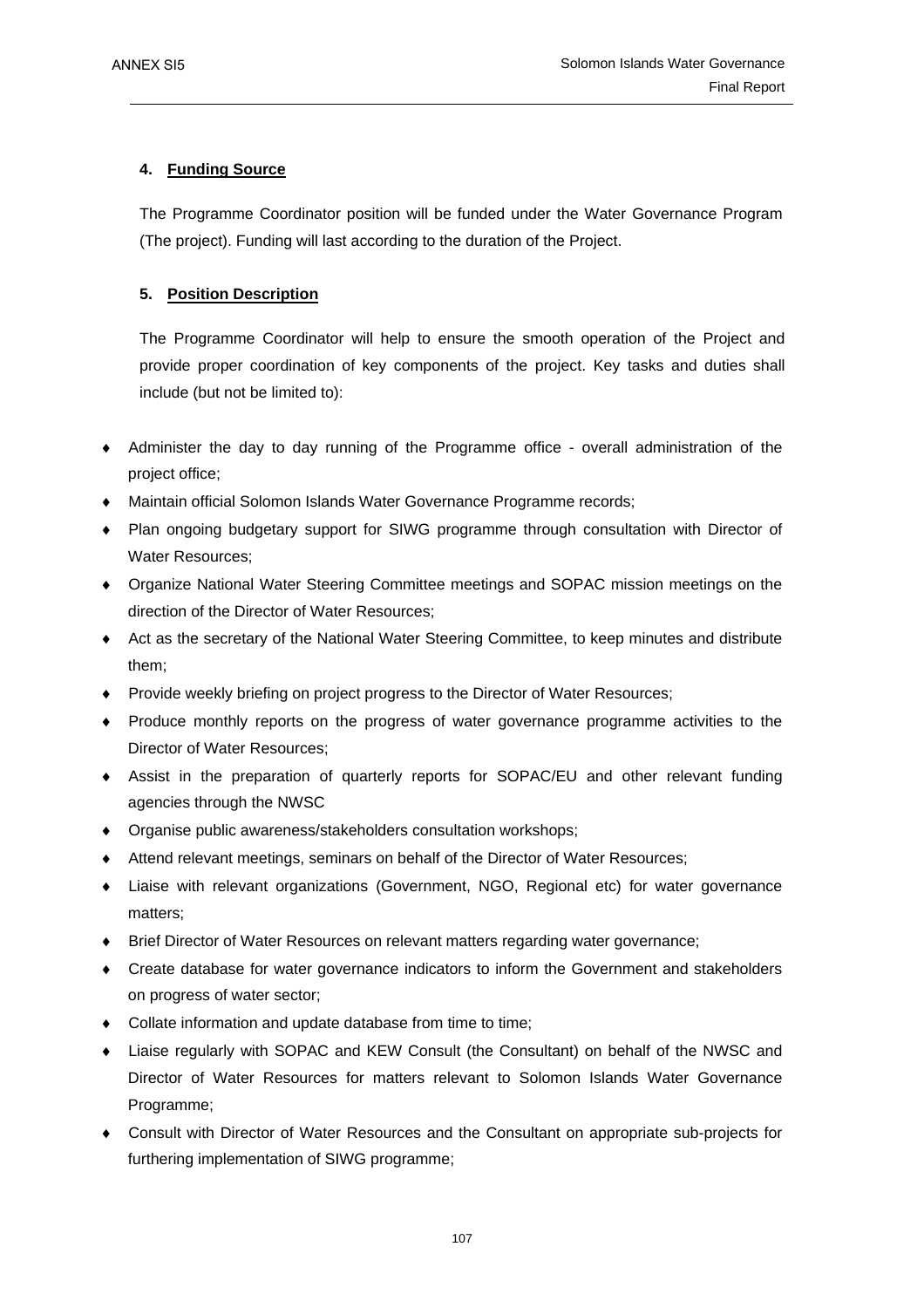# **4. Funding Source**

The Programme Coordinator position will be funded under the Water Governance Program (The project). Funding will last according to the duration of the Project.

# **5. Position Description**

The Programme Coordinator will help to ensure the smooth operation of the Project and provide proper coordination of key components of the project. Key tasks and duties shall include (but not be limited to):

- Administer the day to day running of the Programme office overall administration of the project office;
- Maintain official Solomon Islands Water Governance Programme records;
- ♦ Plan ongoing budgetary support for SIWG programme through consultation with Director of Water Resources;
- ♦ Organize National Water Steering Committee meetings and SOPAC mission meetings on the direction of the Director of Water Resources;
- ♦ Act as the secretary of the National Water Steering Committee, to keep minutes and distribute them;
- Provide weekly briefing on project progress to the Director of Water Resources;
- ♦ Produce monthly reports on the progress of water governance programme activities to the Director of Water Resources;
- ♦ Assist in the preparation of quarterly reports for SOPAC/EU and other relevant funding agencies through the NWSC
- ♦ Organise public awareness/stakeholders consultation workshops;
- Attend relevant meetings, seminars on behalf of the Director of Water Resources;
- Liaise with relevant organizations (Government, NGO, Regional etc) for water governance matters;
- Brief Director of Water Resources on relevant matters regarding water governance;
- ♦ Create database for water governance indicators to inform the Government and stakeholders on progress of water sector;
- ♦ Collate information and update database from time to time;
- ♦ Liaise regularly with SOPAC and KEW Consult (the Consultant) on behalf of the NWSC and Director of Water Resources for matters relevant to Solomon Islands Water Governance Programme;
- ♦ Consult with Director of Water Resources and the Consultant on appropriate sub-projects for furthering implementation of SIWG programme;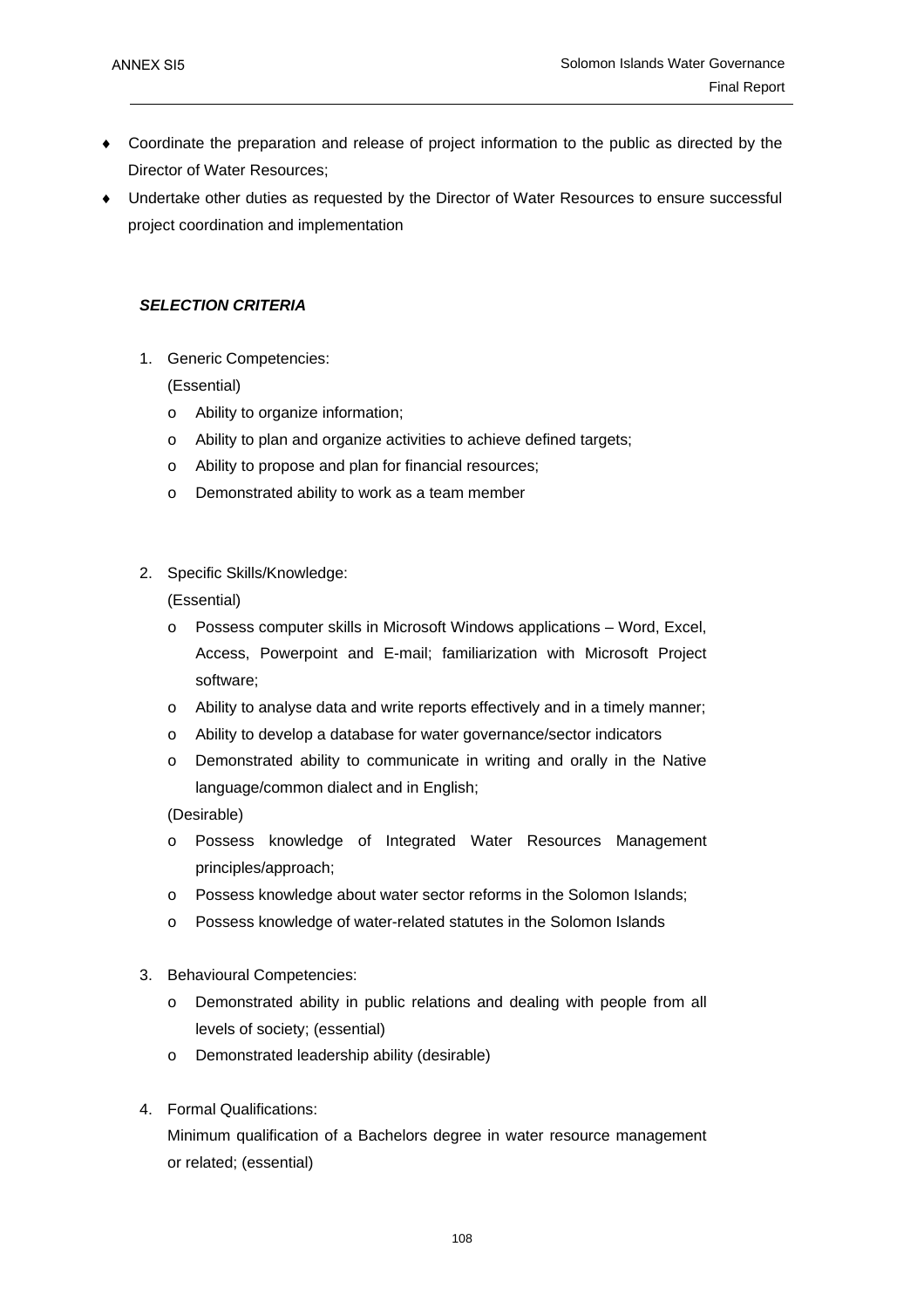- Coordinate the preparation and release of project information to the public as directed by the Director of Water Resources;
- ♦ Undertake other duties as requested by the Director of Water Resources to ensure successful project coordination and implementation

# *SELECTION CRITERIA*

1. Generic Competencies:

(Essential)

- o Ability to organize information;
- o Ability to plan and organize activities to achieve defined targets;
- o Ability to propose and plan for financial resources;
- o Demonstrated ability to work as a team member
- 2. Specific Skills/Knowledge:

(Essential)

- o Possess computer skills in Microsoft Windows applications Word, Excel, Access, Powerpoint and E-mail; familiarization with Microsoft Project software;
- o Ability to analyse data and write reports effectively and in a timely manner;
- o Ability to develop a database for water governance/sector indicators
- o Demonstrated ability to communicate in writing and orally in the Native language/common dialect and in English;

(Desirable)

- o Possess knowledge of Integrated Water Resources Management principles/approach;
- o Possess knowledge about water sector reforms in the Solomon Islands;
- o Possess knowledge of water-related statutes in the Solomon Islands
- 3. Behavioural Competencies:
	- o Demonstrated ability in public relations and dealing with people from all levels of society; (essential)
	- o Demonstrated leadership ability (desirable)
- 4. Formal Qualifications:

Minimum qualification of a Bachelors degree in water resource management or related; (essential)